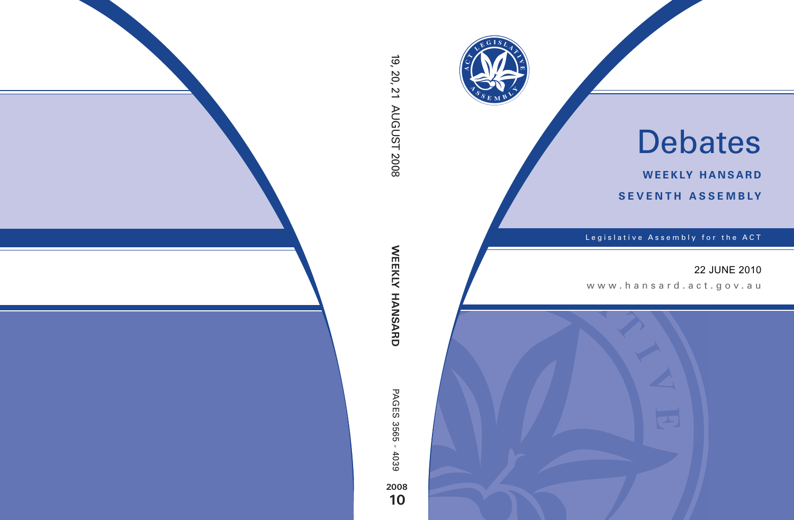

# Debates

**weekly hansard seventh asseMBly**

Legislative Assembly for the ACT

# 22 JUNE 2010

www.hansard.act.gov .au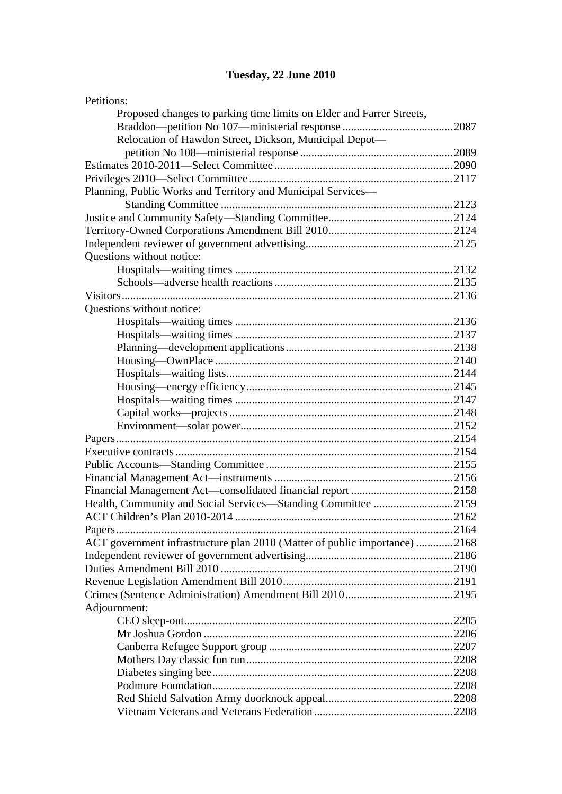# **[Tuesday, 22 June 2010](#page-3-0)**

| Petitions:                                                                 |       |
|----------------------------------------------------------------------------|-------|
| Proposed changes to parking time limits on Elder and Farrer Streets,       |       |
|                                                                            |       |
| Relocation of Hawdon Street, Dickson, Municipal Depot-                     |       |
|                                                                            |       |
|                                                                            |       |
|                                                                            |       |
| Planning, Public Works and Territory and Municipal Services-               |       |
|                                                                            |       |
|                                                                            |       |
|                                                                            |       |
|                                                                            |       |
| Questions without notice:                                                  |       |
|                                                                            |       |
|                                                                            |       |
|                                                                            |       |
| Questions without notice:                                                  |       |
|                                                                            |       |
|                                                                            |       |
|                                                                            |       |
|                                                                            |       |
|                                                                            |       |
|                                                                            |       |
|                                                                            |       |
|                                                                            |       |
|                                                                            |       |
|                                                                            |       |
|                                                                            |       |
|                                                                            |       |
|                                                                            |       |
|                                                                            |       |
| Health, Community and Social Services—Standing Committee 2159              |       |
|                                                                            | .2162 |
|                                                                            |       |
| ACT government infrastructure plan 2010 (Matter of public importance) 2168 |       |
|                                                                            |       |
|                                                                            |       |
|                                                                            |       |
|                                                                            |       |
| Adjournment:                                                               |       |
|                                                                            |       |
|                                                                            |       |
|                                                                            |       |
|                                                                            |       |
|                                                                            |       |
|                                                                            |       |
|                                                                            |       |
|                                                                            |       |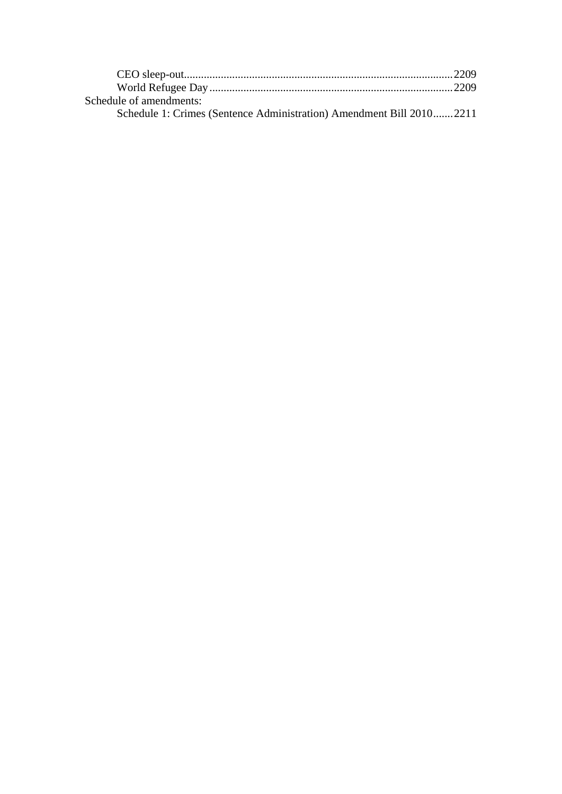| Schedule of amendments:                                              |  |
|----------------------------------------------------------------------|--|
| Schedule 1: Crimes (Sentence Administration) Amendment Bill 20102211 |  |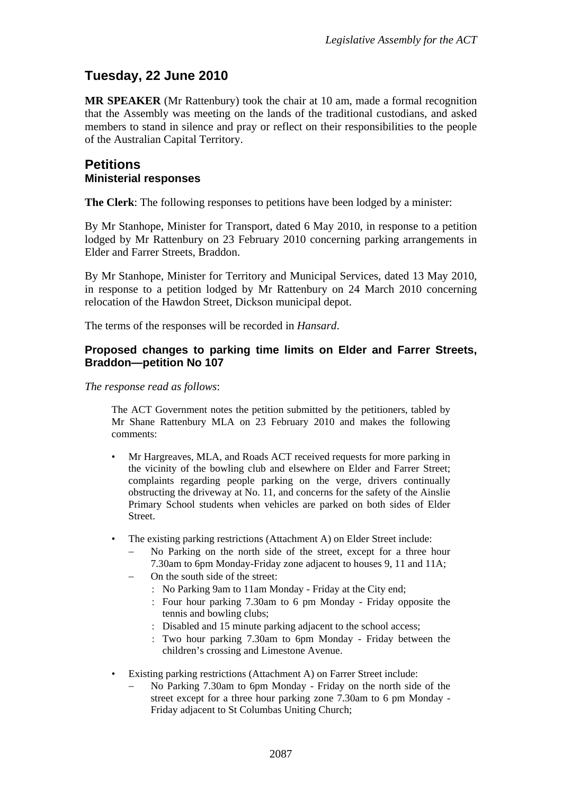# <span id="page-3-0"></span>**Tuesday, 22 June 2010**

**MR SPEAKER** (Mr Rattenbury) took the chair at 10 am, made a formal recognition that the Assembly was meeting on the lands of the traditional custodians, and asked members to stand in silence and pray or reflect on their responsibilities to the people of the Australian Capital Territory.

## <span id="page-3-1"></span>**Petitions Ministerial responses**

**The Clerk**: The following responses to petitions have been lodged by a minister:

By Mr Stanhope, Minister for Transport, dated 6 May 2010, in response to a petition lodged by Mr Rattenbury on 23 February 2010 concerning parking arrangements in Elder and Farrer Streets, Braddon.

By Mr Stanhope, Minister for Territory and Municipal Services, dated 13 May 2010, in response to a petition lodged by Mr Rattenbury on 24 March 2010 concerning relocation of the Hawdon Street, Dickson municipal depot.

The terms of the responses will be recorded in *Hansard*.

#### <span id="page-3-2"></span>**Proposed changes to parking time limits on Elder and Farrer Streets, Braddon—petition No 107**

*The response read as follows*:

The ACT Government notes the petition submitted by the petitioners, tabled by Mr Shane Rattenbury MLA on 23 February 2010 and makes the following comments:

- Mr Hargreaves, MLA, and Roads ACT received requests for more parking in the vicinity of the bowling club and elsewhere on Elder and Farrer Street; complaints regarding people parking on the verge, drivers continually obstructing the driveway at No. 11, and concerns for the safety of the Ainslie Primary School students when vehicles are parked on both sides of Elder Street.
- The existing parking restrictions (Attachment A) on Elder Street include:
	- No Parking on the north side of the street, except for a three hour 7.30am to 6pm Monday-Friday zone adjacent to houses 9, 11 and 11A;
	- On the south side of the street:
		- No Parking 9am to 11am Monday Friday at the City end;
		- Four hour parking 7.30am to 6 pm Monday Friday opposite the tennis and bowling clubs;
		- Disabled and 15 minute parking adjacent to the school access;
		- Two hour parking 7.30am to 6pm Monday Friday between the children's crossing and Limestone Avenue.
- Existing parking restrictions (Attachment A) on Farrer Street include:
	- No Parking 7.30am to 6pm Monday Friday on the north side of the street except for a three hour parking zone 7.30am to 6 pm Monday - Friday adjacent to St Columbas Uniting Church;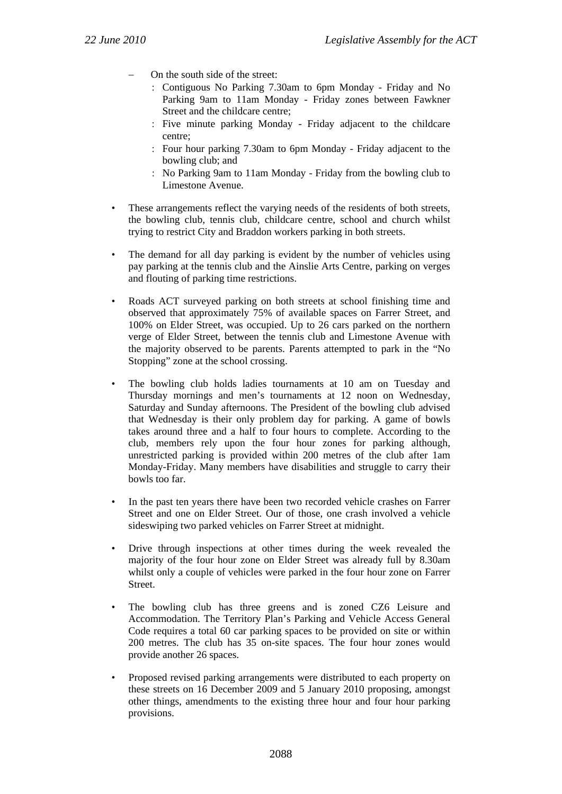- On the south side of the street:
	- Contiguous No Parking 7.30am to 6pm Monday Friday and No Parking 9am to 11am Monday - Friday zones between Fawkner Street and the childcare centre;
	- Five minute parking Monday Friday adjacent to the childcare centre;
	- Four hour parking 7.30am to 6pm Monday Friday adjacent to the bowling club; and
	- No Parking 9am to 11am Monday Friday from the bowling club to Limestone Avenue.
- These arrangements reflect the varying needs of the residents of both streets, the bowling club, tennis club, childcare centre, school and church whilst trying to restrict City and Braddon workers parking in both streets.
- The demand for all day parking is evident by the number of vehicles using pay parking at the tennis club and the Ainslie Arts Centre, parking on verges and flouting of parking time restrictions.
- Roads ACT surveyed parking on both streets at school finishing time and observed that approximately 75% of available spaces on Farrer Street, and 100% on Elder Street, was occupied. Up to 26 cars parked on the northern verge of Elder Street, between the tennis club and Limestone Avenue with the majority observed to be parents. Parents attempted to park in the "No Stopping" zone at the school crossing.
- The bowling club holds ladies tournaments at 10 am on Tuesday and Thursday mornings and men's tournaments at 12 noon on Wednesday, Saturday and Sunday afternoons. The President of the bowling club advised that Wednesday is their only problem day for parking. A game of bowls takes around three and a half to four hours to complete. According to the club, members rely upon the four hour zones for parking although, unrestricted parking is provided within 200 metres of the club after 1am Monday-Friday. Many members have disabilities and struggle to carry their bowls too far.
- In the past ten years there have been two recorded vehicle crashes on Farrer Street and one on Elder Street. Our of those, one crash involved a vehicle sideswiping two parked vehicles on Farrer Street at midnight.
- Drive through inspections at other times during the week revealed the majority of the four hour zone on Elder Street was already full by 8.30am whilst only a couple of vehicles were parked in the four hour zone on Farrer Street.
- The bowling club has three greens and is zoned CZ6 Leisure and Accommodation. The Territory Plan's Parking and Vehicle Access General Code requires a total 60 car parking spaces to be provided on site or within 200 metres. The club has 35 on-site spaces. The four hour zones would provide another 26 spaces.
- Proposed revised parking arrangements were distributed to each property on these streets on 16 December 2009 and 5 January 2010 proposing, amongst other things, amendments to the existing three hour and four hour parking provisions.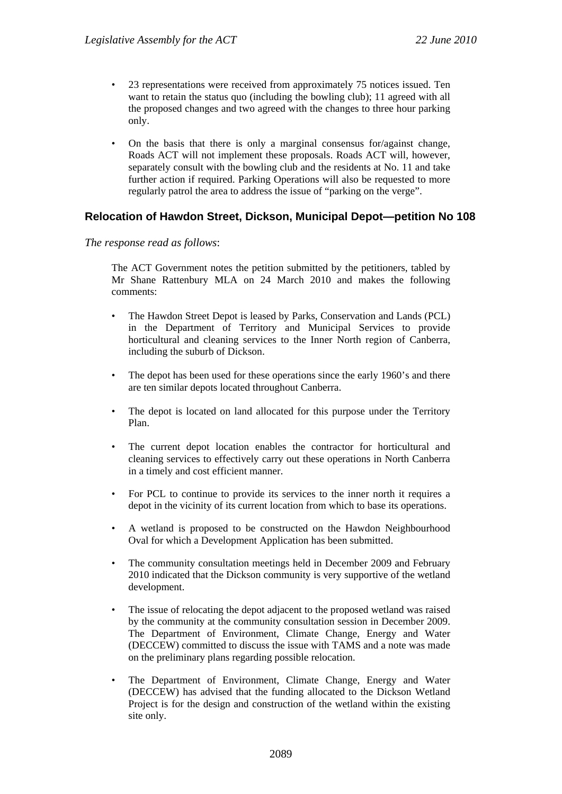- 23 representations were received from approximately 75 notices issued. Ten want to retain the status quo (including the bowling club); 11 agreed with all the proposed changes and two agreed with the changes to three hour parking only.
- On the basis that there is only a marginal consensus for/against change, Roads ACT will not implement these proposals. Roads ACT will, however, separately consult with the bowling club and the residents at No. 11 and take further action if required. Parking Operations will also be requested to more regularly patrol the area to address the issue of "parking on the verge".

#### <span id="page-5-0"></span>**Relocation of Hawdon Street, Dickson, Municipal Depot—petition No 108**

#### *The response read as follows*:

The ACT Government notes the petition submitted by the petitioners, tabled by Mr Shane Rattenbury MLA on 24 March 2010 and makes the following comments:

- The Hawdon Street Depot is leased by Parks, Conservation and Lands (PCL) in the Department of Territory and Municipal Services to provide horticultural and cleaning services to the Inner North region of Canberra, including the suburb of Dickson.
- The depot has been used for these operations since the early 1960's and there are ten similar depots located throughout Canberra.
- The depot is located on land allocated for this purpose under the Territory Plan.
- The current depot location enables the contractor for horticultural and cleaning services to effectively carry out these operations in North Canberra in a timely and cost efficient manner.
- For PCL to continue to provide its services to the inner north it requires a depot in the vicinity of its current location from which to base its operations.
- A wetland is proposed to be constructed on the Hawdon Neighbourhood Oval for which a Development Application has been submitted.
- The community consultation meetings held in December 2009 and February 2010 indicated that the Dickson community is very supportive of the wetland development.
- The issue of relocating the depot adjacent to the proposed wetland was raised by the community at the community consultation session in December 2009. The Department of Environment, Climate Change, Energy and Water (DECCEW) committed to discuss the issue with TAMS and a note was made on the preliminary plans regarding possible relocation.
- The Department of Environment, Climate Change, Energy and Water (DECCEW) has advised that the funding allocated to the Dickson Wetland Project is for the design and construction of the wetland within the existing site only.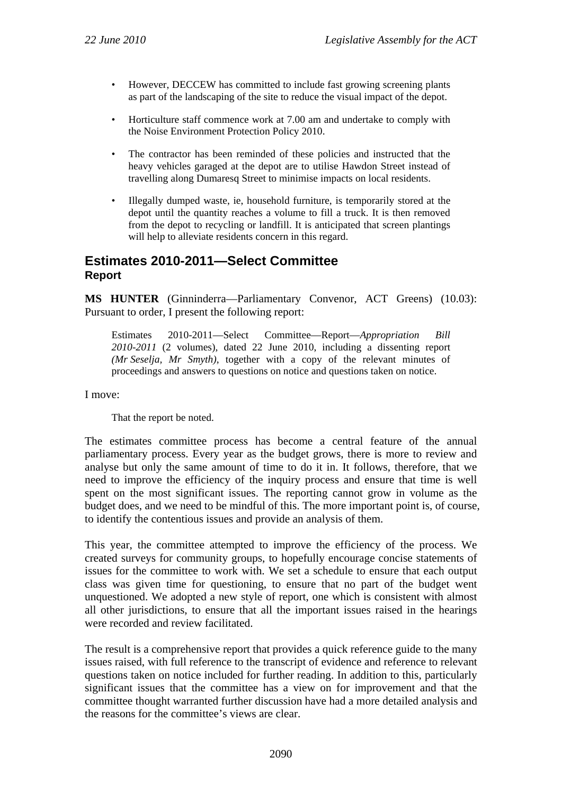- However, DECCEW has committed to include fast growing screening plants as part of the landscaping of the site to reduce the visual impact of the depot.
- Horticulture staff commence work at 7.00 am and undertake to comply with the Noise Environment Protection Policy 2010.
- The contractor has been reminded of these policies and instructed that the heavy vehicles garaged at the depot are to utilise Hawdon Street instead of travelling along Dumaresq Street to minimise impacts on local residents.
- Illegally dumped waste, ie, household furniture, is temporarily stored at the depot until the quantity reaches a volume to fill a truck. It is then removed from the depot to recycling or landfill. It is anticipated that screen plantings will help to alleviate residents concern in this regard.

## <span id="page-6-0"></span>**Estimates 2010-2011—Select Committee Report**

**MS HUNTER** (Ginninderra—Parliamentary Convenor, ACT Greens) (10.03): Pursuant to order, I present the following report:

Estimates 2010-2011—Select Committee—Report—*Appropriation Bill 2010-2011* (2 volumes)*,* dated 22 June 2010, including a dissenting report *(Mr Seselja, Mr Smyth)*, together with a copy of the relevant minutes of proceedings and answers to questions on notice and questions taken on notice.

I move:

That the report be noted.

The estimates committee process has become a central feature of the annual parliamentary process. Every year as the budget grows, there is more to review and analyse but only the same amount of time to do it in. It follows, therefore, that we need to improve the efficiency of the inquiry process and ensure that time is well spent on the most significant issues. The reporting cannot grow in volume as the budget does, and we need to be mindful of this. The more important point is, of course, to identify the contentious issues and provide an analysis of them.

This year, the committee attempted to improve the efficiency of the process. We created surveys for community groups, to hopefully encourage concise statements of issues for the committee to work with. We set a schedule to ensure that each output class was given time for questioning, to ensure that no part of the budget went unquestioned. We adopted a new style of report, one which is consistent with almost all other jurisdictions, to ensure that all the important issues raised in the hearings were recorded and review facilitated.

The result is a comprehensive report that provides a quick reference guide to the many issues raised, with full reference to the transcript of evidence and reference to relevant questions taken on notice included for further reading. In addition to this, particularly significant issues that the committee has a view on for improvement and that the committee thought warranted further discussion have had a more detailed analysis and the reasons for the committee's views are clear.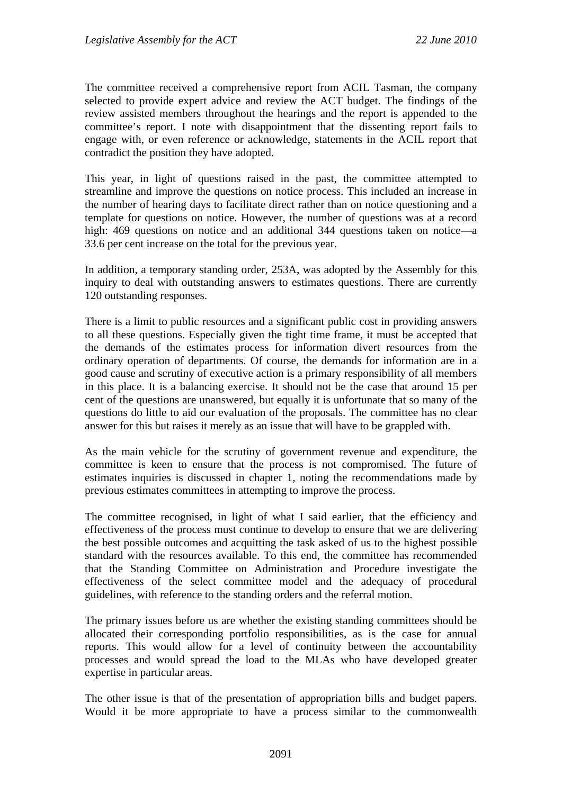The committee received a comprehensive report from ACIL Tasman, the company selected to provide expert advice and review the ACT budget. The findings of the review assisted members throughout the hearings and the report is appended to the committee's report. I note with disappointment that the dissenting report fails to engage with, or even reference or acknowledge, statements in the ACIL report that contradict the position they have adopted.

This year, in light of questions raised in the past, the committee attempted to streamline and improve the questions on notice process. This included an increase in the number of hearing days to facilitate direct rather than on notice questioning and a template for questions on notice. However, the number of questions was at a record high: 469 questions on notice and an additional 344 questions taken on notice—a 33.6 per cent increase on the total for the previous year.

In addition, a temporary standing order, 253A, was adopted by the Assembly for this inquiry to deal with outstanding answers to estimates questions. There are currently 120 outstanding responses.

There is a limit to public resources and a significant public cost in providing answers to all these questions. Especially given the tight time frame, it must be accepted that the demands of the estimates process for information divert resources from the ordinary operation of departments. Of course, the demands for information are in a good cause and scrutiny of executive action is a primary responsibility of all members in this place. It is a balancing exercise. It should not be the case that around 15 per cent of the questions are unanswered, but equally it is unfortunate that so many of the questions do little to aid our evaluation of the proposals. The committee has no clear answer for this but raises it merely as an issue that will have to be grappled with.

As the main vehicle for the scrutiny of government revenue and expenditure, the committee is keen to ensure that the process is not compromised. The future of estimates inquiries is discussed in chapter 1, noting the recommendations made by previous estimates committees in attempting to improve the process.

The committee recognised, in light of what I said earlier, that the efficiency and effectiveness of the process must continue to develop to ensure that we are delivering the best possible outcomes and acquitting the task asked of us to the highest possible standard with the resources available. To this end, the committee has recommended that the Standing Committee on Administration and Procedure investigate the effectiveness of the select committee model and the adequacy of procedural guidelines, with reference to the standing orders and the referral motion.

The primary issues before us are whether the existing standing committees should be allocated their corresponding portfolio responsibilities, as is the case for annual reports. This would allow for a level of continuity between the accountability processes and would spread the load to the MLAs who have developed greater expertise in particular areas.

The other issue is that of the presentation of appropriation bills and budget papers. Would it be more appropriate to have a process similar to the commonwealth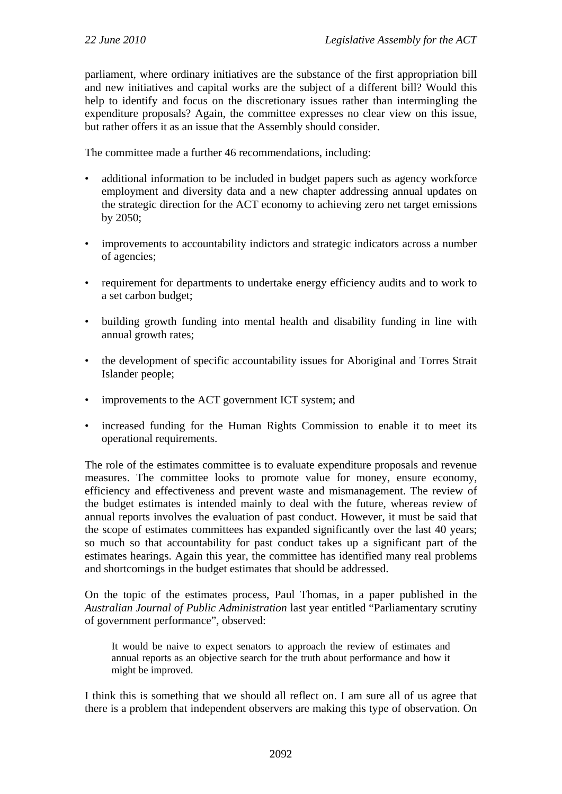parliament, where ordinary initiatives are the substance of the first appropriation bill and new initiatives and capital works are the subject of a different bill? Would this help to identify and focus on the discretionary issues rather than intermingling the expenditure proposals? Again, the committee expresses no clear view on this issue, but rather offers it as an issue that the Assembly should consider.

The committee made a further 46 recommendations, including:

- additional information to be included in budget papers such as agency workforce employment and diversity data and a new chapter addressing annual updates on the strategic direction for the ACT economy to achieving zero net target emissions by 2050;
- improvements to accountability indictors and strategic indicators across a number of agencies;
- requirement for departments to undertake energy efficiency audits and to work to a set carbon budget;
- building growth funding into mental health and disability funding in line with annual growth rates;
- the development of specific accountability issues for Aboriginal and Torres Strait Islander people;
- improvements to the ACT government ICT system; and
- increased funding for the Human Rights Commission to enable it to meet its operational requirements.

The role of the estimates committee is to evaluate expenditure proposals and revenue measures. The committee looks to promote value for money, ensure economy, efficiency and effectiveness and prevent waste and mismanagement. The review of the budget estimates is intended mainly to deal with the future, whereas review of annual reports involves the evaluation of past conduct. However, it must be said that the scope of estimates committees has expanded significantly over the last 40 years; so much so that accountability for past conduct takes up a significant part of the estimates hearings. Again this year, the committee has identified many real problems and shortcomings in the budget estimates that should be addressed.

On the topic of the estimates process, Paul Thomas, in a paper published in the *Australian Journal of Public Administration* last year entitled "Parliamentary scrutiny of government performance", observed:

It would be naive to expect senators to approach the review of estimates and annual reports as an objective search for the truth about performance and how it might be improved.

I think this is something that we should all reflect on. I am sure all of us agree that there is a problem that independent observers are making this type of observation. On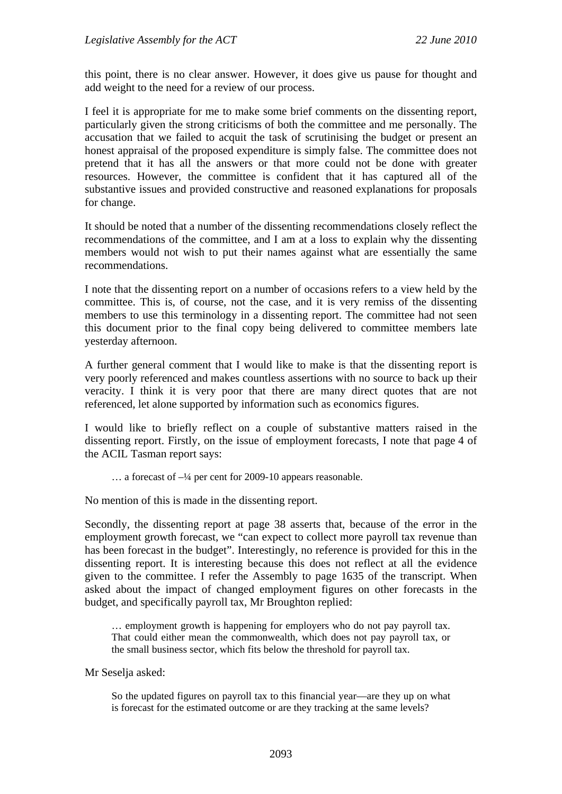this point, there is no clear answer. However, it does give us pause for thought and add weight to the need for a review of our process.

I feel it is appropriate for me to make some brief comments on the dissenting report, particularly given the strong criticisms of both the committee and me personally. The accusation that we failed to acquit the task of scrutinising the budget or present an honest appraisal of the proposed expenditure is simply false. The committee does not pretend that it has all the answers or that more could not be done with greater resources. However, the committee is confident that it has captured all of the substantive issues and provided constructive and reasoned explanations for proposals for change.

It should be noted that a number of the dissenting recommendations closely reflect the recommendations of the committee, and I am at a loss to explain why the dissenting members would not wish to put their names against what are essentially the same recommendations.

I note that the dissenting report on a number of occasions refers to a view held by the committee. This is, of course, not the case, and it is very remiss of the dissenting members to use this terminology in a dissenting report. The committee had not seen this document prior to the final copy being delivered to committee members late yesterday afternoon.

A further general comment that I would like to make is that the dissenting report is very poorly referenced and makes countless assertions with no source to back up their veracity. I think it is very poor that there are many direct quotes that are not referenced, let alone supported by information such as economics figures.

I would like to briefly reflect on a couple of substantive matters raised in the dissenting report. Firstly, on the issue of employment forecasts, I note that page 4 of the ACIL Tasman report says:

… a forecast of –¼ per cent for 2009-10 appears reasonable.

No mention of this is made in the dissenting report.

Secondly, the dissenting report at page 38 asserts that, because of the error in the employment growth forecast, we "can expect to collect more payroll tax revenue than has been forecast in the budget". Interestingly, no reference is provided for this in the dissenting report. It is interesting because this does not reflect at all the evidence given to the committee. I refer the Assembly to page 1635 of the transcript. When asked about the impact of changed employment figures on other forecasts in the budget, and specifically payroll tax, Mr Broughton replied:

… employment growth is happening for employers who do not pay payroll tax. That could either mean the commonwealth, which does not pay payroll tax, or the small business sector, which fits below the threshold for payroll tax.

Mr Seselja asked:

So the updated figures on payroll tax to this financial year—are they up on what is forecast for the estimated outcome or are they tracking at the same levels?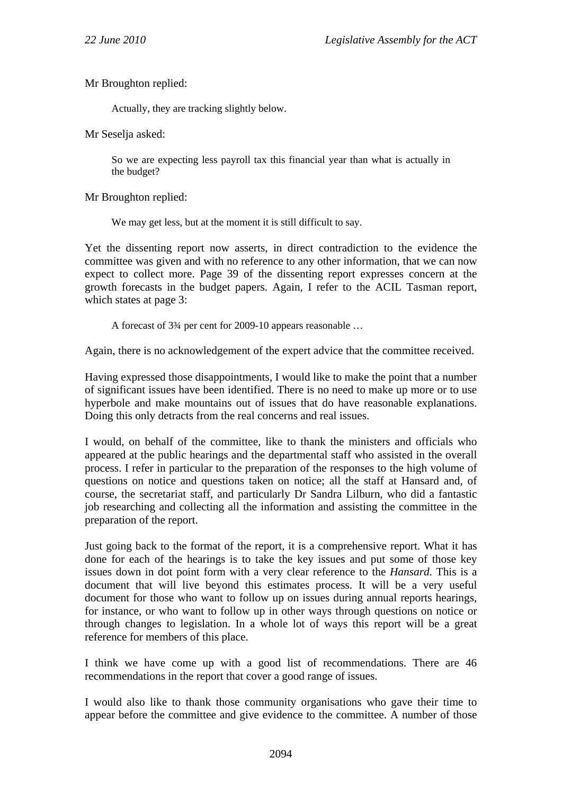Mr Broughton replied:

Actually, they are tracking slightly below.

Mr Seselja asked:

So we are expecting less payroll tax this financial year than what is actually in the budget?

Mr Broughton replied:

We may get less, but at the moment it is still difficult to say.

Yet the dissenting report now asserts, in direct contradiction to the evidence the committee was given and with no reference to any other information, that we can now expect to collect more. Page 39 of the dissenting report expresses concern at the growth forecasts in the budget papers. Again, I refer to the ACIL Tasman report, which states at page 3:

A forecast of 3¾ per cent for 2009-10 appears reasonable …

Again, there is no acknowledgement of the expert advice that the committee received.

Having expressed those disappointments, I would like to make the point that a number of significant issues have been identified. There is no need to make up more or to use hyperbole and make mountains out of issues that do have reasonable explanations. Doing this only detracts from the real concerns and real issues.

I would, on behalf of the committee, like to thank the ministers and officials who appeared at the public hearings and the departmental staff who assisted in the overall process. I refer in particular to the preparation of the responses to the high volume of questions on notice and questions taken on notice; all the staff at Hansard and, of course, the secretariat staff, and particularly Dr Sandra Lilburn, who did a fantastic job researching and collecting all the information and assisting the committee in the preparation of the report.

Just going back to the format of the report, it is a comprehensive report. What it has done for each of the hearings is to take the key issues and put some of those key issues down in dot point form with a very clear reference to the *Hansard*. This is a document that will live beyond this estimates process. It will be a very useful document for those who want to follow up on issues during annual reports hearings, for instance, or who want to follow up in other ways through questions on notice or through changes to legislation. In a whole lot of ways this report will be a great reference for members of this place.

I think we have come up with a good list of recommendations. There are 46 recommendations in the report that cover a good range of issues.

I would also like to thank those community organisations who gave their time to appear before the committee and give evidence to the committee. A number of those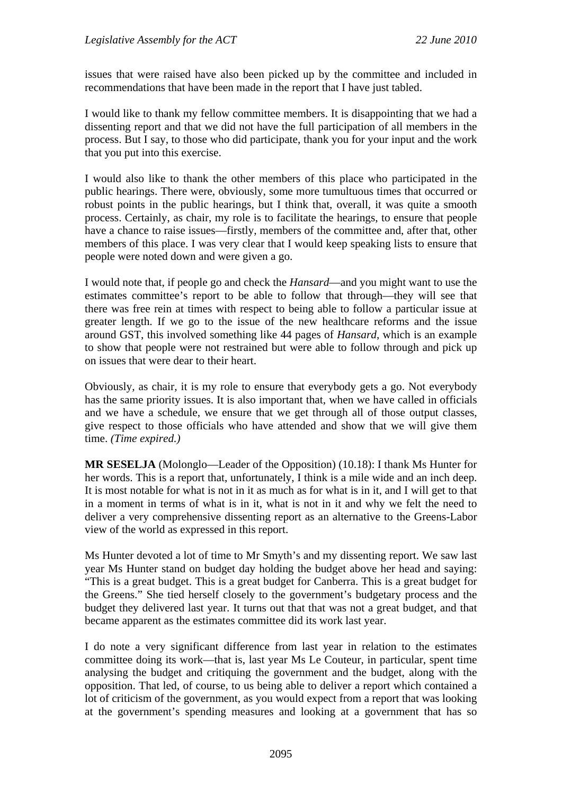issues that were raised have also been picked up by the committee and included in recommendations that have been made in the report that I have just tabled.

I would like to thank my fellow committee members. It is disappointing that we had a dissenting report and that we did not have the full participation of all members in the process. But I say, to those who did participate, thank you for your input and the work that you put into this exercise.

I would also like to thank the other members of this place who participated in the public hearings. There were, obviously, some more tumultuous times that occurred or robust points in the public hearings, but I think that, overall, it was quite a smooth process. Certainly, as chair, my role is to facilitate the hearings, to ensure that people have a chance to raise issues—firstly, members of the committee and, after that, other members of this place. I was very clear that I would keep speaking lists to ensure that people were noted down and were given a go.

I would note that, if people go and check the *Hansard*—and you might want to use the estimates committee's report to be able to follow that through—they will see that there was free rein at times with respect to being able to follow a particular issue at greater length. If we go to the issue of the new healthcare reforms and the issue around GST, this involved something like 44 pages of *Hansard*, which is an example to show that people were not restrained but were able to follow through and pick up on issues that were dear to their heart.

Obviously, as chair, it is my role to ensure that everybody gets a go. Not everybody has the same priority issues. It is also important that, when we have called in officials and we have a schedule, we ensure that we get through all of those output classes, give respect to those officials who have attended and show that we will give them time. *(Time expired.)*

**MR SESELJA** (Molonglo—Leader of the Opposition) (10.18): I thank Ms Hunter for her words. This is a report that, unfortunately, I think is a mile wide and an inch deep. It is most notable for what is not in it as much as for what is in it, and I will get to that in a moment in terms of what is in it, what is not in it and why we felt the need to deliver a very comprehensive dissenting report as an alternative to the Greens-Labor view of the world as expressed in this report.

Ms Hunter devoted a lot of time to Mr Smyth's and my dissenting report. We saw last year Ms Hunter stand on budget day holding the budget above her head and saying: "This is a great budget. This is a great budget for Canberra. This is a great budget for the Greens." She tied herself closely to the government's budgetary process and the budget they delivered last year. It turns out that that was not a great budget, and that became apparent as the estimates committee did its work last year.

I do note a very significant difference from last year in relation to the estimates committee doing its work—that is, last year Ms Le Couteur, in particular, spent time analysing the budget and critiquing the government and the budget, along with the opposition. That led, of course, to us being able to deliver a report which contained a lot of criticism of the government, as you would expect from a report that was looking at the government's spending measures and looking at a government that has so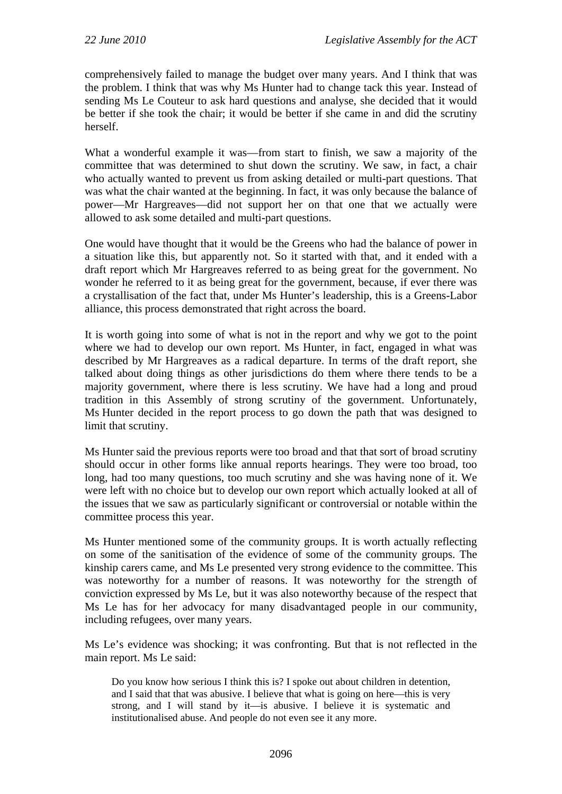comprehensively failed to manage the budget over many years. And I think that was the problem. I think that was why Ms Hunter had to change tack this year. Instead of sending Ms Le Couteur to ask hard questions and analyse, she decided that it would be better if she took the chair; it would be better if she came in and did the scrutiny herself.

What a wonderful example it was—from start to finish, we saw a majority of the committee that was determined to shut down the scrutiny. We saw, in fact, a chair who actually wanted to prevent us from asking detailed or multi-part questions. That was what the chair wanted at the beginning. In fact, it was only because the balance of power—Mr Hargreaves—did not support her on that one that we actually were allowed to ask some detailed and multi-part questions.

One would have thought that it would be the Greens who had the balance of power in a situation like this, but apparently not. So it started with that, and it ended with a draft report which Mr Hargreaves referred to as being great for the government. No wonder he referred to it as being great for the government, because, if ever there was a crystallisation of the fact that, under Ms Hunter's leadership, this is a Greens-Labor alliance, this process demonstrated that right across the board.

It is worth going into some of what is not in the report and why we got to the point where we had to develop our own report. Ms Hunter, in fact, engaged in what was described by Mr Hargreaves as a radical departure. In terms of the draft report, she talked about doing things as other jurisdictions do them where there tends to be a majority government, where there is less scrutiny. We have had a long and proud tradition in this Assembly of strong scrutiny of the government. Unfortunately, Ms Hunter decided in the report process to go down the path that was designed to limit that scrutiny.

Ms Hunter said the previous reports were too broad and that that sort of broad scrutiny should occur in other forms like annual reports hearings. They were too broad, too long, had too many questions, too much scrutiny and she was having none of it. We were left with no choice but to develop our own report which actually looked at all of the issues that we saw as particularly significant or controversial or notable within the committee process this year.

Ms Hunter mentioned some of the community groups. It is worth actually reflecting on some of the sanitisation of the evidence of some of the community groups. The kinship carers came, and Ms Le presented very strong evidence to the committee. This was noteworthy for a number of reasons. It was noteworthy for the strength of conviction expressed by Ms Le, but it was also noteworthy because of the respect that Ms Le has for her advocacy for many disadvantaged people in our community, including refugees, over many years.

Ms Le's evidence was shocking; it was confronting. But that is not reflected in the main report. Ms Le said:

Do you know how serious I think this is? I spoke out about children in detention, and I said that that was abusive. I believe that what is going on here—this is very strong, and I will stand by it—is abusive. I believe it is systematic and institutionalised abuse. And people do not even see it any more.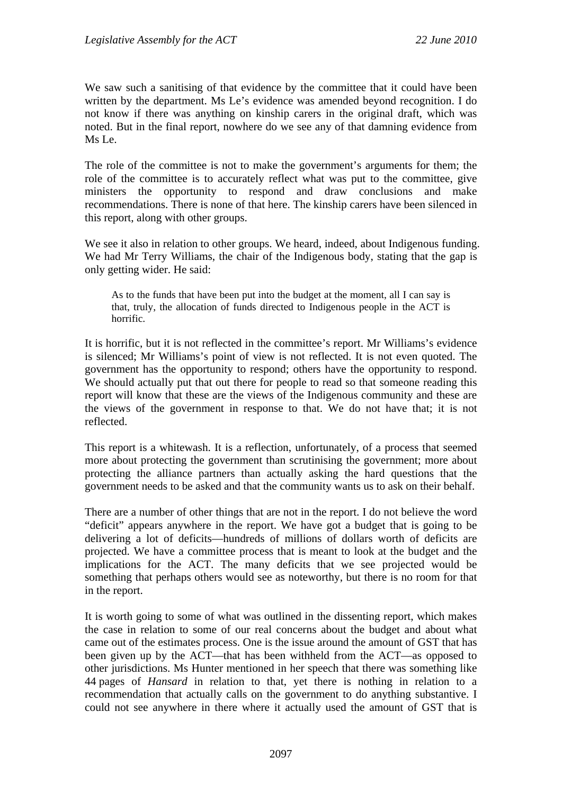We saw such a sanitising of that evidence by the committee that it could have been written by the department. Ms Le's evidence was amended beyond recognition. I do not know if there was anything on kinship carers in the original draft, which was noted. But in the final report, nowhere do we see any of that damning evidence from Ms Le.

The role of the committee is not to make the government's arguments for them; the role of the committee is to accurately reflect what was put to the committee, give ministers the opportunity to respond and draw conclusions and make recommendations. There is none of that here. The kinship carers have been silenced in this report, along with other groups.

We see it also in relation to other groups. We heard, indeed, about Indigenous funding. We had Mr Terry Williams, the chair of the Indigenous body, stating that the gap is only getting wider. He said:

As to the funds that have been put into the budget at the moment, all I can say is that, truly, the allocation of funds directed to Indigenous people in the ACT is horrific.

It is horrific, but it is not reflected in the committee's report. Mr Williams's evidence is silenced; Mr Williams's point of view is not reflected. It is not even quoted. The government has the opportunity to respond; others have the opportunity to respond. We should actually put that out there for people to read so that someone reading this report will know that these are the views of the Indigenous community and these are the views of the government in response to that. We do not have that; it is not reflected.

This report is a whitewash. It is a reflection, unfortunately, of a process that seemed more about protecting the government than scrutinising the government; more about protecting the alliance partners than actually asking the hard questions that the government needs to be asked and that the community wants us to ask on their behalf.

There are a number of other things that are not in the report. I do not believe the word "deficit" appears anywhere in the report. We have got a budget that is going to be delivering a lot of deficits—hundreds of millions of dollars worth of deficits are projected. We have a committee process that is meant to look at the budget and the implications for the ACT. The many deficits that we see projected would be something that perhaps others would see as noteworthy, but there is no room for that in the report.

It is worth going to some of what was outlined in the dissenting report, which makes the case in relation to some of our real concerns about the budget and about what came out of the estimates process. One is the issue around the amount of GST that has been given up by the ACT—that has been withheld from the ACT—as opposed to other jurisdictions. Ms Hunter mentioned in her speech that there was something like 44 pages of *Hansard* in relation to that, yet there is nothing in relation to a recommendation that actually calls on the government to do anything substantive. I could not see anywhere in there where it actually used the amount of GST that is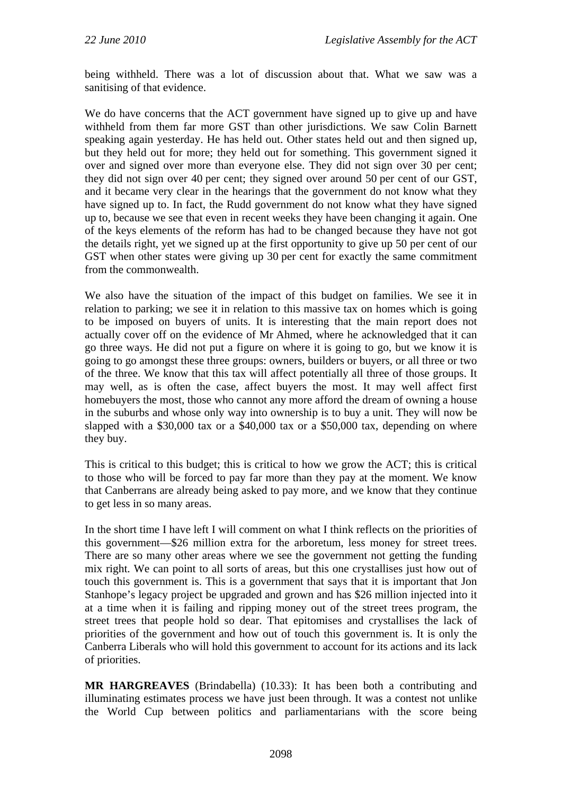being withheld. There was a lot of discussion about that. What we saw was a sanitising of that evidence.

We do have concerns that the ACT government have signed up to give up and have withheld from them far more GST than other jurisdictions. We saw Colin Barnett speaking again yesterday. He has held out. Other states held out and then signed up, but they held out for more; they held out for something. This government signed it over and signed over more than everyone else. They did not sign over 30 per cent; they did not sign over 40 per cent; they signed over around 50 per cent of our GST, and it became very clear in the hearings that the government do not know what they have signed up to. In fact, the Rudd government do not know what they have signed up to, because we see that even in recent weeks they have been changing it again. One of the keys elements of the reform has had to be changed because they have not got the details right, yet we signed up at the first opportunity to give up 50 per cent of our GST when other states were giving up 30 per cent for exactly the same commitment from the commonwealth.

We also have the situation of the impact of this budget on families. We see it in relation to parking; we see it in relation to this massive tax on homes which is going to be imposed on buyers of units. It is interesting that the main report does not actually cover off on the evidence of Mr Ahmed, where he acknowledged that it can go three ways. He did not put a figure on where it is going to go, but we know it is going to go amongst these three groups: owners, builders or buyers, or all three or two of the three. We know that this tax will affect potentially all three of those groups. It may well, as is often the case, affect buyers the most. It may well affect first homebuyers the most, those who cannot any more afford the dream of owning a house in the suburbs and whose only way into ownership is to buy a unit. They will now be slapped with a \$30,000 tax or a \$40,000 tax or a \$50,000 tax, depending on where they buy.

This is critical to this budget; this is critical to how we grow the ACT; this is critical to those who will be forced to pay far more than they pay at the moment. We know that Canberrans are already being asked to pay more, and we know that they continue to get less in so many areas.

In the short time I have left I will comment on what I think reflects on the priorities of this government—\$26 million extra for the arboretum, less money for street trees. There are so many other areas where we see the government not getting the funding mix right. We can point to all sorts of areas, but this one crystallises just how out of touch this government is. This is a government that says that it is important that Jon Stanhope's legacy project be upgraded and grown and has \$26 million injected into it at a time when it is failing and ripping money out of the street trees program, the street trees that people hold so dear. That epitomises and crystallises the lack of priorities of the government and how out of touch this government is. It is only the Canberra Liberals who will hold this government to account for its actions and its lack of priorities.

**MR HARGREAVES** (Brindabella) (10.33): It has been both a contributing and illuminating estimates process we have just been through. It was a contest not unlike the World Cup between politics and parliamentarians with the score being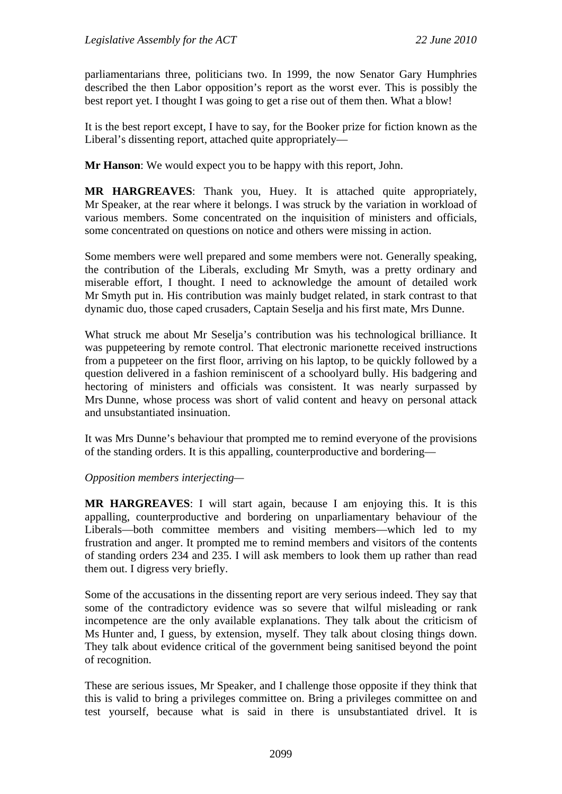parliamentarians three, politicians two. In 1999, the now Senator Gary Humphries described the then Labor opposition's report as the worst ever. This is possibly the best report yet. I thought I was going to get a rise out of them then. What a blow!

It is the best report except, I have to say, for the Booker prize for fiction known as the Liberal's dissenting report, attached quite appropriately—

**Mr Hanson**: We would expect you to be happy with this report, John.

**MR HARGREAVES**: Thank you, Huey. It is attached quite appropriately, Mr Speaker, at the rear where it belongs. I was struck by the variation in workload of various members. Some concentrated on the inquisition of ministers and officials, some concentrated on questions on notice and others were missing in action.

Some members were well prepared and some members were not. Generally speaking, the contribution of the Liberals, excluding Mr Smyth, was a pretty ordinary and miserable effort, I thought. I need to acknowledge the amount of detailed work Mr Smyth put in. His contribution was mainly budget related, in stark contrast to that dynamic duo, those caped crusaders, Captain Seselja and his first mate, Mrs Dunne.

What struck me about Mr Seselja's contribution was his technological brilliance. It was puppeteering by remote control. That electronic marionette received instructions from a puppeteer on the first floor, arriving on his laptop, to be quickly followed by a question delivered in a fashion reminiscent of a schoolyard bully. His badgering and hectoring of ministers and officials was consistent. It was nearly surpassed by Mrs Dunne, whose process was short of valid content and heavy on personal attack and unsubstantiated insinuation.

It was Mrs Dunne's behaviour that prompted me to remind everyone of the provisions of the standing orders. It is this appalling, counterproductive and bordering—

#### *Opposition members interjecting—*

**MR HARGREAVES**: I will start again, because I am enjoying this. It is this appalling, counterproductive and bordering on unparliamentary behaviour of the Liberals—both committee members and visiting members—which led to my frustration and anger. It prompted me to remind members and visitors of the contents of standing orders 234 and 235. I will ask members to look them up rather than read them out. I digress very briefly.

Some of the accusations in the dissenting report are very serious indeed. They say that some of the contradictory evidence was so severe that wilful misleading or rank incompetence are the only available explanations. They talk about the criticism of Ms Hunter and, I guess, by extension, myself. They talk about closing things down. They talk about evidence critical of the government being sanitised beyond the point of recognition.

These are serious issues, Mr Speaker, and I challenge those opposite if they think that this is valid to bring a privileges committee on. Bring a privileges committee on and test yourself, because what is said in there is unsubstantiated drivel. It is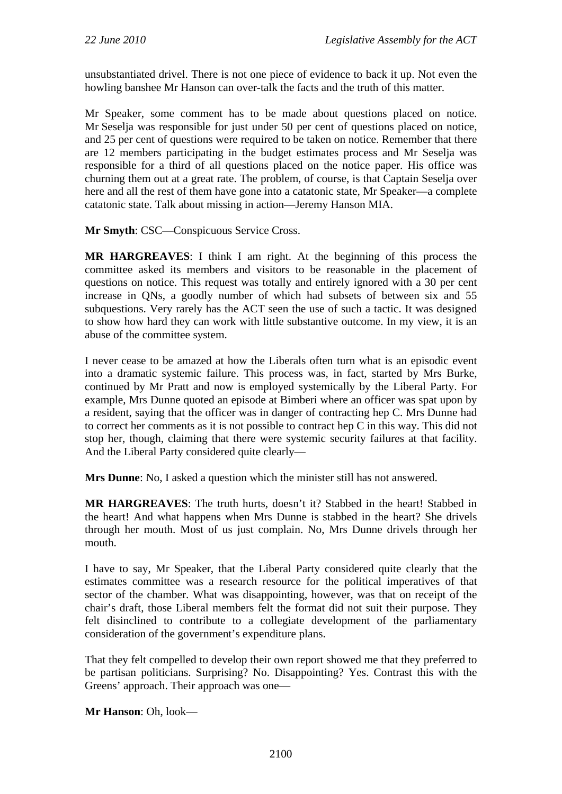unsubstantiated drivel. There is not one piece of evidence to back it up. Not even the howling banshee Mr Hanson can over-talk the facts and the truth of this matter.

Mr Speaker, some comment has to be made about questions placed on notice. Mr Seselja was responsible for just under 50 per cent of questions placed on notice, and 25 per cent of questions were required to be taken on notice. Remember that there are 12 members participating in the budget estimates process and Mr Seselja was responsible for a third of all questions placed on the notice paper. His office was churning them out at a great rate. The problem, of course, is that Captain Seselja over here and all the rest of them have gone into a catatonic state, Mr Speaker—a complete catatonic state. Talk about missing in action—Jeremy Hanson MIA.

**Mr Smyth**: CSC—Conspicuous Service Cross.

**MR HARGREAVES**: I think I am right. At the beginning of this process the committee asked its members and visitors to be reasonable in the placement of questions on notice. This request was totally and entirely ignored with a 30 per cent increase in QNs, a goodly number of which had subsets of between six and 55 subquestions. Very rarely has the ACT seen the use of such a tactic. It was designed to show how hard they can work with little substantive outcome. In my view, it is an abuse of the committee system.

I never cease to be amazed at how the Liberals often turn what is an episodic event into a dramatic systemic failure. This process was, in fact, started by Mrs Burke, continued by Mr Pratt and now is employed systemically by the Liberal Party. For example, Mrs Dunne quoted an episode at Bimberi where an officer was spat upon by a resident, saying that the officer was in danger of contracting hep C. Mrs Dunne had to correct her comments as it is not possible to contract hep C in this way. This did not stop her, though, claiming that there were systemic security failures at that facility. And the Liberal Party considered quite clearly—

**Mrs Dunne**: No, I asked a question which the minister still has not answered.

**MR HARGREAVES**: The truth hurts, doesn't it? Stabbed in the heart! Stabbed in the heart! And what happens when Mrs Dunne is stabbed in the heart? She drivels through her mouth. Most of us just complain. No, Mrs Dunne drivels through her mouth.

I have to say, Mr Speaker, that the Liberal Party considered quite clearly that the estimates committee was a research resource for the political imperatives of that sector of the chamber. What was disappointing, however, was that on receipt of the chair's draft, those Liberal members felt the format did not suit their purpose. They felt disinclined to contribute to a collegiate development of the parliamentary consideration of the government's expenditure plans.

That they felt compelled to develop their own report showed me that they preferred to be partisan politicians. Surprising? No. Disappointing? Yes. Contrast this with the Greens' approach. Their approach was one—

**Mr Hanson**: Oh, look—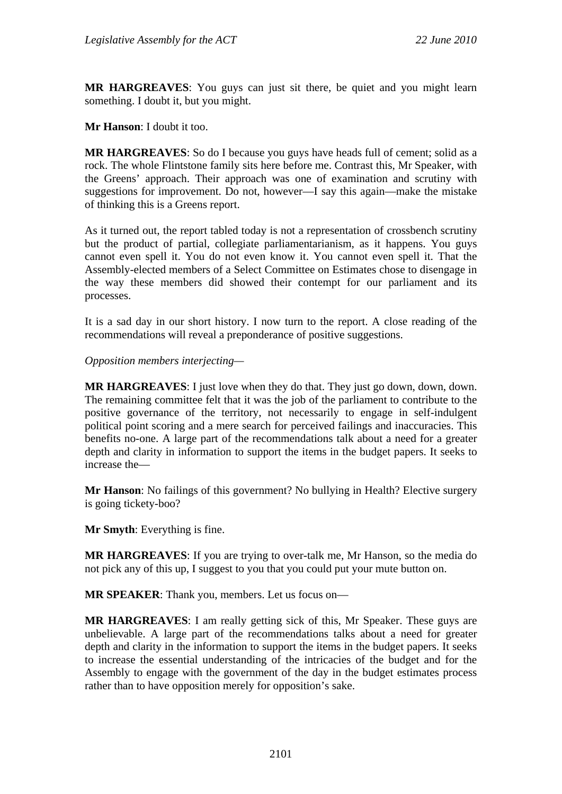**MR HARGREAVES**: You guys can just sit there, be quiet and you might learn something. I doubt it, but you might.

**Mr Hanson**: I doubt it too.

**MR HARGREAVES**: So do I because you guys have heads full of cement; solid as a rock. The whole Flintstone family sits here before me. Contrast this, Mr Speaker, with the Greens' approach. Their approach was one of examination and scrutiny with suggestions for improvement. Do not, however—I say this again—make the mistake of thinking this is a Greens report.

As it turned out, the report tabled today is not a representation of crossbench scrutiny but the product of partial, collegiate parliamentarianism, as it happens. You guys cannot even spell it. You do not even know it. You cannot even spell it. That the Assembly-elected members of a Select Committee on Estimates chose to disengage in the way these members did showed their contempt for our parliament and its processes.

It is a sad day in our short history. I now turn to the report. A close reading of the recommendations will reveal a preponderance of positive suggestions.

*Opposition members interjecting—* 

**MR HARGREAVES**: I just love when they do that. They just go down, down, down. The remaining committee felt that it was the job of the parliament to contribute to the positive governance of the territory, not necessarily to engage in self-indulgent political point scoring and a mere search for perceived failings and inaccuracies. This benefits no-one. A large part of the recommendations talk about a need for a greater depth and clarity in information to support the items in the budget papers. It seeks to increase the—

**Mr Hanson**: No failings of this government? No bullying in Health? Elective surgery is going tickety-boo?

**Mr Smyth**: Everything is fine.

**MR HARGREAVES:** If you are trying to over-talk me, Mr Hanson, so the media do not pick any of this up, I suggest to you that you could put your mute button on.

**MR SPEAKER**: Thank you, members. Let us focus on—

**MR HARGREAVES**: I am really getting sick of this, Mr Speaker. These guys are unbelievable. A large part of the recommendations talks about a need for greater depth and clarity in the information to support the items in the budget papers. It seeks to increase the essential understanding of the intricacies of the budget and for the Assembly to engage with the government of the day in the budget estimates process rather than to have opposition merely for opposition's sake.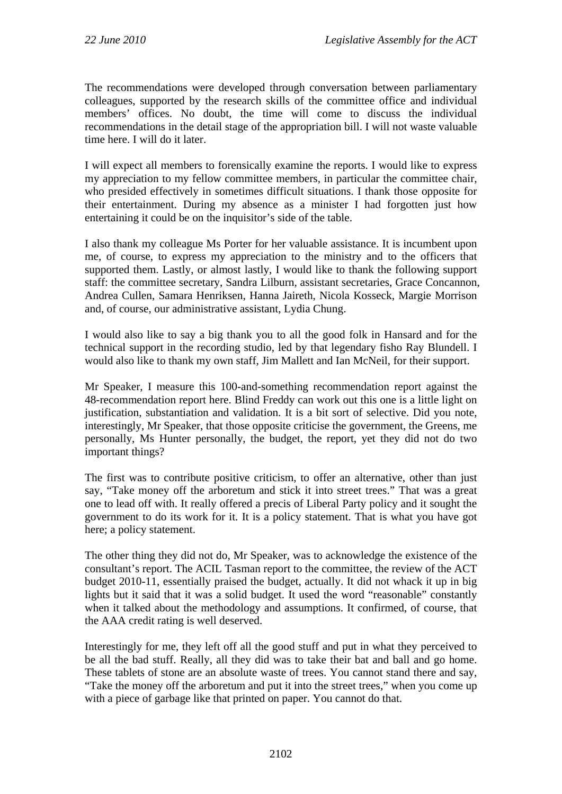The recommendations were developed through conversation between parliamentary colleagues, supported by the research skills of the committee office and individual members' offices. No doubt, the time will come to discuss the individual recommendations in the detail stage of the appropriation bill. I will not waste valuable time here. I will do it later.

I will expect all members to forensically examine the reports. I would like to express my appreciation to my fellow committee members, in particular the committee chair, who presided effectively in sometimes difficult situations. I thank those opposite for their entertainment. During my absence as a minister I had forgotten just how entertaining it could be on the inquisitor's side of the table.

I also thank my colleague Ms Porter for her valuable assistance. It is incumbent upon me, of course, to express my appreciation to the ministry and to the officers that supported them. Lastly, or almost lastly, I would like to thank the following support staff: the committee secretary, Sandra Lilburn, assistant secretaries, Grace Concannon, Andrea Cullen, Samara Henriksen, Hanna Jaireth, Nicola Kosseck, Margie Morrison and, of course, our administrative assistant, Lydia Chung.

I would also like to say a big thank you to all the good folk in Hansard and for the technical support in the recording studio, led by that legendary fisho Ray Blundell. I would also like to thank my own staff, Jim Mallett and Ian McNeil, for their support.

Mr Speaker, I measure this 100-and-something recommendation report against the 48-recommendation report here. Blind Freddy can work out this one is a little light on justification, substantiation and validation. It is a bit sort of selective. Did you note, interestingly, Mr Speaker, that those opposite criticise the government, the Greens, me personally, Ms Hunter personally, the budget, the report, yet they did not do two important things?

The first was to contribute positive criticism, to offer an alternative, other than just say, "Take money off the arboretum and stick it into street trees." That was a great one to lead off with. It really offered a precis of Liberal Party policy and it sought the government to do its work for it. It is a policy statement. That is what you have got here; a policy statement.

The other thing they did not do, Mr Speaker, was to acknowledge the existence of the consultant's report. The ACIL Tasman report to the committee, the review of the ACT budget 2010-11, essentially praised the budget, actually. It did not whack it up in big lights but it said that it was a solid budget. It used the word "reasonable" constantly when it talked about the methodology and assumptions. It confirmed, of course, that the AAA credit rating is well deserved.

Interestingly for me, they left off all the good stuff and put in what they perceived to be all the bad stuff. Really, all they did was to take their bat and ball and go home. These tablets of stone are an absolute waste of trees. You cannot stand there and say, "Take the money off the arboretum and put it into the street trees," when you come up with a piece of garbage like that printed on paper. You cannot do that.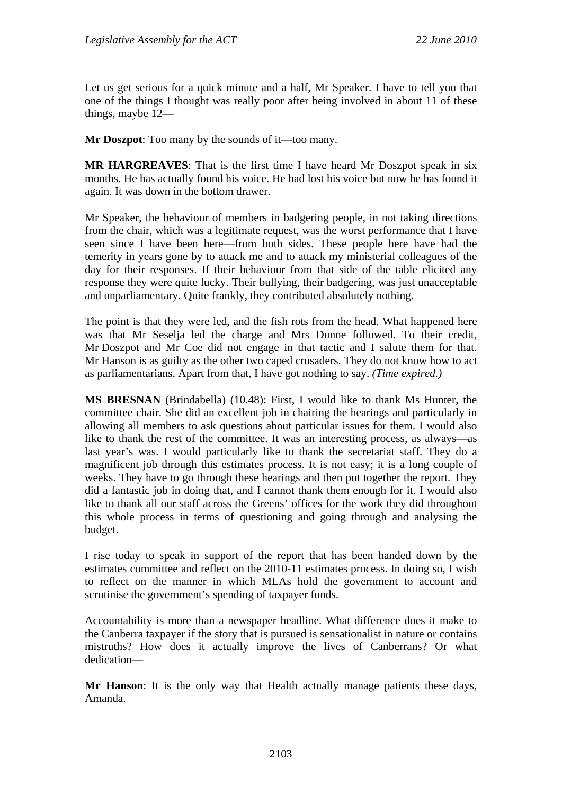Let us get serious for a quick minute and a half, Mr Speaker. I have to tell you that one of the things I thought was really poor after being involved in about 11 of these things, maybe 12—

**Mr Doszpot**: Too many by the sounds of it—too many.

**MR HARGREAVES**: That is the first time I have heard Mr Doszpot speak in six months. He has actually found his voice. He had lost his voice but now he has found it again. It was down in the bottom drawer.

Mr Speaker, the behaviour of members in badgering people, in not taking directions from the chair, which was a legitimate request, was the worst performance that I have seen since I have been here—from both sides. These people here have had the temerity in years gone by to attack me and to attack my ministerial colleagues of the day for their responses. If their behaviour from that side of the table elicited any response they were quite lucky. Their bullying, their badgering, was just unacceptable and unparliamentary. Quite frankly, they contributed absolutely nothing.

The point is that they were led, and the fish rots from the head. What happened here was that Mr Seselja led the charge and Mrs Dunne followed. To their credit, Mr Doszpot and Mr Coe did not engage in that tactic and I salute them for that. Mr Hanson is as guilty as the other two caped crusaders. They do not know how to act as parliamentarians. Apart from that, I have got nothing to say. *(Time expired.)*

**MS BRESNAN** (Brindabella) (10.48): First, I would like to thank Ms Hunter, the committee chair. She did an excellent job in chairing the hearings and particularly in allowing all members to ask questions about particular issues for them. I would also like to thank the rest of the committee. It was an interesting process, as always—as last year's was. I would particularly like to thank the secretariat staff. They do a magnificent job through this estimates process. It is not easy; it is a long couple of weeks. They have to go through these hearings and then put together the report. They did a fantastic job in doing that, and I cannot thank them enough for it. I would also like to thank all our staff across the Greens' offices for the work they did throughout this whole process in terms of questioning and going through and analysing the budget.

I rise today to speak in support of the report that has been handed down by the estimates committee and reflect on the 2010-11 estimates process. In doing so, I wish to reflect on the manner in which MLAs hold the government to account and scrutinise the government's spending of taxpayer funds.

Accountability is more than a newspaper headline. What difference does it make to the Canberra taxpayer if the story that is pursued is sensationalist in nature or contains mistruths? How does it actually improve the lives of Canberrans? Or what dedication—

**Mr Hanson**: It is the only way that Health actually manage patients these days, Amanda.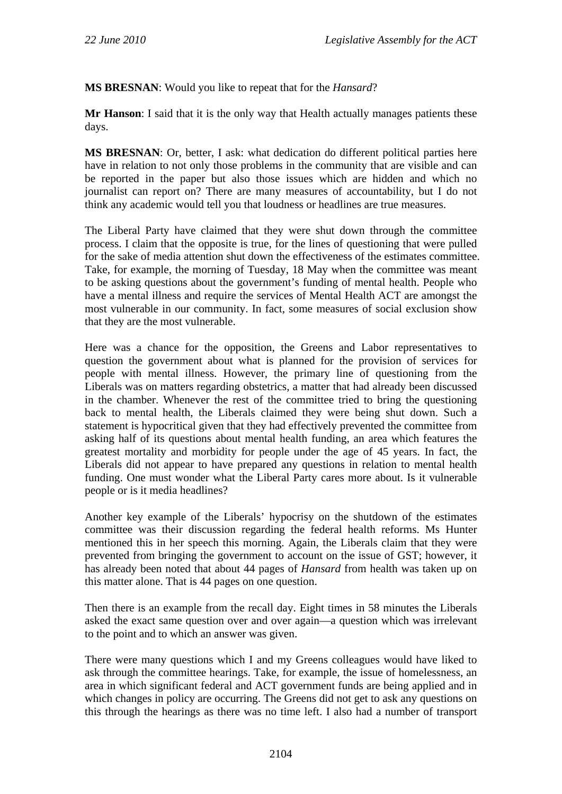**MS BRESNAN**: Would you like to repeat that for the *Hansard*?

**Mr Hanson**: I said that it is the only way that Health actually manages patients these days.

**MS BRESNAN**: Or, better, I ask: what dedication do different political parties here have in relation to not only those problems in the community that are visible and can be reported in the paper but also those issues which are hidden and which no journalist can report on? There are many measures of accountability, but I do not think any academic would tell you that loudness or headlines are true measures.

The Liberal Party have claimed that they were shut down through the committee process. I claim that the opposite is true, for the lines of questioning that were pulled for the sake of media attention shut down the effectiveness of the estimates committee. Take, for example, the morning of Tuesday, 18 May when the committee was meant to be asking questions about the government's funding of mental health. People who have a mental illness and require the services of Mental Health ACT are amongst the most vulnerable in our community. In fact, some measures of social exclusion show that they are the most vulnerable.

Here was a chance for the opposition, the Greens and Labor representatives to question the government about what is planned for the provision of services for people with mental illness. However, the primary line of questioning from the Liberals was on matters regarding obstetrics, a matter that had already been discussed in the chamber. Whenever the rest of the committee tried to bring the questioning back to mental health, the Liberals claimed they were being shut down. Such a statement is hypocritical given that they had effectively prevented the committee from asking half of its questions about mental health funding, an area which features the greatest mortality and morbidity for people under the age of 45 years. In fact, the Liberals did not appear to have prepared any questions in relation to mental health funding. One must wonder what the Liberal Party cares more about. Is it vulnerable people or is it media headlines?

Another key example of the Liberals' hypocrisy on the shutdown of the estimates committee was their discussion regarding the federal health reforms. Ms Hunter mentioned this in her speech this morning. Again, the Liberals claim that they were prevented from bringing the government to account on the issue of GST; however, it has already been noted that about 44 pages of *Hansard* from health was taken up on this matter alone. That is 44 pages on one question.

Then there is an example from the recall day. Eight times in 58 minutes the Liberals asked the exact same question over and over again—a question which was irrelevant to the point and to which an answer was given.

There were many questions which I and my Greens colleagues would have liked to ask through the committee hearings. Take, for example, the issue of homelessness, an area in which significant federal and ACT government funds are being applied and in which changes in policy are occurring. The Greens did not get to ask any questions on this through the hearings as there was no time left. I also had a number of transport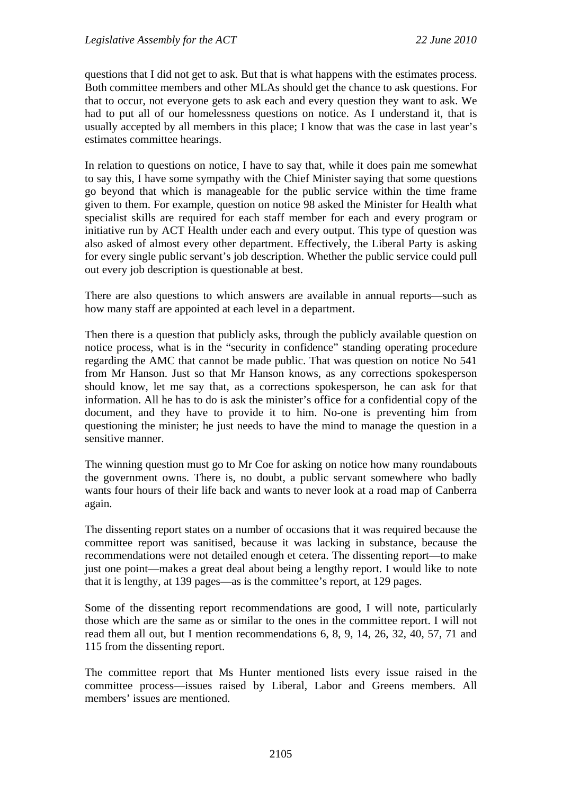questions that I did not get to ask. But that is what happens with the estimates process. Both committee members and other MLAs should get the chance to ask questions. For that to occur, not everyone gets to ask each and every question they want to ask. We had to put all of our homelessness questions on notice. As I understand it, that is usually accepted by all members in this place; I know that was the case in last year's estimates committee hearings.

In relation to questions on notice, I have to say that, while it does pain me somewhat to say this, I have some sympathy with the Chief Minister saying that some questions go beyond that which is manageable for the public service within the time frame given to them. For example, question on notice 98 asked the Minister for Health what specialist skills are required for each staff member for each and every program or initiative run by ACT Health under each and every output. This type of question was also asked of almost every other department. Effectively, the Liberal Party is asking for every single public servant's job description. Whether the public service could pull out every job description is questionable at best.

There are also questions to which answers are available in annual reports—such as how many staff are appointed at each level in a department.

Then there is a question that publicly asks, through the publicly available question on notice process, what is in the "security in confidence" standing operating procedure regarding the AMC that cannot be made public. That was question on notice No 541 from Mr Hanson. Just so that Mr Hanson knows, as any corrections spokesperson should know, let me say that, as a corrections spokesperson, he can ask for that information. All he has to do is ask the minister's office for a confidential copy of the document, and they have to provide it to him. No-one is preventing him from questioning the minister; he just needs to have the mind to manage the question in a sensitive manner.

The winning question must go to Mr Coe for asking on notice how many roundabouts the government owns. There is, no doubt, a public servant somewhere who badly wants four hours of their life back and wants to never look at a road map of Canberra again.

The dissenting report states on a number of occasions that it was required because the committee report was sanitised, because it was lacking in substance, because the recommendations were not detailed enough et cetera. The dissenting report—to make just one point—makes a great deal about being a lengthy report. I would like to note that it is lengthy, at 139 pages—as is the committee's report, at 129 pages.

Some of the dissenting report recommendations are good, I will note, particularly those which are the same as or similar to the ones in the committee report. I will not read them all out, but I mention recommendations 6, 8, 9, 14, 26, 32, 40, 57, 71 and 115 from the dissenting report.

The committee report that Ms Hunter mentioned lists every issue raised in the committee process—issues raised by Liberal, Labor and Greens members. All members' issues are mentioned.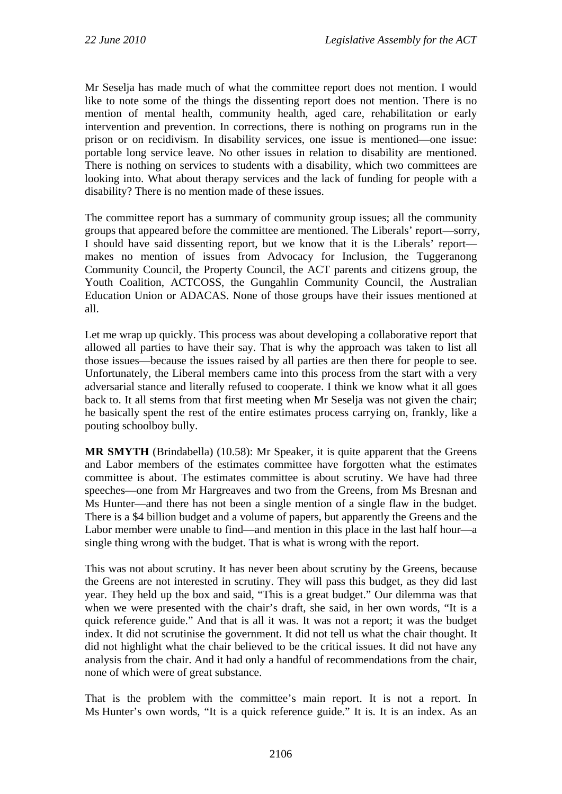Mr Seselja has made much of what the committee report does not mention. I would like to note some of the things the dissenting report does not mention. There is no mention of mental health, community health, aged care, rehabilitation or early intervention and prevention. In corrections, there is nothing on programs run in the prison or on recidivism. In disability services, one issue is mentioned—one issue: portable long service leave. No other issues in relation to disability are mentioned. There is nothing on services to students with a disability, which two committees are looking into. What about therapy services and the lack of funding for people with a disability? There is no mention made of these issues.

The committee report has a summary of community group issues; all the community groups that appeared before the committee are mentioned. The Liberals' report—sorry, I should have said dissenting report, but we know that it is the Liberals' report makes no mention of issues from Advocacy for Inclusion, the Tuggeranong Community Council, the Property Council, the ACT parents and citizens group, the Youth Coalition, ACTCOSS, the Gungahlin Community Council, the Australian Education Union or ADACAS. None of those groups have their issues mentioned at all.

Let me wrap up quickly. This process was about developing a collaborative report that allowed all parties to have their say. That is why the approach was taken to list all those issues—because the issues raised by all parties are then there for people to see. Unfortunately, the Liberal members came into this process from the start with a very adversarial stance and literally refused to cooperate. I think we know what it all goes back to. It all stems from that first meeting when Mr Seselja was not given the chair; he basically spent the rest of the entire estimates process carrying on, frankly, like a pouting schoolboy bully.

**MR SMYTH** (Brindabella) (10.58): Mr Speaker, it is quite apparent that the Greens and Labor members of the estimates committee have forgotten what the estimates committee is about. The estimates committee is about scrutiny. We have had three speeches—one from Mr Hargreaves and two from the Greens, from Ms Bresnan and Ms Hunter—and there has not been a single mention of a single flaw in the budget. There is a \$4 billion budget and a volume of papers, but apparently the Greens and the Labor member were unable to find—and mention in this place in the last half hour—a single thing wrong with the budget. That is what is wrong with the report.

This was not about scrutiny. It has never been about scrutiny by the Greens, because the Greens are not interested in scrutiny. They will pass this budget, as they did last year. They held up the box and said, "This is a great budget." Our dilemma was that when we were presented with the chair's draft, she said, in her own words, "It is a quick reference guide." And that is all it was. It was not a report; it was the budget index. It did not scrutinise the government. It did not tell us what the chair thought. It did not highlight what the chair believed to be the critical issues. It did not have any analysis from the chair. And it had only a handful of recommendations from the chair, none of which were of great substance.

That is the problem with the committee's main report. It is not a report. In Ms Hunter's own words, "It is a quick reference guide." It is. It is an index. As an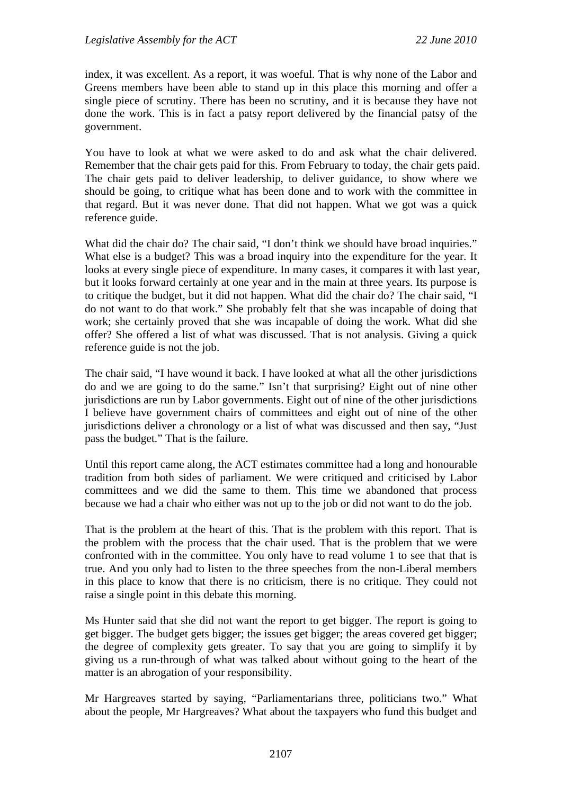index, it was excellent. As a report, it was woeful. That is why none of the Labor and Greens members have been able to stand up in this place this morning and offer a single piece of scrutiny. There has been no scrutiny, and it is because they have not done the work. This is in fact a patsy report delivered by the financial patsy of the government.

You have to look at what we were asked to do and ask what the chair delivered. Remember that the chair gets paid for this. From February to today, the chair gets paid. The chair gets paid to deliver leadership, to deliver guidance, to show where we should be going, to critique what has been done and to work with the committee in that regard. But it was never done. That did not happen. What we got was a quick reference guide.

What did the chair do? The chair said, "I don't think we should have broad inquiries." What else is a budget? This was a broad inquiry into the expenditure for the year. It looks at every single piece of expenditure. In many cases, it compares it with last year, but it looks forward certainly at one year and in the main at three years. Its purpose is to critique the budget, but it did not happen. What did the chair do? The chair said, "I do not want to do that work." She probably felt that she was incapable of doing that work; she certainly proved that she was incapable of doing the work. What did she offer? She offered a list of what was discussed. That is not analysis. Giving a quick reference guide is not the job.

The chair said, "I have wound it back. I have looked at what all the other jurisdictions do and we are going to do the same." Isn't that surprising? Eight out of nine other jurisdictions are run by Labor governments. Eight out of nine of the other jurisdictions I believe have government chairs of committees and eight out of nine of the other jurisdictions deliver a chronology or a list of what was discussed and then say, "Just pass the budget." That is the failure.

Until this report came along, the ACT estimates committee had a long and honourable tradition from both sides of parliament. We were critiqued and criticised by Labor committees and we did the same to them. This time we abandoned that process because we had a chair who either was not up to the job or did not want to do the job.

That is the problem at the heart of this. That is the problem with this report. That is the problem with the process that the chair used. That is the problem that we were confronted with in the committee. You only have to read volume 1 to see that that is true. And you only had to listen to the three speeches from the non-Liberal members in this place to know that there is no criticism, there is no critique. They could not raise a single point in this debate this morning.

Ms Hunter said that she did not want the report to get bigger. The report is going to get bigger. The budget gets bigger; the issues get bigger; the areas covered get bigger; the degree of complexity gets greater. To say that you are going to simplify it by giving us a run-through of what was talked about without going to the heart of the matter is an abrogation of your responsibility.

Mr Hargreaves started by saying, "Parliamentarians three, politicians two." What about the people, Mr Hargreaves? What about the taxpayers who fund this budget and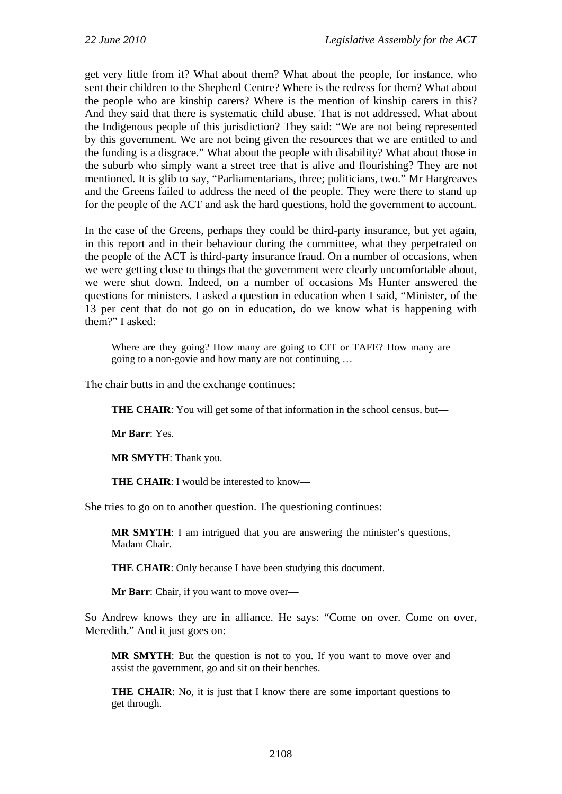get very little from it? What about them? What about the people, for instance, who sent their children to the Shepherd Centre? Where is the redress for them? What about the people who are kinship carers? Where is the mention of kinship carers in this? And they said that there is systematic child abuse. That is not addressed. What about the Indigenous people of this jurisdiction? They said: "We are not being represented by this government. We are not being given the resources that we are entitled to and the funding is a disgrace." What about the people with disability? What about those in the suburb who simply want a street tree that is alive and flourishing? They are not mentioned. It is glib to say, "Parliamentarians, three; politicians, two." Mr Hargreaves and the Greens failed to address the need of the people. They were there to stand up for the people of the ACT and ask the hard questions, hold the government to account.

In the case of the Greens, perhaps they could be third-party insurance, but yet again, in this report and in their behaviour during the committee, what they perpetrated on the people of the ACT is third-party insurance fraud. On a number of occasions, when we were getting close to things that the government were clearly uncomfortable about, we were shut down. Indeed, on a number of occasions Ms Hunter answered the questions for ministers. I asked a question in education when I said, "Minister, of the 13 per cent that do not go on in education, do we know what is happening with them?" I asked:

Where are they going? How many are going to CIT or TAFE? How many are going to a non-govie and how many are not continuing …

The chair butts in and the exchange continues:

**THE CHAIR:** You will get some of that information in the school census, but—

**Mr Barr**: Yes.

**MR SMYTH**: Thank you.

**THE CHAIR:** I would be interested to know—

She tries to go on to another question. The questioning continues:

**MR SMYTH**: I am intrigued that you are answering the minister's questions, Madam Chair.

**THE CHAIR:** Only because I have been studying this document.

**Mr Barr**: Chair, if you want to move over—

So Andrew knows they are in alliance. He says: "Come on over. Come on over, Meredith." And it just goes on:

**MR SMYTH**: But the question is not to you. If you want to move over and assist the government, go and sit on their benches.

**THE CHAIR:** No, it is just that I know there are some important questions to get through.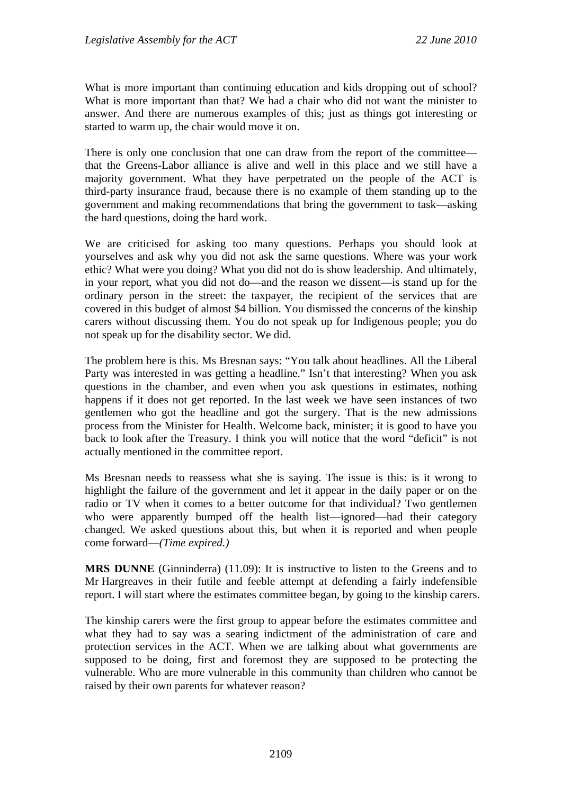What is more important than continuing education and kids dropping out of school? What is more important than that? We had a chair who did not want the minister to answer. And there are numerous examples of this; just as things got interesting or started to warm up, the chair would move it on.

There is only one conclusion that one can draw from the report of the committee that the Greens-Labor alliance is alive and well in this place and we still have a majority government. What they have perpetrated on the people of the ACT is third-party insurance fraud, because there is no example of them standing up to the government and making recommendations that bring the government to task—asking the hard questions, doing the hard work.

We are criticised for asking too many questions. Perhaps you should look at yourselves and ask why you did not ask the same questions. Where was your work ethic? What were you doing? What you did not do is show leadership. And ultimately, in your report, what you did not do—and the reason we dissent—is stand up for the ordinary person in the street: the taxpayer, the recipient of the services that are covered in this budget of almost \$4 billion. You dismissed the concerns of the kinship carers without discussing them. You do not speak up for Indigenous people; you do not speak up for the disability sector. We did.

The problem here is this. Ms Bresnan says: "You talk about headlines. All the Liberal Party was interested in was getting a headline." Isn't that interesting? When you ask questions in the chamber, and even when you ask questions in estimates, nothing happens if it does not get reported. In the last week we have seen instances of two gentlemen who got the headline and got the surgery. That is the new admissions process from the Minister for Health. Welcome back, minister; it is good to have you back to look after the Treasury. I think you will notice that the word "deficit" is not actually mentioned in the committee report.

Ms Bresnan needs to reassess what she is saying. The issue is this: is it wrong to highlight the failure of the government and let it appear in the daily paper or on the radio or TV when it comes to a better outcome for that individual? Two gentlemen who were apparently bumped off the health list—ignored—had their category changed. We asked questions about this, but when it is reported and when people come forward—*(Time expired.)*

**MRS DUNNE** (Ginninderra) (11.09): It is instructive to listen to the Greens and to Mr Hargreaves in their futile and feeble attempt at defending a fairly indefensible report. I will start where the estimates committee began, by going to the kinship carers.

The kinship carers were the first group to appear before the estimates committee and what they had to say was a searing indictment of the administration of care and protection services in the ACT. When we are talking about what governments are supposed to be doing, first and foremost they are supposed to be protecting the vulnerable. Who are more vulnerable in this community than children who cannot be raised by their own parents for whatever reason?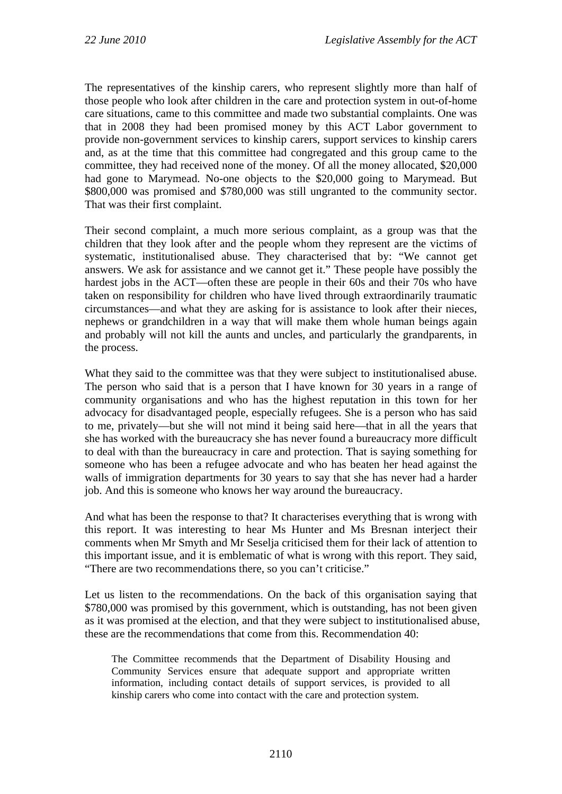The representatives of the kinship carers, who represent slightly more than half of those people who look after children in the care and protection system in out-of-home care situations, came to this committee and made two substantial complaints. One was that in 2008 they had been promised money by this ACT Labor government to provide non-government services to kinship carers, support services to kinship carers and, as at the time that this committee had congregated and this group came to the committee, they had received none of the money. Of all the money allocated, \$20,000 had gone to Marymead. No-one objects to the \$20,000 going to Marymead. But \$800,000 was promised and \$780,000 was still ungranted to the community sector. That was their first complaint.

Their second complaint, a much more serious complaint, as a group was that the children that they look after and the people whom they represent are the victims of systematic, institutionalised abuse. They characterised that by: "We cannot get answers. We ask for assistance and we cannot get it." These people have possibly the hardest jobs in the ACT—often these are people in their 60s and their 70s who have taken on responsibility for children who have lived through extraordinarily traumatic circumstances—and what they are asking for is assistance to look after their nieces, nephews or grandchildren in a way that will make them whole human beings again and probably will not kill the aunts and uncles, and particularly the grandparents, in the process.

What they said to the committee was that they were subject to institutionalised abuse. The person who said that is a person that I have known for 30 years in a range of community organisations and who has the highest reputation in this town for her advocacy for disadvantaged people, especially refugees. She is a person who has said to me, privately—but she will not mind it being said here—that in all the years that she has worked with the bureaucracy she has never found a bureaucracy more difficult to deal with than the bureaucracy in care and protection. That is saying something for someone who has been a refugee advocate and who has beaten her head against the walls of immigration departments for 30 years to say that she has never had a harder job. And this is someone who knows her way around the bureaucracy.

And what has been the response to that? It characterises everything that is wrong with this report. It was interesting to hear Ms Hunter and Ms Bresnan interject their comments when Mr Smyth and Mr Seselja criticised them for their lack of attention to this important issue, and it is emblematic of what is wrong with this report. They said, "There are two recommendations there, so you can't criticise."

Let us listen to the recommendations. On the back of this organisation saying that \$780,000 was promised by this government, which is outstanding, has not been given as it was promised at the election, and that they were subject to institutionalised abuse, these are the recommendations that come from this. Recommendation 40:

The Committee recommends that the Department of Disability Housing and Community Services ensure that adequate support and appropriate written information, including contact details of support services, is provided to all kinship carers who come into contact with the care and protection system.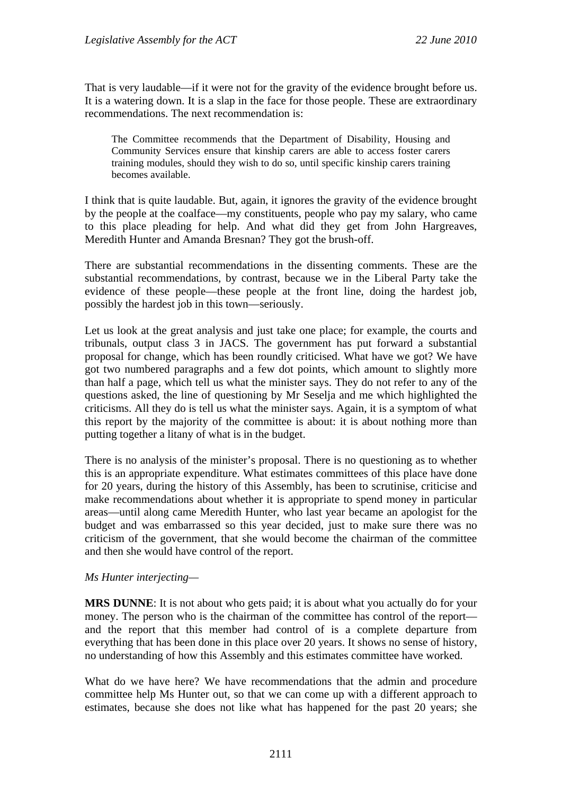That is very laudable—if it were not for the gravity of the evidence brought before us. It is a watering down. It is a slap in the face for those people. These are extraordinary recommendations. The next recommendation is:

The Committee recommends that the Department of Disability, Housing and Community Services ensure that kinship carers are able to access foster carers training modules, should they wish to do so, until specific kinship carers training becomes available.

I think that is quite laudable. But, again, it ignores the gravity of the evidence brought by the people at the coalface—my constituents, people who pay my salary, who came to this place pleading for help. And what did they get from John Hargreaves, Meredith Hunter and Amanda Bresnan? They got the brush-off.

There are substantial recommendations in the dissenting comments. These are the substantial recommendations, by contrast, because we in the Liberal Party take the evidence of these people—these people at the front line, doing the hardest job, possibly the hardest job in this town—seriously.

Let us look at the great analysis and just take one place; for example, the courts and tribunals, output class 3 in JACS. The government has put forward a substantial proposal for change, which has been roundly criticised. What have we got? We have got two numbered paragraphs and a few dot points, which amount to slightly more than half a page, which tell us what the minister says. They do not refer to any of the questions asked, the line of questioning by Mr Seselja and me which highlighted the criticisms. All they do is tell us what the minister says. Again, it is a symptom of what this report by the majority of the committee is about: it is about nothing more than putting together a litany of what is in the budget.

There is no analysis of the minister's proposal. There is no questioning as to whether this is an appropriate expenditure. What estimates committees of this place have done for 20 years, during the history of this Assembly, has been to scrutinise, criticise and make recommendations about whether it is appropriate to spend money in particular areas—until along came Meredith Hunter, who last year became an apologist for the budget and was embarrassed so this year decided, just to make sure there was no criticism of the government, that she would become the chairman of the committee and then she would have control of the report.

#### *Ms Hunter interjecting—*

**MRS DUNNE**: It is not about who gets paid; it is about what you actually do for your money. The person who is the chairman of the committee has control of the report and the report that this member had control of is a complete departure from everything that has been done in this place over 20 years. It shows no sense of history, no understanding of how this Assembly and this estimates committee have worked.

What do we have here? We have recommendations that the admin and procedure committee help Ms Hunter out, so that we can come up with a different approach to estimates, because she does not like what has happened for the past 20 years; she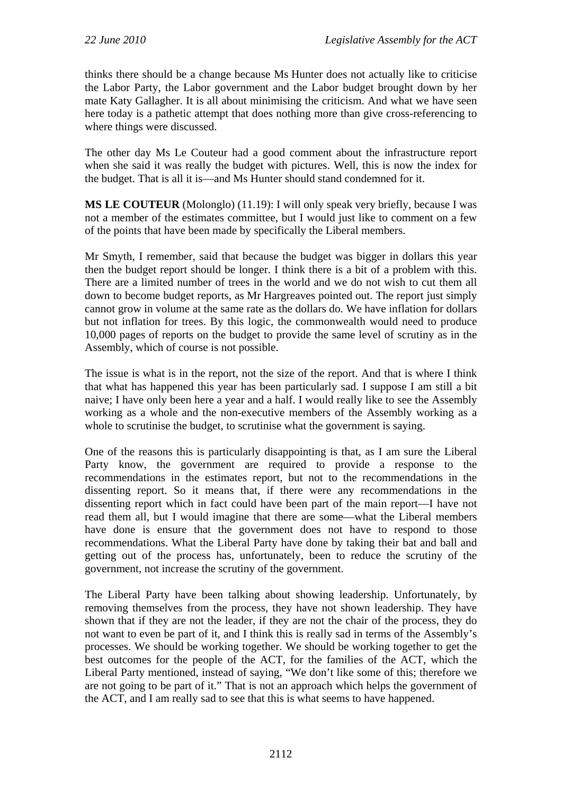thinks there should be a change because Ms Hunter does not actually like to criticise the Labor Party, the Labor government and the Labor budget brought down by her mate Katy Gallagher. It is all about minimising the criticism. And what we have seen here today is a pathetic attempt that does nothing more than give cross-referencing to where things were discussed.

The other day Ms Le Couteur had a good comment about the infrastructure report when she said it was really the budget with pictures. Well, this is now the index for the budget. That is all it is—and Ms Hunter should stand condemned for it.

**MS LE COUTEUR** (Molonglo) (11.19): I will only speak very briefly, because I was not a member of the estimates committee, but I would just like to comment on a few of the points that have been made by specifically the Liberal members.

Mr Smyth, I remember, said that because the budget was bigger in dollars this year then the budget report should be longer. I think there is a bit of a problem with this. There are a limited number of trees in the world and we do not wish to cut them all down to become budget reports, as Mr Hargreaves pointed out. The report just simply cannot grow in volume at the same rate as the dollars do. We have inflation for dollars but not inflation for trees. By this logic, the commonwealth would need to produce 10,000 pages of reports on the budget to provide the same level of scrutiny as in the Assembly, which of course is not possible.

The issue is what is in the report, not the size of the report. And that is where I think that what has happened this year has been particularly sad. I suppose I am still a bit naive; I have only been here a year and a half. I would really like to see the Assembly working as a whole and the non-executive members of the Assembly working as a whole to scrutinise the budget, to scrutinise what the government is saying.

One of the reasons this is particularly disappointing is that, as I am sure the Liberal Party know, the government are required to provide a response to the recommendations in the estimates report, but not to the recommendations in the dissenting report. So it means that, if there were any recommendations in the dissenting report which in fact could have been part of the main report—I have not read them all, but I would imagine that there are some—what the Liberal members have done is ensure that the government does not have to respond to those recommendations. What the Liberal Party have done by taking their bat and ball and getting out of the process has, unfortunately, been to reduce the scrutiny of the government, not increase the scrutiny of the government.

The Liberal Party have been talking about showing leadership. Unfortunately, by removing themselves from the process, they have not shown leadership. They have shown that if they are not the leader, if they are not the chair of the process, they do not want to even be part of it, and I think this is really sad in terms of the Assembly's processes. We should be working together. We should be working together to get the best outcomes for the people of the ACT, for the families of the ACT, which the Liberal Party mentioned, instead of saying, "We don't like some of this; therefore we are not going to be part of it." That is not an approach which helps the government of the ACT, and I am really sad to see that this is what seems to have happened.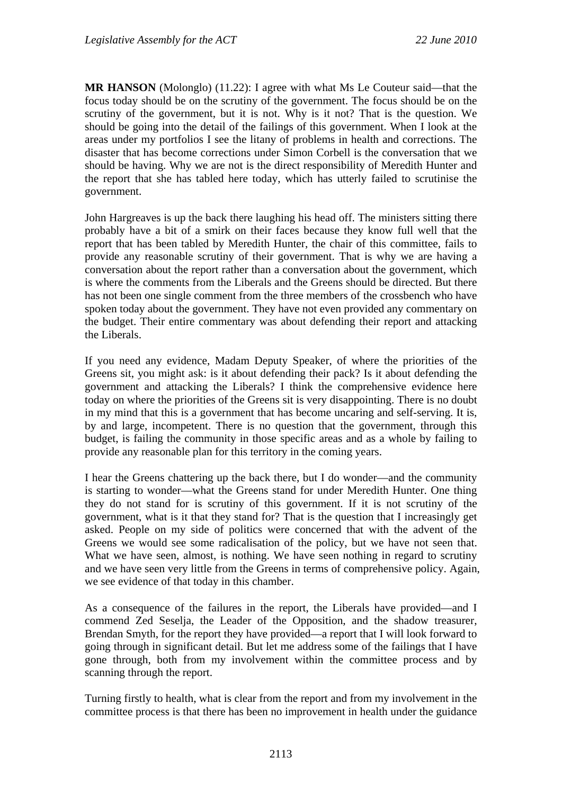**MR HANSON** (Molonglo) (11.22): I agree with what Ms Le Couteur said—that the focus today should be on the scrutiny of the government. The focus should be on the scrutiny of the government, but it is not. Why is it not? That is the question. We should be going into the detail of the failings of this government. When I look at the areas under my portfolios I see the litany of problems in health and corrections. The disaster that has become corrections under Simon Corbell is the conversation that we should be having. Why we are not is the direct responsibility of Meredith Hunter and the report that she has tabled here today, which has utterly failed to scrutinise the government.

John Hargreaves is up the back there laughing his head off. The ministers sitting there probably have a bit of a smirk on their faces because they know full well that the report that has been tabled by Meredith Hunter, the chair of this committee, fails to provide any reasonable scrutiny of their government. That is why we are having a conversation about the report rather than a conversation about the government, which is where the comments from the Liberals and the Greens should be directed. But there has not been one single comment from the three members of the crossbench who have spoken today about the government. They have not even provided any commentary on the budget. Their entire commentary was about defending their report and attacking the Liberals.

If you need any evidence, Madam Deputy Speaker, of where the priorities of the Greens sit, you might ask: is it about defending their pack? Is it about defending the government and attacking the Liberals? I think the comprehensive evidence here today on where the priorities of the Greens sit is very disappointing. There is no doubt in my mind that this is a government that has become uncaring and self-serving. It is, by and large, incompetent. There is no question that the government, through this budget, is failing the community in those specific areas and as a whole by failing to provide any reasonable plan for this territory in the coming years.

I hear the Greens chattering up the back there, but I do wonder—and the community is starting to wonder—what the Greens stand for under Meredith Hunter. One thing they do not stand for is scrutiny of this government. If it is not scrutiny of the government, what is it that they stand for? That is the question that I increasingly get asked. People on my side of politics were concerned that with the advent of the Greens we would see some radicalisation of the policy, but we have not seen that. What we have seen, almost, is nothing. We have seen nothing in regard to scrutiny and we have seen very little from the Greens in terms of comprehensive policy. Again, we see evidence of that today in this chamber.

As a consequence of the failures in the report, the Liberals have provided—and I commend Zed Seselja, the Leader of the Opposition, and the shadow treasurer, Brendan Smyth, for the report they have provided—a report that I will look forward to going through in significant detail. But let me address some of the failings that I have gone through, both from my involvement within the committee process and by scanning through the report.

Turning firstly to health, what is clear from the report and from my involvement in the committee process is that there has been no improvement in health under the guidance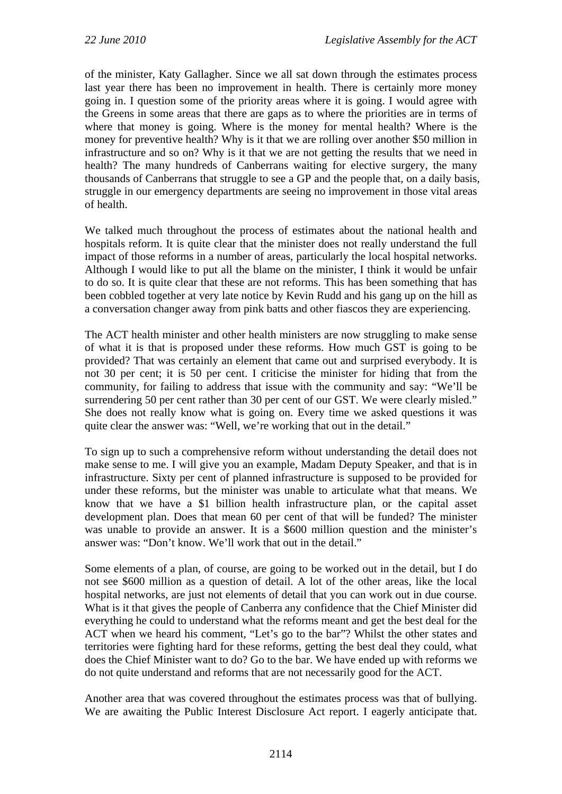of the minister, Katy Gallagher. Since we all sat down through the estimates process last year there has been no improvement in health. There is certainly more money going in. I question some of the priority areas where it is going. I would agree with the Greens in some areas that there are gaps as to where the priorities are in terms of where that money is going. Where is the money for mental health? Where is the money for preventive health? Why is it that we are rolling over another \$50 million in infrastructure and so on? Why is it that we are not getting the results that we need in health? The many hundreds of Canberrans waiting for elective surgery, the many thousands of Canberrans that struggle to see a GP and the people that, on a daily basis, struggle in our emergency departments are seeing no improvement in those vital areas of health.

We talked much throughout the process of estimates about the national health and hospitals reform. It is quite clear that the minister does not really understand the full impact of those reforms in a number of areas, particularly the local hospital networks. Although I would like to put all the blame on the minister, I think it would be unfair to do so. It is quite clear that these are not reforms. This has been something that has been cobbled together at very late notice by Kevin Rudd and his gang up on the hill as a conversation changer away from pink batts and other fiascos they are experiencing.

The ACT health minister and other health ministers are now struggling to make sense of what it is that is proposed under these reforms. How much GST is going to be provided? That was certainly an element that came out and surprised everybody. It is not 30 per cent; it is 50 per cent. I criticise the minister for hiding that from the community, for failing to address that issue with the community and say: "We'll be surrendering 50 per cent rather than 30 per cent of our GST. We were clearly misled." She does not really know what is going on. Every time we asked questions it was quite clear the answer was: "Well, we're working that out in the detail."

To sign up to such a comprehensive reform without understanding the detail does not make sense to me. I will give you an example, Madam Deputy Speaker, and that is in infrastructure. Sixty per cent of planned infrastructure is supposed to be provided for under these reforms, but the minister was unable to articulate what that means. We know that we have a \$1 billion health infrastructure plan, or the capital asset development plan. Does that mean 60 per cent of that will be funded? The minister was unable to provide an answer. It is a \$600 million question and the minister's answer was: "Don't know. We'll work that out in the detail."

Some elements of a plan, of course, are going to be worked out in the detail, but I do not see \$600 million as a question of detail. A lot of the other areas, like the local hospital networks, are just not elements of detail that you can work out in due course. What is it that gives the people of Canberra any confidence that the Chief Minister did everything he could to understand what the reforms meant and get the best deal for the ACT when we heard his comment, "Let's go to the bar"? Whilst the other states and territories were fighting hard for these reforms, getting the best deal they could, what does the Chief Minister want to do? Go to the bar. We have ended up with reforms we do not quite understand and reforms that are not necessarily good for the ACT.

Another area that was covered throughout the estimates process was that of bullying. We are awaiting the Public Interest Disclosure Act report. I eagerly anticipate that.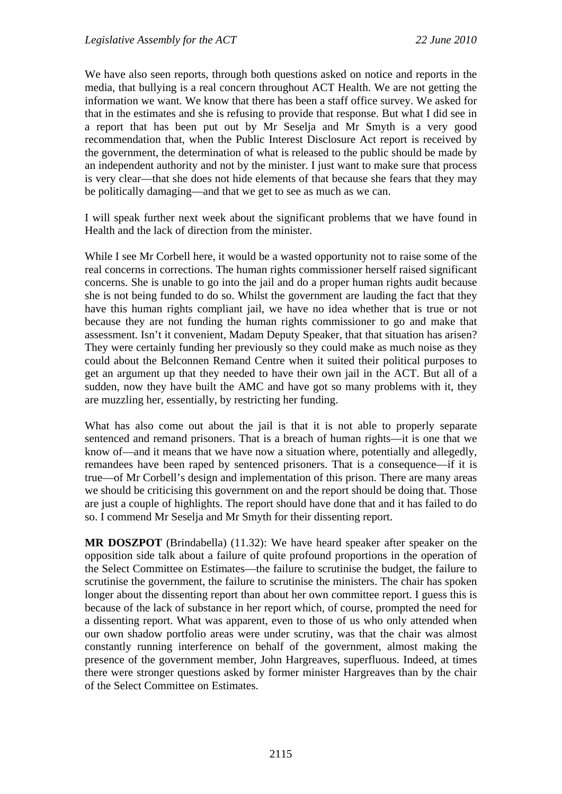We have also seen reports, through both questions asked on notice and reports in the media, that bullying is a real concern throughout ACT Health. We are not getting the information we want. We know that there has been a staff office survey. We asked for that in the estimates and she is refusing to provide that response. But what I did see in a report that has been put out by Mr Seselja and Mr Smyth is a very good recommendation that, when the Public Interest Disclosure Act report is received by the government, the determination of what is released to the public should be made by an independent authority and not by the minister. I just want to make sure that process is very clear—that she does not hide elements of that because she fears that they may be politically damaging—and that we get to see as much as we can.

I will speak further next week about the significant problems that we have found in Health and the lack of direction from the minister.

While I see Mr Corbell here, it would be a wasted opportunity not to raise some of the real concerns in corrections. The human rights commissioner herself raised significant concerns. She is unable to go into the jail and do a proper human rights audit because she is not being funded to do so. Whilst the government are lauding the fact that they have this human rights compliant jail, we have no idea whether that is true or not because they are not funding the human rights commissioner to go and make that assessment. Isn't it convenient, Madam Deputy Speaker, that that situation has arisen? They were certainly funding her previously so they could make as much noise as they could about the Belconnen Remand Centre when it suited their political purposes to get an argument up that they needed to have their own jail in the ACT. But all of a sudden, now they have built the AMC and have got so many problems with it, they are muzzling her, essentially, by restricting her funding.

What has also come out about the jail is that it is not able to properly separate sentenced and remand prisoners. That is a breach of human rights—it is one that we know of—and it means that we have now a situation where, potentially and allegedly, remandees have been raped by sentenced prisoners. That is a consequence—if it is true—of Mr Corbell's design and implementation of this prison. There are many areas we should be criticising this government on and the report should be doing that. Those are just a couple of highlights. The report should have done that and it has failed to do so. I commend Mr Seselja and Mr Smyth for their dissenting report.

**MR DOSZPOT** (Brindabella) (11.32): We have heard speaker after speaker on the opposition side talk about a failure of quite profound proportions in the operation of the Select Committee on Estimates—the failure to scrutinise the budget, the failure to scrutinise the government, the failure to scrutinise the ministers. The chair has spoken longer about the dissenting report than about her own committee report. I guess this is because of the lack of substance in her report which, of course, prompted the need for a dissenting report. What was apparent, even to those of us who only attended when our own shadow portfolio areas were under scrutiny, was that the chair was almost constantly running interference on behalf of the government, almost making the presence of the government member, John Hargreaves, superfluous. Indeed, at times there were stronger questions asked by former minister Hargreaves than by the chair of the Select Committee on Estimates.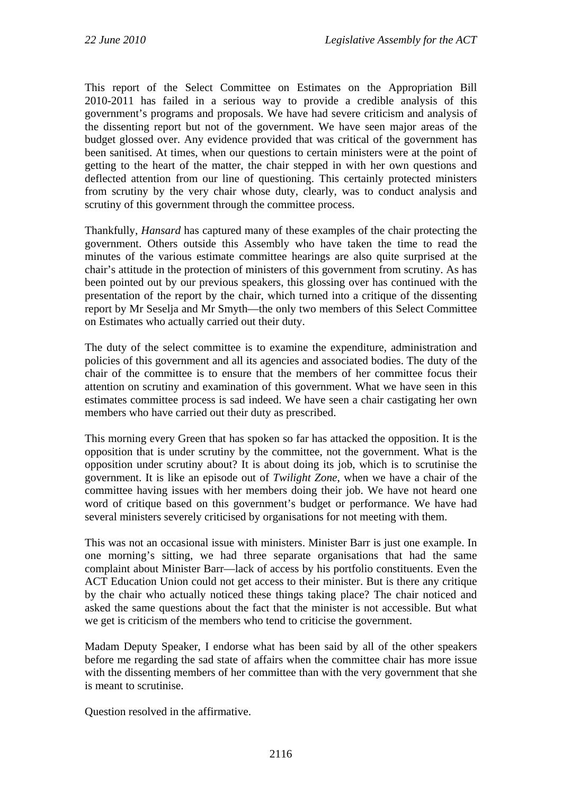This report of the Select Committee on Estimates on the Appropriation Bill 2010-2011 has failed in a serious way to provide a credible analysis of this government's programs and proposals. We have had severe criticism and analysis of the dissenting report but not of the government. We have seen major areas of the budget glossed over. Any evidence provided that was critical of the government has been sanitised. At times, when our questions to certain ministers were at the point of getting to the heart of the matter, the chair stepped in with her own questions and deflected attention from our line of questioning. This certainly protected ministers from scrutiny by the very chair whose duty, clearly, was to conduct analysis and scrutiny of this government through the committee process.

Thankfully, *Hansard* has captured many of these examples of the chair protecting the government. Others outside this Assembly who have taken the time to read the minutes of the various estimate committee hearings are also quite surprised at the chair's attitude in the protection of ministers of this government from scrutiny. As has been pointed out by our previous speakers, this glossing over has continued with the presentation of the report by the chair, which turned into a critique of the dissenting report by Mr Seselja and Mr Smyth—the only two members of this Select Committee on Estimates who actually carried out their duty.

The duty of the select committee is to examine the expenditure, administration and policies of this government and all its agencies and associated bodies. The duty of the chair of the committee is to ensure that the members of her committee focus their attention on scrutiny and examination of this government. What we have seen in this estimates committee process is sad indeed. We have seen a chair castigating her own members who have carried out their duty as prescribed.

This morning every Green that has spoken so far has attacked the opposition. It is the opposition that is under scrutiny by the committee, not the government. What is the opposition under scrutiny about? It is about doing its job, which is to scrutinise the government. It is like an episode out of *Twilight Zone*, when we have a chair of the committee having issues with her members doing their job. We have not heard one word of critique based on this government's budget or performance. We have had several ministers severely criticised by organisations for not meeting with them.

This was not an occasional issue with ministers. Minister Barr is just one example. In one morning's sitting, we had three separate organisations that had the same complaint about Minister Barr—lack of access by his portfolio constituents. Even the ACT Education Union could not get access to their minister. But is there any critique by the chair who actually noticed these things taking place? The chair noticed and asked the same questions about the fact that the minister is not accessible. But what we get is criticism of the members who tend to criticise the government.

Madam Deputy Speaker, I endorse what has been said by all of the other speakers before me regarding the sad state of affairs when the committee chair has more issue with the dissenting members of her committee than with the very government that she is meant to scrutinise.

Question resolved in the affirmative.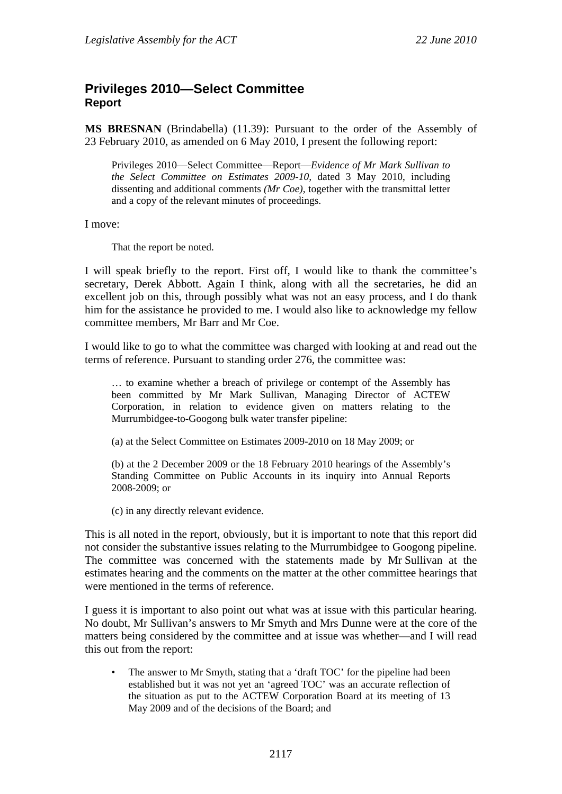# <span id="page-33-0"></span>**Privileges 2010—Select Committee Report**

**MS BRESNAN** (Brindabella) (11.39): Pursuant to the order of the Assembly of 23 February 2010, as amended on 6 May 2010, I present the following report:

Privileges 2010—Select Committee—Report—*Evidence of Mr Mark Sullivan to the Select Committee on Estimates 2009-10,* dated 3 May 2010, including dissenting and additional comments *(Mr Coe)*, together with the transmittal letter and a copy of the relevant minutes of proceedings.

I move:

That the report be noted.

I will speak briefly to the report. First off, I would like to thank the committee's secretary, Derek Abbott. Again I think, along with all the secretaries, he did an excellent job on this, through possibly what was not an easy process, and I do thank him for the assistance he provided to me. I would also like to acknowledge my fellow committee members, Mr Barr and Mr Coe.

I would like to go to what the committee was charged with looking at and read out the terms of reference. Pursuant to standing order 276, the committee was:

… to examine whether a breach of privilege or contempt of the Assembly has been committed by Mr Mark Sullivan, Managing Director of ACTEW Corporation, in relation to evidence given on matters relating to the Murrumbidgee-to-Googong bulk water transfer pipeline:

(a) at the Select Committee on Estimates 2009-2010 on 18 May 2009; or

(b) at the 2 December 2009 or the 18 February 2010 hearings of the Assembly's Standing Committee on Public Accounts in its inquiry into Annual Reports 2008-2009; or

(c) in any directly relevant evidence.

This is all noted in the report, obviously, but it is important to note that this report did not consider the substantive issues relating to the Murrumbidgee to Googong pipeline. The committee was concerned with the statements made by Mr Sullivan at the estimates hearing and the comments on the matter at the other committee hearings that were mentioned in the terms of reference.

I guess it is important to also point out what was at issue with this particular hearing. No doubt, Mr Sullivan's answers to Mr Smyth and Mrs Dunne were at the core of the matters being considered by the committee and at issue was whether—and I will read this out from the report:

The answer to Mr Smyth, stating that a 'draft TOC' for the pipeline had been established but it was not yet an 'agreed TOC' was an accurate reflection of the situation as put to the ACTEW Corporation Board at its meeting of 13 May 2009 and of the decisions of the Board; and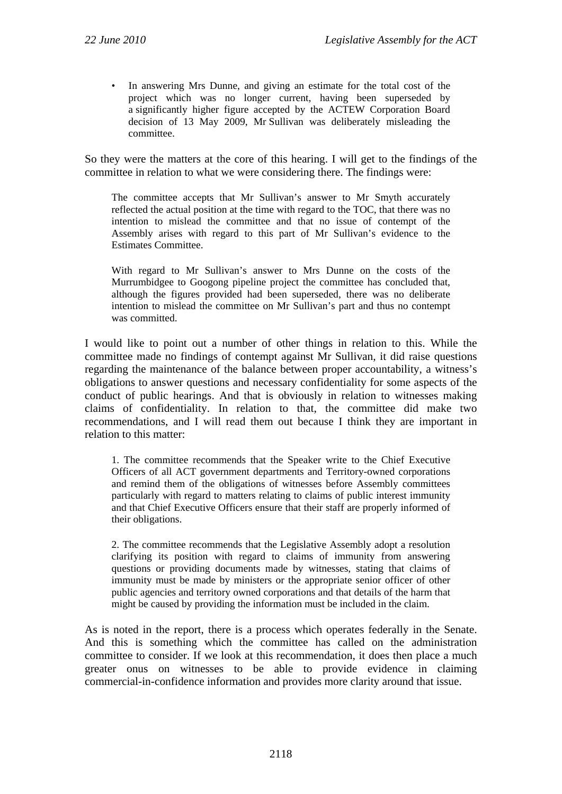In answering Mrs Dunne, and giving an estimate for the total cost of the project which was no longer current, having been superseded by a significantly higher figure accepted by the ACTEW Corporation Board decision of 13 May 2009, Mr Sullivan was deliberately misleading the committee.

So they were the matters at the core of this hearing. I will get to the findings of the committee in relation to what we were considering there. The findings were:

The committee accepts that Mr Sullivan's answer to Mr Smyth accurately reflected the actual position at the time with regard to the TOC, that there was no intention to mislead the committee and that no issue of contempt of the Assembly arises with regard to this part of Mr Sullivan's evidence to the Estimates Committee.

With regard to Mr Sullivan's answer to Mrs Dunne on the costs of the Murrumbidgee to Googong pipeline project the committee has concluded that, although the figures provided had been superseded, there was no deliberate intention to mislead the committee on Mr Sullivan's part and thus no contempt was committed.

I would like to point out a number of other things in relation to this. While the committee made no findings of contempt against Mr Sullivan, it did raise questions regarding the maintenance of the balance between proper accountability, a witness's obligations to answer questions and necessary confidentiality for some aspects of the conduct of public hearings. And that is obviously in relation to witnesses making claims of confidentiality. In relation to that, the committee did make two recommendations, and I will read them out because I think they are important in relation to this matter:

1. The committee recommends that the Speaker write to the Chief Executive Officers of all ACT government departments and Territory-owned corporations and remind them of the obligations of witnesses before Assembly committees particularly with regard to matters relating to claims of public interest immunity and that Chief Executive Officers ensure that their staff are properly informed of their obligations.

2. The committee recommends that the Legislative Assembly adopt a resolution clarifying its position with regard to claims of immunity from answering questions or providing documents made by witnesses, stating that claims of immunity must be made by ministers or the appropriate senior officer of other public agencies and territory owned corporations and that details of the harm that might be caused by providing the information must be included in the claim.

As is noted in the report, there is a process which operates federally in the Senate. And this is something which the committee has called on the administration committee to consider. If we look at this recommendation, it does then place a much greater onus on witnesses to be able to provide evidence in claiming commercial-in-confidence information and provides more clarity around that issue.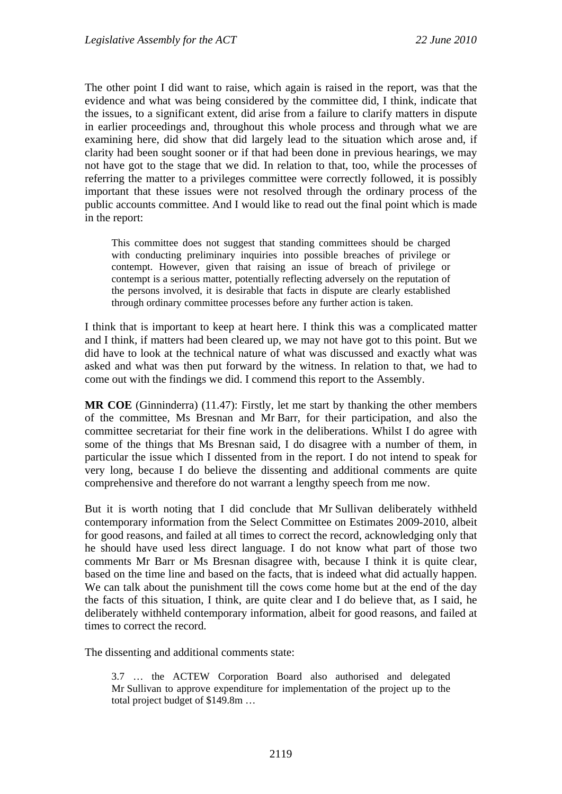The other point I did want to raise, which again is raised in the report, was that the evidence and what was being considered by the committee did, I think, indicate that the issues, to a significant extent, did arise from a failure to clarify matters in dispute in earlier proceedings and, throughout this whole process and through what we are examining here, did show that did largely lead to the situation which arose and, if clarity had been sought sooner or if that had been done in previous hearings, we may not have got to the stage that we did. In relation to that, too, while the processes of referring the matter to a privileges committee were correctly followed, it is possibly important that these issues were not resolved through the ordinary process of the public accounts committee. And I would like to read out the final point which is made in the report:

This committee does not suggest that standing committees should be charged with conducting preliminary inquiries into possible breaches of privilege or contempt. However, given that raising an issue of breach of privilege or contempt is a serious matter, potentially reflecting adversely on the reputation of the persons involved, it is desirable that facts in dispute are clearly established through ordinary committee processes before any further action is taken.

I think that is important to keep at heart here. I think this was a complicated matter and I think, if matters had been cleared up, we may not have got to this point. But we did have to look at the technical nature of what was discussed and exactly what was asked and what was then put forward by the witness. In relation to that, we had to come out with the findings we did. I commend this report to the Assembly.

**MR COE** (Ginninderra) (11.47): Firstly, let me start by thanking the other members of the committee, Ms Bresnan and Mr Barr, for their participation, and also the committee secretariat for their fine work in the deliberations. Whilst I do agree with some of the things that Ms Bresnan said, I do disagree with a number of them, in particular the issue which I dissented from in the report. I do not intend to speak for very long, because I do believe the dissenting and additional comments are quite comprehensive and therefore do not warrant a lengthy speech from me now.

But it is worth noting that I did conclude that Mr Sullivan deliberately withheld contemporary information from the Select Committee on Estimates 2009-2010, albeit for good reasons, and failed at all times to correct the record, acknowledging only that he should have used less direct language. I do not know what part of those two comments Mr Barr or Ms Bresnan disagree with, because I think it is quite clear, based on the time line and based on the facts, that is indeed what did actually happen. We can talk about the punishment till the cows come home but at the end of the day the facts of this situation, I think, are quite clear and I do believe that, as I said, he deliberately withheld contemporary information, albeit for good reasons, and failed at times to correct the record.

The dissenting and additional comments state:

3.7 … the ACTEW Corporation Board also authorised and delegated Mr Sullivan to approve expenditure for implementation of the project up to the total project budget of \$149.8m …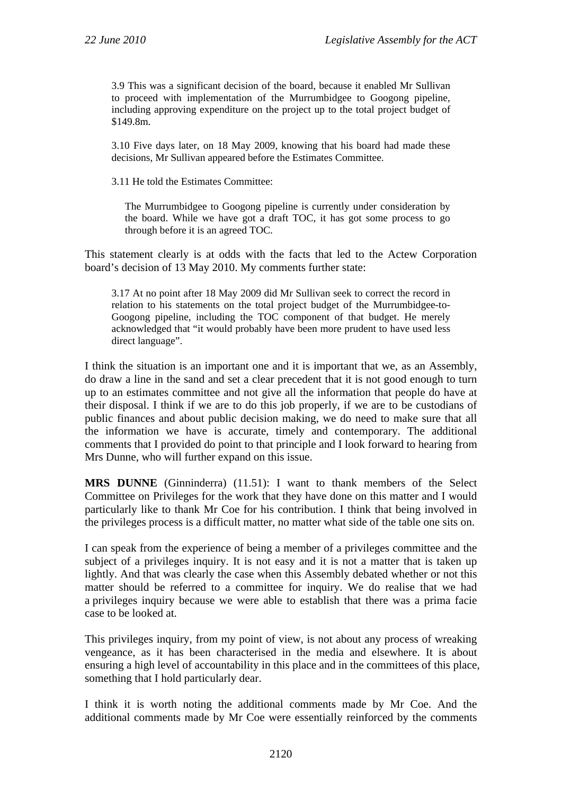3.9 This was a significant decision of the board, because it enabled Mr Sullivan to proceed with implementation of the Murrumbidgee to Googong pipeline, including approving expenditure on the project up to the total project budget of \$149.8m.

3.10 Five days later, on 18 May 2009, knowing that his board had made these decisions, Mr Sullivan appeared before the Estimates Committee.

3.11 He told the Estimates Committee:

The Murrumbidgee to Googong pipeline is currently under consideration by the board. While we have got a draft TOC, it has got some process to go through before it is an agreed TOC.

This statement clearly is at odds with the facts that led to the Actew Corporation board's decision of 13 May 2010. My comments further state:

3.17 At no point after 18 May 2009 did Mr Sullivan seek to correct the record in relation to his statements on the total project budget of the Murrumbidgee-to-Googong pipeline, including the TOC component of that budget. He merely acknowledged that "it would probably have been more prudent to have used less direct language".

I think the situation is an important one and it is important that we, as an Assembly, do draw a line in the sand and set a clear precedent that it is not good enough to turn up to an estimates committee and not give all the information that people do have at their disposal. I think if we are to do this job properly, if we are to be custodians of public finances and about public decision making, we do need to make sure that all the information we have is accurate, timely and contemporary. The additional comments that I provided do point to that principle and I look forward to hearing from Mrs Dunne, who will further expand on this issue.

**MRS DUNNE** (Ginninderra) (11.51): I want to thank members of the Select Committee on Privileges for the work that they have done on this matter and I would particularly like to thank Mr Coe for his contribution. I think that being involved in the privileges process is a difficult matter, no matter what side of the table one sits on.

I can speak from the experience of being a member of a privileges committee and the subject of a privileges inquiry. It is not easy and it is not a matter that is taken up lightly. And that was clearly the case when this Assembly debated whether or not this matter should be referred to a committee for inquiry. We do realise that we had a privileges inquiry because we were able to establish that there was a prima facie case to be looked at.

This privileges inquiry, from my point of view, is not about any process of wreaking vengeance, as it has been characterised in the media and elsewhere. It is about ensuring a high level of accountability in this place and in the committees of this place, something that I hold particularly dear.

I think it is worth noting the additional comments made by Mr Coe. And the additional comments made by Mr Coe were essentially reinforced by the comments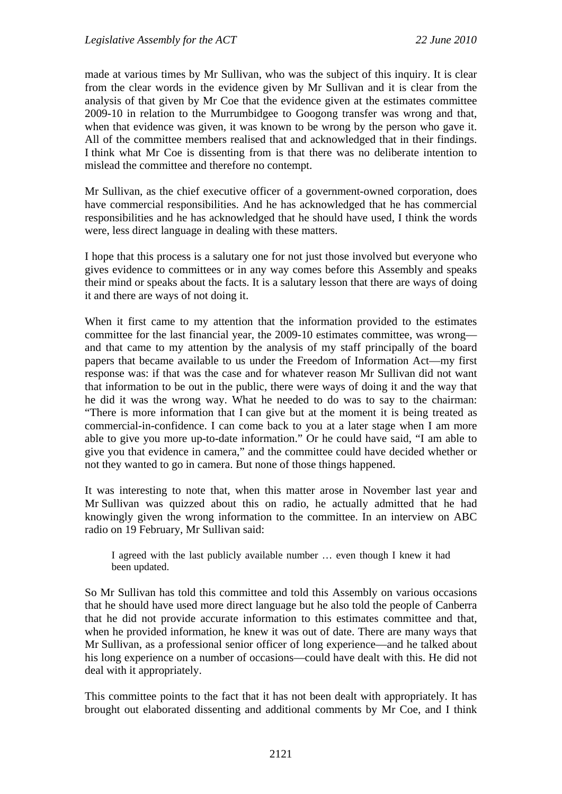made at various times by Mr Sullivan, who was the subject of this inquiry. It is clear from the clear words in the evidence given by Mr Sullivan and it is clear from the analysis of that given by Mr Coe that the evidence given at the estimates committee 2009-10 in relation to the Murrumbidgee to Googong transfer was wrong and that, when that evidence was given, it was known to be wrong by the person who gave it. All of the committee members realised that and acknowledged that in their findings. I think what Mr Coe is dissenting from is that there was no deliberate intention to mislead the committee and therefore no contempt.

Mr Sullivan, as the chief executive officer of a government-owned corporation, does have commercial responsibilities. And he has acknowledged that he has commercial responsibilities and he has acknowledged that he should have used, I think the words were, less direct language in dealing with these matters.

I hope that this process is a salutary one for not just those involved but everyone who gives evidence to committees or in any way comes before this Assembly and speaks their mind or speaks about the facts. It is a salutary lesson that there are ways of doing it and there are ways of not doing it.

When it first came to my attention that the information provided to the estimates committee for the last financial year, the 2009-10 estimates committee, was wrong and that came to my attention by the analysis of my staff principally of the board papers that became available to us under the Freedom of Information Act—my first response was: if that was the case and for whatever reason Mr Sullivan did not want that information to be out in the public, there were ways of doing it and the way that he did it was the wrong way. What he needed to do was to say to the chairman: "There is more information that I can give but at the moment it is being treated as commercial-in-confidence. I can come back to you at a later stage when I am more able to give you more up-to-date information." Or he could have said, "I am able to give you that evidence in camera," and the committee could have decided whether or not they wanted to go in camera. But none of those things happened.

It was interesting to note that, when this matter arose in November last year and Mr Sullivan was quizzed about this on radio, he actually admitted that he had knowingly given the wrong information to the committee. In an interview on ABC radio on 19 February, Mr Sullivan said:

I agreed with the last publicly available number … even though I knew it had been updated.

So Mr Sullivan has told this committee and told this Assembly on various occasions that he should have used more direct language but he also told the people of Canberra that he did not provide accurate information to this estimates committee and that, when he provided information, he knew it was out of date. There are many ways that Mr Sullivan, as a professional senior officer of long experience—and he talked about his long experience on a number of occasions—could have dealt with this. He did not deal with it appropriately.

This committee points to the fact that it has not been dealt with appropriately. It has brought out elaborated dissenting and additional comments by Mr Coe, and I think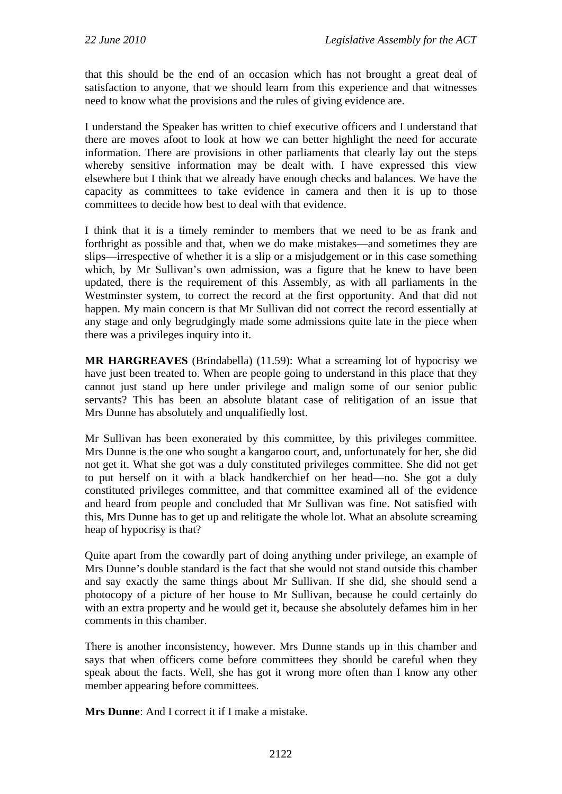that this should be the end of an occasion which has not brought a great deal of satisfaction to anyone, that we should learn from this experience and that witnesses need to know what the provisions and the rules of giving evidence are.

I understand the Speaker has written to chief executive officers and I understand that there are moves afoot to look at how we can better highlight the need for accurate information. There are provisions in other parliaments that clearly lay out the steps whereby sensitive information may be dealt with. I have expressed this view elsewhere but I think that we already have enough checks and balances. We have the capacity as committees to take evidence in camera and then it is up to those committees to decide how best to deal with that evidence.

I think that it is a timely reminder to members that we need to be as frank and forthright as possible and that, when we do make mistakes—and sometimes they are slips—irrespective of whether it is a slip or a misjudgement or in this case something which, by Mr Sullivan's own admission, was a figure that he knew to have been updated, there is the requirement of this Assembly, as with all parliaments in the Westminster system, to correct the record at the first opportunity. And that did not happen. My main concern is that Mr Sullivan did not correct the record essentially at any stage and only begrudgingly made some admissions quite late in the piece when there was a privileges inquiry into it.

**MR HARGREAVES** (Brindabella) (11.59): What a screaming lot of hypocrisy we have just been treated to. When are people going to understand in this place that they cannot just stand up here under privilege and malign some of our senior public servants? This has been an absolute blatant case of relitigation of an issue that Mrs Dunne has absolutely and unqualifiedly lost.

Mr Sullivan has been exonerated by this committee, by this privileges committee. Mrs Dunne is the one who sought a kangaroo court, and, unfortunately for her, she did not get it. What she got was a duly constituted privileges committee. She did not get to put herself on it with a black handkerchief on her head—no. She got a duly constituted privileges committee, and that committee examined all of the evidence and heard from people and concluded that Mr Sullivan was fine. Not satisfied with this, Mrs Dunne has to get up and relitigate the whole lot. What an absolute screaming heap of hypocrisy is that?

Quite apart from the cowardly part of doing anything under privilege, an example of Mrs Dunne's double standard is the fact that she would not stand outside this chamber and say exactly the same things about Mr Sullivan. If she did, she should send a photocopy of a picture of her house to Mr Sullivan, because he could certainly do with an extra property and he would get it, because she absolutely defames him in her comments in this chamber.

There is another inconsistency, however. Mrs Dunne stands up in this chamber and says that when officers come before committees they should be careful when they speak about the facts. Well, she has got it wrong more often than I know any other member appearing before committees.

**Mrs Dunne**: And I correct it if I make a mistake.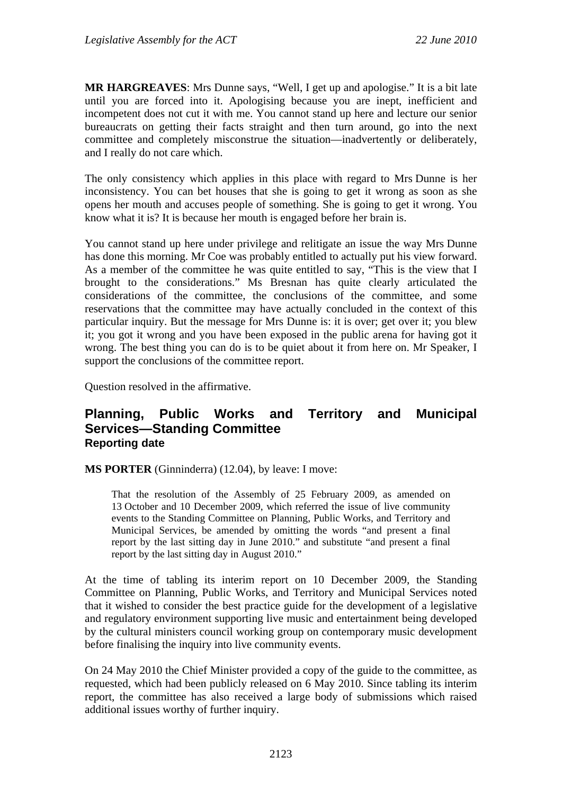**MR HARGREAVES**: Mrs Dunne says, "Well, I get up and apologise." It is a bit late until you are forced into it. Apologising because you are inept, inefficient and incompetent does not cut it with me. You cannot stand up here and lecture our senior bureaucrats on getting their facts straight and then turn around, go into the next committee and completely misconstrue the situation—inadvertently or deliberately, and I really do not care which.

The only consistency which applies in this place with regard to Mrs Dunne is her inconsistency. You can bet houses that she is going to get it wrong as soon as she opens her mouth and accuses people of something. She is going to get it wrong. You know what it is? It is because her mouth is engaged before her brain is.

You cannot stand up here under privilege and relitigate an issue the way Mrs Dunne has done this morning. Mr Coe was probably entitled to actually put his view forward. As a member of the committee he was quite entitled to say, "This is the view that I brought to the considerations." Ms Bresnan has quite clearly articulated the considerations of the committee, the conclusions of the committee, and some reservations that the committee may have actually concluded in the context of this particular inquiry. But the message for Mrs Dunne is: it is over; get over it; you blew it; you got it wrong and you have been exposed in the public arena for having got it wrong. The best thing you can do is to be quiet about it from here on. Mr Speaker, I support the conclusions of the committee report.

Question resolved in the affirmative.

## **Planning, Public Works and Territory and Municipal Services—Standing Committee Reporting date**

**MS PORTER** (Ginninderra) (12.04), by leave: I move:

That the resolution of the Assembly of 25 February 2009, as amended on 13 October and 10 December 2009, which referred the issue of live community events to the Standing Committee on Planning, Public Works, and Territory and Municipal Services, be amended by omitting the words "and present a final report by the last sitting day in June 2010." and substitute "and present a final report by the last sitting day in August 2010."

At the time of tabling its interim report on 10 December 2009, the Standing Committee on Planning, Public Works, and Territory and Municipal Services noted that it wished to consider the best practice guide for the development of a legislative and regulatory environment supporting live music and entertainment being developed by the cultural ministers council working group on contemporary music development before finalising the inquiry into live community events.

On 24 May 2010 the Chief Minister provided a copy of the guide to the committee, as requested, which had been publicly released on 6 May 2010. Since tabling its interim report, the committee has also received a large body of submissions which raised additional issues worthy of further inquiry.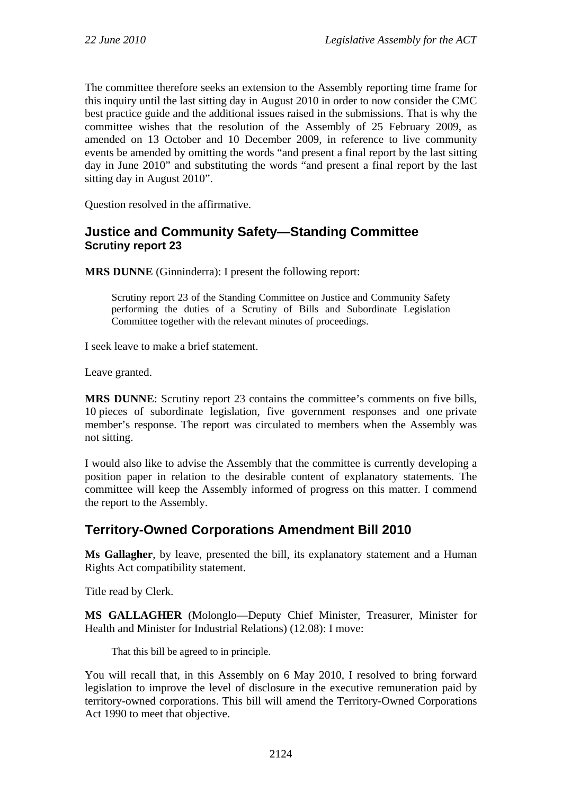The committee therefore seeks an extension to the Assembly reporting time frame for this inquiry until the last sitting day in August 2010 in order to now consider the CMC best practice guide and the additional issues raised in the submissions. That is why the committee wishes that the resolution of the Assembly of 25 February 2009, as amended on 13 October and 10 December 2009, in reference to live community events be amended by omitting the words "and present a final report by the last sitting day in June 2010" and substituting the words "and present a final report by the last sitting day in August 2010".

Question resolved in the affirmative.

# **Justice and Community Safety—Standing Committee Scrutiny report 23**

**MRS DUNNE** (Ginninderra): I present the following report:

Scrutiny report 23 of the Standing Committee on Justice and Community Safety performing the duties of a Scrutiny of Bills and Subordinate Legislation Committee together with the relevant minutes of proceedings.

I seek leave to make a brief statement.

Leave granted.

**MRS DUNNE**: Scrutiny report 23 contains the committee's comments on five bills, 10 pieces of subordinate legislation, five government responses and one private member's response. The report was circulated to members when the Assembly was not sitting.

I would also like to advise the Assembly that the committee is currently developing a position paper in relation to the desirable content of explanatory statements. The committee will keep the Assembly informed of progress on this matter. I commend the report to the Assembly.

# **Territory-Owned Corporations Amendment Bill 2010**

**Ms Gallagher**, by leave, presented the bill, its explanatory statement and a Human Rights Act compatibility statement.

Title read by Clerk.

**MS GALLAGHER** (Molonglo—Deputy Chief Minister, Treasurer, Minister for Health and Minister for Industrial Relations) (12.08): I move:

That this bill be agreed to in principle.

You will recall that, in this Assembly on 6 May 2010, I resolved to bring forward legislation to improve the level of disclosure in the executive remuneration paid by territory-owned corporations. This bill will amend the Territory-Owned Corporations Act 1990 to meet that objective.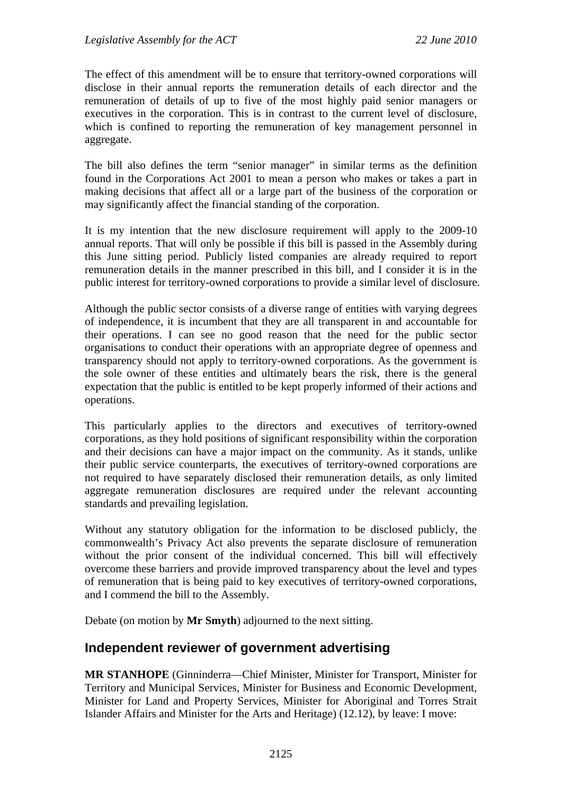The effect of this amendment will be to ensure that territory-owned corporations will disclose in their annual reports the remuneration details of each director and the remuneration of details of up to five of the most highly paid senior managers or executives in the corporation. This is in contrast to the current level of disclosure, which is confined to reporting the remuneration of key management personnel in aggregate.

The bill also defines the term "senior manager" in similar terms as the definition found in the Corporations Act 2001 to mean a person who makes or takes a part in making decisions that affect all or a large part of the business of the corporation or may significantly affect the financial standing of the corporation.

It is my intention that the new disclosure requirement will apply to the 2009-10 annual reports. That will only be possible if this bill is passed in the Assembly during this June sitting period. Publicly listed companies are already required to report remuneration details in the manner prescribed in this bill, and I consider it is in the public interest for territory-owned corporations to provide a similar level of disclosure.

Although the public sector consists of a diverse range of entities with varying degrees of independence, it is incumbent that they are all transparent in and accountable for their operations. I can see no good reason that the need for the public sector organisations to conduct their operations with an appropriate degree of openness and transparency should not apply to territory-owned corporations. As the government is the sole owner of these entities and ultimately bears the risk, there is the general expectation that the public is entitled to be kept properly informed of their actions and operations.

This particularly applies to the directors and executives of territory-owned corporations, as they hold positions of significant responsibility within the corporation and their decisions can have a major impact on the community. As it stands, unlike their public service counterparts, the executives of territory-owned corporations are not required to have separately disclosed their remuneration details, as only limited aggregate remuneration disclosures are required under the relevant accounting standards and prevailing legislation.

Without any statutory obligation for the information to be disclosed publicly, the commonwealth's Privacy Act also prevents the separate disclosure of remuneration without the prior consent of the individual concerned. This bill will effectively overcome these barriers and provide improved transparency about the level and types of remuneration that is being paid to key executives of territory-owned corporations, and I commend the bill to the Assembly.

Debate (on motion by **Mr Smyth**) adjourned to the next sitting.

# **Independent reviewer of government advertising**

**MR STANHOPE** (Ginninderra—Chief Minister, Minister for Transport, Minister for Territory and Municipal Services, Minister for Business and Economic Development, Minister for Land and Property Services, Minister for Aboriginal and Torres Strait Islander Affairs and Minister for the Arts and Heritage) (12.12), by leave: I move: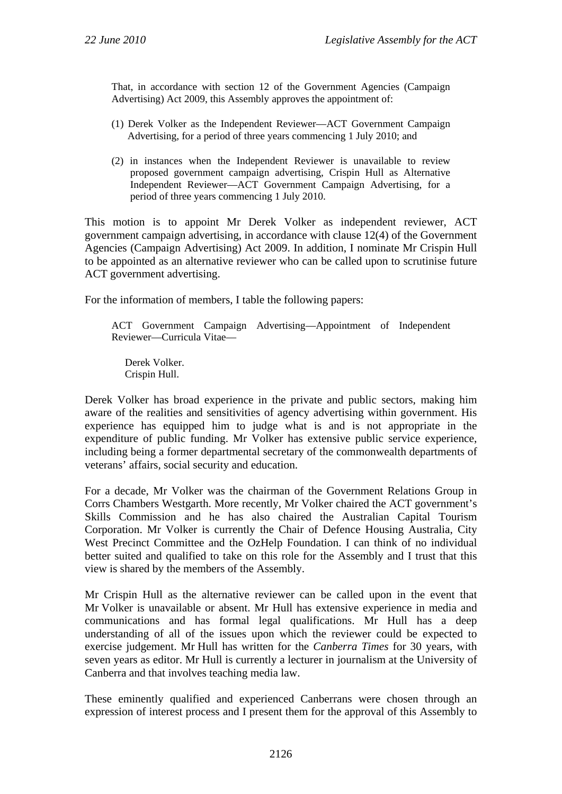That, in accordance with section 12 of the Government Agencies (Campaign Advertising) Act 2009, this Assembly approves the appointment of:

- (1) Derek Volker as the Independent Reviewer—ACT Government Campaign Advertising, for a period of three years commencing 1 July 2010; and
- (2) in instances when the Independent Reviewer is unavailable to review proposed government campaign advertising, Crispin Hull as Alternative Independent Reviewer—ACT Government Campaign Advertising, for a period of three years commencing 1 July 2010.

This motion is to appoint Mr Derek Volker as independent reviewer, ACT government campaign advertising, in accordance with clause 12(4) of the Government Agencies (Campaign Advertising) Act 2009. In addition, I nominate Mr Crispin Hull to be appointed as an alternative reviewer who can be called upon to scrutinise future ACT government advertising.

For the information of members, I table the following papers:

ACT Government Campaign Advertising—Appointment of Independent Reviewer—Curricula Vitae—

Derek Volker. Crispin Hull.

Derek Volker has broad experience in the private and public sectors, making him aware of the realities and sensitivities of agency advertising within government. His experience has equipped him to judge what is and is not appropriate in the expenditure of public funding. Mr Volker has extensive public service experience, including being a former departmental secretary of the commonwealth departments of veterans' affairs, social security and education.

For a decade, Mr Volker was the chairman of the Government Relations Group in Corrs Chambers Westgarth. More recently, Mr Volker chaired the ACT government's Skills Commission and he has also chaired the Australian Capital Tourism Corporation. Mr Volker is currently the Chair of Defence Housing Australia, City West Precinct Committee and the OzHelp Foundation. I can think of no individual better suited and qualified to take on this role for the Assembly and I trust that this view is shared by the members of the Assembly.

Mr Crispin Hull as the alternative reviewer can be called upon in the event that Mr Volker is unavailable or absent. Mr Hull has extensive experience in media and communications and has formal legal qualifications. Mr Hull has a deep understanding of all of the issues upon which the reviewer could be expected to exercise judgement. Mr Hull has written for the *Canberra Times* for 30 years, with seven years as editor. Mr Hull is currently a lecturer in journalism at the University of Canberra and that involves teaching media law.

These eminently qualified and experienced Canberrans were chosen through an expression of interest process and I present them for the approval of this Assembly to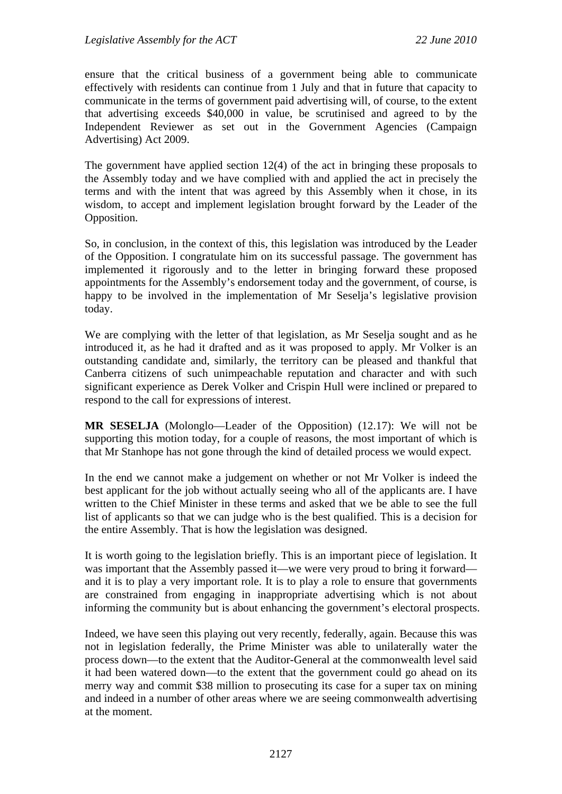ensure that the critical business of a government being able to communicate effectively with residents can continue from 1 July and that in future that capacity to communicate in the terms of government paid advertising will, of course, to the extent that advertising exceeds \$40,000 in value, be scrutinised and agreed to by the Independent Reviewer as set out in the Government Agencies (Campaign Advertising) Act 2009.

The government have applied section 12(4) of the act in bringing these proposals to the Assembly today and we have complied with and applied the act in precisely the terms and with the intent that was agreed by this Assembly when it chose, in its wisdom, to accept and implement legislation brought forward by the Leader of the Opposition.

So, in conclusion, in the context of this, this legislation was introduced by the Leader of the Opposition. I congratulate him on its successful passage. The government has implemented it rigorously and to the letter in bringing forward these proposed appointments for the Assembly's endorsement today and the government, of course, is happy to be involved in the implementation of Mr Seselja's legislative provision today.

We are complying with the letter of that legislation, as Mr Seselja sought and as he introduced it, as he had it drafted and as it was proposed to apply. Mr Volker is an outstanding candidate and, similarly, the territory can be pleased and thankful that Canberra citizens of such unimpeachable reputation and character and with such significant experience as Derek Volker and Crispin Hull were inclined or prepared to respond to the call for expressions of interest.

**MR SESELJA** (Molonglo—Leader of the Opposition) (12.17): We will not be supporting this motion today, for a couple of reasons, the most important of which is that Mr Stanhope has not gone through the kind of detailed process we would expect.

In the end we cannot make a judgement on whether or not Mr Volker is indeed the best applicant for the job without actually seeing who all of the applicants are. I have written to the Chief Minister in these terms and asked that we be able to see the full list of applicants so that we can judge who is the best qualified. This is a decision for the entire Assembly. That is how the legislation was designed.

It is worth going to the legislation briefly. This is an important piece of legislation. It was important that the Assembly passed it—we were very proud to bring it forward and it is to play a very important role. It is to play a role to ensure that governments are constrained from engaging in inappropriate advertising which is not about informing the community but is about enhancing the government's electoral prospects.

Indeed, we have seen this playing out very recently, federally, again. Because this was not in legislation federally, the Prime Minister was able to unilaterally water the process down—to the extent that the Auditor-General at the commonwealth level said it had been watered down—to the extent that the government could go ahead on its merry way and commit \$38 million to prosecuting its case for a super tax on mining and indeed in a number of other areas where we are seeing commonwealth advertising at the moment.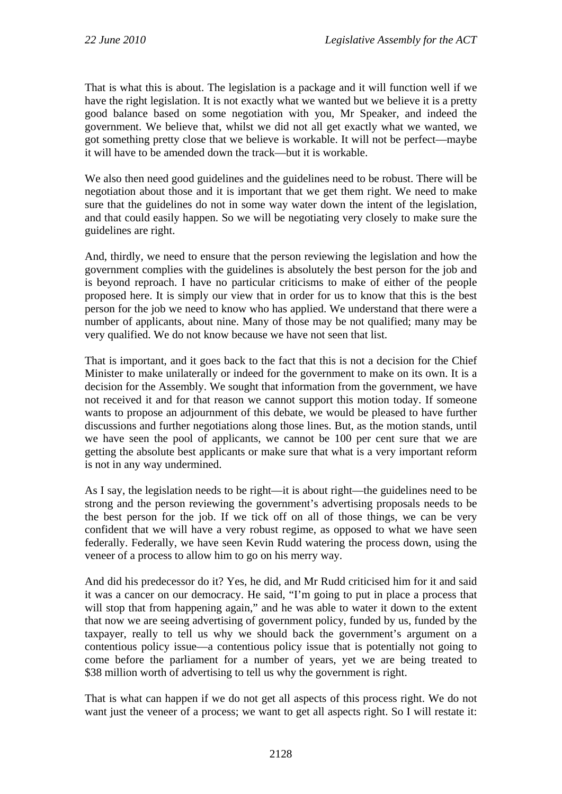That is what this is about. The legislation is a package and it will function well if we have the right legislation. It is not exactly what we wanted but we believe it is a pretty good balance based on some negotiation with you, Mr Speaker, and indeed the government. We believe that, whilst we did not all get exactly what we wanted, we got something pretty close that we believe is workable. It will not be perfect—maybe it will have to be amended down the track—but it is workable.

We also then need good guidelines and the guidelines need to be robust. There will be negotiation about those and it is important that we get them right. We need to make sure that the guidelines do not in some way water down the intent of the legislation, and that could easily happen. So we will be negotiating very closely to make sure the guidelines are right.

And, thirdly, we need to ensure that the person reviewing the legislation and how the government complies with the guidelines is absolutely the best person for the job and is beyond reproach. I have no particular criticisms to make of either of the people proposed here. It is simply our view that in order for us to know that this is the best person for the job we need to know who has applied. We understand that there were a number of applicants, about nine. Many of those may be not qualified; many may be very qualified. We do not know because we have not seen that list.

That is important, and it goes back to the fact that this is not a decision for the Chief Minister to make unilaterally or indeed for the government to make on its own. It is a decision for the Assembly. We sought that information from the government, we have not received it and for that reason we cannot support this motion today. If someone wants to propose an adjournment of this debate, we would be pleased to have further discussions and further negotiations along those lines. But, as the motion stands, until we have seen the pool of applicants, we cannot be 100 per cent sure that we are getting the absolute best applicants or make sure that what is a very important reform is not in any way undermined.

As I say, the legislation needs to be right—it is about right—the guidelines need to be strong and the person reviewing the government's advertising proposals needs to be the best person for the job. If we tick off on all of those things, we can be very confident that we will have a very robust regime, as opposed to what we have seen federally. Federally, we have seen Kevin Rudd watering the process down, using the veneer of a process to allow him to go on his merry way.

And did his predecessor do it? Yes, he did, and Mr Rudd criticised him for it and said it was a cancer on our democracy. He said, "I'm going to put in place a process that will stop that from happening again," and he was able to water it down to the extent that now we are seeing advertising of government policy, funded by us, funded by the taxpayer, really to tell us why we should back the government's argument on a contentious policy issue—a contentious policy issue that is potentially not going to come before the parliament for a number of years, yet we are being treated to \$38 million worth of advertising to tell us why the government is right.

That is what can happen if we do not get all aspects of this process right. We do not want just the veneer of a process; we want to get all aspects right. So I will restate it: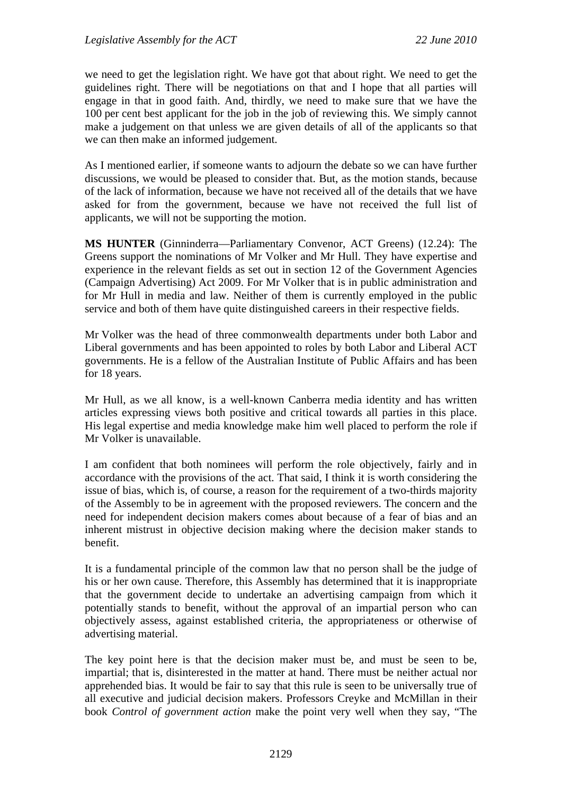we need to get the legislation right. We have got that about right. We need to get the guidelines right. There will be negotiations on that and I hope that all parties will engage in that in good faith. And, thirdly, we need to make sure that we have the 100 per cent best applicant for the job in the job of reviewing this. We simply cannot make a judgement on that unless we are given details of all of the applicants so that we can then make an informed judgement.

As I mentioned earlier, if someone wants to adjourn the debate so we can have further discussions, we would be pleased to consider that. But, as the motion stands, because of the lack of information, because we have not received all of the details that we have asked for from the government, because we have not received the full list of applicants, we will not be supporting the motion.

**MS HUNTER** (Ginninderra—Parliamentary Convenor, ACT Greens) (12.24): The Greens support the nominations of Mr Volker and Mr Hull. They have expertise and experience in the relevant fields as set out in section 12 of the Government Agencies (Campaign Advertising) Act 2009. For Mr Volker that is in public administration and for Mr Hull in media and law. Neither of them is currently employed in the public service and both of them have quite distinguished careers in their respective fields.

Mr Volker was the head of three commonwealth departments under both Labor and Liberal governments and has been appointed to roles by both Labor and Liberal ACT governments. He is a fellow of the Australian Institute of Public Affairs and has been for 18 years.

Mr Hull, as we all know, is a well-known Canberra media identity and has written articles expressing views both positive and critical towards all parties in this place. His legal expertise and media knowledge make him well placed to perform the role if Mr Volker is unavailable.

I am confident that both nominees will perform the role objectively, fairly and in accordance with the provisions of the act. That said, I think it is worth considering the issue of bias, which is, of course, a reason for the requirement of a two-thirds majority of the Assembly to be in agreement with the proposed reviewers. The concern and the need for independent decision makers comes about because of a fear of bias and an inherent mistrust in objective decision making where the decision maker stands to benefit.

It is a fundamental principle of the common law that no person shall be the judge of his or her own cause. Therefore, this Assembly has determined that it is inappropriate that the government decide to undertake an advertising campaign from which it potentially stands to benefit, without the approval of an impartial person who can objectively assess, against established criteria, the appropriateness or otherwise of advertising material.

The key point here is that the decision maker must be, and must be seen to be, impartial; that is, disinterested in the matter at hand. There must be neither actual nor apprehended bias. It would be fair to say that this rule is seen to be universally true of all executive and judicial decision makers. Professors Creyke and McMillan in their book *Control of government action* make the point very well when they say, "The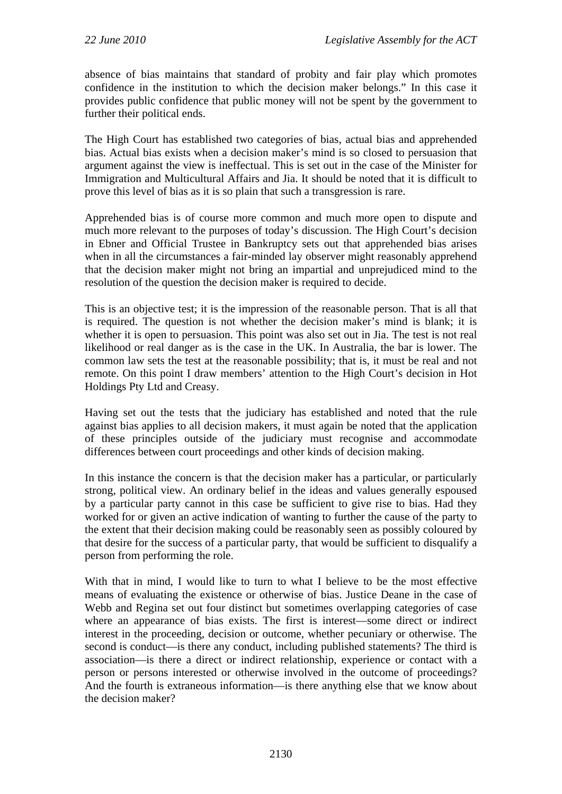absence of bias maintains that standard of probity and fair play which promotes confidence in the institution to which the decision maker belongs." In this case it provides public confidence that public money will not be spent by the government to further their political ends.

The High Court has established two categories of bias, actual bias and apprehended bias. Actual bias exists when a decision maker's mind is so closed to persuasion that argument against the view is ineffectual. This is set out in the case of the Minister for Immigration and Multicultural Affairs and Jia. It should be noted that it is difficult to prove this level of bias as it is so plain that such a transgression is rare.

Apprehended bias is of course more common and much more open to dispute and much more relevant to the purposes of today's discussion. The High Court's decision in Ebner and Official Trustee in Bankruptcy sets out that apprehended bias arises when in all the circumstances a fair-minded lay observer might reasonably apprehend that the decision maker might not bring an impartial and unprejudiced mind to the resolution of the question the decision maker is required to decide.

This is an objective test; it is the impression of the reasonable person. That is all that is required. The question is not whether the decision maker's mind is blank; it is whether it is open to persuasion. This point was also set out in Jia. The test is not real likelihood or real danger as is the case in the UK. In Australia, the bar is lower. The common law sets the test at the reasonable possibility; that is, it must be real and not remote. On this point I draw members' attention to the High Court's decision in Hot Holdings Pty Ltd and Creasy.

Having set out the tests that the judiciary has established and noted that the rule against bias applies to all decision makers, it must again be noted that the application of these principles outside of the judiciary must recognise and accommodate differences between court proceedings and other kinds of decision making.

In this instance the concern is that the decision maker has a particular, or particularly strong, political view. An ordinary belief in the ideas and values generally espoused by a particular party cannot in this case be sufficient to give rise to bias. Had they worked for or given an active indication of wanting to further the cause of the party to the extent that their decision making could be reasonably seen as possibly coloured by that desire for the success of a particular party, that would be sufficient to disqualify a person from performing the role.

With that in mind, I would like to turn to what I believe to be the most effective means of evaluating the existence or otherwise of bias. Justice Deane in the case of Webb and Regina set out four distinct but sometimes overlapping categories of case where an appearance of bias exists. The first is interest—some direct or indirect interest in the proceeding, decision or outcome, whether pecuniary or otherwise. The second is conduct—is there any conduct, including published statements? The third is association—is there a direct or indirect relationship, experience or contact with a person or persons interested or otherwise involved in the outcome of proceedings? And the fourth is extraneous information—is there anything else that we know about the decision maker?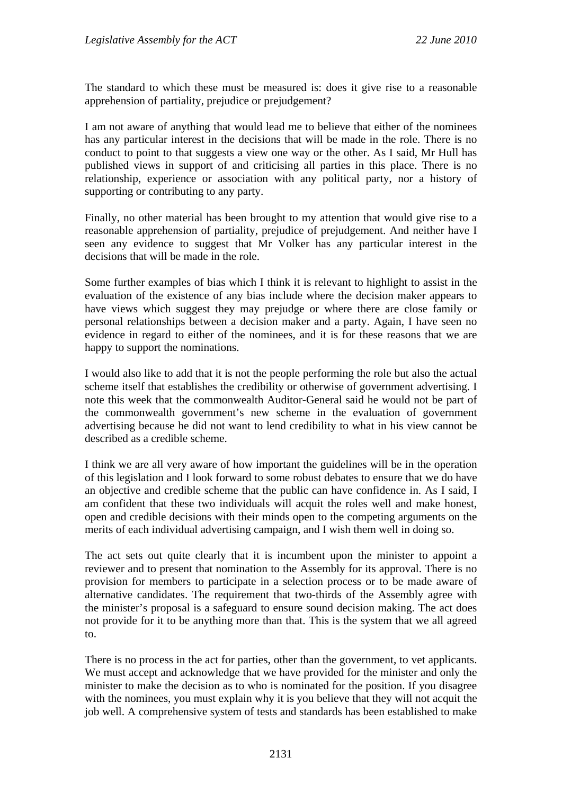The standard to which these must be measured is: does it give rise to a reasonable apprehension of partiality, prejudice or prejudgement?

I am not aware of anything that would lead me to believe that either of the nominees has any particular interest in the decisions that will be made in the role. There is no conduct to point to that suggests a view one way or the other. As I said, Mr Hull has published views in support of and criticising all parties in this place. There is no relationship, experience or association with any political party, nor a history of supporting or contributing to any party.

Finally, no other material has been brought to my attention that would give rise to a reasonable apprehension of partiality, prejudice of prejudgement. And neither have I seen any evidence to suggest that Mr Volker has any particular interest in the decisions that will be made in the role.

Some further examples of bias which I think it is relevant to highlight to assist in the evaluation of the existence of any bias include where the decision maker appears to have views which suggest they may prejudge or where there are close family or personal relationships between a decision maker and a party. Again, I have seen no evidence in regard to either of the nominees, and it is for these reasons that we are happy to support the nominations.

I would also like to add that it is not the people performing the role but also the actual scheme itself that establishes the credibility or otherwise of government advertising. I note this week that the commonwealth Auditor-General said he would not be part of the commonwealth government's new scheme in the evaluation of government advertising because he did not want to lend credibility to what in his view cannot be described as a credible scheme.

I think we are all very aware of how important the guidelines will be in the operation of this legislation and I look forward to some robust debates to ensure that we do have an objective and credible scheme that the public can have confidence in. As I said, I am confident that these two individuals will acquit the roles well and make honest, open and credible decisions with their minds open to the competing arguments on the merits of each individual advertising campaign, and I wish them well in doing so.

The act sets out quite clearly that it is incumbent upon the minister to appoint a reviewer and to present that nomination to the Assembly for its approval. There is no provision for members to participate in a selection process or to be made aware of alternative candidates. The requirement that two-thirds of the Assembly agree with the minister's proposal is a safeguard to ensure sound decision making. The act does not provide for it to be anything more than that. This is the system that we all agreed to.

There is no process in the act for parties, other than the government, to vet applicants. We must accept and acknowledge that we have provided for the minister and only the minister to make the decision as to who is nominated for the position. If you disagree with the nominees, you must explain why it is you believe that they will not acquit the job well. A comprehensive system of tests and standards has been established to make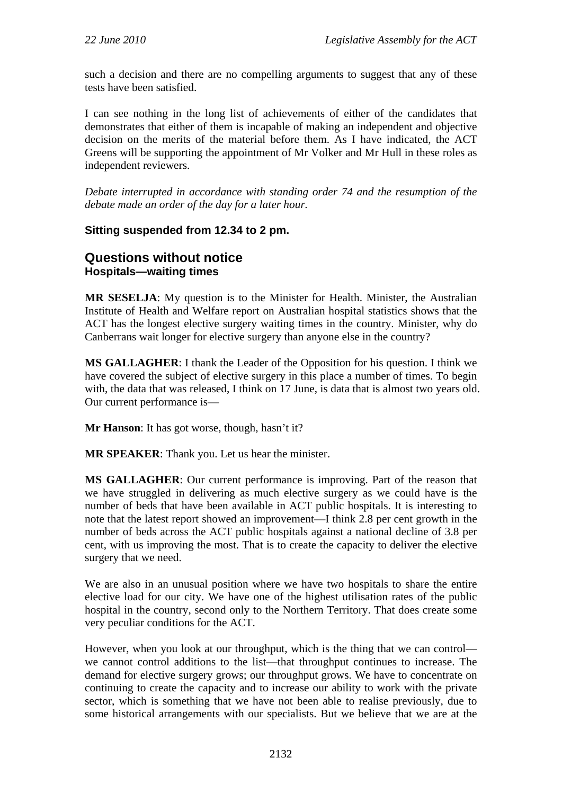such a decision and there are no compelling arguments to suggest that any of these tests have been satisfied.

I can see nothing in the long list of achievements of either of the candidates that demonstrates that either of them is incapable of making an independent and objective decision on the merits of the material before them. As I have indicated, the ACT Greens will be supporting the appointment of Mr Volker and Mr Hull in these roles as independent reviewers.

*Debate interrupted in accordance with standing order 74 and the resumption of the debate made an order of the day for a later hour.* 

## **Sitting suspended from 12.34 to 2 pm.**

## **Questions without notice Hospitals—waiting times**

**MR SESELJA**: My question is to the Minister for Health. Minister, the Australian Institute of Health and Welfare report on Australian hospital statistics shows that the ACT has the longest elective surgery waiting times in the country. Minister, why do Canberrans wait longer for elective surgery than anyone else in the country?

**MS GALLAGHER**: I thank the Leader of the Opposition for his question. I think we have covered the subject of elective surgery in this place a number of times. To begin with, the data that was released, I think on 17 June, is data that is almost two years old. Our current performance is—

**Mr Hanson**: It has got worse, though, hasn't it?

**MR SPEAKER**: Thank you. Let us hear the minister.

**MS GALLAGHER**: Our current performance is improving. Part of the reason that we have struggled in delivering as much elective surgery as we could have is the number of beds that have been available in ACT public hospitals. It is interesting to note that the latest report showed an improvement—I think 2.8 per cent growth in the number of beds across the ACT public hospitals against a national decline of 3.8 per cent, with us improving the most. That is to create the capacity to deliver the elective surgery that we need.

We are also in an unusual position where we have two hospitals to share the entire elective load for our city. We have one of the highest utilisation rates of the public hospital in the country, second only to the Northern Territory. That does create some very peculiar conditions for the ACT.

However, when you look at our throughput, which is the thing that we can control we cannot control additions to the list—that throughput continues to increase. The demand for elective surgery grows; our throughput grows. We have to concentrate on continuing to create the capacity and to increase our ability to work with the private sector, which is something that we have not been able to realise previously, due to some historical arrangements with our specialists. But we believe that we are at the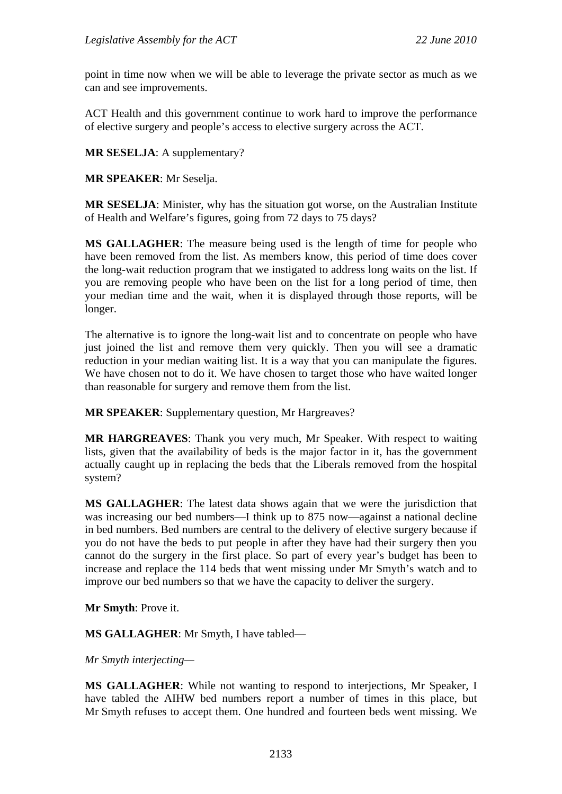point in time now when we will be able to leverage the private sector as much as we can and see improvements.

ACT Health and this government continue to work hard to improve the performance of elective surgery and people's access to elective surgery across the ACT.

**MR SESELJA**: A supplementary?

**MR SPEAKER**: Mr Seselja.

**MR SESELJA**: Minister, why has the situation got worse, on the Australian Institute of Health and Welfare's figures, going from 72 days to 75 days?

**MS GALLAGHER**: The measure being used is the length of time for people who have been removed from the list. As members know, this period of time does cover the long-wait reduction program that we instigated to address long waits on the list. If you are removing people who have been on the list for a long period of time, then your median time and the wait, when it is displayed through those reports, will be longer.

The alternative is to ignore the long-wait list and to concentrate on people who have just joined the list and remove them very quickly. Then you will see a dramatic reduction in your median waiting list. It is a way that you can manipulate the figures. We have chosen not to do it. We have chosen to target those who have waited longer than reasonable for surgery and remove them from the list.

**MR SPEAKER**: Supplementary question, Mr Hargreaves?

**MR HARGREAVES**: Thank you very much, Mr Speaker. With respect to waiting lists, given that the availability of beds is the major factor in it, has the government actually caught up in replacing the beds that the Liberals removed from the hospital system?

**MS GALLAGHER**: The latest data shows again that we were the jurisdiction that was increasing our bed numbers—I think up to 875 now—against a national decline in bed numbers. Bed numbers are central to the delivery of elective surgery because if you do not have the beds to put people in after they have had their surgery then you cannot do the surgery in the first place. So part of every year's budget has been to increase and replace the 114 beds that went missing under Mr Smyth's watch and to improve our bed numbers so that we have the capacity to deliver the surgery.

**Mr Smyth**: Prove it.

**MS GALLAGHER**: Mr Smyth, I have tabled—

*Mr Smyth interjecting—* 

**MS GALLAGHER**: While not wanting to respond to interjections, Mr Speaker, I have tabled the AIHW bed numbers report a number of times in this place, but Mr Smyth refuses to accept them. One hundred and fourteen beds went missing. We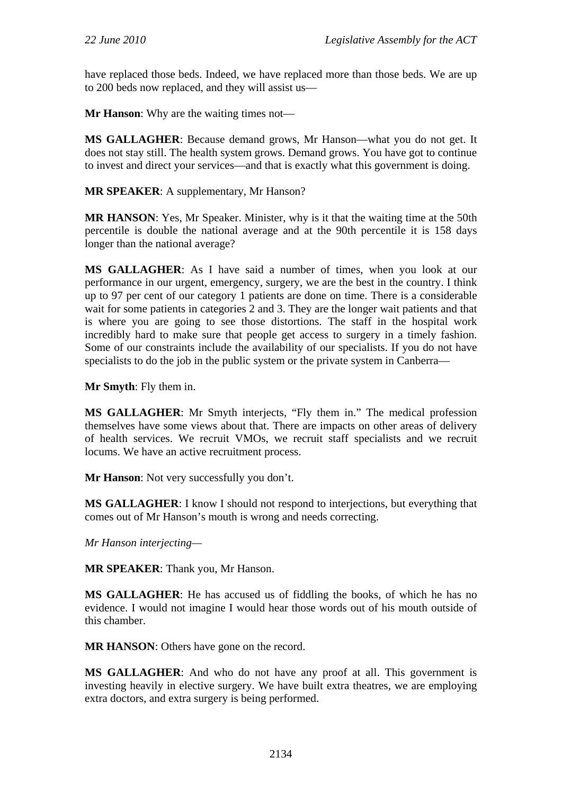have replaced those beds. Indeed, we have replaced more than those beds. We are up to 200 beds now replaced, and they will assist us—

**Mr Hanson**: Why are the waiting times not—

**MS GALLAGHER**: Because demand grows, Mr Hanson—what you do not get. It does not stay still. The health system grows. Demand grows. You have got to continue to invest and direct your services—and that is exactly what this government is doing.

**MR SPEAKER**: A supplementary, Mr Hanson?

**MR HANSON**: Yes, Mr Speaker. Minister, why is it that the waiting time at the 50th percentile is double the national average and at the 90th percentile it is 158 days longer than the national average?

**MS GALLAGHER**: As I have said a number of times, when you look at our performance in our urgent, emergency, surgery, we are the best in the country. I think up to 97 per cent of our category 1 patients are done on time. There is a considerable wait for some patients in categories 2 and 3. They are the longer wait patients and that is where you are going to see those distortions. The staff in the hospital work incredibly hard to make sure that people get access to surgery in a timely fashion. Some of our constraints include the availability of our specialists. If you do not have specialists to do the job in the public system or the private system in Canberra—

**Mr Smyth**: Fly them in.

**MS GALLAGHER**: Mr Smyth interjects, "Fly them in." The medical profession themselves have some views about that. There are impacts on other areas of delivery of health services. We recruit VMOs, we recruit staff specialists and we recruit locums. We have an active recruitment process.

**Mr Hanson**: Not very successfully you don't.

**MS GALLAGHER**: I know I should not respond to interjections, but everything that comes out of Mr Hanson's mouth is wrong and needs correcting.

*Mr Hanson interjecting—* 

**MR SPEAKER**: Thank you, Mr Hanson.

**MS GALLAGHER**: He has accused us of fiddling the books, of which he has no evidence. I would not imagine I would hear those words out of his mouth outside of this chamber.

**MR HANSON**: Others have gone on the record.

**MS GALLAGHER**: And who do not have any proof at all. This government is investing heavily in elective surgery. We have built extra theatres, we are employing extra doctors, and extra surgery is being performed.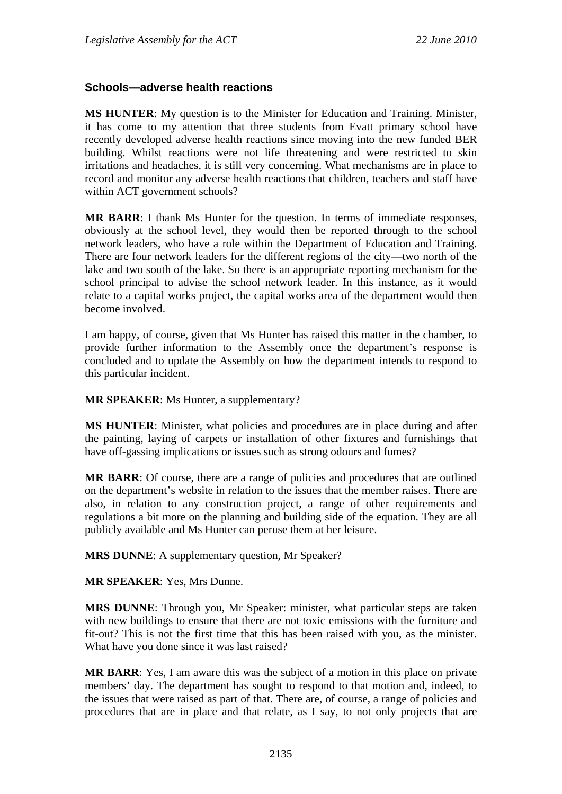### **Schools—adverse health reactions**

**MS HUNTER**: My question is to the Minister for Education and Training. Minister, it has come to my attention that three students from Evatt primary school have recently developed adverse health reactions since moving into the new funded BER building. Whilst reactions were not life threatening and were restricted to skin irritations and headaches, it is still very concerning. What mechanisms are in place to record and monitor any adverse health reactions that children, teachers and staff have within ACT government schools?

**MR BARR**: I thank Ms Hunter for the question. In terms of immediate responses, obviously at the school level, they would then be reported through to the school network leaders, who have a role within the Department of Education and Training. There are four network leaders for the different regions of the city—two north of the lake and two south of the lake. So there is an appropriate reporting mechanism for the school principal to advise the school network leader. In this instance, as it would relate to a capital works project, the capital works area of the department would then become involved.

I am happy, of course, given that Ms Hunter has raised this matter in the chamber, to provide further information to the Assembly once the department's response is concluded and to update the Assembly on how the department intends to respond to this particular incident.

**MR SPEAKER**: Ms Hunter, a supplementary?

**MS HUNTER**: Minister, what policies and procedures are in place during and after the painting, laying of carpets or installation of other fixtures and furnishings that have off-gassing implications or issues such as strong odours and fumes?

**MR BARR**: Of course, there are a range of policies and procedures that are outlined on the department's website in relation to the issues that the member raises. There are also, in relation to any construction project, a range of other requirements and regulations a bit more on the planning and building side of the equation. They are all publicly available and Ms Hunter can peruse them at her leisure.

**MRS DUNNE**: A supplementary question, Mr Speaker?

**MR SPEAKER**: Yes, Mrs Dunne.

**MRS DUNNE**: Through you, Mr Speaker: minister, what particular steps are taken with new buildings to ensure that there are not toxic emissions with the furniture and fit-out? This is not the first time that this has been raised with you, as the minister. What have you done since it was last raised?

**MR BARR**: Yes, I am aware this was the subject of a motion in this place on private members' day. The department has sought to respond to that motion and, indeed, to the issues that were raised as part of that. There are, of course, a range of policies and procedures that are in place and that relate, as I say, to not only projects that are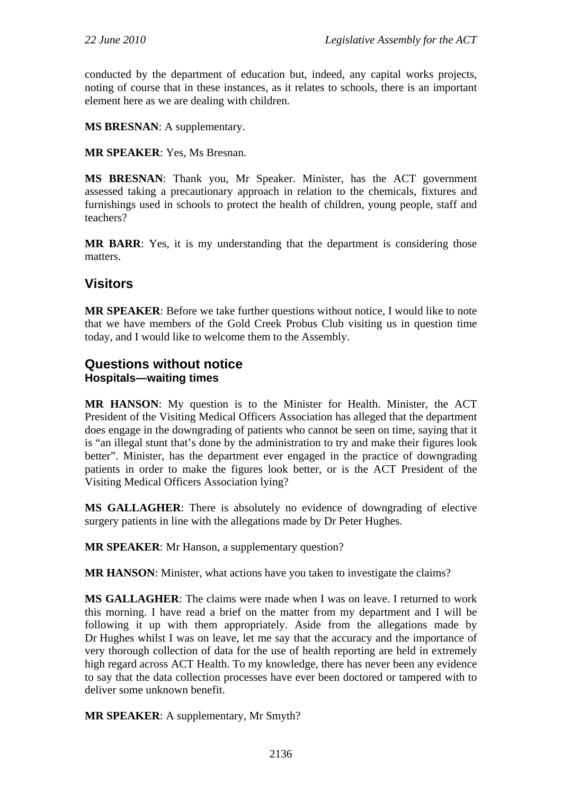conducted by the department of education but, indeed, any capital works projects, noting of course that in these instances, as it relates to schools, there is an important element here as we are dealing with children.

**MS BRESNAN**: A supplementary.

**MR SPEAKER**: Yes, Ms Bresnan.

**MS BRESNAN**: Thank you, Mr Speaker. Minister, has the ACT government assessed taking a precautionary approach in relation to the chemicals, fixtures and furnishings used in schools to protect the health of children, young people, staff and teachers?

**MR BARR**: Yes, it is my understanding that the department is considering those matters.

# **Visitors**

**MR SPEAKER**: Before we take further questions without notice, I would like to note that we have members of the Gold Creek Probus Club visiting us in question time today, and I would like to welcome them to the Assembly.

## **Questions without notice Hospitals—waiting times**

**MR HANSON**: My question is to the Minister for Health. Minister, the ACT President of the Visiting Medical Officers Association has alleged that the department does engage in the downgrading of patients who cannot be seen on time, saying that it is "an illegal stunt that's done by the administration to try and make their figures look better". Minister, has the department ever engaged in the practice of downgrading patients in order to make the figures look better, or is the ACT President of the Visiting Medical Officers Association lying?

**MS GALLAGHER**: There is absolutely no evidence of downgrading of elective surgery patients in line with the allegations made by Dr Peter Hughes.

**MR SPEAKER**: Mr Hanson, a supplementary question?

**MR HANSON:** Minister, what actions have you taken to investigate the claims?

**MS GALLAGHER**: The claims were made when I was on leave. I returned to work this morning. I have read a brief on the matter from my department and I will be following it up with them appropriately. Aside from the allegations made by Dr Hughes whilst I was on leave, let me say that the accuracy and the importance of very thorough collection of data for the use of health reporting are held in extremely high regard across ACT Health. To my knowledge, there has never been any evidence to say that the data collection processes have ever been doctored or tampered with to deliver some unknown benefit.

**MR SPEAKER**: A supplementary, Mr Smyth?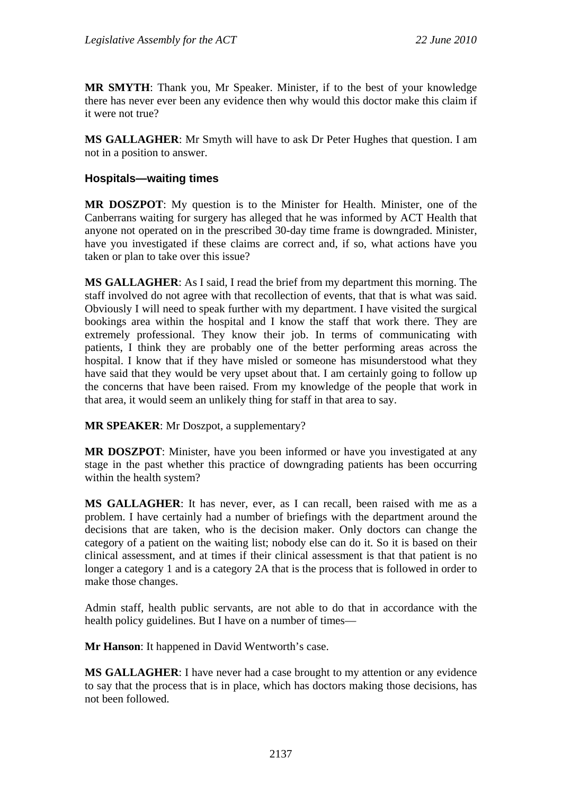**MR SMYTH**: Thank you, Mr Speaker. Minister, if to the best of your knowledge there has never ever been any evidence then why would this doctor make this claim if it were not true?

**MS GALLAGHER**: Mr Smyth will have to ask Dr Peter Hughes that question. I am not in a position to answer.

### **Hospitals—waiting times**

**MR DOSZPOT**: My question is to the Minister for Health. Minister, one of the Canberrans waiting for surgery has alleged that he was informed by ACT Health that anyone not operated on in the prescribed 30-day time frame is downgraded. Minister, have you investigated if these claims are correct and, if so, what actions have you taken or plan to take over this issue?

**MS GALLAGHER**: As I said, I read the brief from my department this morning. The staff involved do not agree with that recollection of events, that that is what was said. Obviously I will need to speak further with my department. I have visited the surgical bookings area within the hospital and I know the staff that work there. They are extremely professional. They know their job. In terms of communicating with patients, I think they are probably one of the better performing areas across the hospital. I know that if they have misled or someone has misunderstood what they have said that they would be very upset about that. I am certainly going to follow up the concerns that have been raised. From my knowledge of the people that work in that area, it would seem an unlikely thing for staff in that area to say.

**MR SPEAKER**: Mr Doszpot, a supplementary?

**MR DOSZPOT**: Minister, have you been informed or have you investigated at any stage in the past whether this practice of downgrading patients has been occurring within the health system?

**MS GALLAGHER**: It has never, ever, as I can recall, been raised with me as a problem. I have certainly had a number of briefings with the department around the decisions that are taken, who is the decision maker. Only doctors can change the category of a patient on the waiting list; nobody else can do it. So it is based on their clinical assessment, and at times if their clinical assessment is that that patient is no longer a category 1 and is a category 2A that is the process that is followed in order to make those changes.

Admin staff, health public servants, are not able to do that in accordance with the health policy guidelines. But I have on a number of times—

**Mr Hanson**: It happened in David Wentworth's case.

**MS GALLAGHER**: I have never had a case brought to my attention or any evidence to say that the process that is in place, which has doctors making those decisions, has not been followed.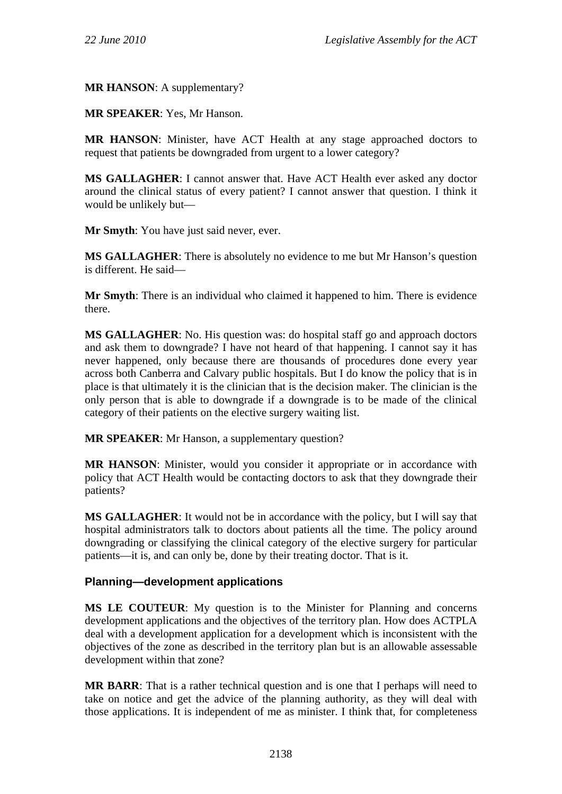**MR HANSON**: A supplementary?

**MR SPEAKER**: Yes, Mr Hanson.

**MR HANSON**: Minister, have ACT Health at any stage approached doctors to request that patients be downgraded from urgent to a lower category?

**MS GALLAGHER**: I cannot answer that. Have ACT Health ever asked any doctor around the clinical status of every patient? I cannot answer that question. I think it would be unlikely but—

**Mr Smyth**: You have just said never, ever.

**MS GALLAGHER**: There is absolutely no evidence to me but Mr Hanson's question is different. He said—

**Mr Smyth**: There is an individual who claimed it happened to him. There is evidence there.

**MS GALLAGHER**: No. His question was: do hospital staff go and approach doctors and ask them to downgrade? I have not heard of that happening. I cannot say it has never happened, only because there are thousands of procedures done every year across both Canberra and Calvary public hospitals. But I do know the policy that is in place is that ultimately it is the clinician that is the decision maker. The clinician is the only person that is able to downgrade if a downgrade is to be made of the clinical category of their patients on the elective surgery waiting list.

**MR SPEAKER**: Mr Hanson, a supplementary question?

**MR HANSON**: Minister, would you consider it appropriate or in accordance with policy that ACT Health would be contacting doctors to ask that they downgrade their patients?

**MS GALLAGHER**: It would not be in accordance with the policy, but I will say that hospital administrators talk to doctors about patients all the time. The policy around downgrading or classifying the clinical category of the elective surgery for particular patients—it is, and can only be, done by their treating doctor. That is it.

## **Planning—development applications**

**MS LE COUTEUR**: My question is to the Minister for Planning and concerns development applications and the objectives of the territory plan. How does ACTPLA deal with a development application for a development which is inconsistent with the objectives of the zone as described in the territory plan but is an allowable assessable development within that zone?

**MR BARR**: That is a rather technical question and is one that I perhaps will need to take on notice and get the advice of the planning authority, as they will deal with those applications. It is independent of me as minister. I think that, for completeness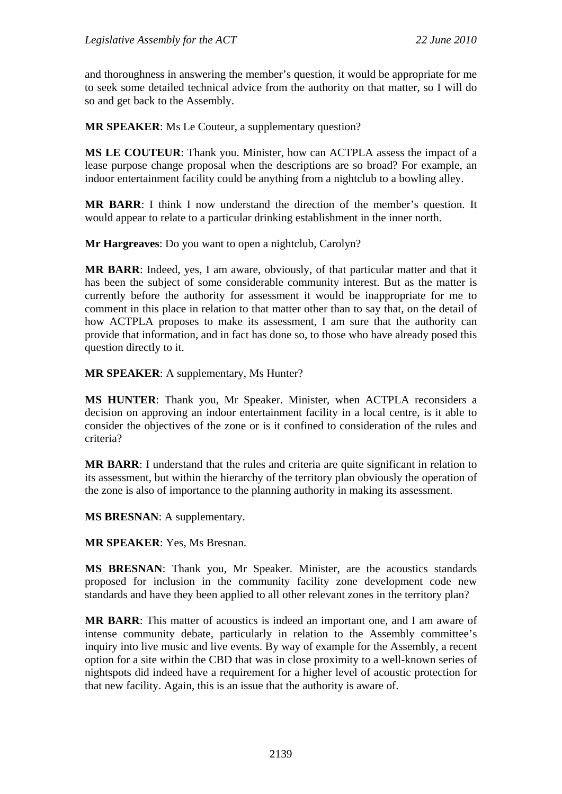and thoroughness in answering the member's question, it would be appropriate for me to seek some detailed technical advice from the authority on that matter, so I will do so and get back to the Assembly.

**MR SPEAKER**: Ms Le Couteur, a supplementary question?

**MS LE COUTEUR**: Thank you. Minister, how can ACTPLA assess the impact of a lease purpose change proposal when the descriptions are so broad? For example, an indoor entertainment facility could be anything from a nightclub to a bowling alley.

**MR BARR**: I think I now understand the direction of the member's question. It would appear to relate to a particular drinking establishment in the inner north.

**Mr Hargreaves**: Do you want to open a nightclub, Carolyn?

**MR BARR**: Indeed, yes, I am aware, obviously, of that particular matter and that it has been the subject of some considerable community interest. But as the matter is currently before the authority for assessment it would be inappropriate for me to comment in this place in relation to that matter other than to say that, on the detail of how ACTPLA proposes to make its assessment, I am sure that the authority can provide that information, and in fact has done so, to those who have already posed this question directly to it.

**MR SPEAKER**: A supplementary, Ms Hunter?

**MS HUNTER**: Thank you, Mr Speaker. Minister, when ACTPLA reconsiders a decision on approving an indoor entertainment facility in a local centre, is it able to consider the objectives of the zone or is it confined to consideration of the rules and criteria?

**MR BARR**: I understand that the rules and criteria are quite significant in relation to its assessment, but within the hierarchy of the territory plan obviously the operation of the zone is also of importance to the planning authority in making its assessment.

**MS BRESNAN**: A supplementary.

**MR SPEAKER**: Yes, Ms Bresnan.

**MS BRESNAN**: Thank you, Mr Speaker. Minister, are the acoustics standards proposed for inclusion in the community facility zone development code new standards and have they been applied to all other relevant zones in the territory plan?

**MR BARR**: This matter of acoustics is indeed an important one, and I am aware of intense community debate, particularly in relation to the Assembly committee's inquiry into live music and live events. By way of example for the Assembly, a recent option for a site within the CBD that was in close proximity to a well-known series of nightspots did indeed have a requirement for a higher level of acoustic protection for that new facility. Again, this is an issue that the authority is aware of.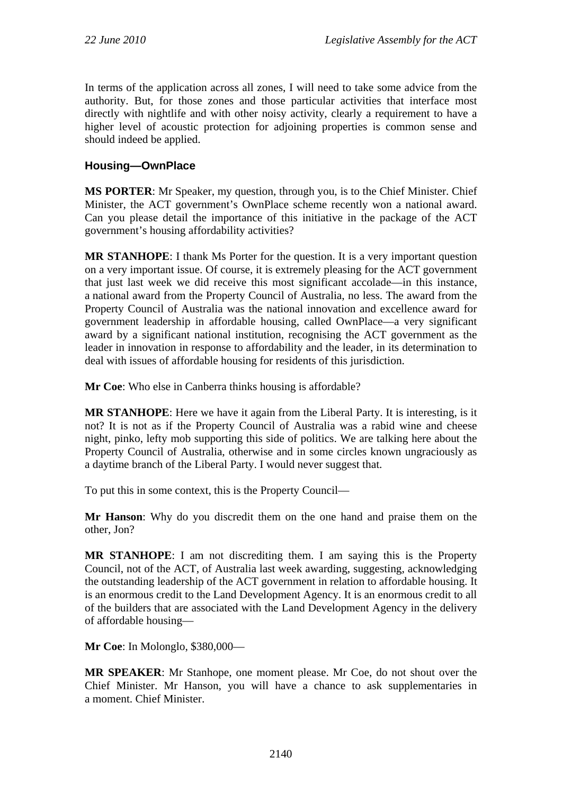In terms of the application across all zones, I will need to take some advice from the authority. But, for those zones and those particular activities that interface most directly with nightlife and with other noisy activity, clearly a requirement to have a higher level of acoustic protection for adjoining properties is common sense and should indeed be applied.

## **Housing—OwnPlace**

**MS PORTER**: Mr Speaker, my question, through you, is to the Chief Minister. Chief Minister, the ACT government's OwnPlace scheme recently won a national award. Can you please detail the importance of this initiative in the package of the ACT government's housing affordability activities?

**MR STANHOPE**: I thank Ms Porter for the question. It is a very important question on a very important issue. Of course, it is extremely pleasing for the ACT government that just last week we did receive this most significant accolade—in this instance, a national award from the Property Council of Australia, no less. The award from the Property Council of Australia was the national innovation and excellence award for government leadership in affordable housing, called OwnPlace—a very significant award by a significant national institution, recognising the ACT government as the leader in innovation in response to affordability and the leader, in its determination to deal with issues of affordable housing for residents of this jurisdiction.

**Mr Coe**: Who else in Canberra thinks housing is affordable?

**MR STANHOPE**: Here we have it again from the Liberal Party. It is interesting, is it not? It is not as if the Property Council of Australia was a rabid wine and cheese night, pinko, lefty mob supporting this side of politics. We are talking here about the Property Council of Australia, otherwise and in some circles known ungraciously as a daytime branch of the Liberal Party. I would never suggest that.

To put this in some context, this is the Property Council—

**Mr Hanson**: Why do you discredit them on the one hand and praise them on the other, Jon?

**MR STANHOPE**: I am not discrediting them. I am saying this is the Property Council, not of the ACT, of Australia last week awarding, suggesting, acknowledging the outstanding leadership of the ACT government in relation to affordable housing. It is an enormous credit to the Land Development Agency. It is an enormous credit to all of the builders that are associated with the Land Development Agency in the delivery of affordable housing—

**Mr Coe**: In Molonglo, \$380,000—

**MR SPEAKER**: Mr Stanhope, one moment please. Mr Coe, do not shout over the Chief Minister. Mr Hanson, you will have a chance to ask supplementaries in a moment. Chief Minister.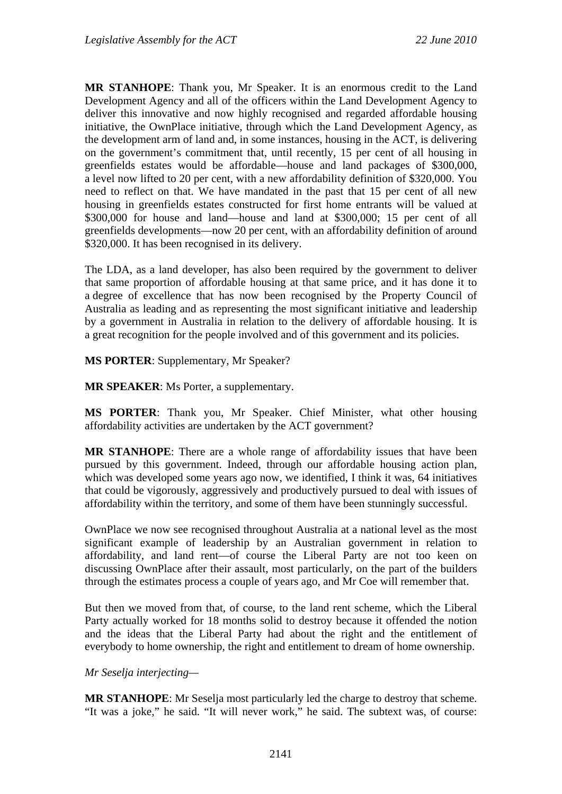**MR STANHOPE**: Thank you, Mr Speaker. It is an enormous credit to the Land Development Agency and all of the officers within the Land Development Agency to deliver this innovative and now highly recognised and regarded affordable housing initiative, the OwnPlace initiative, through which the Land Development Agency, as the development arm of land and, in some instances, housing in the ACT, is delivering on the government's commitment that, until recently, 15 per cent of all housing in greenfields estates would be affordable—house and land packages of \$300,000, a level now lifted to 20 per cent, with a new affordability definition of \$320,000. You need to reflect on that. We have mandated in the past that 15 per cent of all new housing in greenfields estates constructed for first home entrants will be valued at \$300,000 for house and land—house and land at \$300,000; 15 per cent of all greenfields developments—now 20 per cent, with an affordability definition of around \$320,000. It has been recognised in its delivery.

The LDA, as a land developer, has also been required by the government to deliver that same proportion of affordable housing at that same price, and it has done it to a degree of excellence that has now been recognised by the Property Council of Australia as leading and as representing the most significant initiative and leadership by a government in Australia in relation to the delivery of affordable housing. It is a great recognition for the people involved and of this government and its policies.

**MS PORTER**: Supplementary, Mr Speaker?

**MR SPEAKER**: Ms Porter, a supplementary.

**MS PORTER**: Thank you, Mr Speaker. Chief Minister, what other housing affordability activities are undertaken by the ACT government?

**MR STANHOPE**: There are a whole range of affordability issues that have been pursued by this government. Indeed, through our affordable housing action plan, which was developed some years ago now, we identified, I think it was, 64 initiatives that could be vigorously, aggressively and productively pursued to deal with issues of affordability within the territory, and some of them have been stunningly successful.

OwnPlace we now see recognised throughout Australia at a national level as the most significant example of leadership by an Australian government in relation to affordability, and land rent—of course the Liberal Party are not too keen on discussing OwnPlace after their assault, most particularly, on the part of the builders through the estimates process a couple of years ago, and Mr Coe will remember that.

But then we moved from that, of course, to the land rent scheme, which the Liberal Party actually worked for 18 months solid to destroy because it offended the notion and the ideas that the Liberal Party had about the right and the entitlement of everybody to home ownership, the right and entitlement to dream of home ownership.

#### *Mr Seselja interjecting—*

**MR STANHOPE**: Mr Seselja most particularly led the charge to destroy that scheme. "It was a joke," he said. "It will never work," he said. The subtext was, of course: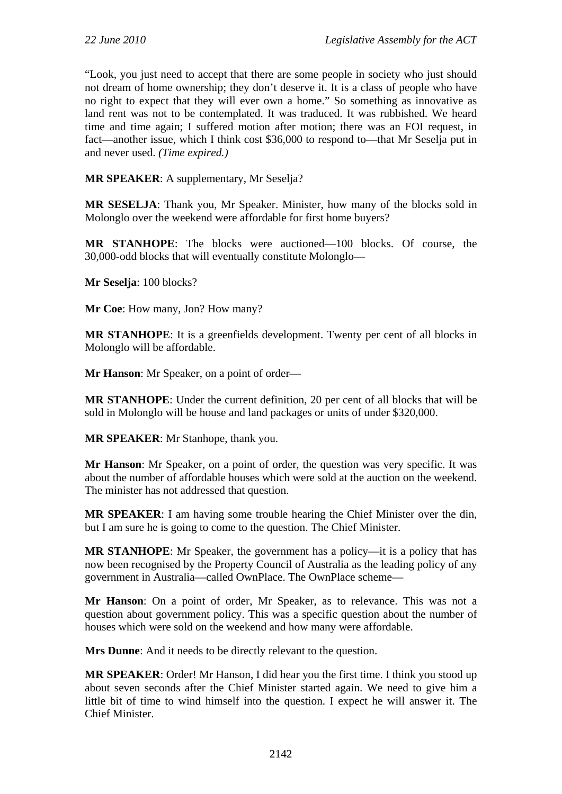"Look, you just need to accept that there are some people in society who just should not dream of home ownership; they don't deserve it. It is a class of people who have no right to expect that they will ever own a home." So something as innovative as land rent was not to be contemplated. It was traduced. It was rubbished. We heard time and time again; I suffered motion after motion; there was an FOI request, in fact—another issue, which I think cost \$36,000 to respond to—that Mr Seselja put in and never used. *(Time expired.)*

**MR SPEAKER**: A supplementary, Mr Seselja?

**MR SESELJA**: Thank you, Mr Speaker. Minister, how many of the blocks sold in Molonglo over the weekend were affordable for first home buyers?

**MR STANHOPE**: The blocks were auctioned—100 blocks. Of course, the 30,000-odd blocks that will eventually constitute Molonglo—

**Mr Seselja**: 100 blocks?

**Mr Coe**: How many, Jon? How many?

**MR STANHOPE**: It is a greenfields development. Twenty per cent of all blocks in Molonglo will be affordable.

**Mr Hanson**: Mr Speaker, on a point of order—

**MR STANHOPE**: Under the current definition, 20 per cent of all blocks that will be sold in Molonglo will be house and land packages or units of under \$320,000.

**MR SPEAKER**: Mr Stanhope, thank you.

**Mr Hanson**: Mr Speaker, on a point of order, the question was very specific. It was about the number of affordable houses which were sold at the auction on the weekend. The minister has not addressed that question.

**MR SPEAKER**: I am having some trouble hearing the Chief Minister over the din, but I am sure he is going to come to the question. The Chief Minister.

**MR STANHOPE**: Mr Speaker, the government has a policy—it is a policy that has now been recognised by the Property Council of Australia as the leading policy of any government in Australia—called OwnPlace. The OwnPlace scheme—

**Mr Hanson**: On a point of order, Mr Speaker, as to relevance. This was not a question about government policy. This was a specific question about the number of houses which were sold on the weekend and how many were affordable.

**Mrs Dunne**: And it needs to be directly relevant to the question.

**MR SPEAKER**: Order! Mr Hanson, I did hear you the first time. I think you stood up about seven seconds after the Chief Minister started again. We need to give him a little bit of time to wind himself into the question. I expect he will answer it. The Chief Minister.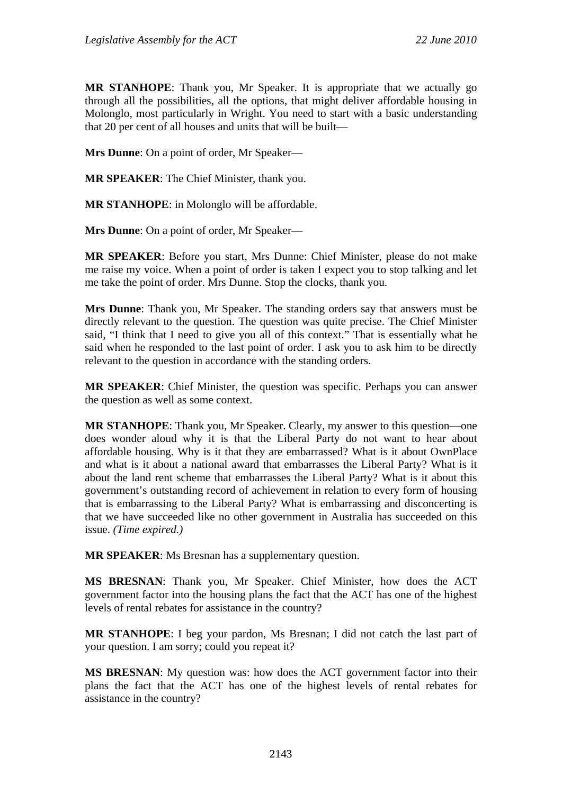**MR STANHOPE**: Thank you, Mr Speaker. It is appropriate that we actually go through all the possibilities, all the options, that might deliver affordable housing in Molonglo, most particularly in Wright. You need to start with a basic understanding that 20 per cent of all houses and units that will be built—

**Mrs Dunne**: On a point of order, Mr Speaker—

**MR SPEAKER**: The Chief Minister, thank you.

**MR STANHOPE**: in Molonglo will be affordable.

**Mrs Dunne**: On a point of order, Mr Speaker—

**MR SPEAKER**: Before you start, Mrs Dunne: Chief Minister, please do not make me raise my voice. When a point of order is taken I expect you to stop talking and let me take the point of order. Mrs Dunne. Stop the clocks, thank you.

**Mrs Dunne**: Thank you, Mr Speaker. The standing orders say that answers must be directly relevant to the question. The question was quite precise. The Chief Minister said, "I think that I need to give you all of this context." That is essentially what he said when he responded to the last point of order. I ask you to ask him to be directly relevant to the question in accordance with the standing orders.

**MR SPEAKER**: Chief Minister, the question was specific. Perhaps you can answer the question as well as some context.

**MR STANHOPE**: Thank you, Mr Speaker. Clearly, my answer to this question—one does wonder aloud why it is that the Liberal Party do not want to hear about affordable housing. Why is it that they are embarrassed? What is it about OwnPlace and what is it about a national award that embarrasses the Liberal Party? What is it about the land rent scheme that embarrasses the Liberal Party? What is it about this government's outstanding record of achievement in relation to every form of housing that is embarrassing to the Liberal Party? What is embarrassing and disconcerting is that we have succeeded like no other government in Australia has succeeded on this issue. *(Time expired.)*

**MR SPEAKER**: Ms Bresnan has a supplementary question.

**MS BRESNAN**: Thank you, Mr Speaker. Chief Minister, how does the ACT government factor into the housing plans the fact that the ACT has one of the highest levels of rental rebates for assistance in the country?

**MR STANHOPE**: I beg your pardon, Ms Bresnan; I did not catch the last part of your question. I am sorry; could you repeat it?

**MS BRESNAN**: My question was: how does the ACT government factor into their plans the fact that the ACT has one of the highest levels of rental rebates for assistance in the country?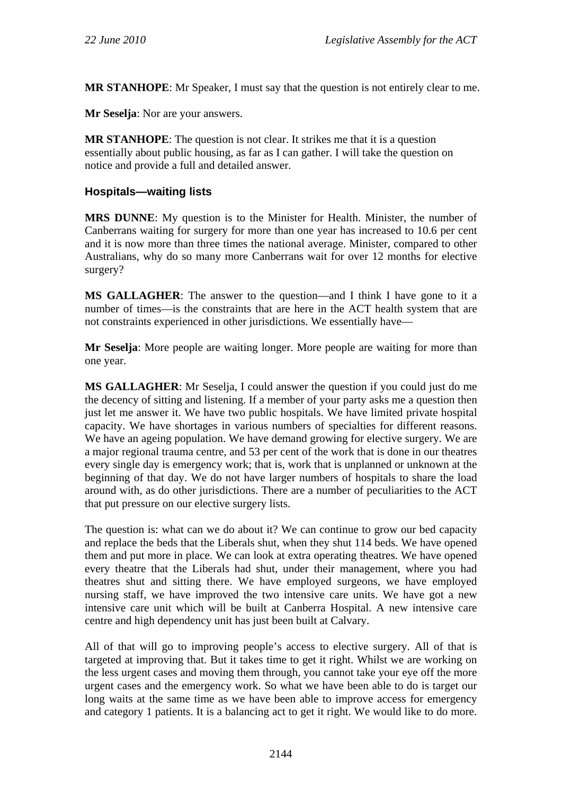**MR STANHOPE**: Mr Speaker, I must say that the question is not entirely clear to me.

**Mr Seselja**: Nor are your answers.

**MR STANHOPE**: The question is not clear. It strikes me that it is a question essentially about public housing, as far as I can gather. I will take the question on notice and provide a full and detailed answer.

### **Hospitals—waiting lists**

**MRS DUNNE**: My question is to the Minister for Health. Minister, the number of Canberrans waiting for surgery for more than one year has increased to 10.6 per cent and it is now more than three times the national average. Minister, compared to other Australians, why do so many more Canberrans wait for over 12 months for elective surgery?

**MS GALLAGHER**: The answer to the question—and I think I have gone to it a number of times—is the constraints that are here in the ACT health system that are not constraints experienced in other jurisdictions. We essentially have—

**Mr Seselja**: More people are waiting longer. More people are waiting for more than one year.

**MS GALLAGHER**: Mr Seselja, I could answer the question if you could just do me the decency of sitting and listening. If a member of your party asks me a question then just let me answer it. We have two public hospitals. We have limited private hospital capacity. We have shortages in various numbers of specialties for different reasons. We have an ageing population. We have demand growing for elective surgery. We are a major regional trauma centre, and 53 per cent of the work that is done in our theatres every single day is emergency work; that is, work that is unplanned or unknown at the beginning of that day. We do not have larger numbers of hospitals to share the load around with, as do other jurisdictions. There are a number of peculiarities to the ACT that put pressure on our elective surgery lists.

The question is: what can we do about it? We can continue to grow our bed capacity and replace the beds that the Liberals shut, when they shut 114 beds. We have opened them and put more in place. We can look at extra operating theatres. We have opened every theatre that the Liberals had shut, under their management, where you had theatres shut and sitting there. We have employed surgeons, we have employed nursing staff, we have improved the two intensive care units. We have got a new intensive care unit which will be built at Canberra Hospital. A new intensive care centre and high dependency unit has just been built at Calvary.

All of that will go to improving people's access to elective surgery. All of that is targeted at improving that. But it takes time to get it right. Whilst we are working on the less urgent cases and moving them through, you cannot take your eye off the more urgent cases and the emergency work. So what we have been able to do is target our long waits at the same time as we have been able to improve access for emergency and category 1 patients. It is a balancing act to get it right. We would like to do more.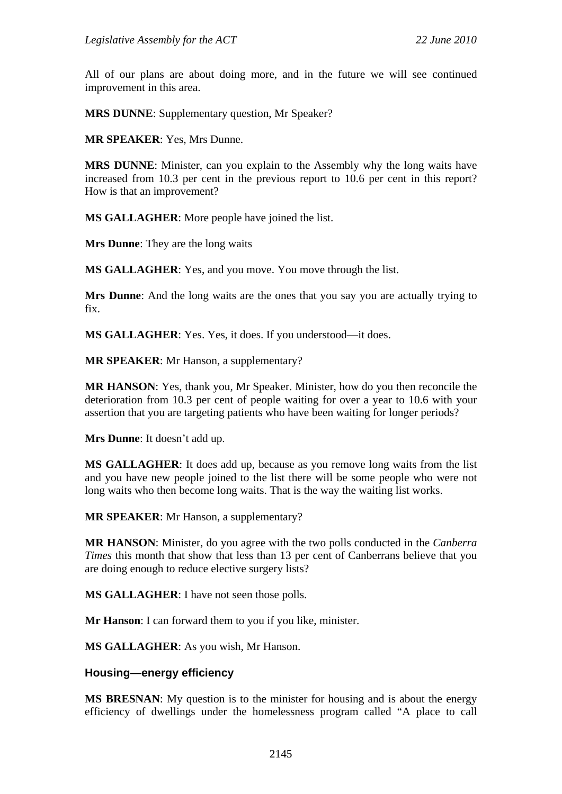All of our plans are about doing more, and in the future we will see continued improvement in this area.

**MRS DUNNE**: Supplementary question, Mr Speaker?

**MR SPEAKER**: Yes, Mrs Dunne.

**MRS DUNNE**: Minister, can you explain to the Assembly why the long waits have increased from 10.3 per cent in the previous report to 10.6 per cent in this report? How is that an improvement?

**MS GALLAGHER**: More people have joined the list.

**Mrs Dunne**: They are the long waits

**MS GALLAGHER**: Yes, and you move. You move through the list.

**Mrs Dunne**: And the long waits are the ones that you say you are actually trying to fix.

**MS GALLAGHER**: Yes. Yes, it does. If you understood—it does.

**MR SPEAKER**: Mr Hanson, a supplementary?

**MR HANSON**: Yes, thank you, Mr Speaker. Minister, how do you then reconcile the deterioration from 10.3 per cent of people waiting for over a year to 10.6 with your assertion that you are targeting patients who have been waiting for longer periods?

**Mrs Dunne**: It doesn't add up.

**MS GALLAGHER**: It does add up, because as you remove long waits from the list and you have new people joined to the list there will be some people who were not long waits who then become long waits. That is the way the waiting list works.

**MR SPEAKER**: Mr Hanson, a supplementary?

**MR HANSON**: Minister, do you agree with the two polls conducted in the *Canberra Times* this month that show that less than 13 per cent of Canberrans believe that you are doing enough to reduce elective surgery lists?

**MS GALLAGHER**: I have not seen those polls.

**Mr Hanson**: I can forward them to you if you like, minister.

**MS GALLAGHER**: As you wish, Mr Hanson.

## **Housing—energy efficiency**

**MS BRESNAN**: My question is to the minister for housing and is about the energy efficiency of dwellings under the homelessness program called "A place to call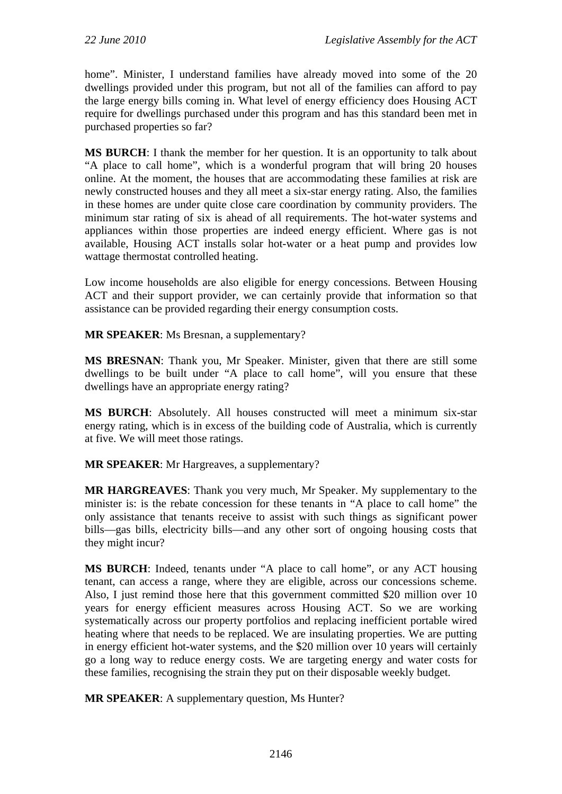home". Minister, I understand families have already moved into some of the 20 dwellings provided under this program, but not all of the families can afford to pay the large energy bills coming in. What level of energy efficiency does Housing ACT require for dwellings purchased under this program and has this standard been met in purchased properties so far?

**MS BURCH**: I thank the member for her question. It is an opportunity to talk about "A place to call home", which is a wonderful program that will bring 20 houses online. At the moment, the houses that are accommodating these families at risk are newly constructed houses and they all meet a six-star energy rating. Also, the families in these homes are under quite close care coordination by community providers. The minimum star rating of six is ahead of all requirements. The hot-water systems and appliances within those properties are indeed energy efficient. Where gas is not available, Housing ACT installs solar hot-water or a heat pump and provides low wattage thermostat controlled heating.

Low income households are also eligible for energy concessions. Between Housing ACT and their support provider, we can certainly provide that information so that assistance can be provided regarding their energy consumption costs.

**MR SPEAKER**: Ms Bresnan, a supplementary?

**MS BRESNAN**: Thank you, Mr Speaker. Minister, given that there are still some dwellings to be built under "A place to call home", will you ensure that these dwellings have an appropriate energy rating?

**MS BURCH**: Absolutely. All houses constructed will meet a minimum six-star energy rating, which is in excess of the building code of Australia, which is currently at five. We will meet those ratings.

**MR SPEAKER**: Mr Hargreaves, a supplementary?

**MR HARGREAVES**: Thank you very much, Mr Speaker. My supplementary to the minister is: is the rebate concession for these tenants in "A place to call home" the only assistance that tenants receive to assist with such things as significant power bills—gas bills, electricity bills—and any other sort of ongoing housing costs that they might incur?

**MS BURCH**: Indeed, tenants under "A place to call home", or any ACT housing tenant, can access a range, where they are eligible, across our concessions scheme. Also, I just remind those here that this government committed \$20 million over 10 years for energy efficient measures across Housing ACT. So we are working systematically across our property portfolios and replacing inefficient portable wired heating where that needs to be replaced. We are insulating properties. We are putting in energy efficient hot-water systems, and the \$20 million over 10 years will certainly go a long way to reduce energy costs. We are targeting energy and water costs for these families, recognising the strain they put on their disposable weekly budget.

**MR SPEAKER:** A supplementary question, Ms Hunter?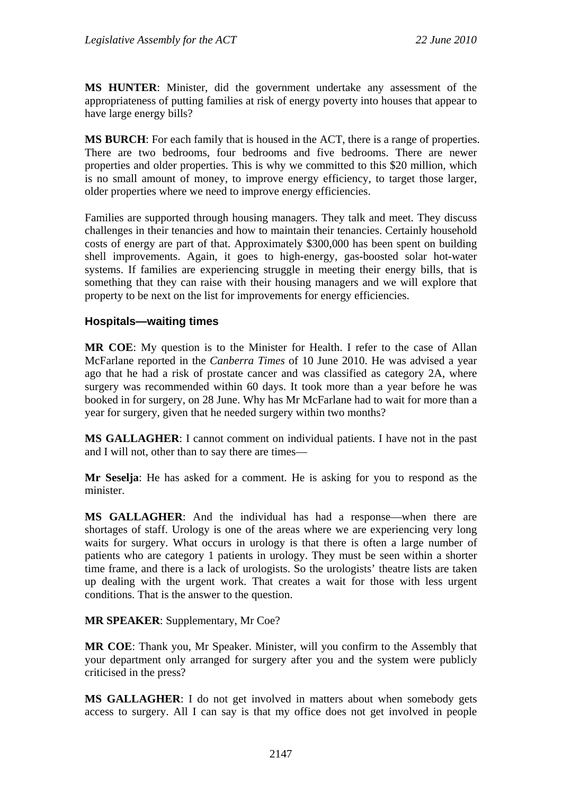**MS HUNTER**: Minister, did the government undertake any assessment of the appropriateness of putting families at risk of energy poverty into houses that appear to have large energy bills?

**MS BURCH**: For each family that is housed in the ACT, there is a range of properties. There are two bedrooms, four bedrooms and five bedrooms. There are newer properties and older properties. This is why we committed to this \$20 million, which is no small amount of money, to improve energy efficiency, to target those larger, older properties where we need to improve energy efficiencies.

Families are supported through housing managers. They talk and meet. They discuss challenges in their tenancies and how to maintain their tenancies. Certainly household costs of energy are part of that. Approximately \$300,000 has been spent on building shell improvements. Again, it goes to high-energy, gas-boosted solar hot-water systems. If families are experiencing struggle in meeting their energy bills, that is something that they can raise with their housing managers and we will explore that property to be next on the list for improvements for energy efficiencies.

## **Hospitals—waiting times**

**MR COE**: My question is to the Minister for Health. I refer to the case of Allan McFarlane reported in the *Canberra Times* of 10 June 2010. He was advised a year ago that he had a risk of prostate cancer and was classified as category 2A, where surgery was recommended within 60 days. It took more than a year before he was booked in for surgery, on 28 June. Why has Mr McFarlane had to wait for more than a year for surgery, given that he needed surgery within two months?

**MS GALLAGHER**: I cannot comment on individual patients. I have not in the past and I will not, other than to say there are times—

**Mr Seselja**: He has asked for a comment. He is asking for you to respond as the minister.

**MS GALLAGHER**: And the individual has had a response—when there are shortages of staff. Urology is one of the areas where we are experiencing very long waits for surgery. What occurs in urology is that there is often a large number of patients who are category 1 patients in urology. They must be seen within a shorter time frame, and there is a lack of urologists. So the urologists' theatre lists are taken up dealing with the urgent work. That creates a wait for those with less urgent conditions. That is the answer to the question.

#### **MR SPEAKER**: Supplementary, Mr Coe?

**MR COE**: Thank you, Mr Speaker. Minister, will you confirm to the Assembly that your department only arranged for surgery after you and the system were publicly criticised in the press?

**MS GALLAGHER**: I do not get involved in matters about when somebody gets access to surgery. All I can say is that my office does not get involved in people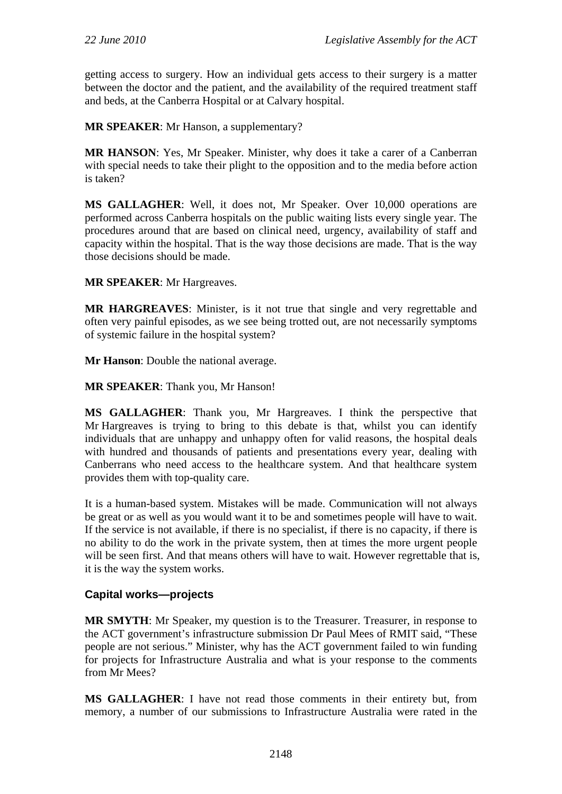getting access to surgery. How an individual gets access to their surgery is a matter between the doctor and the patient, and the availability of the required treatment staff and beds, at the Canberra Hospital or at Calvary hospital.

**MR SPEAKER**: Mr Hanson, a supplementary?

**MR HANSON**: Yes, Mr Speaker. Minister, why does it take a carer of a Canberran with special needs to take their plight to the opposition and to the media before action is taken?

**MS GALLAGHER**: Well, it does not, Mr Speaker. Over 10,000 operations are performed across Canberra hospitals on the public waiting lists every single year. The procedures around that are based on clinical need, urgency, availability of staff and capacity within the hospital. That is the way those decisions are made. That is the way those decisions should be made.

**MR SPEAKER**: Mr Hargreaves.

**MR HARGREAVES**: Minister, is it not true that single and very regrettable and often very painful episodes, as we see being trotted out, are not necessarily symptoms of systemic failure in the hospital system?

**Mr Hanson**: Double the national average.

**MR SPEAKER**: Thank you, Mr Hanson!

**MS GALLAGHER**: Thank you, Mr Hargreaves. I think the perspective that Mr Hargreaves is trying to bring to this debate is that, whilst you can identify individuals that are unhappy and unhappy often for valid reasons, the hospital deals with hundred and thousands of patients and presentations every year, dealing with Canberrans who need access to the healthcare system. And that healthcare system provides them with top-quality care.

It is a human-based system. Mistakes will be made. Communication will not always be great or as well as you would want it to be and sometimes people will have to wait. If the service is not available, if there is no specialist, if there is no capacity, if there is no ability to do the work in the private system, then at times the more urgent people will be seen first. And that means others will have to wait. However regrettable that is, it is the way the system works.

## **Capital works—projects**

**MR SMYTH**: Mr Speaker, my question is to the Treasurer. Treasurer, in response to the ACT government's infrastructure submission Dr Paul Mees of RMIT said, "These people are not serious." Minister, why has the ACT government failed to win funding for projects for Infrastructure Australia and what is your response to the comments from Mr Mees?

**MS GALLAGHER**: I have not read those comments in their entirety but, from memory, a number of our submissions to Infrastructure Australia were rated in the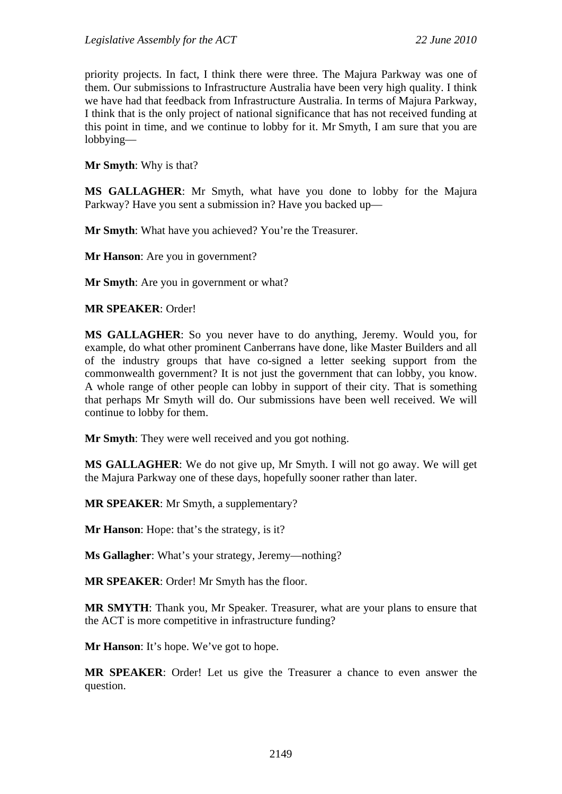priority projects. In fact, I think there were three. The Majura Parkway was one of them. Our submissions to Infrastructure Australia have been very high quality. I think we have had that feedback from Infrastructure Australia. In terms of Majura Parkway, I think that is the only project of national significance that has not received funding at this point in time, and we continue to lobby for it. Mr Smyth, I am sure that you are lobbying—

**Mr Smyth**: Why is that?

**MS GALLAGHER**: Mr Smyth, what have you done to lobby for the Majura Parkway? Have you sent a submission in? Have you backed up—

**Mr Smyth**: What have you achieved? You're the Treasurer.

**Mr Hanson**: Are you in government?

**Mr Smyth**: Are you in government or what?

**MR SPEAKER**: Order!

**MS GALLAGHER**: So you never have to do anything, Jeremy. Would you, for example, do what other prominent Canberrans have done, like Master Builders and all of the industry groups that have co-signed a letter seeking support from the commonwealth government? It is not just the government that can lobby, you know. A whole range of other people can lobby in support of their city. That is something that perhaps Mr Smyth will do. Our submissions have been well received. We will continue to lobby for them.

**Mr Smyth**: They were well received and you got nothing.

**MS GALLAGHER**: We do not give up, Mr Smyth. I will not go away. We will get the Majura Parkway one of these days, hopefully sooner rather than later.

**MR SPEAKER**: Mr Smyth, a supplementary?

**Mr Hanson**: Hope: that's the strategy, is it?

**Ms Gallagher**: What's your strategy, Jeremy—nothing?

**MR SPEAKER**: Order! Mr Smyth has the floor.

**MR SMYTH**: Thank you, Mr Speaker. Treasurer, what are your plans to ensure that the ACT is more competitive in infrastructure funding?

**Mr Hanson**: It's hope. We've got to hope.

**MR SPEAKER**: Order! Let us give the Treasurer a chance to even answer the question.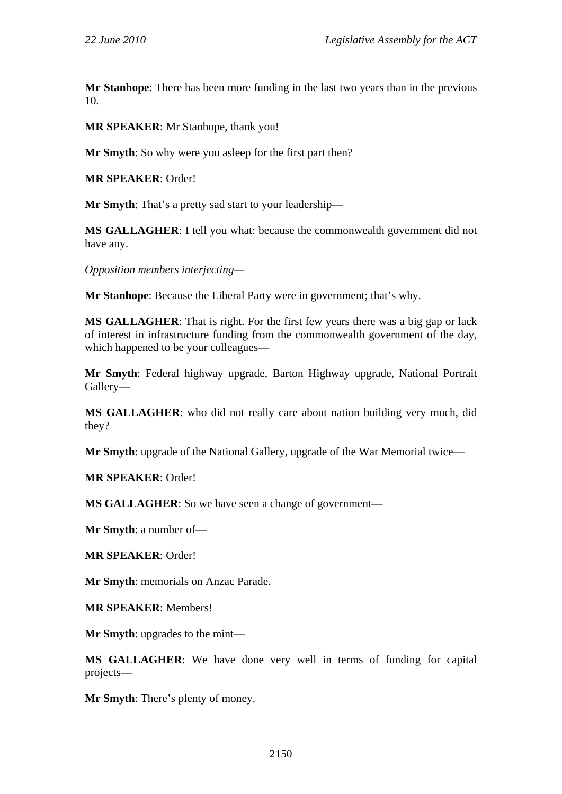**Mr Stanhope**: There has been more funding in the last two years than in the previous 10.

**MR SPEAKER**: Mr Stanhope, thank you!

**Mr Smyth**: So why were you asleep for the first part then?

**MR SPEAKER**: Order!

**Mr Smyth**: That's a pretty sad start to your leadership—

**MS GALLAGHER**: I tell you what: because the commonwealth government did not have any.

*Opposition members interjecting—* 

**Mr Stanhope**: Because the Liberal Party were in government; that's why.

**MS GALLAGHER**: That is right. For the first few years there was a big gap or lack of interest in infrastructure funding from the commonwealth government of the day, which happened to be your colleagues—

**Mr Smyth**: Federal highway upgrade, Barton Highway upgrade, National Portrait Gallery—

**MS GALLAGHER**: who did not really care about nation building very much, did they?

**Mr Smyth**: upgrade of the National Gallery, upgrade of the War Memorial twice—

**MR SPEAKER**: Order!

**MS GALLAGHER**: So we have seen a change of government—

**Mr Smyth**: a number of—

**MR SPEAKER**: Order!

**Mr Smyth**: memorials on Anzac Parade.

**MR SPEAKER**: Members!

**Mr Smyth**: upgrades to the mint—

**MS GALLAGHER**: We have done very well in terms of funding for capital projects—

**Mr Smyth**: There's plenty of money.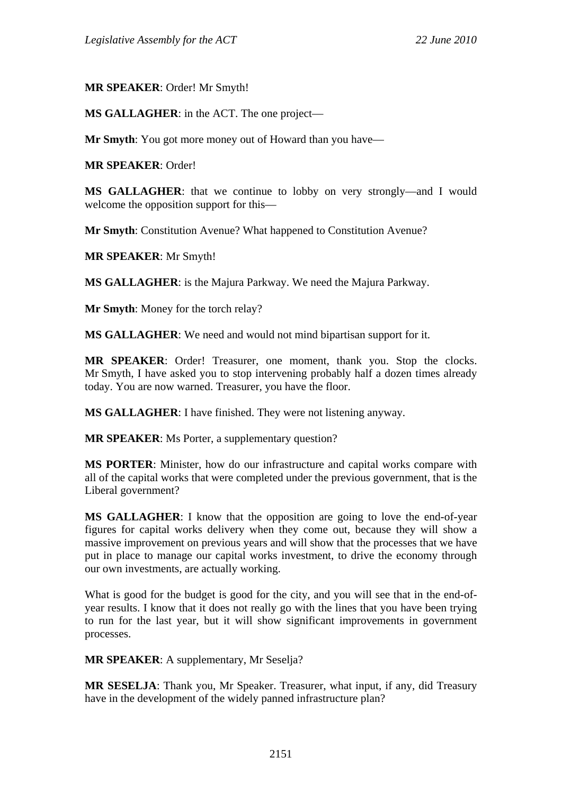**MR SPEAKER**: Order! Mr Smyth!

**MS GALLAGHER**: in the ACT. The one project—

**Mr Smyth**: You got more money out of Howard than you have—

**MR SPEAKER**: Order!

**MS GALLAGHER**: that we continue to lobby on very strongly—and I would welcome the opposition support for this—

**Mr Smyth**: Constitution Avenue? What happened to Constitution Avenue?

**MR SPEAKER**: Mr Smyth!

**MS GALLAGHER**: is the Majura Parkway. We need the Majura Parkway.

**Mr Smyth**: Money for the torch relay?

**MS GALLAGHER**: We need and would not mind bipartisan support for it.

**MR SPEAKER**: Order! Treasurer, one moment, thank you. Stop the clocks. Mr Smyth, I have asked you to stop intervening probably half a dozen times already today. You are now warned. Treasurer, you have the floor.

**MS GALLAGHER**: I have finished. They were not listening anyway.

**MR SPEAKER**: Ms Porter, a supplementary question?

**MS PORTER**: Minister, how do our infrastructure and capital works compare with all of the capital works that were completed under the previous government, that is the Liberal government?

**MS GALLAGHER**: I know that the opposition are going to love the end-of-year figures for capital works delivery when they come out, because they will show a massive improvement on previous years and will show that the processes that we have put in place to manage our capital works investment, to drive the economy through our own investments, are actually working.

What is good for the budget is good for the city, and you will see that in the end-ofyear results. I know that it does not really go with the lines that you have been trying to run for the last year, but it will show significant improvements in government processes.

**MR SPEAKER**: A supplementary, Mr Seselja?

**MR SESELJA**: Thank you, Mr Speaker. Treasurer, what input, if any, did Treasury have in the development of the widely panned infrastructure plan?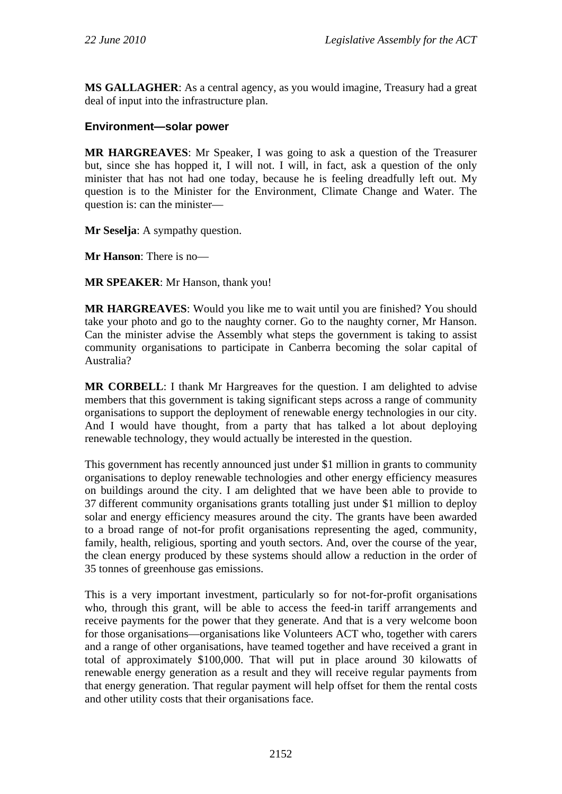**MS GALLAGHER**: As a central agency, as you would imagine, Treasury had a great deal of input into the infrastructure plan.

## **Environment—solar power**

**MR HARGREAVES**: Mr Speaker, I was going to ask a question of the Treasurer but, since she has hopped it, I will not. I will, in fact, ask a question of the only minister that has not had one today, because he is feeling dreadfully left out. My question is to the Minister for the Environment, Climate Change and Water. The question is: can the minister—

**Mr Seselja**: A sympathy question.

**Mr Hanson**: There is no—

**MR SPEAKER**: Mr Hanson, thank you!

**MR HARGREAVES**: Would you like me to wait until you are finished? You should take your photo and go to the naughty corner. Go to the naughty corner, Mr Hanson. Can the minister advise the Assembly what steps the government is taking to assist community organisations to participate in Canberra becoming the solar capital of Australia?

**MR CORBELL**: I thank Mr Hargreaves for the question. I am delighted to advise members that this government is taking significant steps across a range of community organisations to support the deployment of renewable energy technologies in our city. And I would have thought, from a party that has talked a lot about deploying renewable technology, they would actually be interested in the question.

This government has recently announced just under \$1 million in grants to community organisations to deploy renewable technologies and other energy efficiency measures on buildings around the city. I am delighted that we have been able to provide to 37 different community organisations grants totalling just under \$1 million to deploy solar and energy efficiency measures around the city. The grants have been awarded to a broad range of not-for profit organisations representing the aged, community, family, health, religious, sporting and youth sectors. And, over the course of the year, the clean energy produced by these systems should allow a reduction in the order of 35 tonnes of greenhouse gas emissions.

This is a very important investment, particularly so for not-for-profit organisations who, through this grant, will be able to access the feed-in tariff arrangements and receive payments for the power that they generate. And that is a very welcome boon for those organisations—organisations like Volunteers ACT who, together with carers and a range of other organisations, have teamed together and have received a grant in total of approximately \$100,000. That will put in place around 30 kilowatts of renewable energy generation as a result and they will receive regular payments from that energy generation. That regular payment will help offset for them the rental costs and other utility costs that their organisations face.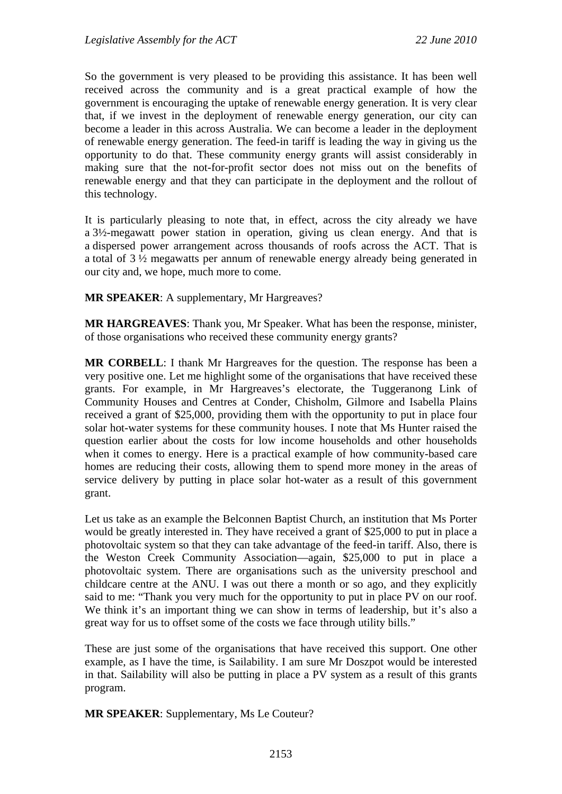So the government is very pleased to be providing this assistance. It has been well received across the community and is a great practical example of how the government is encouraging the uptake of renewable energy generation. It is very clear that, if we invest in the deployment of renewable energy generation, our city can become a leader in this across Australia. We can become a leader in the deployment of renewable energy generation. The feed-in tariff is leading the way in giving us the opportunity to do that. These community energy grants will assist considerably in making sure that the not-for-profit sector does not miss out on the benefits of renewable energy and that they can participate in the deployment and the rollout of this technology.

It is particularly pleasing to note that, in effect, across the city already we have a 3½-megawatt power station in operation, giving us clean energy. And that is a dispersed power arrangement across thousands of roofs across the ACT. That is a total of 3 ½ megawatts per annum of renewable energy already being generated in our city and, we hope, much more to come.

**MR SPEAKER**: A supplementary, Mr Hargreaves?

**MR HARGREAVES**: Thank you, Mr Speaker. What has been the response, minister, of those organisations who received these community energy grants?

**MR CORBELL**: I thank Mr Hargreaves for the question. The response has been a very positive one. Let me highlight some of the organisations that have received these grants. For example, in Mr Hargreaves's electorate, the Tuggeranong Link of Community Houses and Centres at Conder, Chisholm, Gilmore and Isabella Plains received a grant of \$25,000, providing them with the opportunity to put in place four solar hot-water systems for these community houses. I note that Ms Hunter raised the question earlier about the costs for low income households and other households when it comes to energy. Here is a practical example of how community-based care homes are reducing their costs, allowing them to spend more money in the areas of service delivery by putting in place solar hot-water as a result of this government grant.

Let us take as an example the Belconnen Baptist Church, an institution that Ms Porter would be greatly interested in. They have received a grant of \$25,000 to put in place a photovoltaic system so that they can take advantage of the feed-in tariff. Also, there is the Weston Creek Community Association—again, \$25,000 to put in place a photovoltaic system. There are organisations such as the university preschool and childcare centre at the ANU. I was out there a month or so ago, and they explicitly said to me: "Thank you very much for the opportunity to put in place PV on our roof. We think it's an important thing we can show in terms of leadership, but it's also a great way for us to offset some of the costs we face through utility bills."

These are just some of the organisations that have received this support. One other example, as I have the time, is Sailability. I am sure Mr Doszpot would be interested in that. Sailability will also be putting in place a PV system as a result of this grants program.

**MR SPEAKER**: Supplementary, Ms Le Couteur?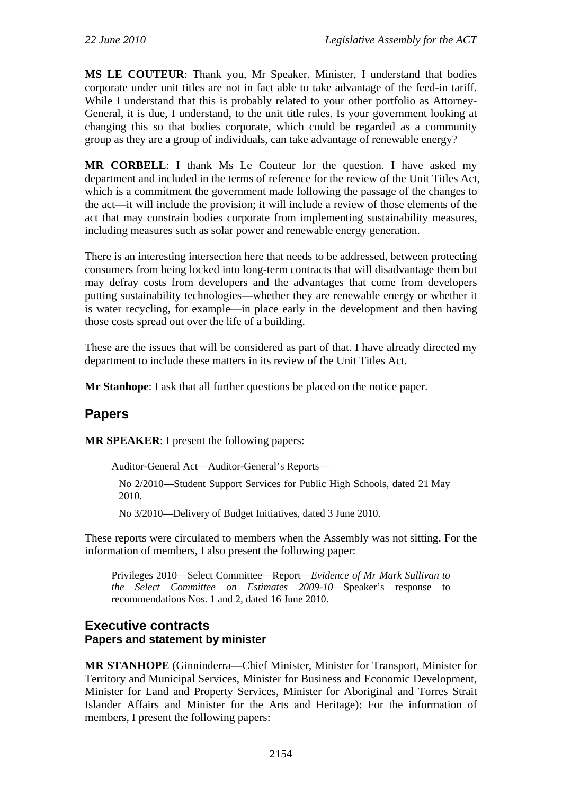**MS LE COUTEUR**: Thank you, Mr Speaker. Minister, I understand that bodies corporate under unit titles are not in fact able to take advantage of the feed-in tariff. While I understand that this is probably related to your other portfolio as Attorney-General, it is due, I understand, to the unit title rules. Is your government looking at changing this so that bodies corporate, which could be regarded as a community group as they are a group of individuals, can take advantage of renewable energy?

**MR CORBELL**: I thank Ms Le Couteur for the question. I have asked my department and included in the terms of reference for the review of the Unit Titles Act, which is a commitment the government made following the passage of the changes to the act—it will include the provision; it will include a review of those elements of the act that may constrain bodies corporate from implementing sustainability measures, including measures such as solar power and renewable energy generation.

There is an interesting intersection here that needs to be addressed, between protecting consumers from being locked into long-term contracts that will disadvantage them but may defray costs from developers and the advantages that come from developers putting sustainability technologies—whether they are renewable energy or whether it is water recycling, for example—in place early in the development and then having those costs spread out over the life of a building.

These are the issues that will be considered as part of that. I have already directed my department to include these matters in its review of the Unit Titles Act.

**Mr Stanhope**: I ask that all further questions be placed on the notice paper.

# **Papers**

**MR SPEAKER**: I present the following papers:

Auditor-General Act—Auditor-General's Reports—

No 2/2010—Student Support Services for Public High Schools, dated 21 May 2010.

No 3/2010—Delivery of Budget Initiatives, dated 3 June 2010.

These reports were circulated to members when the Assembly was not sitting. For the information of members, I also present the following paper:

Privileges 2010—Select Committee—Report—*Evidence of Mr Mark Sullivan to the Select Committee on Estimates 2009-10*—Speaker's response to recommendations Nos. 1 and 2, dated 16 June 2010.

## **Executive contracts Papers and statement by minister**

**MR STANHOPE** (Ginninderra—Chief Minister, Minister for Transport, Minister for Territory and Municipal Services, Minister for Business and Economic Development, Minister for Land and Property Services, Minister for Aboriginal and Torres Strait Islander Affairs and Minister for the Arts and Heritage): For the information of members, I present the following papers: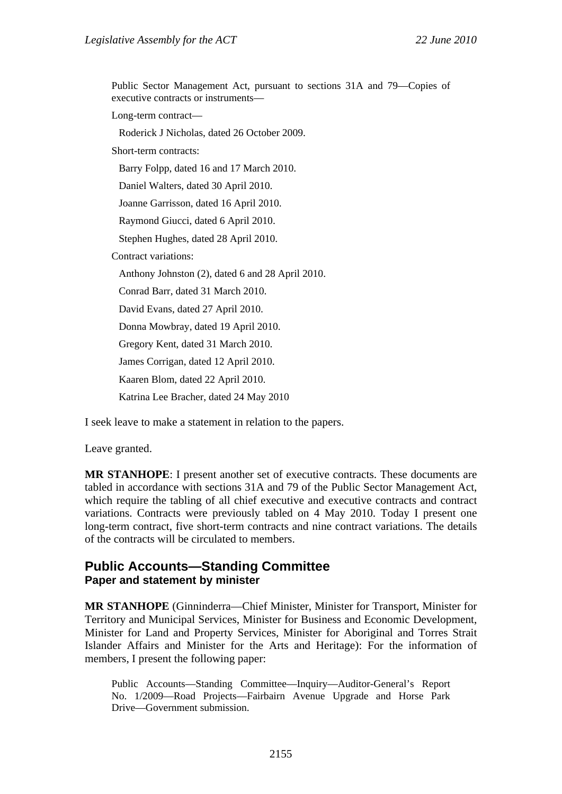Public Sector Management Act, pursuant to sections 31A and 79—Copies of executive contracts or instruments—

Long-term contract—

Roderick J Nicholas, dated 26 October 2009.

Short-term contracts:

Barry Folpp, dated 16 and 17 March 2010.

Daniel Walters, dated 30 April 2010.

Joanne Garrisson, dated 16 April 2010.

Raymond Giucci, dated 6 April 2010.

Stephen Hughes, dated 28 April 2010.

Contract variations:

Anthony Johnston (2), dated 6 and 28 April 2010.

Conrad Barr, dated 31 March 2010.

David Evans, dated 27 April 2010.

Donna Mowbray, dated 19 April 2010.

Gregory Kent, dated 31 March 2010.

James Corrigan, dated 12 April 2010.

Kaaren Blom, dated 22 April 2010.

Katrina Lee Bracher, dated 24 May 2010

I seek leave to make a statement in relation to the papers.

Leave granted.

**MR STANHOPE**: I present another set of executive contracts. These documents are tabled in accordance with sections 31A and 79 of the Public Sector Management Act, which require the tabling of all chief executive and executive contracts and contract variations. Contracts were previously tabled on 4 May 2010. Today I present one long-term contract, five short-term contracts and nine contract variations. The details of the contracts will be circulated to members.

## **Public Accounts—Standing Committee Paper and statement by minister**

**MR STANHOPE** (Ginninderra—Chief Minister, Minister for Transport, Minister for Territory and Municipal Services, Minister for Business and Economic Development, Minister for Land and Property Services, Minister for Aboriginal and Torres Strait Islander Affairs and Minister for the Arts and Heritage): For the information of members, I present the following paper:

Public Accounts—Standing Committee—Inquiry—Auditor-General's Report No. 1/2009—Road Projects—Fairbairn Avenue Upgrade and Horse Park Drive—Government submission.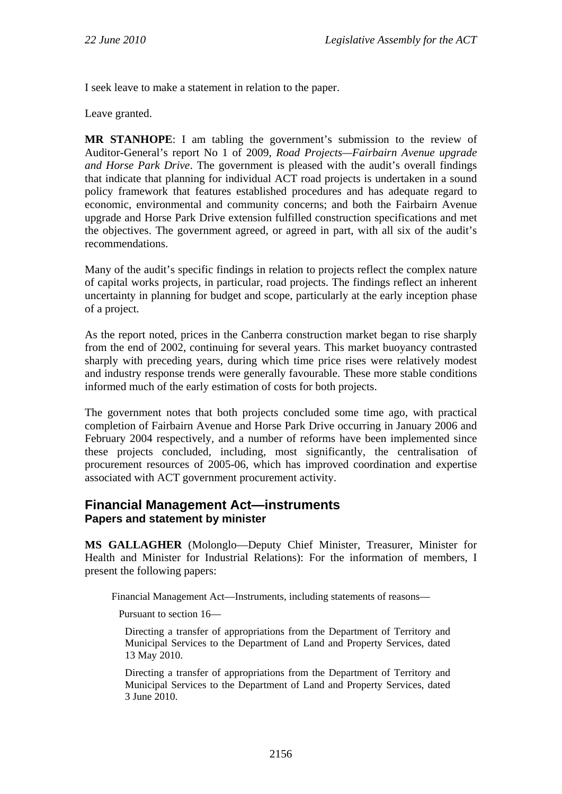I seek leave to make a statement in relation to the paper.

Leave granted.

**MR STANHOPE**: I am tabling the government's submission to the review of Auditor-General's report No 1 of 2009, *Road Projects—Fairbairn Avenue upgrade and Horse Park Drive*. The government is pleased with the audit's overall findings that indicate that planning for individual ACT road projects is undertaken in a sound policy framework that features established procedures and has adequate regard to economic, environmental and community concerns; and both the Fairbairn Avenue upgrade and Horse Park Drive extension fulfilled construction specifications and met the objectives. The government agreed, or agreed in part, with all six of the audit's recommendations.

Many of the audit's specific findings in relation to projects reflect the complex nature of capital works projects, in particular, road projects. The findings reflect an inherent uncertainty in planning for budget and scope, particularly at the early inception phase of a project.

As the report noted, prices in the Canberra construction market began to rise sharply from the end of 2002, continuing for several years. This market buoyancy contrasted sharply with preceding years, during which time price rises were relatively modest and industry response trends were generally favourable. These more stable conditions informed much of the early estimation of costs for both projects.

The government notes that both projects concluded some time ago, with practical completion of Fairbairn Avenue and Horse Park Drive occurring in January 2006 and February 2004 respectively, and a number of reforms have been implemented since these projects concluded, including, most significantly, the centralisation of procurement resources of 2005-06, which has improved coordination and expertise associated with ACT government procurement activity.

### **Financial Management Act—instruments Papers and statement by minister**

**MS GALLAGHER** (Molonglo—Deputy Chief Minister, Treasurer, Minister for Health and Minister for Industrial Relations): For the information of members, I present the following papers:

Financial Management Act—Instruments, including statements of reasons—

Pursuant to section 16—

Directing a transfer of appropriations from the Department of Territory and Municipal Services to the Department of Land and Property Services, dated 13 May 2010.

Directing a transfer of appropriations from the Department of Territory and Municipal Services to the Department of Land and Property Services, dated 3 June 2010.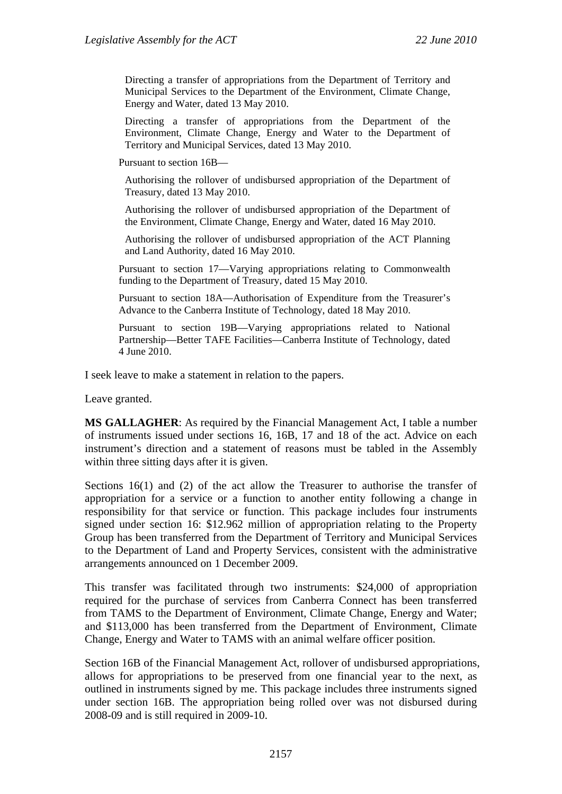Directing a transfer of appropriations from the Department of Territory and Municipal Services to the Department of the Environment, Climate Change, Energy and Water, dated 13 May 2010.

Directing a transfer of appropriations from the Department of the Environment, Climate Change, Energy and Water to the Department of Territory and Municipal Services, dated 13 May 2010.

Pursuant to section 16B—

Authorising the rollover of undisbursed appropriation of the Department of Treasury, dated 13 May 2010.

Authorising the rollover of undisbursed appropriation of the Department of the Environment, Climate Change, Energy and Water, dated 16 May 2010.

Authorising the rollover of undisbursed appropriation of the ACT Planning and Land Authority, dated 16 May 2010.

Pursuant to section 17—Varying appropriations relating to Commonwealth funding to the Department of Treasury, dated 15 May 2010.

Pursuant to section 18A—Authorisation of Expenditure from the Treasurer's Advance to the Canberra Institute of Technology, dated 18 May 2010.

Pursuant to section 19B—Varying appropriations related to National Partnership—Better TAFE Facilities—Canberra Institute of Technology, dated 4 June 2010.

I seek leave to make a statement in relation to the papers.

Leave granted.

**MS GALLAGHER**: As required by the Financial Management Act, I table a number of instruments issued under sections 16, 16B, 17 and 18 of the act. Advice on each instrument's direction and a statement of reasons must be tabled in the Assembly within three sitting days after it is given.

Sections 16(1) and (2) of the act allow the Treasurer to authorise the transfer of appropriation for a service or a function to another entity following a change in responsibility for that service or function. This package includes four instruments signed under section 16: \$12.962 million of appropriation relating to the Property Group has been transferred from the Department of Territory and Municipal Services to the Department of Land and Property Services, consistent with the administrative arrangements announced on 1 December 2009.

This transfer was facilitated through two instruments: \$24,000 of appropriation required for the purchase of services from Canberra Connect has been transferred from TAMS to the Department of Environment, Climate Change, Energy and Water; and \$113,000 has been transferred from the Department of Environment, Climate Change, Energy and Water to TAMS with an animal welfare officer position.

Section 16B of the Financial Management Act, rollover of undisbursed appropriations, allows for appropriations to be preserved from one financial year to the next, as outlined in instruments signed by me. This package includes three instruments signed under section 16B. The appropriation being rolled over was not disbursed during 2008-09 and is still required in 2009-10.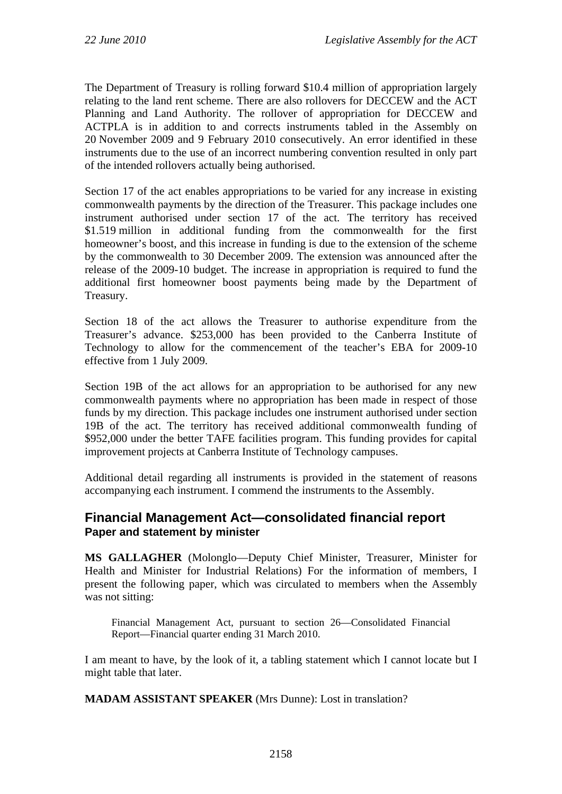The Department of Treasury is rolling forward \$10.4 million of appropriation largely relating to the land rent scheme. There are also rollovers for DECCEW and the ACT Planning and Land Authority. The rollover of appropriation for DECCEW and ACTPLA is in addition to and corrects instruments tabled in the Assembly on 20 November 2009 and 9 February 2010 consecutively. An error identified in these instruments due to the use of an incorrect numbering convention resulted in only part of the intended rollovers actually being authorised.

Section 17 of the act enables appropriations to be varied for any increase in existing commonwealth payments by the direction of the Treasurer. This package includes one instrument authorised under section 17 of the act. The territory has received \$1.519 million in additional funding from the commonwealth for the first homeowner's boost, and this increase in funding is due to the extension of the scheme by the commonwealth to 30 December 2009. The extension was announced after the release of the 2009-10 budget. The increase in appropriation is required to fund the additional first homeowner boost payments being made by the Department of Treasury.

Section 18 of the act allows the Treasurer to authorise expenditure from the Treasurer's advance. \$253,000 has been provided to the Canberra Institute of Technology to allow for the commencement of the teacher's EBA for 2009-10 effective from 1 July 2009.

Section 19B of the act allows for an appropriation to be authorised for any new commonwealth payments where no appropriation has been made in respect of those funds by my direction. This package includes one instrument authorised under section 19B of the act. The territory has received additional commonwealth funding of \$952,000 under the better TAFE facilities program. This funding provides for capital improvement projects at Canberra Institute of Technology campuses.

Additional detail regarding all instruments is provided in the statement of reasons accompanying each instrument. I commend the instruments to the Assembly.

### **Financial Management Act—consolidated financial report Paper and statement by minister**

**MS GALLAGHER** (Molonglo—Deputy Chief Minister, Treasurer, Minister for Health and Minister for Industrial Relations) For the information of members, I present the following paper, which was circulated to members when the Assembly was not sitting:

Financial Management Act, pursuant to section 26—Consolidated Financial Report—Financial quarter ending 31 March 2010.

I am meant to have, by the look of it, a tabling statement which I cannot locate but I might table that later.

**MADAM ASSISTANT SPEAKER** (Mrs Dunne): Lost in translation?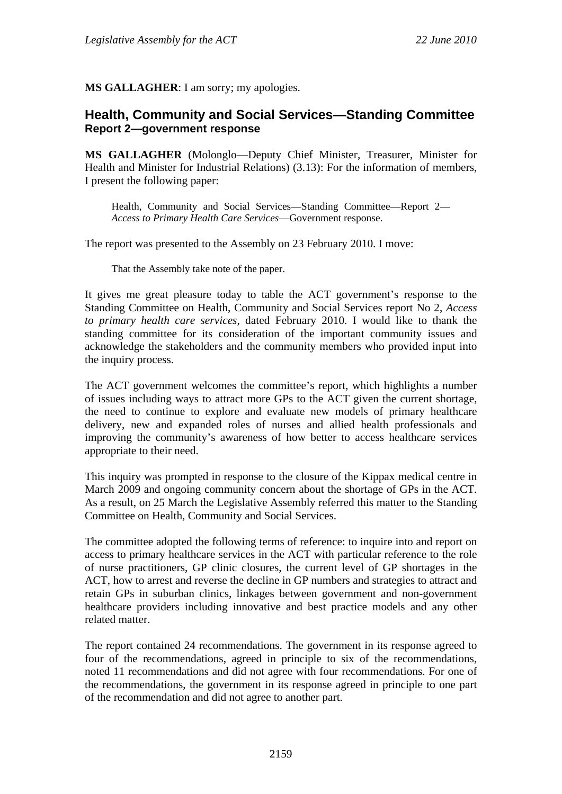**MS GALLAGHER**: I am sorry; my apologies.

## **Health, Community and Social Services—Standing Committee Report 2—government response**

**MS GALLAGHER** (Molonglo—Deputy Chief Minister, Treasurer, Minister for Health and Minister for Industrial Relations) (3.13): For the information of members, I present the following paper:

Health, Community and Social Services—Standing Committee—Report 2— *Access to Primary Health Care Services*—Government response.

The report was presented to the Assembly on 23 February 2010. I move:

That the Assembly take note of the paper.

It gives me great pleasure today to table the ACT government's response to the Standing Committee on Health, Community and Social Services report No 2, *Access to primary health care services*, dated February 2010. I would like to thank the standing committee for its consideration of the important community issues and acknowledge the stakeholders and the community members who provided input into the inquiry process.

The ACT government welcomes the committee's report, which highlights a number of issues including ways to attract more GPs to the ACT given the current shortage, the need to continue to explore and evaluate new models of primary healthcare delivery, new and expanded roles of nurses and allied health professionals and improving the community's awareness of how better to access healthcare services appropriate to their need.

This inquiry was prompted in response to the closure of the Kippax medical centre in March 2009 and ongoing community concern about the shortage of GPs in the ACT. As a result, on 25 March the Legislative Assembly referred this matter to the Standing Committee on Health, Community and Social Services.

The committee adopted the following terms of reference: to inquire into and report on access to primary healthcare services in the ACT with particular reference to the role of nurse practitioners, GP clinic closures, the current level of GP shortages in the ACT, how to arrest and reverse the decline in GP numbers and strategies to attract and retain GPs in suburban clinics, linkages between government and non-government healthcare providers including innovative and best practice models and any other related matter.

The report contained 24 recommendations. The government in its response agreed to four of the recommendations, agreed in principle to six of the recommendations, noted 11 recommendations and did not agree with four recommendations. For one of the recommendations, the government in its response agreed in principle to one part of the recommendation and did not agree to another part.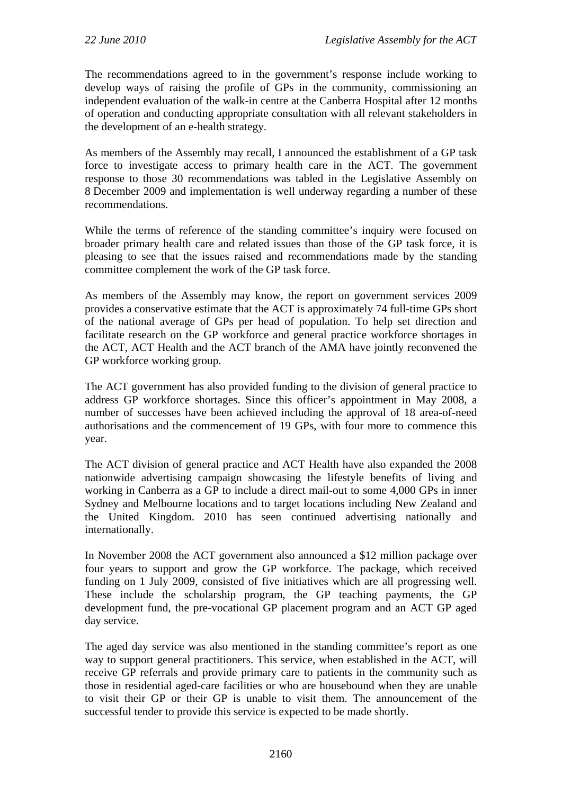The recommendations agreed to in the government's response include working to develop ways of raising the profile of GPs in the community, commissioning an independent evaluation of the walk-in centre at the Canberra Hospital after 12 months of operation and conducting appropriate consultation with all relevant stakeholders in the development of an e-health strategy.

As members of the Assembly may recall, I announced the establishment of a GP task force to investigate access to primary health care in the ACT. The government response to those 30 recommendations was tabled in the Legislative Assembly on 8 December 2009 and implementation is well underway regarding a number of these recommendations.

While the terms of reference of the standing committee's inquiry were focused on broader primary health care and related issues than those of the GP task force, it is pleasing to see that the issues raised and recommendations made by the standing committee complement the work of the GP task force.

As members of the Assembly may know, the report on government services 2009 provides a conservative estimate that the ACT is approximately 74 full-time GPs short of the national average of GPs per head of population. To help set direction and facilitate research on the GP workforce and general practice workforce shortages in the ACT, ACT Health and the ACT branch of the AMA have jointly reconvened the GP workforce working group.

The ACT government has also provided funding to the division of general practice to address GP workforce shortages. Since this officer's appointment in May 2008, a number of successes have been achieved including the approval of 18 area-of-need authorisations and the commencement of 19 GPs, with four more to commence this year.

The ACT division of general practice and ACT Health have also expanded the 2008 nationwide advertising campaign showcasing the lifestyle benefits of living and working in Canberra as a GP to include a direct mail-out to some 4,000 GPs in inner Sydney and Melbourne locations and to target locations including New Zealand and the United Kingdom. 2010 has seen continued advertising nationally and internationally.

In November 2008 the ACT government also announced a \$12 million package over four years to support and grow the GP workforce. The package, which received funding on 1 July 2009, consisted of five initiatives which are all progressing well. These include the scholarship program, the GP teaching payments, the GP development fund, the pre-vocational GP placement program and an ACT GP aged day service.

The aged day service was also mentioned in the standing committee's report as one way to support general practitioners. This service, when established in the ACT, will receive GP referrals and provide primary care to patients in the community such as those in residential aged-care facilities or who are housebound when they are unable to visit their GP or their GP is unable to visit them. The announcement of the successful tender to provide this service is expected to be made shortly.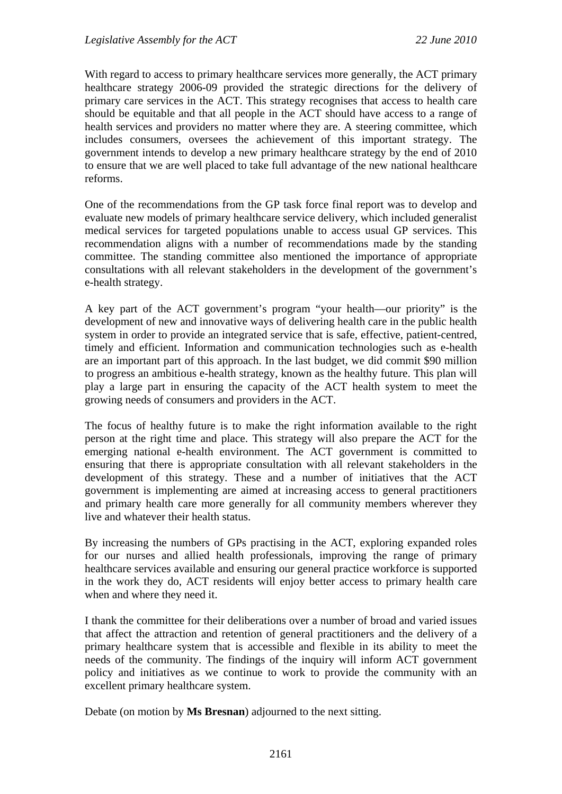With regard to access to primary healthcare services more generally, the ACT primary healthcare strategy 2006-09 provided the strategic directions for the delivery of primary care services in the ACT. This strategy recognises that access to health care should be equitable and that all people in the ACT should have access to a range of health services and providers no matter where they are. A steering committee, which includes consumers, oversees the achievement of this important strategy. The government intends to develop a new primary healthcare strategy by the end of 2010 to ensure that we are well placed to take full advantage of the new national healthcare reforms.

One of the recommendations from the GP task force final report was to develop and evaluate new models of primary healthcare service delivery, which included generalist medical services for targeted populations unable to access usual GP services. This recommendation aligns with a number of recommendations made by the standing committee. The standing committee also mentioned the importance of appropriate consultations with all relevant stakeholders in the development of the government's e-health strategy.

A key part of the ACT government's program "your health—our priority" is the development of new and innovative ways of delivering health care in the public health system in order to provide an integrated service that is safe, effective, patient-centred, timely and efficient. Information and communication technologies such as e-health are an important part of this approach. In the last budget, we did commit \$90 million to progress an ambitious e-health strategy, known as the healthy future. This plan will play a large part in ensuring the capacity of the ACT health system to meet the growing needs of consumers and providers in the ACT.

The focus of healthy future is to make the right information available to the right person at the right time and place. This strategy will also prepare the ACT for the emerging national e-health environment. The ACT government is committed to ensuring that there is appropriate consultation with all relevant stakeholders in the development of this strategy. These and a number of initiatives that the ACT government is implementing are aimed at increasing access to general practitioners and primary health care more generally for all community members wherever they live and whatever their health status.

By increasing the numbers of GPs practising in the ACT, exploring expanded roles for our nurses and allied health professionals, improving the range of primary healthcare services available and ensuring our general practice workforce is supported in the work they do, ACT residents will enjoy better access to primary health care when and where they need it.

I thank the committee for their deliberations over a number of broad and varied issues that affect the attraction and retention of general practitioners and the delivery of a primary healthcare system that is accessible and flexible in its ability to meet the needs of the community. The findings of the inquiry will inform ACT government policy and initiatives as we continue to work to provide the community with an excellent primary healthcare system.

Debate (on motion by **Ms Bresnan**) adjourned to the next sitting.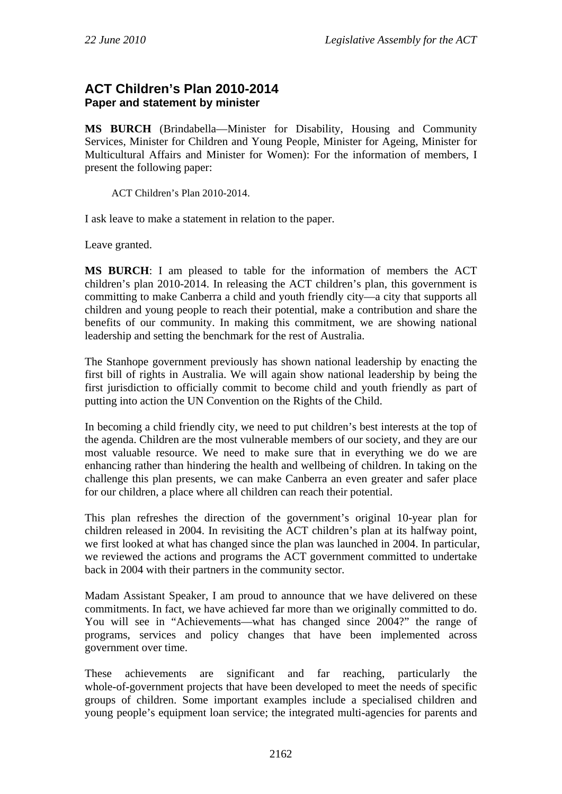## **ACT Children's Plan 2010-2014 Paper and statement by minister**

**MS BURCH** (Brindabella—Minister for Disability, Housing and Community Services, Minister for Children and Young People, Minister for Ageing, Minister for Multicultural Affairs and Minister for Women): For the information of members, I present the following paper:

ACT Children's Plan 2010-2014.

I ask leave to make a statement in relation to the paper.

Leave granted.

**MS BURCH**: I am pleased to table for the information of members the ACT children's plan 2010-2014. In releasing the ACT children's plan, this government is committing to make Canberra a child and youth friendly city—a city that supports all children and young people to reach their potential, make a contribution and share the benefits of our community. In making this commitment, we are showing national leadership and setting the benchmark for the rest of Australia.

The Stanhope government previously has shown national leadership by enacting the first bill of rights in Australia. We will again show national leadership by being the first jurisdiction to officially commit to become child and youth friendly as part of putting into action the UN Convention on the Rights of the Child.

In becoming a child friendly city, we need to put children's best interests at the top of the agenda. Children are the most vulnerable members of our society, and they are our most valuable resource. We need to make sure that in everything we do we are enhancing rather than hindering the health and wellbeing of children. In taking on the challenge this plan presents, we can make Canberra an even greater and safer place for our children, a place where all children can reach their potential.

This plan refreshes the direction of the government's original 10-year plan for children released in 2004. In revisiting the ACT children's plan at its halfway point, we first looked at what has changed since the plan was launched in 2004. In particular, we reviewed the actions and programs the ACT government committed to undertake back in 2004 with their partners in the community sector.

Madam Assistant Speaker, I am proud to announce that we have delivered on these commitments. In fact, we have achieved far more than we originally committed to do. You will see in "Achievements—what has changed since 2004?" the range of programs, services and policy changes that have been implemented across government over time.

These achievements are significant and far reaching, particularly the whole-of-government projects that have been developed to meet the needs of specific groups of children. Some important examples include a specialised children and young people's equipment loan service; the integrated multi-agencies for parents and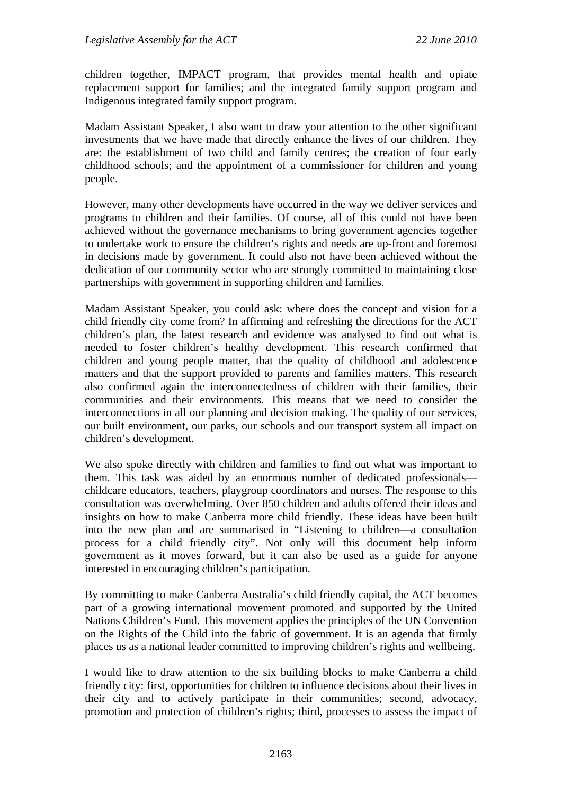children together, IMPACT program, that provides mental health and opiate replacement support for families; and the integrated family support program and Indigenous integrated family support program.

Madam Assistant Speaker, I also want to draw your attention to the other significant investments that we have made that directly enhance the lives of our children. They are: the establishment of two child and family centres; the creation of four early childhood schools; and the appointment of a commissioner for children and young people.

However, many other developments have occurred in the way we deliver services and programs to children and their families. Of course, all of this could not have been achieved without the governance mechanisms to bring government agencies together to undertake work to ensure the children's rights and needs are up-front and foremost in decisions made by government. It could also not have been achieved without the dedication of our community sector who are strongly committed to maintaining close partnerships with government in supporting children and families.

Madam Assistant Speaker, you could ask: where does the concept and vision for a child friendly city come from? In affirming and refreshing the directions for the ACT children's plan, the latest research and evidence was analysed to find out what is needed to foster children's healthy development. This research confirmed that children and young people matter, that the quality of childhood and adolescence matters and that the support provided to parents and families matters. This research also confirmed again the interconnectedness of children with their families, their communities and their environments. This means that we need to consider the interconnections in all our planning and decision making. The quality of our services, our built environment, our parks, our schools and our transport system all impact on children's development.

We also spoke directly with children and families to find out what was important to them. This task was aided by an enormous number of dedicated professionals childcare educators, teachers, playgroup coordinators and nurses. The response to this consultation was overwhelming. Over 850 children and adults offered their ideas and insights on how to make Canberra more child friendly. These ideas have been built into the new plan and are summarised in "Listening to children—a consultation process for a child friendly city". Not only will this document help inform government as it moves forward, but it can also be used as a guide for anyone interested in encouraging children's participation.

By committing to make Canberra Australia's child friendly capital, the ACT becomes part of a growing international movement promoted and supported by the United Nations Children's Fund. This movement applies the principles of the UN Convention on the Rights of the Child into the fabric of government. It is an agenda that firmly places us as a national leader committed to improving children's rights and wellbeing.

I would like to draw attention to the six building blocks to make Canberra a child friendly city: first, opportunities for children to influence decisions about their lives in their city and to actively participate in their communities; second, advocacy, promotion and protection of children's rights; third, processes to assess the impact of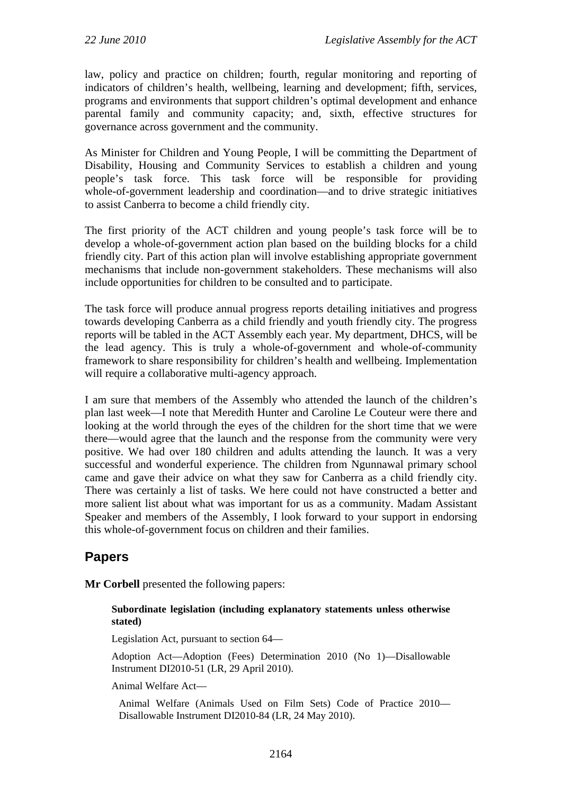law, policy and practice on children; fourth, regular monitoring and reporting of indicators of children's health, wellbeing, learning and development; fifth, services, programs and environments that support children's optimal development and enhance parental family and community capacity; and, sixth, effective structures for governance across government and the community.

As Minister for Children and Young People, I will be committing the Department of Disability, Housing and Community Services to establish a children and young people's task force. This task force will be responsible for providing whole-of-government leadership and coordination—and to drive strategic initiatives to assist Canberra to become a child friendly city.

The first priority of the ACT children and young people's task force will be to develop a whole-of-government action plan based on the building blocks for a child friendly city. Part of this action plan will involve establishing appropriate government mechanisms that include non-government stakeholders. These mechanisms will also include opportunities for children to be consulted and to participate.

The task force will produce annual progress reports detailing initiatives and progress towards developing Canberra as a child friendly and youth friendly city. The progress reports will be tabled in the ACT Assembly each year. My department, DHCS, will be the lead agency. This is truly a whole-of-government and whole-of-community framework to share responsibility for children's health and wellbeing. Implementation will require a collaborative multi-agency approach.

I am sure that members of the Assembly who attended the launch of the children's plan last week—I note that Meredith Hunter and Caroline Le Couteur were there and looking at the world through the eyes of the children for the short time that we were there—would agree that the launch and the response from the community were very positive. We had over 180 children and adults attending the launch. It was a very successful and wonderful experience. The children from Ngunnawal primary school came and gave their advice on what they saw for Canberra as a child friendly city. There was certainly a list of tasks. We here could not have constructed a better and more salient list about what was important for us as a community. Madam Assistant Speaker and members of the Assembly, I look forward to your support in endorsing this whole-of-government focus on children and their families.

# **Papers**

**Mr Corbell** presented the following papers:

#### **Subordinate legislation (including explanatory statements unless otherwise stated)**

Legislation Act, pursuant to section 64—

Adoption Act—Adoption (Fees) Determination 2010 (No 1)—Disallowable Instrument DI2010-51 (LR, 29 April 2010).

Animal Welfare Act—

Animal Welfare (Animals Used on Film Sets) Code of Practice 2010— Disallowable Instrument DI2010-84 (LR, 24 May 2010).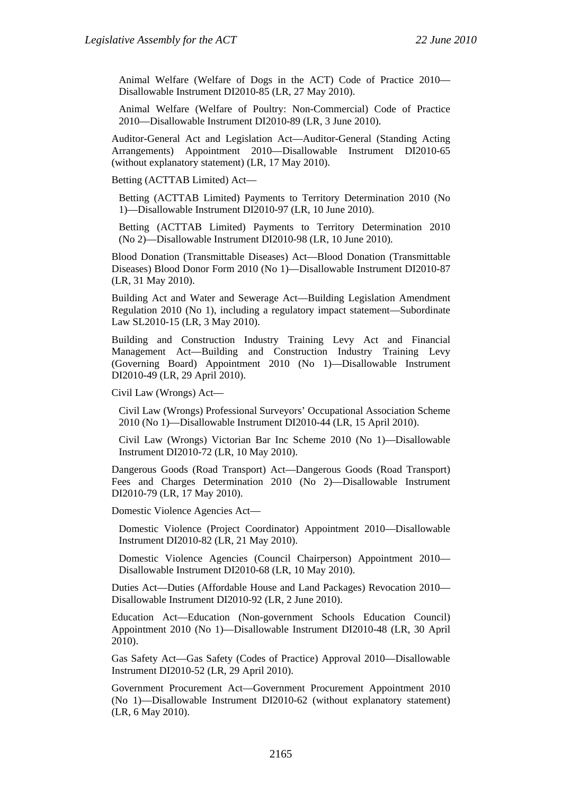Animal Welfare (Welfare of Dogs in the ACT) Code of Practice 2010— Disallowable Instrument DI2010-85 (LR, 27 May 2010).

Animal Welfare (Welfare of Poultry: Non-Commercial) Code of Practice 2010—Disallowable Instrument DI2010-89 (LR, 3 June 2010).

Auditor-General Act and Legislation Act—Auditor-General (Standing Acting Arrangements) Appointment 2010—Disallowable Instrument DI2010-65 (without explanatory statement) (LR, 17 May 2010).

Betting (ACTTAB Limited) Act—

Betting (ACTTAB Limited) Payments to Territory Determination 2010 (No 1)—Disallowable Instrument DI2010-97 (LR, 10 June 2010).

Betting (ACTTAB Limited) Payments to Territory Determination 2010 (No 2)—Disallowable Instrument DI2010-98 (LR, 10 June 2010).

Blood Donation (Transmittable Diseases) Act—Blood Donation (Transmittable Diseases) Blood Donor Form 2010 (No 1)—Disallowable Instrument DI2010-87 (LR, 31 May 2010).

Building Act and Water and Sewerage Act—Building Legislation Amendment Regulation 2010 (No 1), including a regulatory impact statement—Subordinate Law SL2010-15 (LR, 3 May 2010).

Building and Construction Industry Training Levy Act and Financial Management Act—Building and Construction Industry Training Levy (Governing Board) Appointment 2010 (No 1)—Disallowable Instrument DI2010-49 (LR, 29 April 2010).

Civil Law (Wrongs) Act—

Civil Law (Wrongs) Professional Surveyors' Occupational Association Scheme 2010 (No 1)—Disallowable Instrument DI2010-44 (LR, 15 April 2010).

Civil Law (Wrongs) Victorian Bar Inc Scheme 2010 (No 1)—Disallowable Instrument DI2010-72 (LR, 10 May 2010).

Dangerous Goods (Road Transport) Act—Dangerous Goods (Road Transport) Fees and Charges Determination 2010 (No 2)—Disallowable Instrument DI2010-79 (LR, 17 May 2010).

Domestic Violence Agencies Act—

Domestic Violence (Project Coordinator) Appointment 2010—Disallowable Instrument DI2010-82 (LR, 21 May 2010).

Domestic Violence Agencies (Council Chairperson) Appointment 2010— Disallowable Instrument DI2010-68 (LR, 10 May 2010).

Duties Act—Duties (Affordable House and Land Packages) Revocation 2010— Disallowable Instrument DI2010-92 (LR, 2 June 2010).

Education Act—Education (Non-government Schools Education Council) Appointment 2010 (No 1)—Disallowable Instrument DI2010-48 (LR, 30 April 2010).

Gas Safety Act—Gas Safety (Codes of Practice) Approval 2010—Disallowable Instrument DI2010-52 (LR, 29 April 2010).

Government Procurement Act—Government Procurement Appointment 2010 (No 1)—Disallowable Instrument DI2010-62 (without explanatory statement) (LR, 6 May 2010).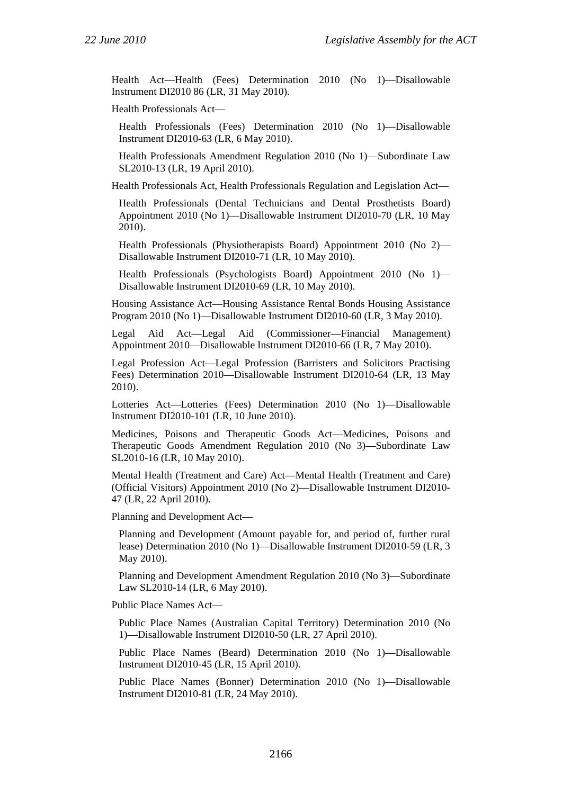Health Act—Health (Fees) Determination 2010 (No 1)—Disallowable Instrument DI2010 86 (LR, 31 May 2010).

Health Professionals Act—

Health Professionals (Fees) Determination 2010 (No 1)—Disallowable Instrument DI2010-63 (LR, 6 May 2010).

Health Professionals Amendment Regulation 2010 (No 1)—Subordinate Law SL2010-13 (LR, 19 April 2010).

Health Professionals Act, Health Professionals Regulation and Legislation Act—

Health Professionals (Dental Technicians and Dental Prosthetists Board) Appointment 2010 (No 1)—Disallowable Instrument DI2010-70 (LR, 10 May 2010).

Health Professionals (Physiotherapists Board) Appointment 2010 (No 2)— Disallowable Instrument DI2010-71 (LR, 10 May 2010).

Health Professionals (Psychologists Board) Appointment 2010 (No 1)— Disallowable Instrument DI2010-69 (LR, 10 May 2010).

Housing Assistance Act—Housing Assistance Rental Bonds Housing Assistance Program 2010 (No 1)—Disallowable Instrument DI2010-60 (LR, 3 May 2010).

Legal Aid Act—Legal Aid (Commissioner—Financial Management) Appointment 2010—Disallowable Instrument DI2010-66 (LR, 7 May 2010).

Legal Profession Act—Legal Profession (Barristers and Solicitors Practising Fees) Determination 2010—Disallowable Instrument DI2010-64 (LR, 13 May 2010).

Lotteries Act—Lotteries (Fees) Determination 2010 (No 1)—Disallowable Instrument DI2010-101 (LR, 10 June 2010).

Medicines, Poisons and Therapeutic Goods Act—Medicines, Poisons and Therapeutic Goods Amendment Regulation 2010 (No 3)—Subordinate Law SL2010-16 (LR, 10 May 2010).

Mental Health (Treatment and Care) Act—Mental Health (Treatment and Care) (Official Visitors) Appointment 2010 (No 2)—Disallowable Instrument DI2010- 47 (LR, 22 April 2010).

Planning and Development Act—

Planning and Development (Amount payable for, and period of, further rural lease) Determination 2010 (No 1)—Disallowable Instrument DI2010-59 (LR, 3 May 2010).

Planning and Development Amendment Regulation 2010 (No 3)—Subordinate Law SL2010-14 (LR, 6 May 2010).

Public Place Names Act—

Public Place Names (Australian Capital Territory) Determination 2010 (No 1)—Disallowable Instrument DI2010-50 (LR, 27 April 2010).

Public Place Names (Beard) Determination 2010 (No 1)—Disallowable Instrument DI2010-45 (LR, 15 April 2010).

Public Place Names (Bonner) Determination 2010 (No 1)—Disallowable Instrument DI2010-81 (LR, 24 May 2010).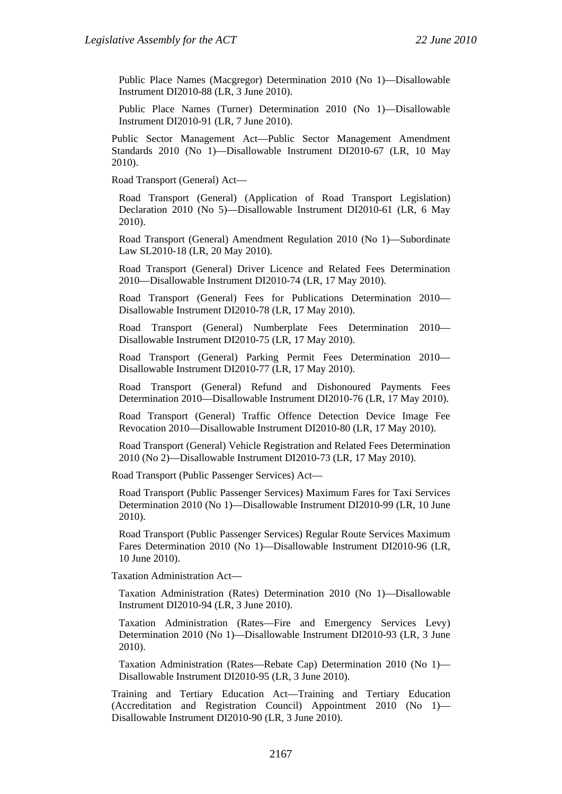Public Place Names (Macgregor) Determination 2010 (No 1)—Disallowable Instrument DI2010-88 (LR, 3 June 2010).

Public Place Names (Turner) Determination 2010 (No 1)—Disallowable Instrument DI2010-91 (LR, 7 June 2010).

Public Sector Management Act—Public Sector Management Amendment Standards 2010 (No 1)—Disallowable Instrument DI2010-67 (LR, 10 May 2010).

Road Transport (General) Act—

Road Transport (General) (Application of Road Transport Legislation) Declaration 2010 (No 5)—Disallowable Instrument DI2010-61 (LR, 6 May 2010).

Road Transport (General) Amendment Regulation 2010 (No 1)—Subordinate Law SL2010-18 (LR, 20 May 2010).

Road Transport (General) Driver Licence and Related Fees Determination 2010—Disallowable Instrument DI2010-74 (LR, 17 May 2010).

Road Transport (General) Fees for Publications Determination 2010— Disallowable Instrument DI2010-78 (LR, 17 May 2010).

Road Transport (General) Numberplate Fees Determination 2010— Disallowable Instrument DI2010-75 (LR, 17 May 2010).

Road Transport (General) Parking Permit Fees Determination 2010— Disallowable Instrument DI2010-77 (LR, 17 May 2010).

Road Transport (General) Refund and Dishonoured Payments Fees Determination 2010—Disallowable Instrument DI2010-76 (LR, 17 May 2010).

Road Transport (General) Traffic Offence Detection Device Image Fee Revocation 2010—Disallowable Instrument DI2010-80 (LR, 17 May 2010).

Road Transport (General) Vehicle Registration and Related Fees Determination 2010 (No 2)—Disallowable Instrument DI2010-73 (LR, 17 May 2010).

Road Transport (Public Passenger Services) Act—

Road Transport (Public Passenger Services) Maximum Fares for Taxi Services Determination 2010 (No 1)—Disallowable Instrument DI2010-99 (LR, 10 June 2010).

Road Transport (Public Passenger Services) Regular Route Services Maximum Fares Determination 2010 (No 1)—Disallowable Instrument DI2010-96 (LR, 10 June 2010).

Taxation Administration Act—

Taxation Administration (Rates) Determination 2010 (No 1)—Disallowable Instrument DI2010-94 (LR, 3 June 2010).

Taxation Administration (Rates—Fire and Emergency Services Levy) Determination 2010 (No 1)—Disallowable Instrument DI2010-93 (LR, 3 June 2010).

Taxation Administration (Rates—Rebate Cap) Determination 2010 (No 1)— Disallowable Instrument DI2010-95 (LR, 3 June 2010).

Training and Tertiary Education Act—Training and Tertiary Education (Accreditation and Registration Council) Appointment 2010 (No 1)— Disallowable Instrument DI2010-90 (LR, 3 June 2010).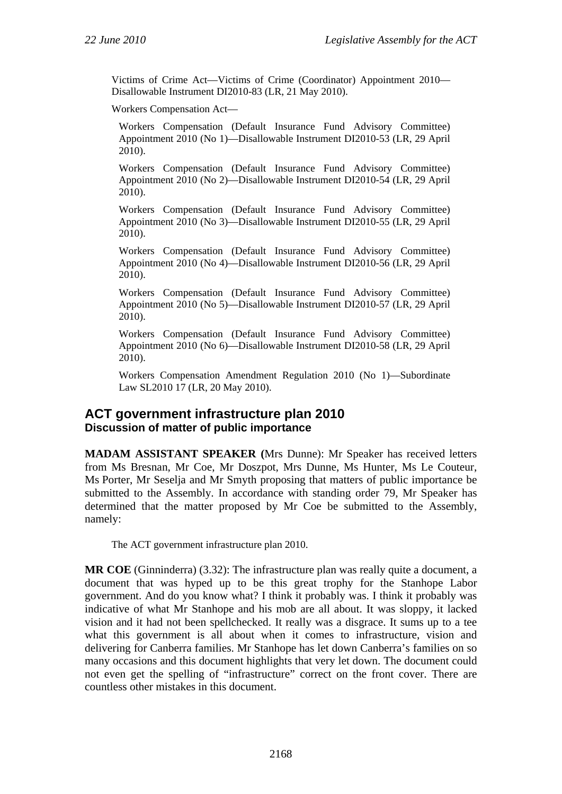Victims of Crime Act—Victims of Crime (Coordinator) Appointment 2010— Disallowable Instrument DI2010-83 (LR, 21 May 2010).

Workers Compensation Act—

Workers Compensation (Default Insurance Fund Advisory Committee) Appointment 2010 (No 1)—Disallowable Instrument DI2010-53 (LR, 29 April 2010).

Workers Compensation (Default Insurance Fund Advisory Committee) Appointment 2010 (No 2)—Disallowable Instrument DI2010-54 (LR, 29 April 2010).

Workers Compensation (Default Insurance Fund Advisory Committee) Appointment 2010 (No 3)—Disallowable Instrument DI2010-55 (LR, 29 April 2010).

Workers Compensation (Default Insurance Fund Advisory Committee) Appointment 2010 (No 4)—Disallowable Instrument DI2010-56 (LR, 29 April 2010).

Workers Compensation (Default Insurance Fund Advisory Committee) Appointment 2010 (No 5)—Disallowable Instrument DI2010-57 (LR, 29 April 2010).

Workers Compensation (Default Insurance Fund Advisory Committee) Appointment 2010 (No 6)—Disallowable Instrument DI2010-58 (LR, 29 April 2010).

Workers Compensation Amendment Regulation 2010 (No 1)—Subordinate Law SL2010 17 (LR, 20 May 2010).

### **ACT government infrastructure plan 2010 Discussion of matter of public importance**

**MADAM ASSISTANT SPEAKER (**Mrs Dunne): Mr Speaker has received letters from Ms Bresnan, Mr Coe, Mr Doszpot, Mrs Dunne, Ms Hunter, Ms Le Couteur, Ms Porter, Mr Seselja and Mr Smyth proposing that matters of public importance be submitted to the Assembly. In accordance with standing order 79, Mr Speaker has determined that the matter proposed by Mr Coe be submitted to the Assembly, namely:

The ACT government infrastructure plan 2010.

**MR COE** (Ginninderra) (3.32): The infrastructure plan was really quite a document, a document that was hyped up to be this great trophy for the Stanhope Labor government. And do you know what? I think it probably was. I think it probably was indicative of what Mr Stanhope and his mob are all about. It was sloppy, it lacked vision and it had not been spellchecked. It really was a disgrace. It sums up to a tee what this government is all about when it comes to infrastructure, vision and delivering for Canberra families. Mr Stanhope has let down Canberra's families on so many occasions and this document highlights that very let down. The document could not even get the spelling of "infrastructure" correct on the front cover. There are countless other mistakes in this document.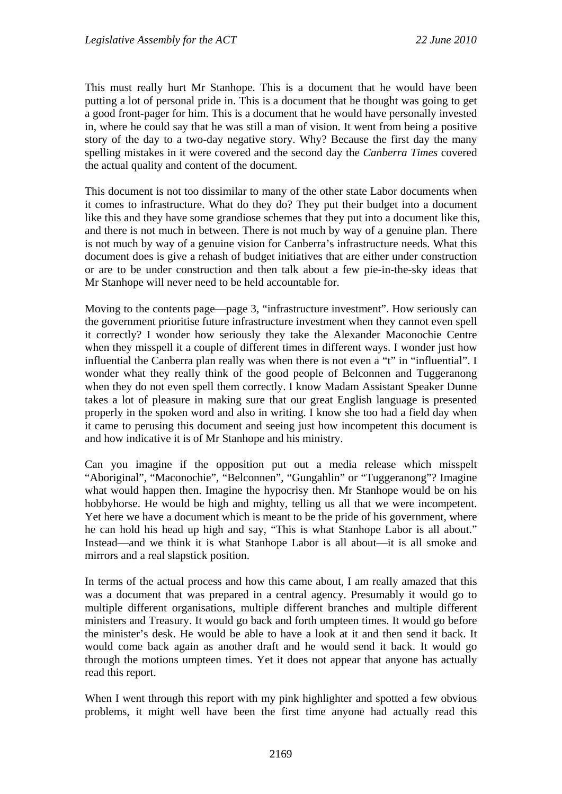This must really hurt Mr Stanhope. This is a document that he would have been putting a lot of personal pride in. This is a document that he thought was going to get a good front-pager for him. This is a document that he would have personally invested in, where he could say that he was still a man of vision. It went from being a positive story of the day to a two-day negative story. Why? Because the first day the many spelling mistakes in it were covered and the second day the *Canberra Times* covered the actual quality and content of the document.

This document is not too dissimilar to many of the other state Labor documents when it comes to infrastructure. What do they do? They put their budget into a document like this and they have some grandiose schemes that they put into a document like this, and there is not much in between. There is not much by way of a genuine plan. There is not much by way of a genuine vision for Canberra's infrastructure needs. What this document does is give a rehash of budget initiatives that are either under construction or are to be under construction and then talk about a few pie-in-the-sky ideas that Mr Stanhope will never need to be held accountable for.

Moving to the contents page—page 3, "infrastructure investment". How seriously can the government prioritise future infrastructure investment when they cannot even spell it correctly? I wonder how seriously they take the Alexander Maconochie Centre when they misspell it a couple of different times in different ways. I wonder just how influential the Canberra plan really was when there is not even a "t" in "influential". I wonder what they really think of the good people of Belconnen and Tuggeranong when they do not even spell them correctly. I know Madam Assistant Speaker Dunne takes a lot of pleasure in making sure that our great English language is presented properly in the spoken word and also in writing. I know she too had a field day when it came to perusing this document and seeing just how incompetent this document is and how indicative it is of Mr Stanhope and his ministry.

Can you imagine if the opposition put out a media release which misspelt "Aboriginal", "Maconochie", "Belconnen", "Gungahlin" or "Tuggeranong"? Imagine what would happen then. Imagine the hypocrisy then. Mr Stanhope would be on his hobbyhorse. He would be high and mighty, telling us all that we were incompetent. Yet here we have a document which is meant to be the pride of his government, where he can hold his head up high and say, "This is what Stanhope Labor is all about." Instead—and we think it is what Stanhope Labor is all about—it is all smoke and mirrors and a real slapstick position.

In terms of the actual process and how this came about, I am really amazed that this was a document that was prepared in a central agency. Presumably it would go to multiple different organisations, multiple different branches and multiple different ministers and Treasury. It would go back and forth umpteen times. It would go before the minister's desk. He would be able to have a look at it and then send it back. It would come back again as another draft and he would send it back. It would go through the motions umpteen times. Yet it does not appear that anyone has actually read this report.

When I went through this report with my pink highlighter and spotted a few obvious problems, it might well have been the first time anyone had actually read this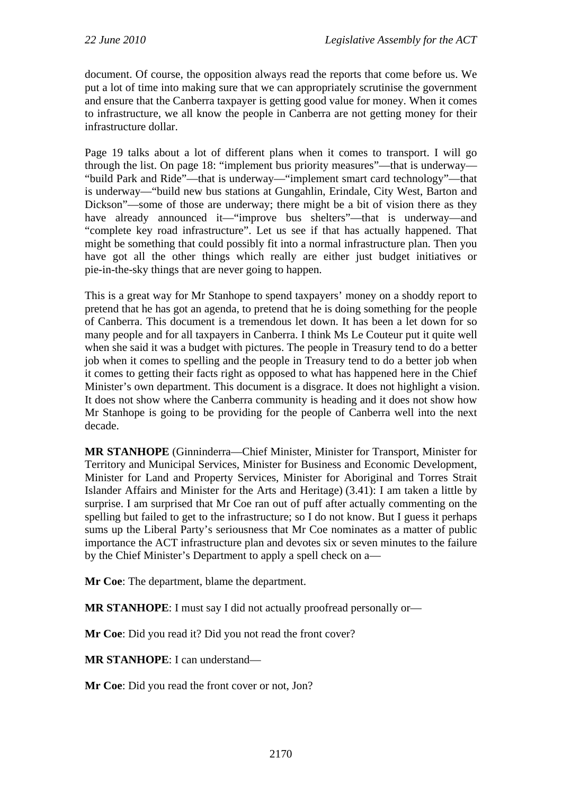document. Of course, the opposition always read the reports that come before us. We put a lot of time into making sure that we can appropriately scrutinise the government and ensure that the Canberra taxpayer is getting good value for money. When it comes to infrastructure, we all know the people in Canberra are not getting money for their infrastructure dollar.

Page 19 talks about a lot of different plans when it comes to transport. I will go through the list. On page 18: "implement bus priority measures"—that is underway— "build Park and Ride"—that is underway—"implement smart card technology"—that is underway—"build new bus stations at Gungahlin, Erindale, City West, Barton and Dickson"—some of those are underway; there might be a bit of vision there as they have already announced it—"improve bus shelters"—that is underway—and "complete key road infrastructure". Let us see if that has actually happened. That might be something that could possibly fit into a normal infrastructure plan. Then you have got all the other things which really are either just budget initiatives or pie-in-the-sky things that are never going to happen.

This is a great way for Mr Stanhope to spend taxpayers' money on a shoddy report to pretend that he has got an agenda, to pretend that he is doing something for the people of Canberra. This document is a tremendous let down. It has been a let down for so many people and for all taxpayers in Canberra. I think Ms Le Couteur put it quite well when she said it was a budget with pictures. The people in Treasury tend to do a better job when it comes to spelling and the people in Treasury tend to do a better job when it comes to getting their facts right as opposed to what has happened here in the Chief Minister's own department. This document is a disgrace. It does not highlight a vision. It does not show where the Canberra community is heading and it does not show how Mr Stanhope is going to be providing for the people of Canberra well into the next decade.

**MR STANHOPE** (Ginninderra—Chief Minister, Minister for Transport, Minister for Territory and Municipal Services, Minister for Business and Economic Development, Minister for Land and Property Services, Minister for Aboriginal and Torres Strait Islander Affairs and Minister for the Arts and Heritage) (3.41): I am taken a little by surprise. I am surprised that Mr Coe ran out of puff after actually commenting on the spelling but failed to get to the infrastructure; so I do not know. But I guess it perhaps sums up the Liberal Party's seriousness that Mr Coe nominates as a matter of public importance the ACT infrastructure plan and devotes six or seven minutes to the failure by the Chief Minister's Department to apply a spell check on a—

**Mr Coe**: The department, blame the department.

**MR STANHOPE**: I must say I did not actually proofread personally or—

**Mr Coe**: Did you read it? Did you not read the front cover?

**MR STANHOPE**: I can understand—

**Mr Coe**: Did you read the front cover or not, Jon?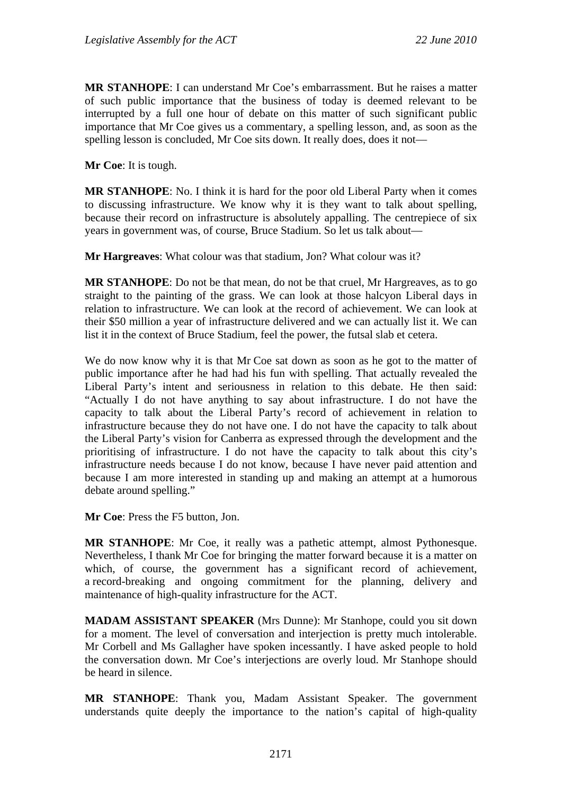**MR STANHOPE**: I can understand Mr Coe's embarrassment. But he raises a matter of such public importance that the business of today is deemed relevant to be interrupted by a full one hour of debate on this matter of such significant public importance that Mr Coe gives us a commentary, a spelling lesson, and, as soon as the spelling lesson is concluded, Mr Coe sits down. It really does, does it not—

**Mr Coe**: It is tough.

**MR STANHOPE**: No. I think it is hard for the poor old Liberal Party when it comes to discussing infrastructure. We know why it is they want to talk about spelling, because their record on infrastructure is absolutely appalling. The centrepiece of six years in government was, of course, Bruce Stadium. So let us talk about—

**Mr Hargreaves**: What colour was that stadium, Jon? What colour was it?

**MR STANHOPE**: Do not be that mean, do not be that cruel, Mr Hargreaves, as to go straight to the painting of the grass. We can look at those halcyon Liberal days in relation to infrastructure. We can look at the record of achievement. We can look at their \$50 million a year of infrastructure delivered and we can actually list it. We can list it in the context of Bruce Stadium, feel the power, the futsal slab et cetera.

We do now know why it is that Mr Coe sat down as soon as he got to the matter of public importance after he had had his fun with spelling. That actually revealed the Liberal Party's intent and seriousness in relation to this debate. He then said: "Actually I do not have anything to say about infrastructure. I do not have the capacity to talk about the Liberal Party's record of achievement in relation to infrastructure because they do not have one. I do not have the capacity to talk about the Liberal Party's vision for Canberra as expressed through the development and the prioritising of infrastructure. I do not have the capacity to talk about this city's infrastructure needs because I do not know, because I have never paid attention and because I am more interested in standing up and making an attempt at a humorous debate around spelling."

**Mr Coe**: Press the F5 button, Jon.

**MR STANHOPE**: Mr Coe, it really was a pathetic attempt, almost Pythonesque. Nevertheless, I thank Mr Coe for bringing the matter forward because it is a matter on which, of course, the government has a significant record of achievement, a record-breaking and ongoing commitment for the planning, delivery and maintenance of high-quality infrastructure for the ACT.

**MADAM ASSISTANT SPEAKER** (Mrs Dunne): Mr Stanhope, could you sit down for a moment. The level of conversation and interjection is pretty much intolerable. Mr Corbell and Ms Gallagher have spoken incessantly. I have asked people to hold the conversation down. Mr Coe's interjections are overly loud. Mr Stanhope should be heard in silence.

**MR STANHOPE**: Thank you, Madam Assistant Speaker. The government understands quite deeply the importance to the nation's capital of high-quality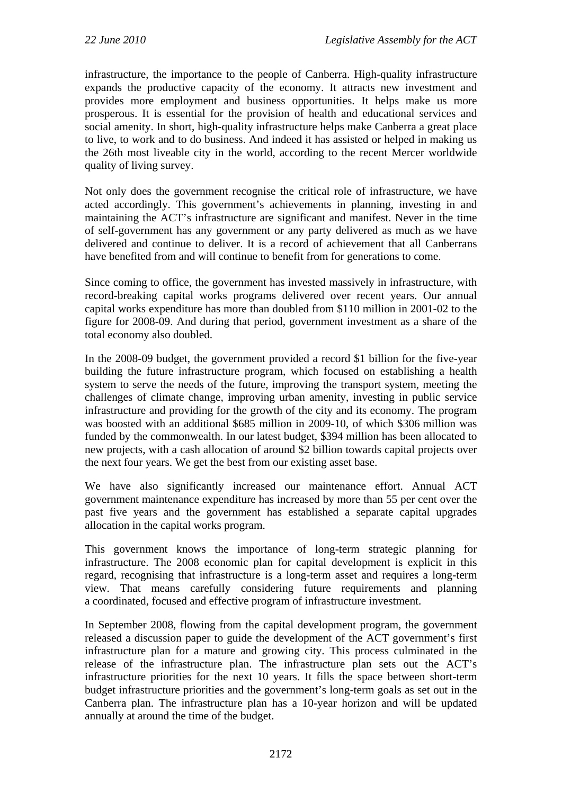infrastructure, the importance to the people of Canberra. High-quality infrastructure expands the productive capacity of the economy. It attracts new investment and provides more employment and business opportunities. It helps make us more prosperous. It is essential for the provision of health and educational services and social amenity. In short, high-quality infrastructure helps make Canberra a great place to live, to work and to do business. And indeed it has assisted or helped in making us the 26th most liveable city in the world, according to the recent Mercer worldwide quality of living survey.

Not only does the government recognise the critical role of infrastructure, we have acted accordingly. This government's achievements in planning, investing in and maintaining the ACT's infrastructure are significant and manifest. Never in the time of self-government has any government or any party delivered as much as we have delivered and continue to deliver. It is a record of achievement that all Canberrans have benefited from and will continue to benefit from for generations to come.

Since coming to office, the government has invested massively in infrastructure, with record-breaking capital works programs delivered over recent years. Our annual capital works expenditure has more than doubled from \$110 million in 2001-02 to the figure for 2008-09. And during that period, government investment as a share of the total economy also doubled.

In the 2008-09 budget, the government provided a record \$1 billion for the five-year building the future infrastructure program, which focused on establishing a health system to serve the needs of the future, improving the transport system, meeting the challenges of climate change, improving urban amenity, investing in public service infrastructure and providing for the growth of the city and its economy. The program was boosted with an additional \$685 million in 2009-10, of which \$306 million was funded by the commonwealth. In our latest budget, \$394 million has been allocated to new projects, with a cash allocation of around \$2 billion towards capital projects over the next four years. We get the best from our existing asset base.

We have also significantly increased our maintenance effort. Annual ACT government maintenance expenditure has increased by more than 55 per cent over the past five years and the government has established a separate capital upgrades allocation in the capital works program.

This government knows the importance of long-term strategic planning for infrastructure. The 2008 economic plan for capital development is explicit in this regard, recognising that infrastructure is a long-term asset and requires a long-term view. That means carefully considering future requirements and planning a coordinated, focused and effective program of infrastructure investment.

In September 2008, flowing from the capital development program, the government released a discussion paper to guide the development of the ACT government's first infrastructure plan for a mature and growing city. This process culminated in the release of the infrastructure plan. The infrastructure plan sets out the ACT's infrastructure priorities for the next 10 years. It fills the space between short-term budget infrastructure priorities and the government's long-term goals as set out in the Canberra plan. The infrastructure plan has a 10-year horizon and will be updated annually at around the time of the budget.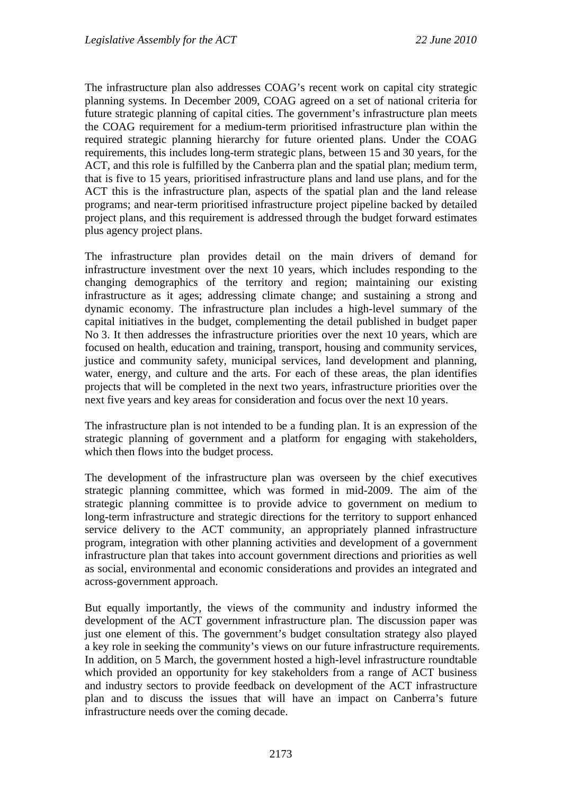The infrastructure plan also addresses COAG's recent work on capital city strategic planning systems. In December 2009, COAG agreed on a set of national criteria for future strategic planning of capital cities. The government's infrastructure plan meets the COAG requirement for a medium-term prioritised infrastructure plan within the required strategic planning hierarchy for future oriented plans. Under the COAG requirements, this includes long-term strategic plans, between 15 and 30 years, for the ACT, and this role is fulfilled by the Canberra plan and the spatial plan; medium term, that is five to 15 years, prioritised infrastructure plans and land use plans, and for the ACT this is the infrastructure plan, aspects of the spatial plan and the land release programs; and near-term prioritised infrastructure project pipeline backed by detailed project plans, and this requirement is addressed through the budget forward estimates plus agency project plans.

The infrastructure plan provides detail on the main drivers of demand for infrastructure investment over the next 10 years, which includes responding to the changing demographics of the territory and region; maintaining our existing infrastructure as it ages; addressing climate change; and sustaining a strong and dynamic economy. The infrastructure plan includes a high-level summary of the capital initiatives in the budget, complementing the detail published in budget paper No 3. It then addresses the infrastructure priorities over the next 10 years, which are focused on health, education and training, transport, housing and community services, justice and community safety, municipal services, land development and planning, water, energy, and culture and the arts. For each of these areas, the plan identifies projects that will be completed in the next two years, infrastructure priorities over the next five years and key areas for consideration and focus over the next 10 years.

The infrastructure plan is not intended to be a funding plan. It is an expression of the strategic planning of government and a platform for engaging with stakeholders, which then flows into the budget process.

The development of the infrastructure plan was overseen by the chief executives strategic planning committee, which was formed in mid-2009. The aim of the strategic planning committee is to provide advice to government on medium to long-term infrastructure and strategic directions for the territory to support enhanced service delivery to the ACT community, an appropriately planned infrastructure program, integration with other planning activities and development of a government infrastructure plan that takes into account government directions and priorities as well as social, environmental and economic considerations and provides an integrated and across-government approach.

But equally importantly, the views of the community and industry informed the development of the ACT government infrastructure plan. The discussion paper was just one element of this. The government's budget consultation strategy also played a key role in seeking the community's views on our future infrastructure requirements. In addition, on 5 March, the government hosted a high-level infrastructure roundtable which provided an opportunity for key stakeholders from a range of ACT business and industry sectors to provide feedback on development of the ACT infrastructure plan and to discuss the issues that will have an impact on Canberra's future infrastructure needs over the coming decade.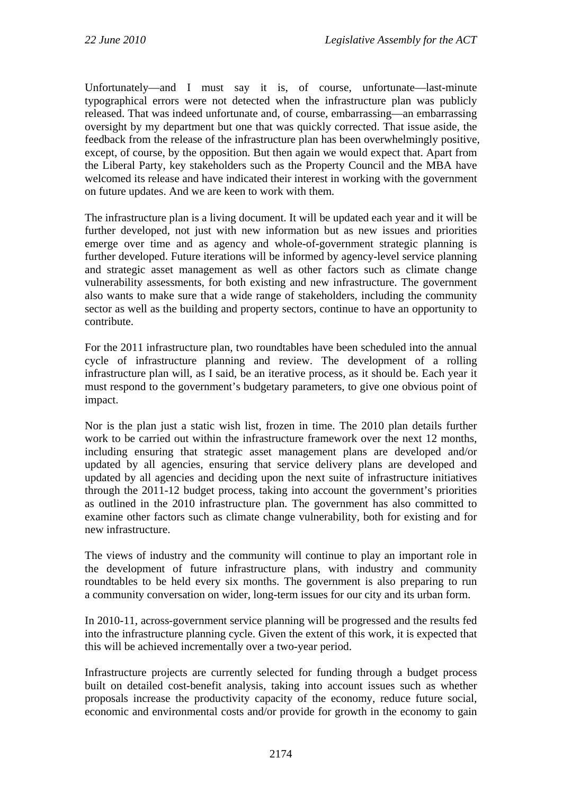Unfortunately—and I must say it is, of course, unfortunate—last-minute typographical errors were not detected when the infrastructure plan was publicly released. That was indeed unfortunate and, of course, embarrassing—an embarrassing oversight by my department but one that was quickly corrected. That issue aside, the feedback from the release of the infrastructure plan has been overwhelmingly positive, except, of course, by the opposition. But then again we would expect that. Apart from the Liberal Party, key stakeholders such as the Property Council and the MBA have welcomed its release and have indicated their interest in working with the government on future updates. And we are keen to work with them.

The infrastructure plan is a living document. It will be updated each year and it will be further developed, not just with new information but as new issues and priorities emerge over time and as agency and whole-of-government strategic planning is further developed. Future iterations will be informed by agency-level service planning and strategic asset management as well as other factors such as climate change vulnerability assessments, for both existing and new infrastructure. The government also wants to make sure that a wide range of stakeholders, including the community sector as well as the building and property sectors, continue to have an opportunity to contribute.

For the 2011 infrastructure plan, two roundtables have been scheduled into the annual cycle of infrastructure planning and review. The development of a rolling infrastructure plan will, as I said, be an iterative process, as it should be. Each year it must respond to the government's budgetary parameters, to give one obvious point of impact.

Nor is the plan just a static wish list, frozen in time. The 2010 plan details further work to be carried out within the infrastructure framework over the next 12 months, including ensuring that strategic asset management plans are developed and/or updated by all agencies, ensuring that service delivery plans are developed and updated by all agencies and deciding upon the next suite of infrastructure initiatives through the 2011-12 budget process, taking into account the government's priorities as outlined in the 2010 infrastructure plan. The government has also committed to examine other factors such as climate change vulnerability, both for existing and for new infrastructure.

The views of industry and the community will continue to play an important role in the development of future infrastructure plans, with industry and community roundtables to be held every six months. The government is also preparing to run a community conversation on wider, long-term issues for our city and its urban form.

In 2010-11, across-government service planning will be progressed and the results fed into the infrastructure planning cycle. Given the extent of this work, it is expected that this will be achieved incrementally over a two-year period.

Infrastructure projects are currently selected for funding through a budget process built on detailed cost-benefit analysis, taking into account issues such as whether proposals increase the productivity capacity of the economy, reduce future social, economic and environmental costs and/or provide for growth in the economy to gain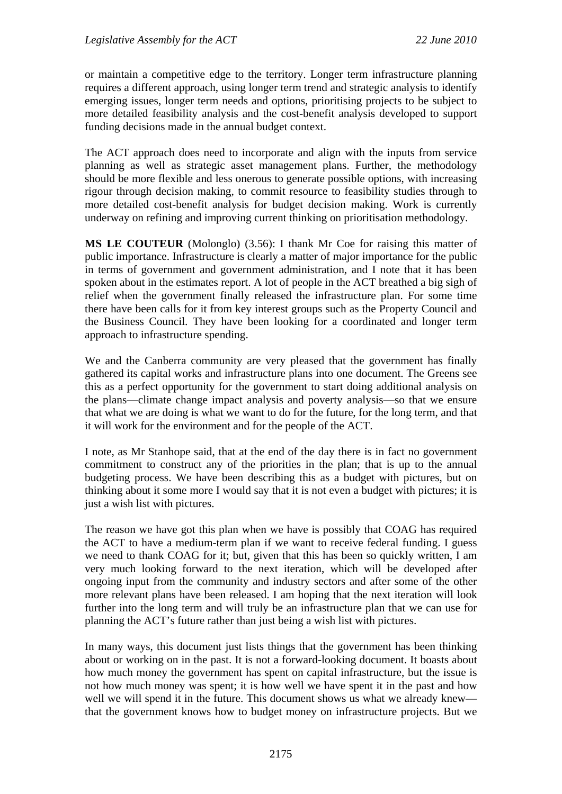or maintain a competitive edge to the territory. Longer term infrastructure planning requires a different approach, using longer term trend and strategic analysis to identify emerging issues, longer term needs and options, prioritising projects to be subject to more detailed feasibility analysis and the cost-benefit analysis developed to support funding decisions made in the annual budget context.

The ACT approach does need to incorporate and align with the inputs from service planning as well as strategic asset management plans. Further, the methodology should be more flexible and less onerous to generate possible options, with increasing rigour through decision making, to commit resource to feasibility studies through to more detailed cost-benefit analysis for budget decision making. Work is currently underway on refining and improving current thinking on prioritisation methodology.

**MS LE COUTEUR** (Molonglo) (3.56): I thank Mr Coe for raising this matter of public importance. Infrastructure is clearly a matter of major importance for the public in terms of government and government administration, and I note that it has been spoken about in the estimates report. A lot of people in the ACT breathed a big sigh of relief when the government finally released the infrastructure plan. For some time there have been calls for it from key interest groups such as the Property Council and the Business Council. They have been looking for a coordinated and longer term approach to infrastructure spending.

We and the Canberra community are very pleased that the government has finally gathered its capital works and infrastructure plans into one document. The Greens see this as a perfect opportunity for the government to start doing additional analysis on the plans—climate change impact analysis and poverty analysis—so that we ensure that what we are doing is what we want to do for the future, for the long term, and that it will work for the environment and for the people of the ACT.

I note, as Mr Stanhope said, that at the end of the day there is in fact no government commitment to construct any of the priorities in the plan; that is up to the annual budgeting process. We have been describing this as a budget with pictures, but on thinking about it some more I would say that it is not even a budget with pictures; it is just a wish list with pictures.

The reason we have got this plan when we have is possibly that COAG has required the ACT to have a medium-term plan if we want to receive federal funding. I guess we need to thank COAG for it; but, given that this has been so quickly written, I am very much looking forward to the next iteration, which will be developed after ongoing input from the community and industry sectors and after some of the other more relevant plans have been released. I am hoping that the next iteration will look further into the long term and will truly be an infrastructure plan that we can use for planning the ACT's future rather than just being a wish list with pictures.

In many ways, this document just lists things that the government has been thinking about or working on in the past. It is not a forward-looking document. It boasts about how much money the government has spent on capital infrastructure, but the issue is not how much money was spent; it is how well we have spent it in the past and how well we will spend it in the future. This document shows us what we already knew that the government knows how to budget money on infrastructure projects. But we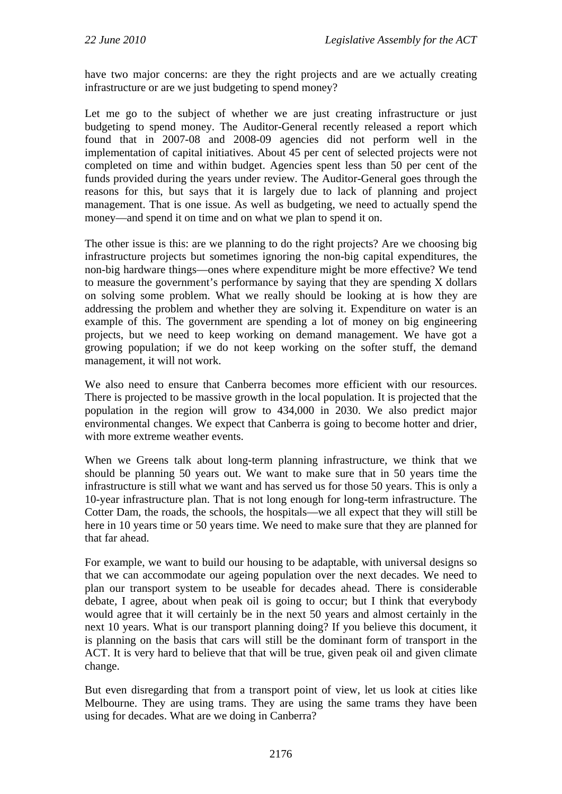have two major concerns: are they the right projects and are we actually creating infrastructure or are we just budgeting to spend money?

Let me go to the subject of whether we are just creating infrastructure or just budgeting to spend money. The Auditor-General recently released a report which found that in 2007-08 and 2008-09 agencies did not perform well in the implementation of capital initiatives. About 45 per cent of selected projects were not completed on time and within budget. Agencies spent less than 50 per cent of the funds provided during the years under review. The Auditor-General goes through the reasons for this, but says that it is largely due to lack of planning and project management. That is one issue. As well as budgeting, we need to actually spend the money—and spend it on time and on what we plan to spend it on.

The other issue is this: are we planning to do the right projects? Are we choosing big infrastructure projects but sometimes ignoring the non-big capital expenditures, the non-big hardware things—ones where expenditure might be more effective? We tend to measure the government's performance by saying that they are spending X dollars on solving some problem. What we really should be looking at is how they are addressing the problem and whether they are solving it. Expenditure on water is an example of this. The government are spending a lot of money on big engineering projects, but we need to keep working on demand management. We have got a growing population; if we do not keep working on the softer stuff, the demand management, it will not work.

We also need to ensure that Canberra becomes more efficient with our resources. There is projected to be massive growth in the local population. It is projected that the population in the region will grow to 434,000 in 2030. We also predict major environmental changes. We expect that Canberra is going to become hotter and drier, with more extreme weather events.

When we Greens talk about long-term planning infrastructure, we think that we should be planning 50 years out. We want to make sure that in 50 years time the infrastructure is still what we want and has served us for those 50 years. This is only a 10-year infrastructure plan. That is not long enough for long-term infrastructure. The Cotter Dam, the roads, the schools, the hospitals—we all expect that they will still be here in 10 years time or 50 years time. We need to make sure that they are planned for that far ahead.

For example, we want to build our housing to be adaptable, with universal designs so that we can accommodate our ageing population over the next decades. We need to plan our transport system to be useable for decades ahead. There is considerable debate, I agree, about when peak oil is going to occur; but I think that everybody would agree that it will certainly be in the next 50 years and almost certainly in the next 10 years. What is our transport planning doing? If you believe this document, it is planning on the basis that cars will still be the dominant form of transport in the ACT. It is very hard to believe that that will be true, given peak oil and given climate change.

But even disregarding that from a transport point of view, let us look at cities like Melbourne. They are using trams. They are using the same trams they have been using for decades. What are we doing in Canberra?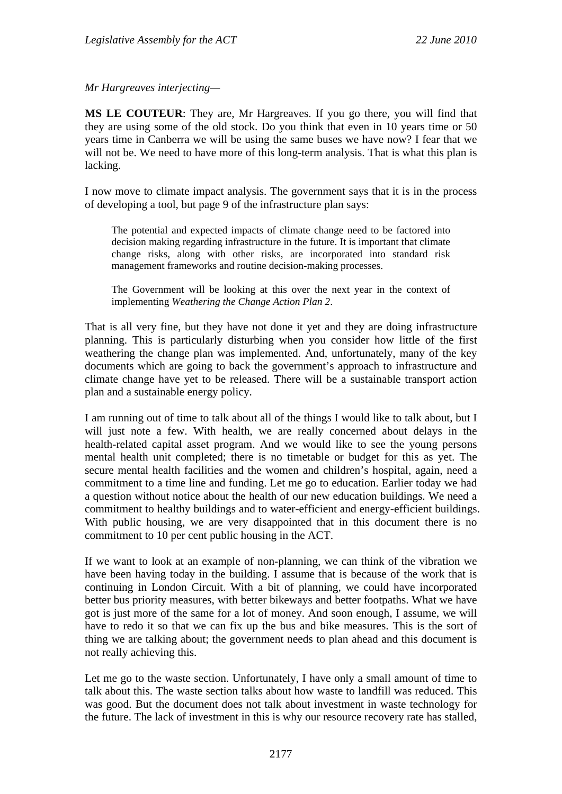*Mr Hargreaves interjecting—* 

**MS LE COUTEUR**: They are, Mr Hargreaves. If you go there, you will find that they are using some of the old stock. Do you think that even in 10 years time or 50 years time in Canberra we will be using the same buses we have now? I fear that we will not be. We need to have more of this long-term analysis. That is what this plan is lacking.

I now move to climate impact analysis. The government says that it is in the process of developing a tool, but page 9 of the infrastructure plan says:

The potential and expected impacts of climate change need to be factored into decision making regarding infrastructure in the future. It is important that climate change risks, along with other risks, are incorporated into standard risk management frameworks and routine decision-making processes.

The Government will be looking at this over the next year in the context of implementing *Weathering the Change Action Plan 2*.

That is all very fine, but they have not done it yet and they are doing infrastructure planning. This is particularly disturbing when you consider how little of the first weathering the change plan was implemented. And, unfortunately, many of the key documents which are going to back the government's approach to infrastructure and climate change have yet to be released. There will be a sustainable transport action plan and a sustainable energy policy.

I am running out of time to talk about all of the things I would like to talk about, but I will just note a few. With health, we are really concerned about delays in the health-related capital asset program. And we would like to see the young persons mental health unit completed; there is no timetable or budget for this as yet. The secure mental health facilities and the women and children's hospital, again, need a commitment to a time line and funding. Let me go to education. Earlier today we had a question without notice about the health of our new education buildings. We need a commitment to healthy buildings and to water-efficient and energy-efficient buildings. With public housing, we are very disappointed that in this document there is no commitment to 10 per cent public housing in the ACT.

If we want to look at an example of non-planning, we can think of the vibration we have been having today in the building. I assume that is because of the work that is continuing in London Circuit. With a bit of planning, we could have incorporated better bus priority measures, with better bikeways and better footpaths. What we have got is just more of the same for a lot of money. And soon enough, I assume, we will have to redo it so that we can fix up the bus and bike measures. This is the sort of thing we are talking about; the government needs to plan ahead and this document is not really achieving this.

Let me go to the waste section. Unfortunately, I have only a small amount of time to talk about this. The waste section talks about how waste to landfill was reduced. This was good. But the document does not talk about investment in waste technology for the future. The lack of investment in this is why our resource recovery rate has stalled,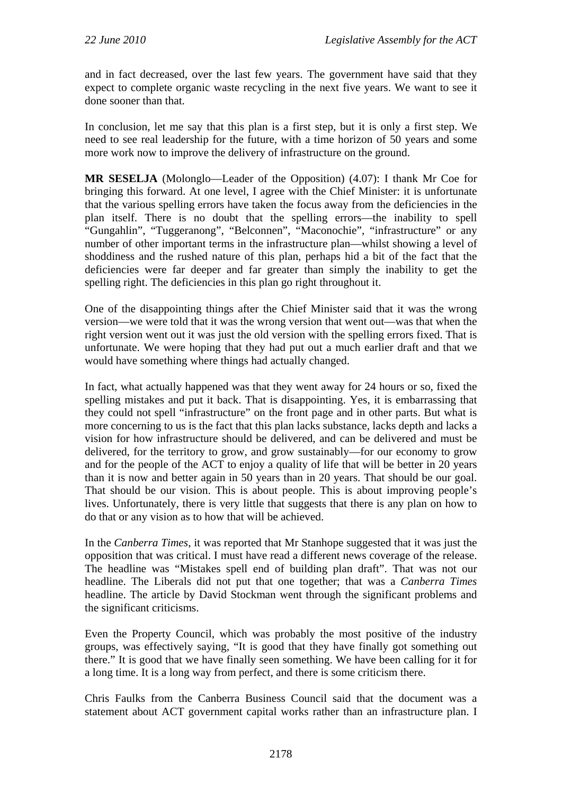and in fact decreased, over the last few years. The government have said that they expect to complete organic waste recycling in the next five years. We want to see it done sooner than that.

In conclusion, let me say that this plan is a first step, but it is only a first step. We need to see real leadership for the future, with a time horizon of 50 years and some more work now to improve the delivery of infrastructure on the ground.

**MR SESELJA** (Molonglo—Leader of the Opposition) (4.07): I thank Mr Coe for bringing this forward. At one level, I agree with the Chief Minister: it is unfortunate that the various spelling errors have taken the focus away from the deficiencies in the plan itself. There is no doubt that the spelling errors—the inability to spell "Gungahlin", "Tuggeranong", "Belconnen", "Maconochie", "infrastructure" or any number of other important terms in the infrastructure plan—whilst showing a level of shoddiness and the rushed nature of this plan, perhaps hid a bit of the fact that the deficiencies were far deeper and far greater than simply the inability to get the spelling right. The deficiencies in this plan go right throughout it.

One of the disappointing things after the Chief Minister said that it was the wrong version—we were told that it was the wrong version that went out—was that when the right version went out it was just the old version with the spelling errors fixed. That is unfortunate. We were hoping that they had put out a much earlier draft and that we would have something where things had actually changed.

In fact, what actually happened was that they went away for 24 hours or so, fixed the spelling mistakes and put it back. That is disappointing. Yes, it is embarrassing that they could not spell "infrastructure" on the front page and in other parts. But what is more concerning to us is the fact that this plan lacks substance, lacks depth and lacks a vision for how infrastructure should be delivered, and can be delivered and must be delivered, for the territory to grow, and grow sustainably—for our economy to grow and for the people of the ACT to enjoy a quality of life that will be better in 20 years than it is now and better again in 50 years than in 20 years. That should be our goal. That should be our vision. This is about people. This is about improving people's lives. Unfortunately, there is very little that suggests that there is any plan on how to do that or any vision as to how that will be achieved.

In the *Canberra Times*, it was reported that Mr Stanhope suggested that it was just the opposition that was critical. I must have read a different news coverage of the release. The headline was "Mistakes spell end of building plan draft". That was not our headline. The Liberals did not put that one together; that was a *Canberra Times* headline. The article by David Stockman went through the significant problems and the significant criticisms.

Even the Property Council, which was probably the most positive of the industry groups, was effectively saying, "It is good that they have finally got something out there." It is good that we have finally seen something. We have been calling for it for a long time. It is a long way from perfect, and there is some criticism there.

Chris Faulks from the Canberra Business Council said that the document was a statement about ACT government capital works rather than an infrastructure plan. I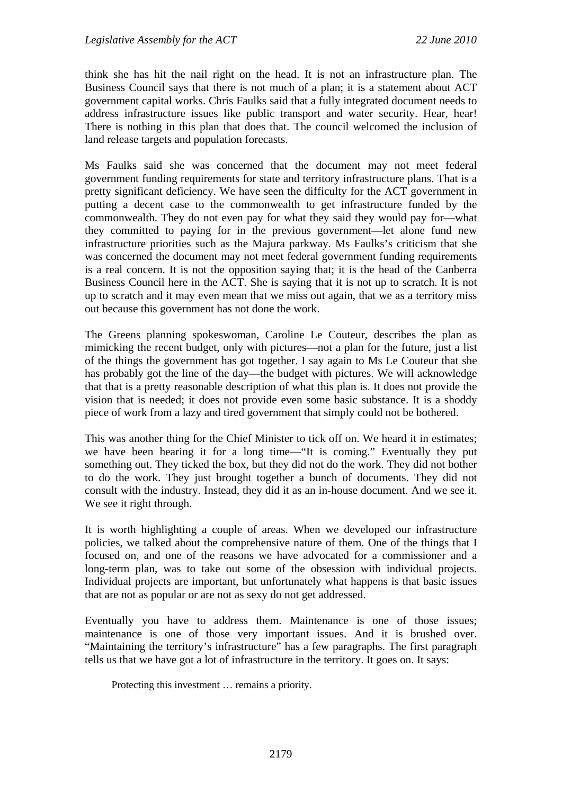think she has hit the nail right on the head. It is not an infrastructure plan. The Business Council says that there is not much of a plan; it is a statement about ACT government capital works. Chris Faulks said that a fully integrated document needs to address infrastructure issues like public transport and water security. Hear, hear! There is nothing in this plan that does that. The council welcomed the inclusion of land release targets and population forecasts.

Ms Faulks said she was concerned that the document may not meet federal government funding requirements for state and territory infrastructure plans. That is a pretty significant deficiency. We have seen the difficulty for the ACT government in putting a decent case to the commonwealth to get infrastructure funded by the commonwealth. They do not even pay for what they said they would pay for—what they committed to paying for in the previous government—let alone fund new infrastructure priorities such as the Majura parkway. Ms Faulks's criticism that she was concerned the document may not meet federal government funding requirements is a real concern. It is not the opposition saying that; it is the head of the Canberra Business Council here in the ACT. She is saying that it is not up to scratch. It is not up to scratch and it may even mean that we miss out again, that we as a territory miss out because this government has not done the work.

The Greens planning spokeswoman, Caroline Le Couteur, describes the plan as mimicking the recent budget, only with pictures—not a plan for the future, just a list of the things the government has got together. I say again to Ms Le Couteur that she has probably got the line of the day—the budget with pictures. We will acknowledge that that is a pretty reasonable description of what this plan is. It does not provide the vision that is needed; it does not provide even some basic substance. It is a shoddy piece of work from a lazy and tired government that simply could not be bothered.

This was another thing for the Chief Minister to tick off on. We heard it in estimates; we have been hearing it for a long time—"It is coming." Eventually they put something out. They ticked the box, but they did not do the work. They did not bother to do the work. They just brought together a bunch of documents. They did not consult with the industry. Instead, they did it as an in-house document. And we see it. We see it right through.

It is worth highlighting a couple of areas. When we developed our infrastructure policies, we talked about the comprehensive nature of them. One of the things that I focused on, and one of the reasons we have advocated for a commissioner and a long-term plan, was to take out some of the obsession with individual projects. Individual projects are important, but unfortunately what happens is that basic issues that are not as popular or are not as sexy do not get addressed.

Eventually you have to address them. Maintenance is one of those issues; maintenance is one of those very important issues. And it is brushed over. "Maintaining the territory's infrastructure" has a few paragraphs. The first paragraph tells us that we have got a lot of infrastructure in the territory. It goes on. It says:

Protecting this investment … remains a priority.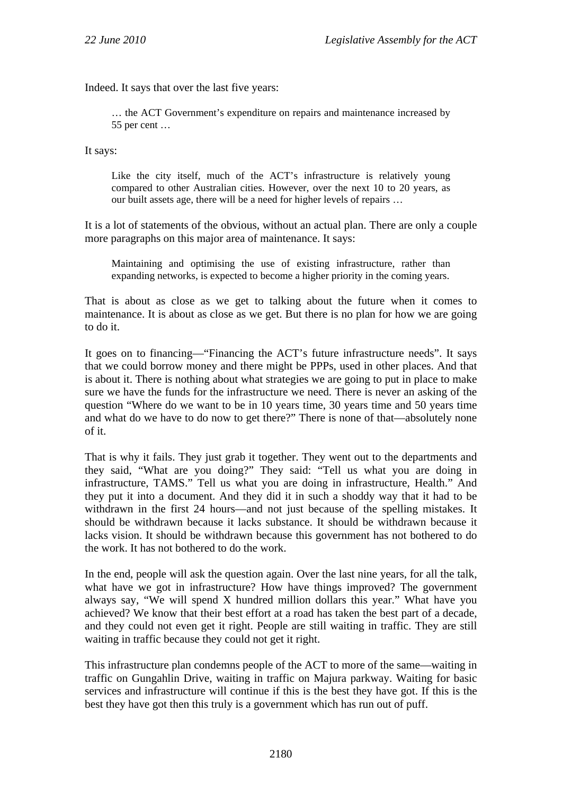Indeed. It says that over the last five years:

… the ACT Government's expenditure on repairs and maintenance increased by 55 per cent …

It says:

Like the city itself, much of the ACT's infrastructure is relatively young compared to other Australian cities. However, over the next 10 to 20 years, as our built assets age, there will be a need for higher levels of repairs …

It is a lot of statements of the obvious, without an actual plan. There are only a couple more paragraphs on this major area of maintenance. It says:

Maintaining and optimising the use of existing infrastructure, rather than expanding networks, is expected to become a higher priority in the coming years.

That is about as close as we get to talking about the future when it comes to maintenance. It is about as close as we get. But there is no plan for how we are going to do it.

It goes on to financing—"Financing the ACT's future infrastructure needs". It says that we could borrow money and there might be PPPs, used in other places. And that is about it. There is nothing about what strategies we are going to put in place to make sure we have the funds for the infrastructure we need. There is never an asking of the question "Where do we want to be in 10 years time, 30 years time and 50 years time and what do we have to do now to get there?" There is none of that—absolutely none of it.

That is why it fails. They just grab it together. They went out to the departments and they said, "What are you doing?" They said: "Tell us what you are doing in infrastructure, TAMS." Tell us what you are doing in infrastructure, Health." And they put it into a document. And they did it in such a shoddy way that it had to be withdrawn in the first 24 hours—and not just because of the spelling mistakes. It should be withdrawn because it lacks substance. It should be withdrawn because it lacks vision. It should be withdrawn because this government has not bothered to do the work. It has not bothered to do the work.

In the end, people will ask the question again. Over the last nine years, for all the talk, what have we got in infrastructure? How have things improved? The government always say, "We will spend X hundred million dollars this year." What have you achieved? We know that their best effort at a road has taken the best part of a decade, and they could not even get it right. People are still waiting in traffic. They are still waiting in traffic because they could not get it right.

This infrastructure plan condemns people of the ACT to more of the same—waiting in traffic on Gungahlin Drive, waiting in traffic on Majura parkway. Waiting for basic services and infrastructure will continue if this is the best they have got. If this is the best they have got then this truly is a government which has run out of puff.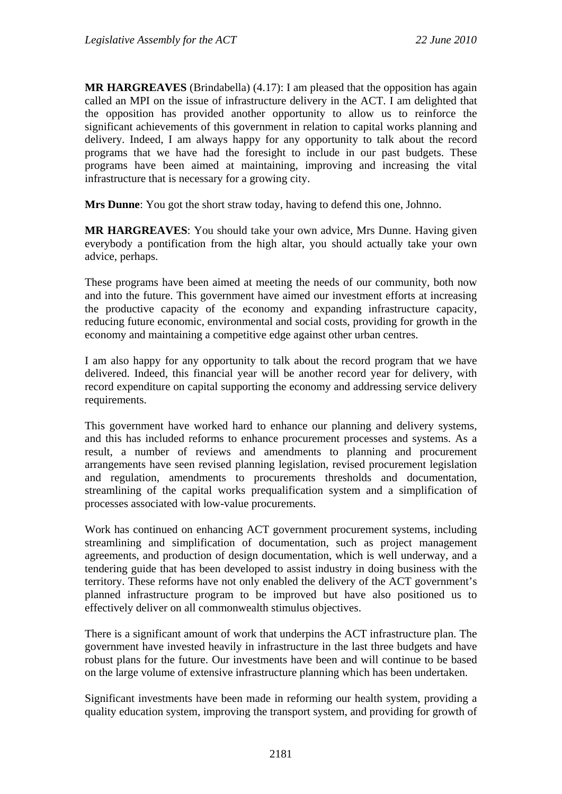**MR HARGREAVES** (Brindabella) (4.17): I am pleased that the opposition has again called an MPI on the issue of infrastructure delivery in the ACT. I am delighted that the opposition has provided another opportunity to allow us to reinforce the significant achievements of this government in relation to capital works planning and delivery. Indeed, I am always happy for any opportunity to talk about the record programs that we have had the foresight to include in our past budgets. These programs have been aimed at maintaining, improving and increasing the vital infrastructure that is necessary for a growing city.

**Mrs Dunne**: You got the short straw today, having to defend this one, Johnno.

**MR HARGREAVES**: You should take your own advice, Mrs Dunne. Having given everybody a pontification from the high altar, you should actually take your own advice, perhaps.

These programs have been aimed at meeting the needs of our community, both now and into the future. This government have aimed our investment efforts at increasing the productive capacity of the economy and expanding infrastructure capacity, reducing future economic, environmental and social costs, providing for growth in the economy and maintaining a competitive edge against other urban centres.

I am also happy for any opportunity to talk about the record program that we have delivered. Indeed, this financial year will be another record year for delivery, with record expenditure on capital supporting the economy and addressing service delivery requirements.

This government have worked hard to enhance our planning and delivery systems, and this has included reforms to enhance procurement processes and systems. As a result, a number of reviews and amendments to planning and procurement arrangements have seen revised planning legislation, revised procurement legislation and regulation, amendments to procurements thresholds and documentation, streamlining of the capital works prequalification system and a simplification of processes associated with low-value procurements.

Work has continued on enhancing ACT government procurement systems, including streamlining and simplification of documentation, such as project management agreements, and production of design documentation, which is well underway, and a tendering guide that has been developed to assist industry in doing business with the territory. These reforms have not only enabled the delivery of the ACT government's planned infrastructure program to be improved but have also positioned us to effectively deliver on all commonwealth stimulus objectives.

There is a significant amount of work that underpins the ACT infrastructure plan. The government have invested heavily in infrastructure in the last three budgets and have robust plans for the future. Our investments have been and will continue to be based on the large volume of extensive infrastructure planning which has been undertaken.

Significant investments have been made in reforming our health system, providing a quality education system, improving the transport system, and providing for growth of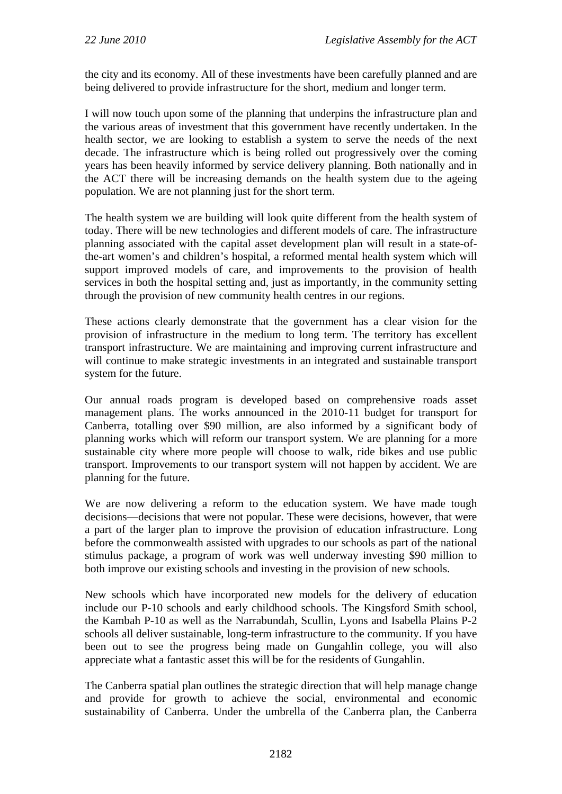the city and its economy. All of these investments have been carefully planned and are being delivered to provide infrastructure for the short, medium and longer term.

I will now touch upon some of the planning that underpins the infrastructure plan and the various areas of investment that this government have recently undertaken. In the health sector, we are looking to establish a system to serve the needs of the next decade. The infrastructure which is being rolled out progressively over the coming years has been heavily informed by service delivery planning. Both nationally and in the ACT there will be increasing demands on the health system due to the ageing population. We are not planning just for the short term.

The health system we are building will look quite different from the health system of today. There will be new technologies and different models of care. The infrastructure planning associated with the capital asset development plan will result in a state-ofthe-art women's and children's hospital, a reformed mental health system which will support improved models of care, and improvements to the provision of health services in both the hospital setting and, just as importantly, in the community setting through the provision of new community health centres in our regions.

These actions clearly demonstrate that the government has a clear vision for the provision of infrastructure in the medium to long term. The territory has excellent transport infrastructure. We are maintaining and improving current infrastructure and will continue to make strategic investments in an integrated and sustainable transport system for the future.

Our annual roads program is developed based on comprehensive roads asset management plans. The works announced in the 2010-11 budget for transport for Canberra, totalling over \$90 million, are also informed by a significant body of planning works which will reform our transport system. We are planning for a more sustainable city where more people will choose to walk, ride bikes and use public transport. Improvements to our transport system will not happen by accident. We are planning for the future.

We are now delivering a reform to the education system. We have made tough decisions—decisions that were not popular. These were decisions, however, that were a part of the larger plan to improve the provision of education infrastructure. Long before the commonwealth assisted with upgrades to our schools as part of the national stimulus package, a program of work was well underway investing \$90 million to both improve our existing schools and investing in the provision of new schools.

New schools which have incorporated new models for the delivery of education include our P-10 schools and early childhood schools. The Kingsford Smith school, the Kambah P-10 as well as the Narrabundah, Scullin, Lyons and Isabella Plains P-2 schools all deliver sustainable, long-term infrastructure to the community. If you have been out to see the progress being made on Gungahlin college, you will also appreciate what a fantastic asset this will be for the residents of Gungahlin.

The Canberra spatial plan outlines the strategic direction that will help manage change and provide for growth to achieve the social, environmental and economic sustainability of Canberra. Under the umbrella of the Canberra plan, the Canberra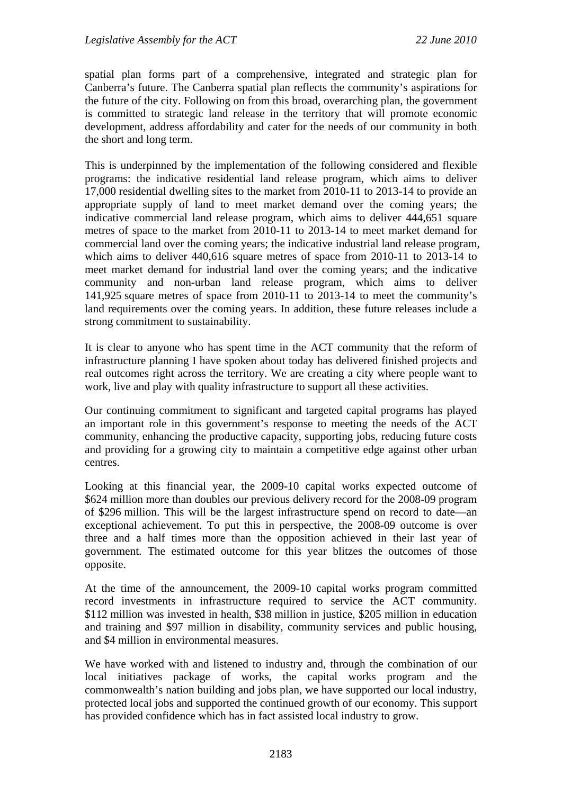spatial plan forms part of a comprehensive, integrated and strategic plan for Canberra's future. The Canberra spatial plan reflects the community's aspirations for the future of the city. Following on from this broad, overarching plan, the government is committed to strategic land release in the territory that will promote economic development, address affordability and cater for the needs of our community in both the short and long term.

This is underpinned by the implementation of the following considered and flexible programs: the indicative residential land release program, which aims to deliver 17,000 residential dwelling sites to the market from 2010-11 to 2013-14 to provide an appropriate supply of land to meet market demand over the coming years; the indicative commercial land release program, which aims to deliver 444,651 square metres of space to the market from 2010-11 to 2013-14 to meet market demand for commercial land over the coming years; the indicative industrial land release program, which aims to deliver 440,616 square metres of space from 2010-11 to 2013-14 to meet market demand for industrial land over the coming years; and the indicative community and non-urban land release program, which aims to deliver 141,925 square metres of space from 2010-11 to 2013-14 to meet the community's land requirements over the coming years. In addition, these future releases include a strong commitment to sustainability.

It is clear to anyone who has spent time in the ACT community that the reform of infrastructure planning I have spoken about today has delivered finished projects and real outcomes right across the territory. We are creating a city where people want to work, live and play with quality infrastructure to support all these activities.

Our continuing commitment to significant and targeted capital programs has played an important role in this government's response to meeting the needs of the ACT community, enhancing the productive capacity, supporting jobs, reducing future costs and providing for a growing city to maintain a competitive edge against other urban centres.

Looking at this financial year, the 2009-10 capital works expected outcome of \$624 million more than doubles our previous delivery record for the 2008-09 program of \$296 million. This will be the largest infrastructure spend on record to date—an exceptional achievement. To put this in perspective, the 2008-09 outcome is over three and a half times more than the opposition achieved in their last year of government. The estimated outcome for this year blitzes the outcomes of those opposite.

At the time of the announcement, the 2009-10 capital works program committed record investments in infrastructure required to service the ACT community. \$112 million was invested in health, \$38 million in justice, \$205 million in education and training and \$97 million in disability, community services and public housing, and \$4 million in environmental measures.

We have worked with and listened to industry and, through the combination of our local initiatives package of works, the capital works program and the commonwealth's nation building and jobs plan, we have supported our local industry, protected local jobs and supported the continued growth of our economy. This support has provided confidence which has in fact assisted local industry to grow.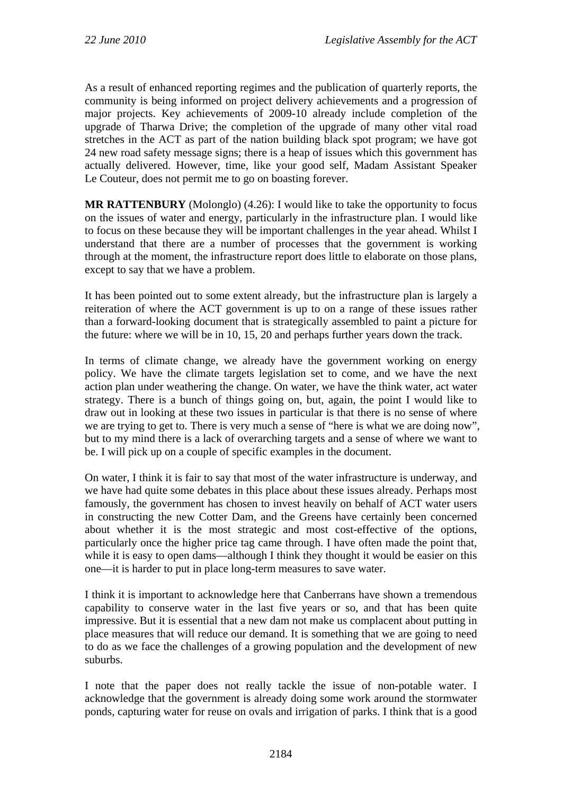As a result of enhanced reporting regimes and the publication of quarterly reports, the community is being informed on project delivery achievements and a progression of major projects. Key achievements of 2009-10 already include completion of the upgrade of Tharwa Drive; the completion of the upgrade of many other vital road stretches in the ACT as part of the nation building black spot program; we have got 24 new road safety message signs; there is a heap of issues which this government has actually delivered. However, time, like your good self, Madam Assistant Speaker Le Couteur, does not permit me to go on boasting forever.

**MR RATTENBURY** (Molonglo) (4.26): I would like to take the opportunity to focus on the issues of water and energy, particularly in the infrastructure plan. I would like to focus on these because they will be important challenges in the year ahead. Whilst I understand that there are a number of processes that the government is working through at the moment, the infrastructure report does little to elaborate on those plans, except to say that we have a problem.

It has been pointed out to some extent already, but the infrastructure plan is largely a reiteration of where the ACT government is up to on a range of these issues rather than a forward-looking document that is strategically assembled to paint a picture for the future: where we will be in 10, 15, 20 and perhaps further years down the track.

In terms of climate change, we already have the government working on energy policy. We have the climate targets legislation set to come, and we have the next action plan under weathering the change. On water, we have the think water, act water strategy. There is a bunch of things going on, but, again, the point I would like to draw out in looking at these two issues in particular is that there is no sense of where we are trying to get to. There is very much a sense of "here is what we are doing now", but to my mind there is a lack of overarching targets and a sense of where we want to be. I will pick up on a couple of specific examples in the document.

On water, I think it is fair to say that most of the water infrastructure is underway, and we have had quite some debates in this place about these issues already. Perhaps most famously, the government has chosen to invest heavily on behalf of ACT water users in constructing the new Cotter Dam, and the Greens have certainly been concerned about whether it is the most strategic and most cost-effective of the options, particularly once the higher price tag came through. I have often made the point that, while it is easy to open dams—although I think they thought it would be easier on this one—it is harder to put in place long-term measures to save water.

I think it is important to acknowledge here that Canberrans have shown a tremendous capability to conserve water in the last five years or so, and that has been quite impressive. But it is essential that a new dam not make us complacent about putting in place measures that will reduce our demand. It is something that we are going to need to do as we face the challenges of a growing population and the development of new suburbs.

I note that the paper does not really tackle the issue of non-potable water. I acknowledge that the government is already doing some work around the stormwater ponds, capturing water for reuse on ovals and irrigation of parks. I think that is a good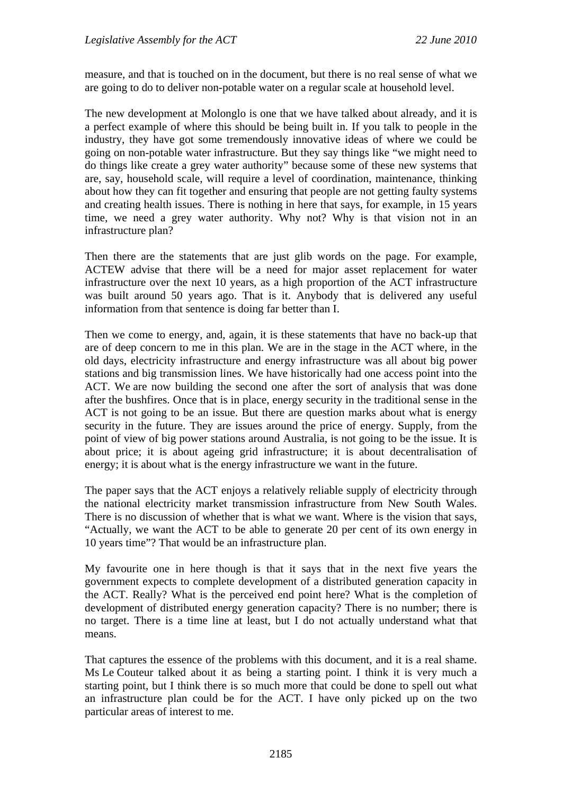measure, and that is touched on in the document, but there is no real sense of what we are going to do to deliver non-potable water on a regular scale at household level.

The new development at Molonglo is one that we have talked about already, and it is a perfect example of where this should be being built in. If you talk to people in the industry, they have got some tremendously innovative ideas of where we could be going on non-potable water infrastructure. But they say things like "we might need to do things like create a grey water authority" because some of these new systems that are, say, household scale, will require a level of coordination, maintenance, thinking about how they can fit together and ensuring that people are not getting faulty systems and creating health issues. There is nothing in here that says, for example, in 15 years time, we need a grey water authority. Why not? Why is that vision not in an infrastructure plan?

Then there are the statements that are just glib words on the page. For example, ACTEW advise that there will be a need for major asset replacement for water infrastructure over the next 10 years, as a high proportion of the ACT infrastructure was built around 50 years ago. That is it. Anybody that is delivered any useful information from that sentence is doing far better than I.

Then we come to energy, and, again, it is these statements that have no back-up that are of deep concern to me in this plan. We are in the stage in the ACT where, in the old days, electricity infrastructure and energy infrastructure was all about big power stations and big transmission lines. We have historically had one access point into the ACT. We are now building the second one after the sort of analysis that was done after the bushfires. Once that is in place, energy security in the traditional sense in the ACT is not going to be an issue. But there are question marks about what is energy security in the future. They are issues around the price of energy. Supply, from the point of view of big power stations around Australia, is not going to be the issue. It is about price; it is about ageing grid infrastructure; it is about decentralisation of energy; it is about what is the energy infrastructure we want in the future.

The paper says that the ACT enjoys a relatively reliable supply of electricity through the national electricity market transmission infrastructure from New South Wales. There is no discussion of whether that is what we want. Where is the vision that says, "Actually, we want the ACT to be able to generate 20 per cent of its own energy in 10 years time"? That would be an infrastructure plan.

My favourite one in here though is that it says that in the next five years the government expects to complete development of a distributed generation capacity in the ACT. Really? What is the perceived end point here? What is the completion of development of distributed energy generation capacity? There is no number; there is no target. There is a time line at least, but I do not actually understand what that means.

That captures the essence of the problems with this document, and it is a real shame. Ms Le Couteur talked about it as being a starting point. I think it is very much a starting point, but I think there is so much more that could be done to spell out what an infrastructure plan could be for the ACT. I have only picked up on the two particular areas of interest to me.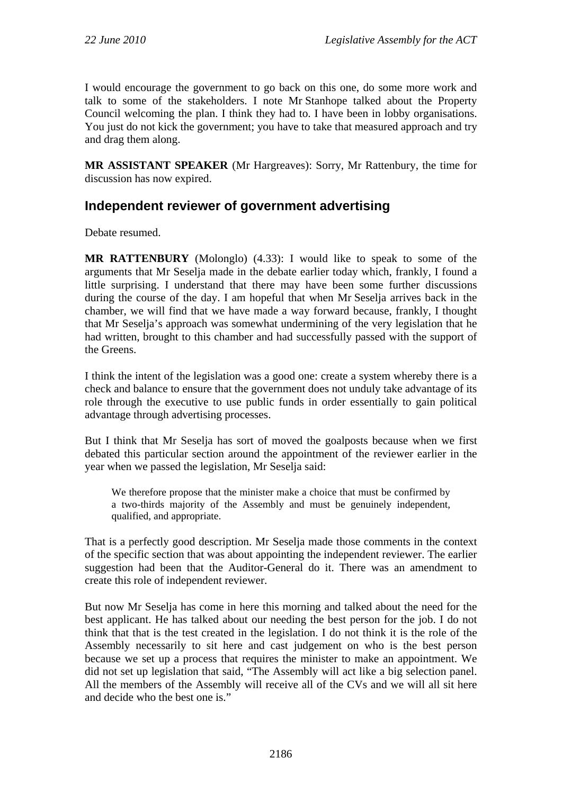I would encourage the government to go back on this one, do some more work and talk to some of the stakeholders. I note Mr Stanhope talked about the Property Council welcoming the plan. I think they had to. I have been in lobby organisations. You just do not kick the government; you have to take that measured approach and try and drag them along.

**MR ASSISTANT SPEAKER** (Mr Hargreaves): Sorry, Mr Rattenbury, the time for discussion has now expired.

# **Independent reviewer of government advertising**

Debate resumed.

**MR RATTENBURY** (Molonglo) (4.33): I would like to speak to some of the arguments that Mr Seselja made in the debate earlier today which, frankly, I found a little surprising. I understand that there may have been some further discussions during the course of the day. I am hopeful that when Mr Seselja arrives back in the chamber, we will find that we have made a way forward because, frankly, I thought that Mr Seselja's approach was somewhat undermining of the very legislation that he had written, brought to this chamber and had successfully passed with the support of the Greens.

I think the intent of the legislation was a good one: create a system whereby there is a check and balance to ensure that the government does not unduly take advantage of its role through the executive to use public funds in order essentially to gain political advantage through advertising processes.

But I think that Mr Seselja has sort of moved the goalposts because when we first debated this particular section around the appointment of the reviewer earlier in the year when we passed the legislation, Mr Seselja said:

We therefore propose that the minister make a choice that must be confirmed by a two-thirds majority of the Assembly and must be genuinely independent, qualified, and appropriate.

That is a perfectly good description. Mr Seselja made those comments in the context of the specific section that was about appointing the independent reviewer. The earlier suggestion had been that the Auditor-General do it. There was an amendment to create this role of independent reviewer.

But now Mr Seselja has come in here this morning and talked about the need for the best applicant. He has talked about our needing the best person for the job. I do not think that that is the test created in the legislation. I do not think it is the role of the Assembly necessarily to sit here and cast judgement on who is the best person because we set up a process that requires the minister to make an appointment. We did not set up legislation that said, "The Assembly will act like a big selection panel. All the members of the Assembly will receive all of the CVs and we will all sit here and decide who the best one is."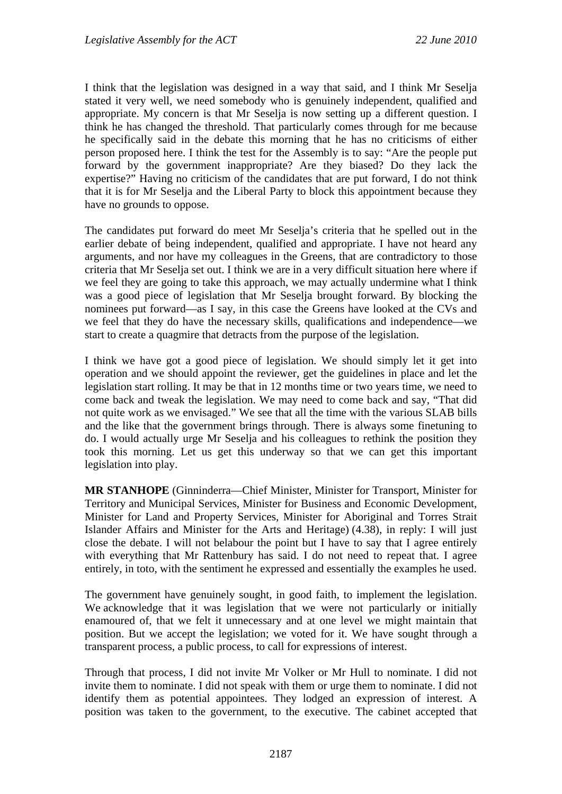I think that the legislation was designed in a way that said, and I think Mr Seselja stated it very well, we need somebody who is genuinely independent, qualified and appropriate. My concern is that Mr Seselja is now setting up a different question. I think he has changed the threshold. That particularly comes through for me because he specifically said in the debate this morning that he has no criticisms of either person proposed here. I think the test for the Assembly is to say: "Are the people put forward by the government inappropriate? Are they biased? Do they lack the expertise?" Having no criticism of the candidates that are put forward, I do not think that it is for Mr Seselja and the Liberal Party to block this appointment because they have no grounds to oppose.

The candidates put forward do meet Mr Seselja's criteria that he spelled out in the earlier debate of being independent, qualified and appropriate. I have not heard any arguments, and nor have my colleagues in the Greens, that are contradictory to those criteria that Mr Seselja set out. I think we are in a very difficult situation here where if we feel they are going to take this approach, we may actually undermine what I think was a good piece of legislation that Mr Seselia brought forward. By blocking the nominees put forward—as I say, in this case the Greens have looked at the CVs and we feel that they do have the necessary skills, qualifications and independence—we start to create a quagmire that detracts from the purpose of the legislation.

I think we have got a good piece of legislation. We should simply let it get into operation and we should appoint the reviewer, get the guidelines in place and let the legislation start rolling. It may be that in 12 months time or two years time, we need to come back and tweak the legislation. We may need to come back and say, "That did not quite work as we envisaged." We see that all the time with the various SLAB bills and the like that the government brings through. There is always some finetuning to do. I would actually urge Mr Seselja and his colleagues to rethink the position they took this morning. Let us get this underway so that we can get this important legislation into play.

**MR STANHOPE** (Ginninderra—Chief Minister, Minister for Transport, Minister for Territory and Municipal Services, Minister for Business and Economic Development, Minister for Land and Property Services, Minister for Aboriginal and Torres Strait Islander Affairs and Minister for the Arts and Heritage) (4.38), in reply: I will just close the debate. I will not belabour the point but I have to say that I agree entirely with everything that Mr Rattenbury has said. I do not need to repeat that. I agree entirely, in toto, with the sentiment he expressed and essentially the examples he used.

The government have genuinely sought, in good faith, to implement the legislation. We acknowledge that it was legislation that we were not particularly or initially enamoured of, that we felt it unnecessary and at one level we might maintain that position. But we accept the legislation; we voted for it. We have sought through a transparent process, a public process, to call for expressions of interest.

Through that process, I did not invite Mr Volker or Mr Hull to nominate. I did not invite them to nominate. I did not speak with them or urge them to nominate. I did not identify them as potential appointees. They lodged an expression of interest. A position was taken to the government, to the executive. The cabinet accepted that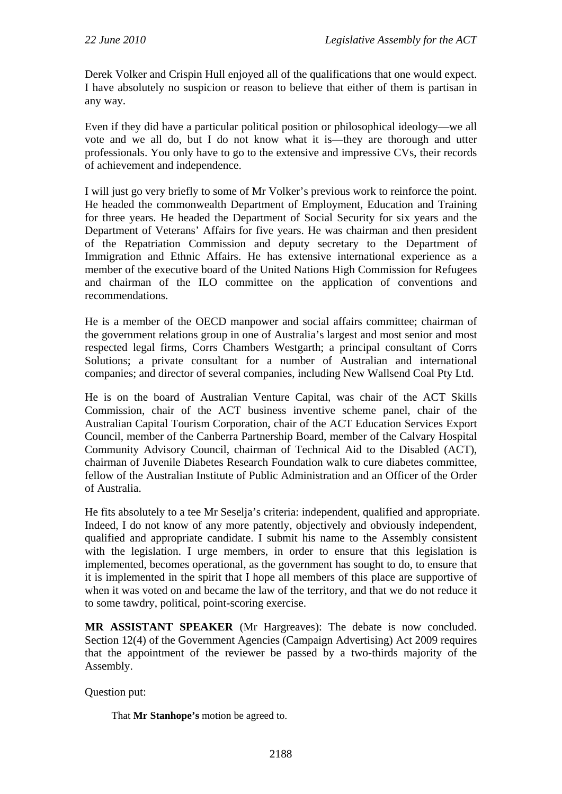Derek Volker and Crispin Hull enjoyed all of the qualifications that one would expect. I have absolutely no suspicion or reason to believe that either of them is partisan in any way.

Even if they did have a particular political position or philosophical ideology—we all vote and we all do, but I do not know what it is—they are thorough and utter professionals. You only have to go to the extensive and impressive CVs, their records of achievement and independence.

I will just go very briefly to some of Mr Volker's previous work to reinforce the point. He headed the commonwealth Department of Employment, Education and Training for three years. He headed the Department of Social Security for six years and the Department of Veterans' Affairs for five years. He was chairman and then president of the Repatriation Commission and deputy secretary to the Department of Immigration and Ethnic Affairs. He has extensive international experience as a member of the executive board of the United Nations High Commission for Refugees and chairman of the ILO committee on the application of conventions and recommendations.

He is a member of the OECD manpower and social affairs committee; chairman of the government relations group in one of Australia's largest and most senior and most respected legal firms, Corrs Chambers Westgarth; a principal consultant of Corrs Solutions; a private consultant for a number of Australian and international companies; and director of several companies, including New Wallsend Coal Pty Ltd.

He is on the board of Australian Venture Capital, was chair of the ACT Skills Commission, chair of the ACT business inventive scheme panel, chair of the Australian Capital Tourism Corporation, chair of the ACT Education Services Export Council, member of the Canberra Partnership Board, member of the Calvary Hospital Community Advisory Council, chairman of Technical Aid to the Disabled (ACT), chairman of Juvenile Diabetes Research Foundation walk to cure diabetes committee, fellow of the Australian Institute of Public Administration and an Officer of the Order of Australia.

He fits absolutely to a tee Mr Seselja's criteria: independent, qualified and appropriate. Indeed, I do not know of any more patently, objectively and obviously independent, qualified and appropriate candidate. I submit his name to the Assembly consistent with the legislation. I urge members, in order to ensure that this legislation is implemented, becomes operational, as the government has sought to do, to ensure that it is implemented in the spirit that I hope all members of this place are supportive of when it was voted on and became the law of the territory, and that we do not reduce it to some tawdry, political, point-scoring exercise.

**MR ASSISTANT SPEAKER** (Mr Hargreaves): The debate is now concluded. Section 12(4) of the Government Agencies (Campaign Advertising) Act 2009 requires that the appointment of the reviewer be passed by a two-thirds majority of the Assembly.

Question put:

That **Mr Stanhope's** motion be agreed to.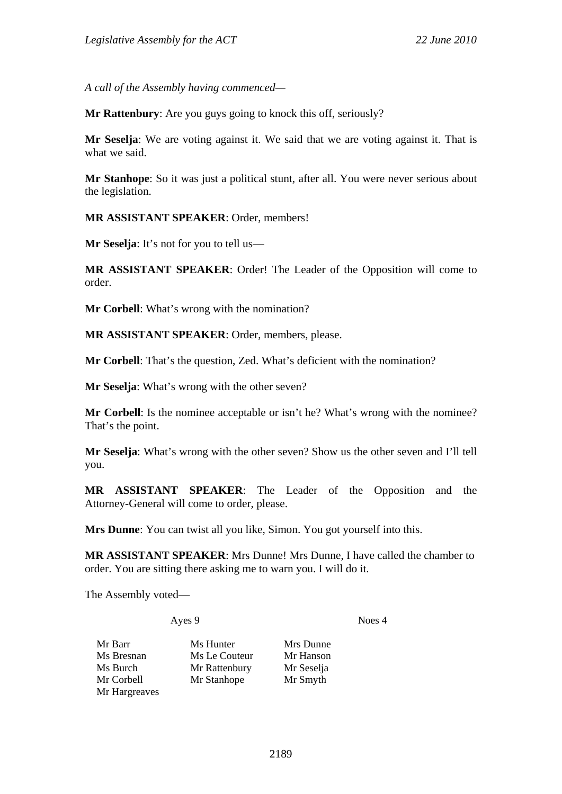*A call of the Assembly having commenced—* 

**Mr Rattenbury**: Are you guys going to knock this off, seriously?

**Mr Seselja**: We are voting against it. We said that we are voting against it. That is what we said.

**Mr Stanhope**: So it was just a political stunt, after all. You were never serious about the legislation.

**MR ASSISTANT SPEAKER**: Order, members!

**Mr Seselja**: It's not for you to tell us—

**MR ASSISTANT SPEAKER**: Order! The Leader of the Opposition will come to order.

**Mr Corbell**: What's wrong with the nomination?

**MR ASSISTANT SPEAKER**: Order, members, please.

**Mr Corbell**: That's the question, Zed. What's deficient with the nomination?

**Mr Seselja**: What's wrong with the other seven?

**Mr Corbell:** Is the nominee acceptable or isn't he? What's wrong with the nominee? That's the point.

**Mr Seselja**: What's wrong with the other seven? Show us the other seven and I'll tell you.

**MR ASSISTANT SPEAKER**: The Leader of the Opposition and the Attorney-General will come to order, please.

**Mrs Dunne**: You can twist all you like, Simon. You got yourself into this.

**MR ASSISTANT SPEAKER**: Mrs Dunne! Mrs Dunne, I have called the chamber to order. You are sitting there asking me to warn you. I will do it.

The Assembly voted—

Ayes 9 Noes 4

Mr Barr Ms Hunter Mrs Dunne Ms Bresnan Ms Le Couteur Mr Hanson Ms Burch Mr Rattenbury Mr Seselja Mr Corbell Mr Stanhope Mr Smyth Mr Hargreaves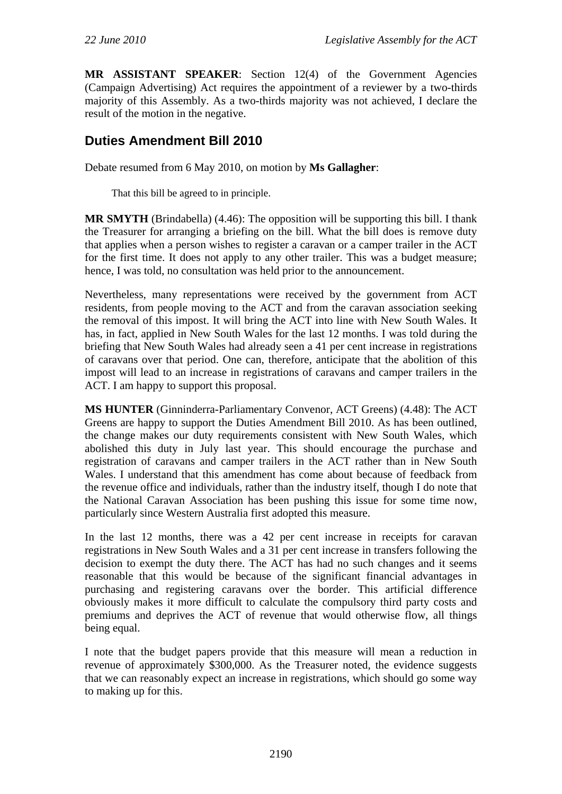**MR ASSISTANT SPEAKER**: Section 12(4) of the Government Agencies (Campaign Advertising) Act requires the appointment of a reviewer by a two-thirds majority of this Assembly. As a two-thirds majority was not achieved, I declare the result of the motion in the negative.

# **Duties Amendment Bill 2010**

Debate resumed from 6 May 2010, on motion by **Ms Gallagher**:

That this bill be agreed to in principle.

**MR SMYTH** (Brindabella) (4.46): The opposition will be supporting this bill. I thank the Treasurer for arranging a briefing on the bill. What the bill does is remove duty that applies when a person wishes to register a caravan or a camper trailer in the ACT for the first time. It does not apply to any other trailer. This was a budget measure; hence, I was told, no consultation was held prior to the announcement.

Nevertheless, many representations were received by the government from ACT residents, from people moving to the ACT and from the caravan association seeking the removal of this impost. It will bring the ACT into line with New South Wales. It has, in fact, applied in New South Wales for the last 12 months. I was told during the briefing that New South Wales had already seen a 41 per cent increase in registrations of caravans over that period. One can, therefore, anticipate that the abolition of this impost will lead to an increase in registrations of caravans and camper trailers in the ACT. I am happy to support this proposal.

**MS HUNTER** (Ginninderra-Parliamentary Convenor, ACT Greens) (4.48): The ACT Greens are happy to support the Duties Amendment Bill 2010. As has been outlined, the change makes our duty requirements consistent with New South Wales, which abolished this duty in July last year. This should encourage the purchase and registration of caravans and camper trailers in the ACT rather than in New South Wales. I understand that this amendment has come about because of feedback from the revenue office and individuals, rather than the industry itself, though I do note that the National Caravan Association has been pushing this issue for some time now, particularly since Western Australia first adopted this measure.

In the last 12 months, there was a 42 per cent increase in receipts for caravan registrations in New South Wales and a 31 per cent increase in transfers following the decision to exempt the duty there. The ACT has had no such changes and it seems reasonable that this would be because of the significant financial advantages in purchasing and registering caravans over the border. This artificial difference obviously makes it more difficult to calculate the compulsory third party costs and premiums and deprives the ACT of revenue that would otherwise flow, all things being equal.

I note that the budget papers provide that this measure will mean a reduction in revenue of approximately \$300,000. As the Treasurer noted, the evidence suggests that we can reasonably expect an increase in registrations, which should go some way to making up for this.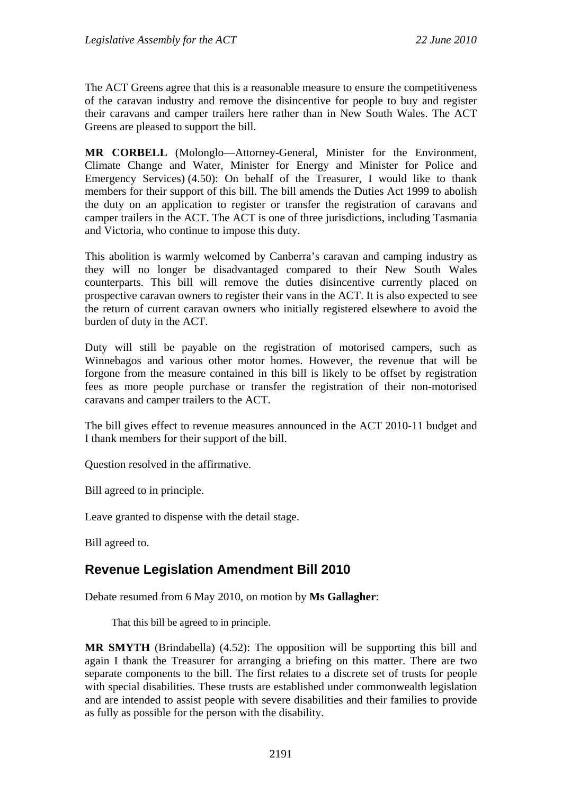The ACT Greens agree that this is a reasonable measure to ensure the competitiveness of the caravan industry and remove the disincentive for people to buy and register their caravans and camper trailers here rather than in New South Wales. The ACT Greens are pleased to support the bill.

**MR CORBELL** (Molonglo—Attorney-General, Minister for the Environment, Climate Change and Water, Minister for Energy and Minister for Police and Emergency Services) (4.50): On behalf of the Treasurer, I would like to thank members for their support of this bill. The bill amends the Duties Act 1999 to abolish the duty on an application to register or transfer the registration of caravans and camper trailers in the ACT. The ACT is one of three jurisdictions, including Tasmania and Victoria, who continue to impose this duty.

This abolition is warmly welcomed by Canberra's caravan and camping industry as they will no longer be disadvantaged compared to their New South Wales counterparts. This bill will remove the duties disincentive currently placed on prospective caravan owners to register their vans in the ACT. It is also expected to see the return of current caravan owners who initially registered elsewhere to avoid the burden of duty in the ACT.

Duty will still be payable on the registration of motorised campers, such as Winnebagos and various other motor homes. However, the revenue that will be forgone from the measure contained in this bill is likely to be offset by registration fees as more people purchase or transfer the registration of their non-motorised caravans and camper trailers to the ACT.

The bill gives effect to revenue measures announced in the ACT 2010-11 budget and I thank members for their support of the bill.

Question resolved in the affirmative.

Bill agreed to in principle.

Leave granted to dispense with the detail stage.

Bill agreed to.

## **Revenue Legislation Amendment Bill 2010**

Debate resumed from 6 May 2010, on motion by **Ms Gallagher**:

That this bill be agreed to in principle.

**MR SMYTH** (Brindabella) (4.52): The opposition will be supporting this bill and again I thank the Treasurer for arranging a briefing on this matter. There are two separate components to the bill. The first relates to a discrete set of trusts for people with special disabilities. These trusts are established under commonwealth legislation and are intended to assist people with severe disabilities and their families to provide as fully as possible for the person with the disability.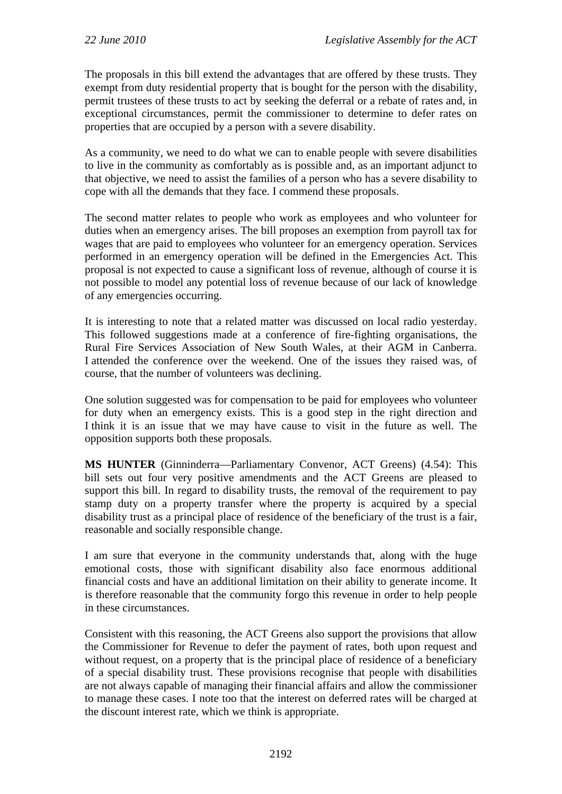The proposals in this bill extend the advantages that are offered by these trusts. They exempt from duty residential property that is bought for the person with the disability, permit trustees of these trusts to act by seeking the deferral or a rebate of rates and, in exceptional circumstances, permit the commissioner to determine to defer rates on properties that are occupied by a person with a severe disability.

As a community, we need to do what we can to enable people with severe disabilities to live in the community as comfortably as is possible and, as an important adjunct to that objective, we need to assist the families of a person who has a severe disability to cope with all the demands that they face. I commend these proposals.

The second matter relates to people who work as employees and who volunteer for duties when an emergency arises. The bill proposes an exemption from payroll tax for wages that are paid to employees who volunteer for an emergency operation. Services performed in an emergency operation will be defined in the Emergencies Act. This proposal is not expected to cause a significant loss of revenue, although of course it is not possible to model any potential loss of revenue because of our lack of knowledge of any emergencies occurring.

It is interesting to note that a related matter was discussed on local radio yesterday. This followed suggestions made at a conference of fire-fighting organisations, the Rural Fire Services Association of New South Wales, at their AGM in Canberra. I attended the conference over the weekend. One of the issues they raised was, of course, that the number of volunteers was declining.

One solution suggested was for compensation to be paid for employees who volunteer for duty when an emergency exists. This is a good step in the right direction and I think it is an issue that we may have cause to visit in the future as well. The opposition supports both these proposals.

**MS HUNTER** (Ginninderra—Parliamentary Convenor, ACT Greens) (4.54): This bill sets out four very positive amendments and the ACT Greens are pleased to support this bill. In regard to disability trusts, the removal of the requirement to pay stamp duty on a property transfer where the property is acquired by a special disability trust as a principal place of residence of the beneficiary of the trust is a fair, reasonable and socially responsible change.

I am sure that everyone in the community understands that, along with the huge emotional costs, those with significant disability also face enormous additional financial costs and have an additional limitation on their ability to generate income. It is therefore reasonable that the community forgo this revenue in order to help people in these circumstances.

Consistent with this reasoning, the ACT Greens also support the provisions that allow the Commissioner for Revenue to defer the payment of rates, both upon request and without request, on a property that is the principal place of residence of a beneficiary of a special disability trust. These provisions recognise that people with disabilities are not always capable of managing their financial affairs and allow the commissioner to manage these cases. I note too that the interest on deferred rates will be charged at the discount interest rate, which we think is appropriate.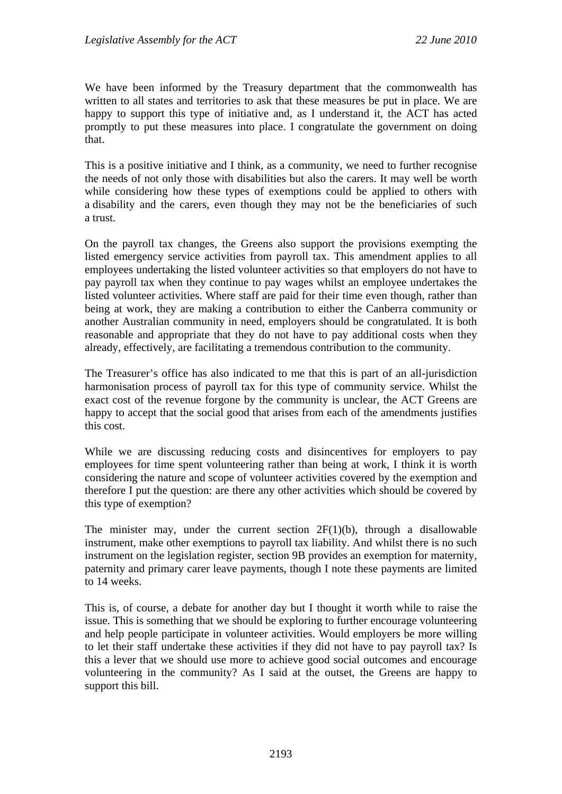We have been informed by the Treasury department that the commonwealth has written to all states and territories to ask that these measures be put in place. We are happy to support this type of initiative and, as I understand it, the ACT has acted promptly to put these measures into place. I congratulate the government on doing that.

This is a positive initiative and I think, as a community, we need to further recognise the needs of not only those with disabilities but also the carers. It may well be worth while considering how these types of exemptions could be applied to others with a disability and the carers, even though they may not be the beneficiaries of such a trust.

On the payroll tax changes, the Greens also support the provisions exempting the listed emergency service activities from payroll tax. This amendment applies to all employees undertaking the listed volunteer activities so that employers do not have to pay payroll tax when they continue to pay wages whilst an employee undertakes the listed volunteer activities. Where staff are paid for their time even though, rather than being at work, they are making a contribution to either the Canberra community or another Australian community in need, employers should be congratulated. It is both reasonable and appropriate that they do not have to pay additional costs when they already, effectively, are facilitating a tremendous contribution to the community.

The Treasurer's office has also indicated to me that this is part of an all-jurisdiction harmonisation process of payroll tax for this type of community service. Whilst the exact cost of the revenue forgone by the community is unclear, the ACT Greens are happy to accept that the social good that arises from each of the amendments justifies this cost.

While we are discussing reducing costs and disincentives for employers to pay employees for time spent volunteering rather than being at work, I think it is worth considering the nature and scope of volunteer activities covered by the exemption and therefore I put the question: are there any other activities which should be covered by this type of exemption?

The minister may, under the current section  $2F(1)(b)$ , through a disallowable instrument, make other exemptions to payroll tax liability. And whilst there is no such instrument on the legislation register, section 9B provides an exemption for maternity, paternity and primary carer leave payments, though I note these payments are limited to 14 weeks.

This is, of course, a debate for another day but I thought it worth while to raise the issue. This is something that we should be exploring to further encourage volunteering and help people participate in volunteer activities. Would employers be more willing to let their staff undertake these activities if they did not have to pay payroll tax? Is this a lever that we should use more to achieve good social outcomes and encourage volunteering in the community? As I said at the outset, the Greens are happy to support this bill.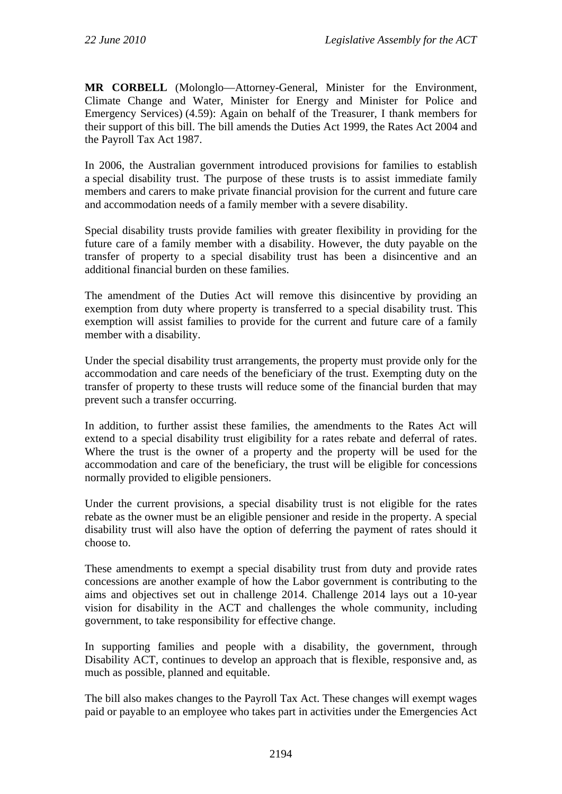**MR CORBELL** (Molonglo—Attorney-General, Minister for the Environment, Climate Change and Water, Minister for Energy and Minister for Police and Emergency Services) (4.59): Again on behalf of the Treasurer, I thank members for their support of this bill. The bill amends the Duties Act 1999, the Rates Act 2004 and the Payroll Tax Act 1987.

In 2006, the Australian government introduced provisions for families to establish a special disability trust. The purpose of these trusts is to assist immediate family members and carers to make private financial provision for the current and future care and accommodation needs of a family member with a severe disability.

Special disability trusts provide families with greater flexibility in providing for the future care of a family member with a disability. However, the duty payable on the transfer of property to a special disability trust has been a disincentive and an additional financial burden on these families.

The amendment of the Duties Act will remove this disincentive by providing an exemption from duty where property is transferred to a special disability trust. This exemption will assist families to provide for the current and future care of a family member with a disability.

Under the special disability trust arrangements, the property must provide only for the accommodation and care needs of the beneficiary of the trust. Exempting duty on the transfer of property to these trusts will reduce some of the financial burden that may prevent such a transfer occurring.

In addition, to further assist these families, the amendments to the Rates Act will extend to a special disability trust eligibility for a rates rebate and deferral of rates. Where the trust is the owner of a property and the property will be used for the accommodation and care of the beneficiary, the trust will be eligible for concessions normally provided to eligible pensioners.

Under the current provisions, a special disability trust is not eligible for the rates rebate as the owner must be an eligible pensioner and reside in the property. A special disability trust will also have the option of deferring the payment of rates should it choose to.

These amendments to exempt a special disability trust from duty and provide rates concessions are another example of how the Labor government is contributing to the aims and objectives set out in challenge 2014. Challenge 2014 lays out a 10-year vision for disability in the ACT and challenges the whole community, including government, to take responsibility for effective change.

In supporting families and people with a disability, the government, through Disability ACT, continues to develop an approach that is flexible, responsive and, as much as possible, planned and equitable.

The bill also makes changes to the Payroll Tax Act. These changes will exempt wages paid or payable to an employee who takes part in activities under the Emergencies Act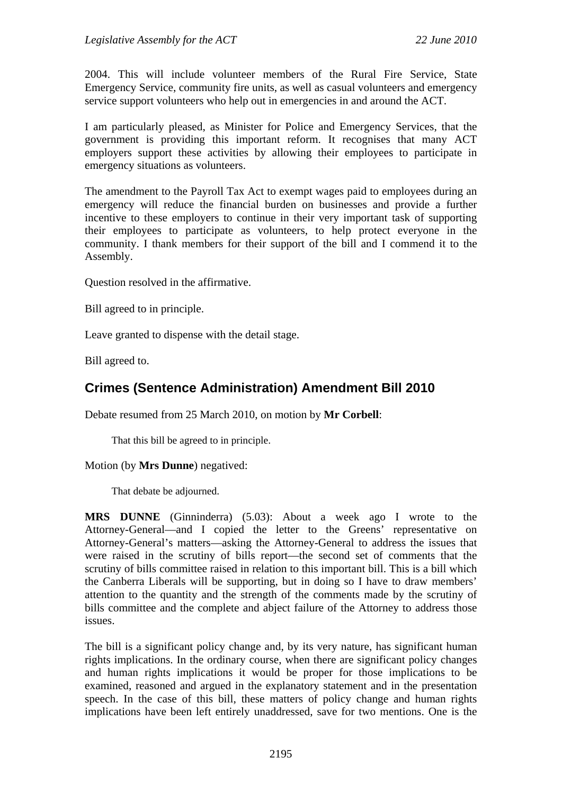2004. This will include volunteer members of the Rural Fire Service, State Emergency Service, community fire units, as well as casual volunteers and emergency service support volunteers who help out in emergencies in and around the ACT.

I am particularly pleased, as Minister for Police and Emergency Services, that the government is providing this important reform. It recognises that many ACT employers support these activities by allowing their employees to participate in emergency situations as volunteers.

The amendment to the Payroll Tax Act to exempt wages paid to employees during an emergency will reduce the financial burden on businesses and provide a further incentive to these employers to continue in their very important task of supporting their employees to participate as volunteers, to help protect everyone in the community. I thank members for their support of the bill and I commend it to the Assembly.

Question resolved in the affirmative.

Bill agreed to in principle.

Leave granted to dispense with the detail stage.

Bill agreed to.

# **Crimes (Sentence Administration) Amendment Bill 2010**

Debate resumed from 25 March 2010, on motion by **Mr Corbell**:

That this bill be agreed to in principle.

Motion (by **Mrs Dunne**) negatived:

That debate be adjourned.

**MRS DUNNE** (Ginninderra) (5.03): About a week ago I wrote to the Attorney-General—and I copied the letter to the Greens' representative on Attorney-General's matters—asking the Attorney-General to address the issues that were raised in the scrutiny of bills report—the second set of comments that the scrutiny of bills committee raised in relation to this important bill. This is a bill which the Canberra Liberals will be supporting, but in doing so I have to draw members' attention to the quantity and the strength of the comments made by the scrutiny of bills committee and the complete and abject failure of the Attorney to address those issues.

The bill is a significant policy change and, by its very nature, has significant human rights implications. In the ordinary course, when there are significant policy changes and human rights implications it would be proper for those implications to be examined, reasoned and argued in the explanatory statement and in the presentation speech. In the case of this bill, these matters of policy change and human rights implications have been left entirely unaddressed, save for two mentions. One is the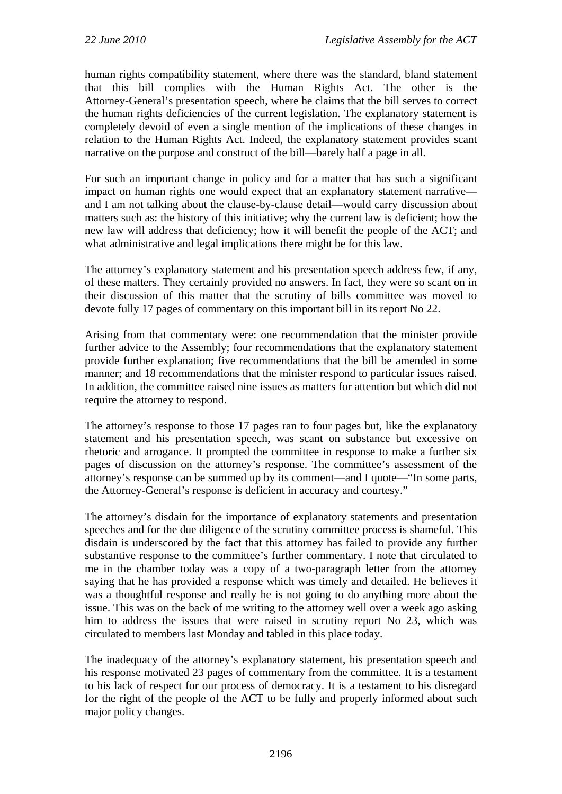human rights compatibility statement, where there was the standard, bland statement that this bill complies with the Human Rights Act. The other is the Attorney-General's presentation speech, where he claims that the bill serves to correct the human rights deficiencies of the current legislation. The explanatory statement is completely devoid of even a single mention of the implications of these changes in relation to the Human Rights Act. Indeed, the explanatory statement provides scant narrative on the purpose and construct of the bill—barely half a page in all.

For such an important change in policy and for a matter that has such a significant impact on human rights one would expect that an explanatory statement narrative and I am not talking about the clause-by-clause detail—would carry discussion about matters such as: the history of this initiative; why the current law is deficient; how the new law will address that deficiency; how it will benefit the people of the ACT; and what administrative and legal implications there might be for this law.

The attorney's explanatory statement and his presentation speech address few, if any, of these matters. They certainly provided no answers. In fact, they were so scant on in their discussion of this matter that the scrutiny of bills committee was moved to devote fully 17 pages of commentary on this important bill in its report No 22.

Arising from that commentary were: one recommendation that the minister provide further advice to the Assembly; four recommendations that the explanatory statement provide further explanation; five recommendations that the bill be amended in some manner; and 18 recommendations that the minister respond to particular issues raised. In addition, the committee raised nine issues as matters for attention but which did not require the attorney to respond.

The attorney's response to those 17 pages ran to four pages but, like the explanatory statement and his presentation speech, was scant on substance but excessive on rhetoric and arrogance. It prompted the committee in response to make a further six pages of discussion on the attorney's response. The committee's assessment of the attorney's response can be summed up by its comment—and I quote—"In some parts, the Attorney-General's response is deficient in accuracy and courtesy."

The attorney's disdain for the importance of explanatory statements and presentation speeches and for the due diligence of the scrutiny committee process is shameful. This disdain is underscored by the fact that this attorney has failed to provide any further substantive response to the committee's further commentary. I note that circulated to me in the chamber today was a copy of a two-paragraph letter from the attorney saying that he has provided a response which was timely and detailed. He believes it was a thoughtful response and really he is not going to do anything more about the issue. This was on the back of me writing to the attorney well over a week ago asking him to address the issues that were raised in scrutiny report No 23, which was circulated to members last Monday and tabled in this place today.

The inadequacy of the attorney's explanatory statement, his presentation speech and his response motivated 23 pages of commentary from the committee. It is a testament to his lack of respect for our process of democracy. It is a testament to his disregard for the right of the people of the ACT to be fully and properly informed about such major policy changes.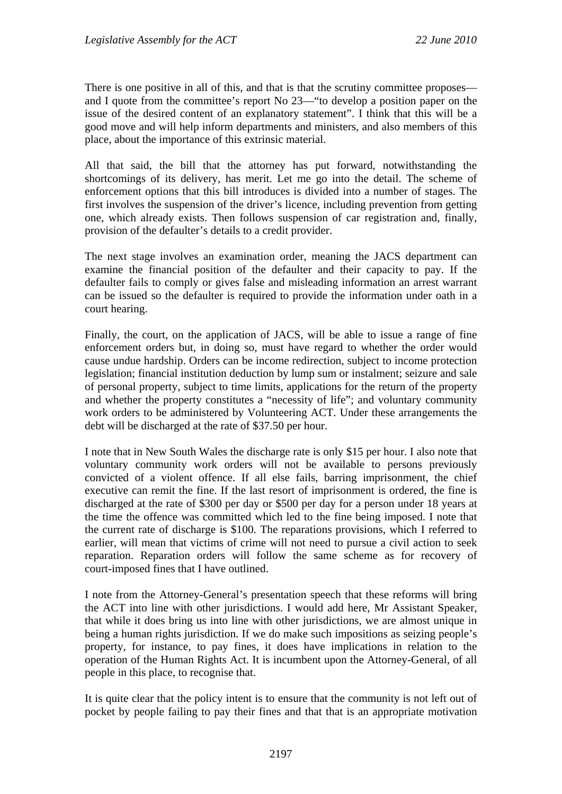There is one positive in all of this, and that is that the scrutiny committee proposes and I quote from the committee's report No 23—"to develop a position paper on the issue of the desired content of an explanatory statement". I think that this will be a good move and will help inform departments and ministers, and also members of this place, about the importance of this extrinsic material.

All that said, the bill that the attorney has put forward, notwithstanding the shortcomings of its delivery, has merit. Let me go into the detail. The scheme of enforcement options that this bill introduces is divided into a number of stages. The first involves the suspension of the driver's licence, including prevention from getting one, which already exists. Then follows suspension of car registration and, finally, provision of the defaulter's details to a credit provider.

The next stage involves an examination order, meaning the JACS department can examine the financial position of the defaulter and their capacity to pay. If the defaulter fails to comply or gives false and misleading information an arrest warrant can be issued so the defaulter is required to provide the information under oath in a court hearing.

Finally, the court, on the application of JACS, will be able to issue a range of fine enforcement orders but, in doing so, must have regard to whether the order would cause undue hardship. Orders can be income redirection, subject to income protection legislation; financial institution deduction by lump sum or instalment; seizure and sale of personal property, subject to time limits, applications for the return of the property and whether the property constitutes a "necessity of life"; and voluntary community work orders to be administered by Volunteering ACT. Under these arrangements the debt will be discharged at the rate of \$37.50 per hour.

I note that in New South Wales the discharge rate is only \$15 per hour. I also note that voluntary community work orders will not be available to persons previously convicted of a violent offence. If all else fails, barring imprisonment, the chief executive can remit the fine. If the last resort of imprisonment is ordered, the fine is discharged at the rate of \$300 per day or \$500 per day for a person under 18 years at the time the offence was committed which led to the fine being imposed. I note that the current rate of discharge is \$100. The reparations provisions, which I referred to earlier, will mean that victims of crime will not need to pursue a civil action to seek reparation. Reparation orders will follow the same scheme as for recovery of court-imposed fines that I have outlined.

I note from the Attorney-General's presentation speech that these reforms will bring the ACT into line with other jurisdictions. I would add here, Mr Assistant Speaker, that while it does bring us into line with other jurisdictions, we are almost unique in being a human rights jurisdiction. If we do make such impositions as seizing people's property, for instance, to pay fines, it does have implications in relation to the operation of the Human Rights Act. It is incumbent upon the Attorney-General, of all people in this place, to recognise that.

It is quite clear that the policy intent is to ensure that the community is not left out of pocket by people failing to pay their fines and that that is an appropriate motivation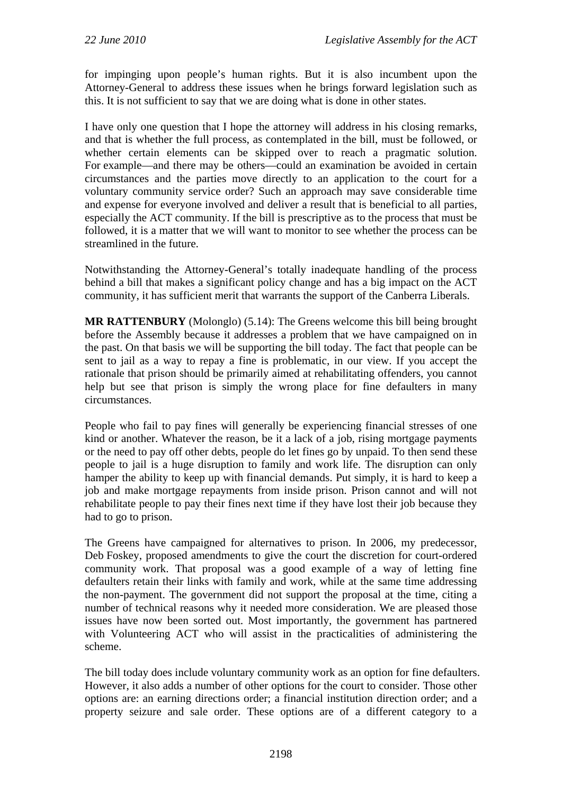for impinging upon people's human rights. But it is also incumbent upon the Attorney-General to address these issues when he brings forward legislation such as this. It is not sufficient to say that we are doing what is done in other states.

I have only one question that I hope the attorney will address in his closing remarks, and that is whether the full process, as contemplated in the bill, must be followed, or whether certain elements can be skipped over to reach a pragmatic solution. For example—and there may be others—could an examination be avoided in certain circumstances and the parties move directly to an application to the court for a voluntary community service order? Such an approach may save considerable time and expense for everyone involved and deliver a result that is beneficial to all parties, especially the ACT community. If the bill is prescriptive as to the process that must be followed, it is a matter that we will want to monitor to see whether the process can be streamlined in the future.

Notwithstanding the Attorney-General's totally inadequate handling of the process behind a bill that makes a significant policy change and has a big impact on the ACT community, it has sufficient merit that warrants the support of the Canberra Liberals.

**MR RATTENBURY** (Molonglo) (5.14): The Greens welcome this bill being brought before the Assembly because it addresses a problem that we have campaigned on in the past. On that basis we will be supporting the bill today. The fact that people can be sent to jail as a way to repay a fine is problematic, in our view. If you accept the rationale that prison should be primarily aimed at rehabilitating offenders, you cannot help but see that prison is simply the wrong place for fine defaulters in many circumstances.

People who fail to pay fines will generally be experiencing financial stresses of one kind or another. Whatever the reason, be it a lack of a job, rising mortgage payments or the need to pay off other debts, people do let fines go by unpaid. To then send these people to jail is a huge disruption to family and work life. The disruption can only hamper the ability to keep up with financial demands. Put simply, it is hard to keep a job and make mortgage repayments from inside prison. Prison cannot and will not rehabilitate people to pay their fines next time if they have lost their job because they had to go to prison.

The Greens have campaigned for alternatives to prison. In 2006, my predecessor, Deb Foskey, proposed amendments to give the court the discretion for court-ordered community work. That proposal was a good example of a way of letting fine defaulters retain their links with family and work, while at the same time addressing the non-payment. The government did not support the proposal at the time, citing a number of technical reasons why it needed more consideration. We are pleased those issues have now been sorted out. Most importantly, the government has partnered with Volunteering ACT who will assist in the practicalities of administering the scheme.

The bill today does include voluntary community work as an option for fine defaulters. However, it also adds a number of other options for the court to consider. Those other options are: an earning directions order; a financial institution direction order; and a property seizure and sale order. These options are of a different category to a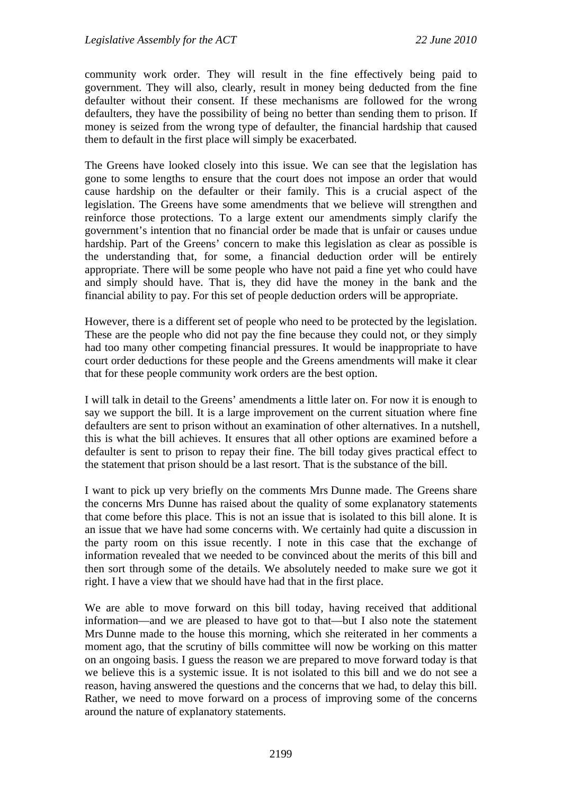community work order. They will result in the fine effectively being paid to government. They will also, clearly, result in money being deducted from the fine defaulter without their consent. If these mechanisms are followed for the wrong defaulters, they have the possibility of being no better than sending them to prison. If money is seized from the wrong type of defaulter, the financial hardship that caused them to default in the first place will simply be exacerbated.

The Greens have looked closely into this issue. We can see that the legislation has gone to some lengths to ensure that the court does not impose an order that would cause hardship on the defaulter or their family. This is a crucial aspect of the legislation. The Greens have some amendments that we believe will strengthen and reinforce those protections. To a large extent our amendments simply clarify the government's intention that no financial order be made that is unfair or causes undue hardship. Part of the Greens' concern to make this legislation as clear as possible is the understanding that, for some, a financial deduction order will be entirely appropriate. There will be some people who have not paid a fine yet who could have and simply should have. That is, they did have the money in the bank and the financial ability to pay. For this set of people deduction orders will be appropriate.

However, there is a different set of people who need to be protected by the legislation. These are the people who did not pay the fine because they could not, or they simply had too many other competing financial pressures. It would be inappropriate to have court order deductions for these people and the Greens amendments will make it clear that for these people community work orders are the best option.

I will talk in detail to the Greens' amendments a little later on. For now it is enough to say we support the bill. It is a large improvement on the current situation where fine defaulters are sent to prison without an examination of other alternatives. In a nutshell, this is what the bill achieves. It ensures that all other options are examined before a defaulter is sent to prison to repay their fine. The bill today gives practical effect to the statement that prison should be a last resort. That is the substance of the bill.

I want to pick up very briefly on the comments Mrs Dunne made. The Greens share the concerns Mrs Dunne has raised about the quality of some explanatory statements that come before this place. This is not an issue that is isolated to this bill alone. It is an issue that we have had some concerns with. We certainly had quite a discussion in the party room on this issue recently. I note in this case that the exchange of information revealed that we needed to be convinced about the merits of this bill and then sort through some of the details. We absolutely needed to make sure we got it right. I have a view that we should have had that in the first place.

We are able to move forward on this bill today, having received that additional information—and we are pleased to have got to that—but I also note the statement Mrs Dunne made to the house this morning, which she reiterated in her comments a moment ago, that the scrutiny of bills committee will now be working on this matter on an ongoing basis. I guess the reason we are prepared to move forward today is that we believe this is a systemic issue. It is not isolated to this bill and we do not see a reason, having answered the questions and the concerns that we had, to delay this bill. Rather, we need to move forward on a process of improving some of the concerns around the nature of explanatory statements.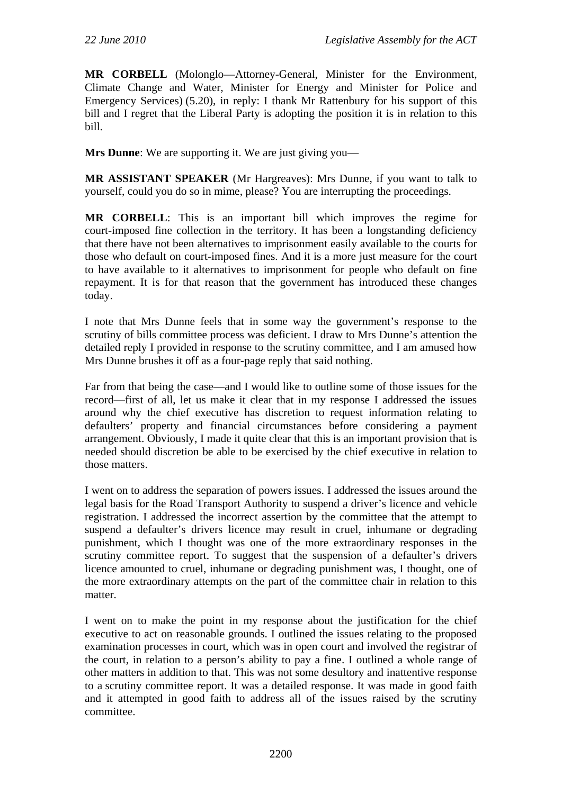**MR CORBELL** (Molonglo—Attorney-General, Minister for the Environment, Climate Change and Water, Minister for Energy and Minister for Police and Emergency Services) (5.20), in reply: I thank Mr Rattenbury for his support of this bill and I regret that the Liberal Party is adopting the position it is in relation to this bill.

**Mrs Dunne**: We are supporting it. We are just giving you—

**MR ASSISTANT SPEAKER** (Mr Hargreaves): Mrs Dunne, if you want to talk to yourself, could you do so in mime, please? You are interrupting the proceedings.

**MR CORBELL**: This is an important bill which improves the regime for court-imposed fine collection in the territory. It has been a longstanding deficiency that there have not been alternatives to imprisonment easily available to the courts for those who default on court-imposed fines. And it is a more just measure for the court to have available to it alternatives to imprisonment for people who default on fine repayment. It is for that reason that the government has introduced these changes today.

I note that Mrs Dunne feels that in some way the government's response to the scrutiny of bills committee process was deficient. I draw to Mrs Dunne's attention the detailed reply I provided in response to the scrutiny committee, and I am amused how Mrs Dunne brushes it off as a four-page reply that said nothing.

Far from that being the case—and I would like to outline some of those issues for the record—first of all, let us make it clear that in my response I addressed the issues around why the chief executive has discretion to request information relating to defaulters' property and financial circumstances before considering a payment arrangement. Obviously, I made it quite clear that this is an important provision that is needed should discretion be able to be exercised by the chief executive in relation to those matters.

I went on to address the separation of powers issues. I addressed the issues around the legal basis for the Road Transport Authority to suspend a driver's licence and vehicle registration. I addressed the incorrect assertion by the committee that the attempt to suspend a defaulter's drivers licence may result in cruel, inhumane or degrading punishment, which I thought was one of the more extraordinary responses in the scrutiny committee report. To suggest that the suspension of a defaulter's drivers licence amounted to cruel, inhumane or degrading punishment was, I thought, one of the more extraordinary attempts on the part of the committee chair in relation to this matter.

I went on to make the point in my response about the justification for the chief executive to act on reasonable grounds. I outlined the issues relating to the proposed examination processes in court, which was in open court and involved the registrar of the court, in relation to a person's ability to pay a fine. I outlined a whole range of other matters in addition to that. This was not some desultory and inattentive response to a scrutiny committee report. It was a detailed response. It was made in good faith and it attempted in good faith to address all of the issues raised by the scrutiny committee.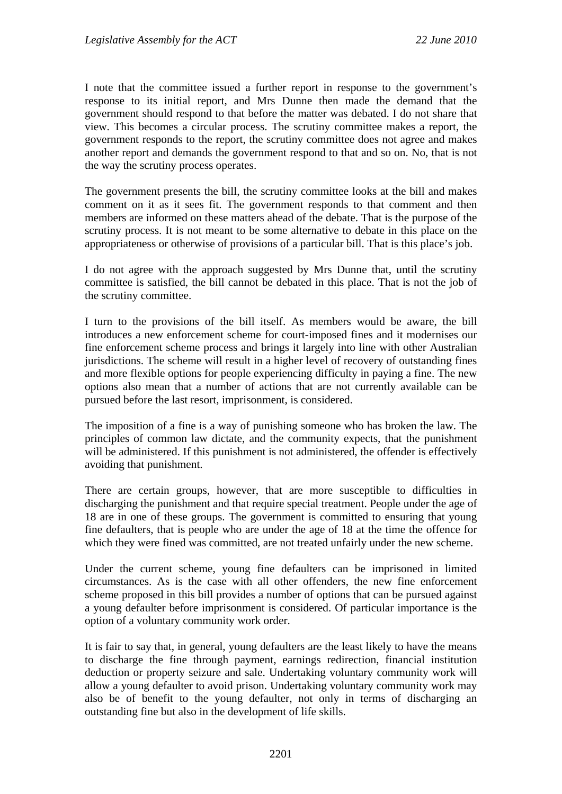I note that the committee issued a further report in response to the government's response to its initial report, and Mrs Dunne then made the demand that the government should respond to that before the matter was debated. I do not share that view. This becomes a circular process. The scrutiny committee makes a report, the government responds to the report, the scrutiny committee does not agree and makes another report and demands the government respond to that and so on. No, that is not the way the scrutiny process operates.

The government presents the bill, the scrutiny committee looks at the bill and makes comment on it as it sees fit. The government responds to that comment and then members are informed on these matters ahead of the debate. That is the purpose of the scrutiny process. It is not meant to be some alternative to debate in this place on the appropriateness or otherwise of provisions of a particular bill. That is this place's job.

I do not agree with the approach suggested by Mrs Dunne that, until the scrutiny committee is satisfied, the bill cannot be debated in this place. That is not the job of the scrutiny committee.

I turn to the provisions of the bill itself. As members would be aware, the bill introduces a new enforcement scheme for court-imposed fines and it modernises our fine enforcement scheme process and brings it largely into line with other Australian jurisdictions. The scheme will result in a higher level of recovery of outstanding fines and more flexible options for people experiencing difficulty in paying a fine. The new options also mean that a number of actions that are not currently available can be pursued before the last resort, imprisonment, is considered.

The imposition of a fine is a way of punishing someone who has broken the law. The principles of common law dictate, and the community expects, that the punishment will be administered. If this punishment is not administered, the offender is effectively avoiding that punishment.

There are certain groups, however, that are more susceptible to difficulties in discharging the punishment and that require special treatment. People under the age of 18 are in one of these groups. The government is committed to ensuring that young fine defaulters, that is people who are under the age of 18 at the time the offence for which they were fined was committed, are not treated unfairly under the new scheme.

Under the current scheme, young fine defaulters can be imprisoned in limited circumstances. As is the case with all other offenders, the new fine enforcement scheme proposed in this bill provides a number of options that can be pursued against a young defaulter before imprisonment is considered. Of particular importance is the option of a voluntary community work order.

It is fair to say that, in general, young defaulters are the least likely to have the means to discharge the fine through payment, earnings redirection, financial institution deduction or property seizure and sale. Undertaking voluntary community work will allow a young defaulter to avoid prison. Undertaking voluntary community work may also be of benefit to the young defaulter, not only in terms of discharging an outstanding fine but also in the development of life skills.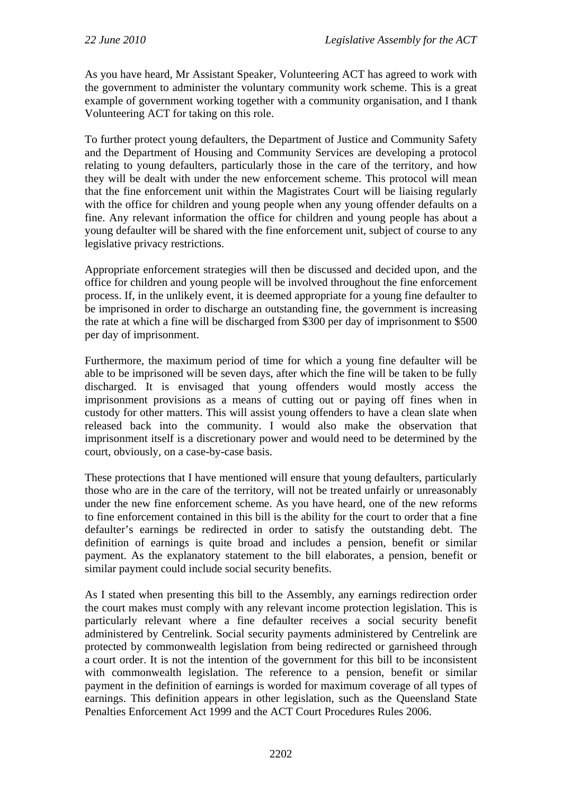As you have heard, Mr Assistant Speaker, Volunteering ACT has agreed to work with the government to administer the voluntary community work scheme. This is a great example of government working together with a community organisation, and I thank Volunteering ACT for taking on this role.

To further protect young defaulters, the Department of Justice and Community Safety and the Department of Housing and Community Services are developing a protocol relating to young defaulters, particularly those in the care of the territory, and how they will be dealt with under the new enforcement scheme. This protocol will mean that the fine enforcement unit within the Magistrates Court will be liaising regularly with the office for children and young people when any young offender defaults on a fine. Any relevant information the office for children and young people has about a young defaulter will be shared with the fine enforcement unit, subject of course to any legislative privacy restrictions.

Appropriate enforcement strategies will then be discussed and decided upon, and the office for children and young people will be involved throughout the fine enforcement process. If, in the unlikely event, it is deemed appropriate for a young fine defaulter to be imprisoned in order to discharge an outstanding fine, the government is increasing the rate at which a fine will be discharged from \$300 per day of imprisonment to \$500 per day of imprisonment.

Furthermore, the maximum period of time for which a young fine defaulter will be able to be imprisoned will be seven days, after which the fine will be taken to be fully discharged. It is envisaged that young offenders would mostly access the imprisonment provisions as a means of cutting out or paying off fines when in custody for other matters. This will assist young offenders to have a clean slate when released back into the community. I would also make the observation that imprisonment itself is a discretionary power and would need to be determined by the court, obviously, on a case-by-case basis.

These protections that I have mentioned will ensure that young defaulters, particularly those who are in the care of the territory, will not be treated unfairly or unreasonably under the new fine enforcement scheme. As you have heard, one of the new reforms to fine enforcement contained in this bill is the ability for the court to order that a fine defaulter's earnings be redirected in order to satisfy the outstanding debt. The definition of earnings is quite broad and includes a pension, benefit or similar payment. As the explanatory statement to the bill elaborates, a pension, benefit or similar payment could include social security benefits.

As I stated when presenting this bill to the Assembly, any earnings redirection order the court makes must comply with any relevant income protection legislation. This is particularly relevant where a fine defaulter receives a social security benefit administered by Centrelink. Social security payments administered by Centrelink are protected by commonwealth legislation from being redirected or garnisheed through a court order. It is not the intention of the government for this bill to be inconsistent with commonwealth legislation. The reference to a pension, benefit or similar payment in the definition of earnings is worded for maximum coverage of all types of earnings. This definition appears in other legislation, such as the Queensland State Penalties Enforcement Act 1999 and the ACT Court Procedures Rules 2006.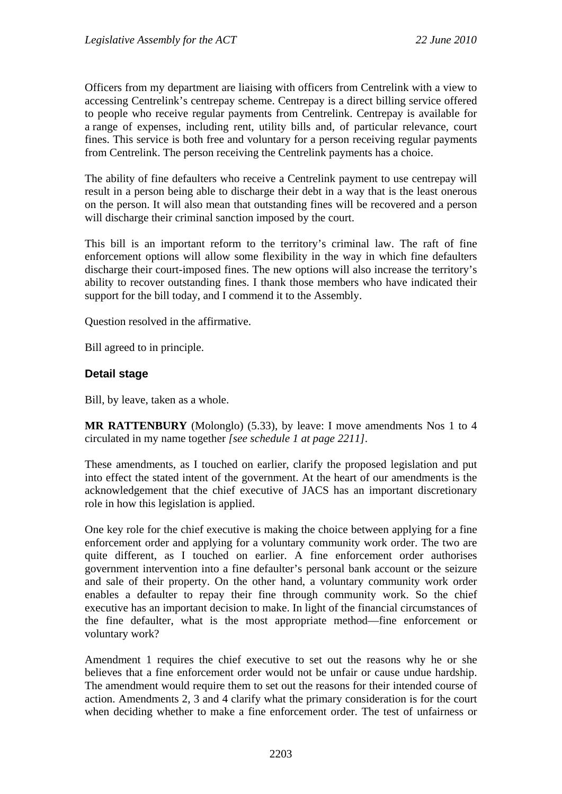Officers from my department are liaising with officers from Centrelink with a view to accessing Centrelink's centrepay scheme. Centrepay is a direct billing service offered to people who receive regular payments from Centrelink. Centrepay is available for a range of expenses, including rent, utility bills and, of particular relevance, court fines. This service is both free and voluntary for a person receiving regular payments from Centrelink. The person receiving the Centrelink payments has a choice.

The ability of fine defaulters who receive a Centrelink payment to use centrepay will result in a person being able to discharge their debt in a way that is the least onerous on the person. It will also mean that outstanding fines will be recovered and a person will discharge their criminal sanction imposed by the court.

This bill is an important reform to the territory's criminal law. The raft of fine enforcement options will allow some flexibility in the way in which fine defaulters discharge their court-imposed fines. The new options will also increase the territory's ability to recover outstanding fines. I thank those members who have indicated their support for the bill today, and I commend it to the Assembly.

Question resolved in the affirmative.

Bill agreed to in principle.

#### **Detail stage**

Bill, by leave, taken as a whole.

**MR RATTENBURY** (Molonglo) (5.33), by leave: I move amendments Nos 1 to 4 circulated in my name together *[see schedule 1 at page 2211]*.

These amendments, as I touched on earlier, clarify the proposed legislation and put into effect the stated intent of the government. At the heart of our amendments is the acknowledgement that the chief executive of JACS has an important discretionary role in how this legislation is applied.

One key role for the chief executive is making the choice between applying for a fine enforcement order and applying for a voluntary community work order. The two are quite different, as I touched on earlier. A fine enforcement order authorises government intervention into a fine defaulter's personal bank account or the seizure and sale of their property. On the other hand, a voluntary community work order enables a defaulter to repay their fine through community work. So the chief executive has an important decision to make. In light of the financial circumstances of the fine defaulter, what is the most appropriate method—fine enforcement or voluntary work?

Amendment 1 requires the chief executive to set out the reasons why he or she believes that a fine enforcement order would not be unfair or cause undue hardship. The amendment would require them to set out the reasons for their intended course of action. Amendments 2, 3 and 4 clarify what the primary consideration is for the court when deciding whether to make a fine enforcement order. The test of unfairness or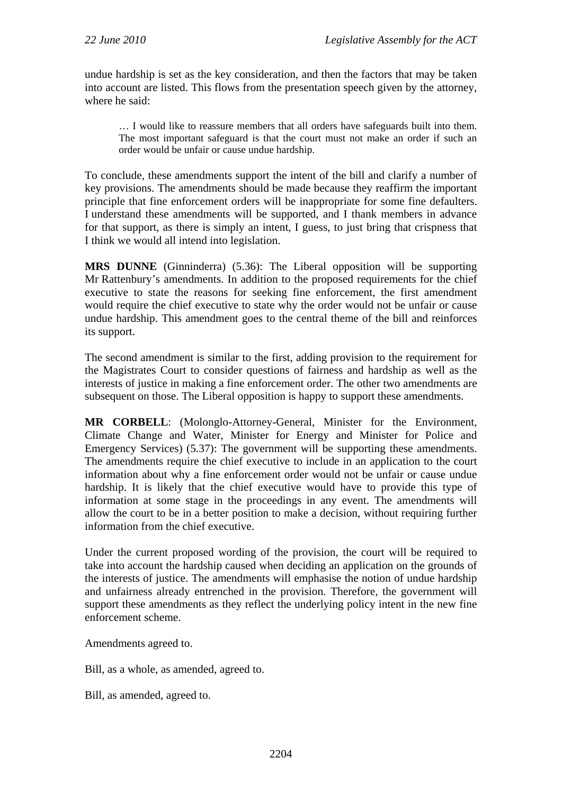undue hardship is set as the key consideration, and then the factors that may be taken into account are listed. This flows from the presentation speech given by the attorney, where he said:

… I would like to reassure members that all orders have safeguards built into them. The most important safeguard is that the court must not make an order if such an order would be unfair or cause undue hardship.

To conclude, these amendments support the intent of the bill and clarify a number of key provisions. The amendments should be made because they reaffirm the important principle that fine enforcement orders will be inappropriate for some fine defaulters. I understand these amendments will be supported, and I thank members in advance for that support, as there is simply an intent, I guess, to just bring that crispness that I think we would all intend into legislation.

**MRS DUNNE** (Ginninderra) (5.36): The Liberal opposition will be supporting Mr Rattenbury's amendments. In addition to the proposed requirements for the chief executive to state the reasons for seeking fine enforcement, the first amendment would require the chief executive to state why the order would not be unfair or cause undue hardship. This amendment goes to the central theme of the bill and reinforces its support.

The second amendment is similar to the first, adding provision to the requirement for the Magistrates Court to consider questions of fairness and hardship as well as the interests of justice in making a fine enforcement order. The other two amendments are subsequent on those. The Liberal opposition is happy to support these amendments.

**MR CORBELL**: (Molonglo-Attorney-General, Minister for the Environment, Climate Change and Water, Minister for Energy and Minister for Police and Emergency Services) (5.37): The government will be supporting these amendments. The amendments require the chief executive to include in an application to the court information about why a fine enforcement order would not be unfair or cause undue hardship. It is likely that the chief executive would have to provide this type of information at some stage in the proceedings in any event. The amendments will allow the court to be in a better position to make a decision, without requiring further information from the chief executive.

Under the current proposed wording of the provision, the court will be required to take into account the hardship caused when deciding an application on the grounds of the interests of justice. The amendments will emphasise the notion of undue hardship and unfairness already entrenched in the provision. Therefore, the government will support these amendments as they reflect the underlying policy intent in the new fine enforcement scheme.

Amendments agreed to.

Bill, as a whole, as amended, agreed to.

Bill, as amended, agreed to.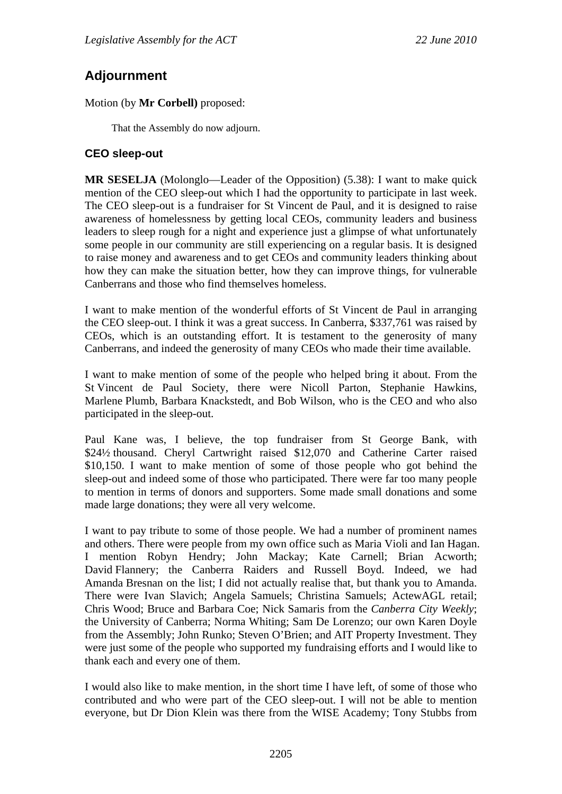# **Adjournment**

## Motion (by **Mr Corbell)** proposed:

That the Assembly do now adjourn.

# **CEO sleep-out**

**MR SESELJA** (Molonglo—Leader of the Opposition) (5.38): I want to make quick mention of the CEO sleep-out which I had the opportunity to participate in last week. The CEO sleep-out is a fundraiser for St Vincent de Paul, and it is designed to raise awareness of homelessness by getting local CEOs, community leaders and business leaders to sleep rough for a night and experience just a glimpse of what unfortunately some people in our community are still experiencing on a regular basis. It is designed to raise money and awareness and to get CEOs and community leaders thinking about how they can make the situation better, how they can improve things, for vulnerable Canberrans and those who find themselves homeless.

I want to make mention of the wonderful efforts of St Vincent de Paul in arranging the CEO sleep-out. I think it was a great success. In Canberra, \$337,761 was raised by CEOs, which is an outstanding effort. It is testament to the generosity of many Canberrans, and indeed the generosity of many CEOs who made their time available.

I want to make mention of some of the people who helped bring it about. From the St Vincent de Paul Society, there were Nicoll Parton, Stephanie Hawkins, Marlene Plumb, Barbara Knackstedt, and Bob Wilson, who is the CEO and who also participated in the sleep-out.

Paul Kane was, I believe, the top fundraiser from St George Bank, with \$24½ thousand. Cheryl Cartwright raised \$12,070 and Catherine Carter raised \$10,150. I want to make mention of some of those people who got behind the sleep-out and indeed some of those who participated. There were far too many people to mention in terms of donors and supporters. Some made small donations and some made large donations; they were all very welcome.

I want to pay tribute to some of those people. We had a number of prominent names and others. There were people from my own office such as Maria Violi and Ian Hagan. I mention Robyn Hendry; John Mackay; Kate Carnell; Brian Acworth; David Flannery; the Canberra Raiders and Russell Boyd. Indeed, we had Amanda Bresnan on the list; I did not actually realise that, but thank you to Amanda. There were Ivan Slavich; Angela Samuels; Christina Samuels; ActewAGL retail; Chris Wood; Bruce and Barbara Coe; Nick Samaris from the *Canberra City Weekly*; the University of Canberra; Norma Whiting; Sam De Lorenzo; our own Karen Doyle from the Assembly; John Runko; Steven O'Brien; and AIT Property Investment. They were just some of the people who supported my fundraising efforts and I would like to thank each and every one of them.

I would also like to make mention, in the short time I have left, of some of those who contributed and who were part of the CEO sleep-out. I will not be able to mention everyone, but Dr Dion Klein was there from the WISE Academy; Tony Stubbs from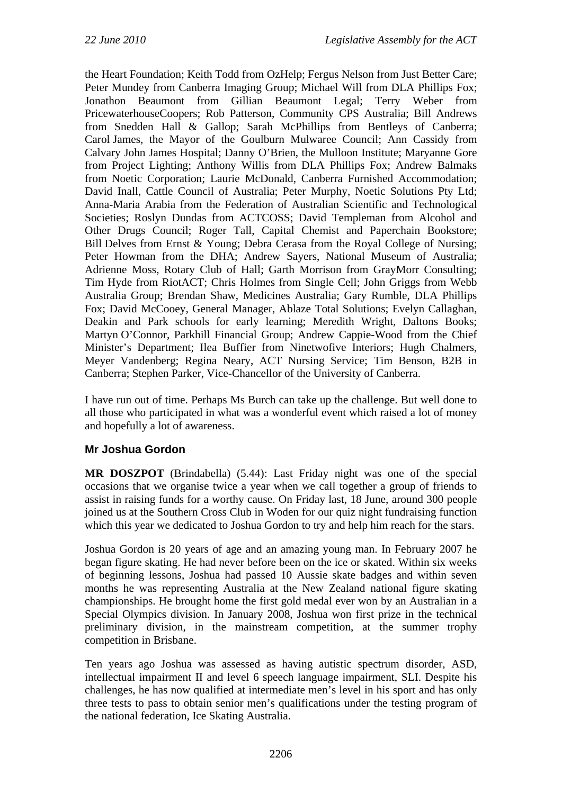the Heart Foundation; Keith Todd from OzHelp; Fergus Nelson from Just Better Care; Peter Mundey from Canberra Imaging Group; Michael Will from DLA Phillips Fox; Jonathon Beaumont from Gillian Beaumont Legal; Terry Weber from PricewaterhouseCoopers; Rob Patterson, Community CPS Australia; Bill Andrews from Snedden Hall & Gallop; Sarah McPhillips from Bentleys of Canberra; Carol James, the Mayor of the Goulburn Mulwaree Council; Ann Cassidy from Calvary John James Hospital; Danny O'Brien, the Mulloon Institute; Maryanne Gore from Project Lighting; Anthony Willis from DLA Phillips Fox; Andrew Balmaks from Noetic Corporation; Laurie McDonald, Canberra Furnished Accommodation; David Inall, Cattle Council of Australia; Peter Murphy, Noetic Solutions Pty Ltd; Anna-Maria Arabia from the Federation of Australian Scientific and Technological Societies; Roslyn Dundas from ACTCOSS; David Templeman from Alcohol and Other Drugs Council; Roger Tall, Capital Chemist and Paperchain Bookstore; Bill Delves from Ernst & Young; Debra Cerasa from the Royal College of Nursing; Peter Howman from the DHA; Andrew Sayers, National Museum of Australia; Adrienne Moss, Rotary Club of Hall; Garth Morrison from GrayMorr Consulting; Tim Hyde from RiotACT; Chris Holmes from Single Cell; John Griggs from Webb Australia Group; Brendan Shaw, Medicines Australia; Gary Rumble, DLA Phillips Fox; David McCooey, General Manager, Ablaze Total Solutions; Evelyn Callaghan, Deakin and Park schools for early learning; Meredith Wright, Daltons Books; Martyn O'Connor, Parkhill Financial Group; Andrew Cappie-Wood from the Chief Minister's Department; Ilea Buffier from Ninetwofive Interiors; Hugh Chalmers, Meyer Vandenberg; Regina Neary, ACT Nursing Service; Tim Benson, B2B in Canberra; Stephen Parker, Vice-Chancellor of the University of Canberra.

I have run out of time. Perhaps Ms Burch can take up the challenge. But well done to all those who participated in what was a wonderful event which raised a lot of money and hopefully a lot of awareness.

# **Mr Joshua Gordon**

**MR DOSZPOT** (Brindabella) (5.44): Last Friday night was one of the special occasions that we organise twice a year when we call together a group of friends to assist in raising funds for a worthy cause. On Friday last, 18 June, around 300 people joined us at the Southern Cross Club in Woden for our quiz night fundraising function which this year we dedicated to Joshua Gordon to try and help him reach for the stars.

Joshua Gordon is 20 years of age and an amazing young man. In February 2007 he began figure skating. He had never before been on the ice or skated. Within six weeks of beginning lessons, Joshua had passed 10 Aussie skate badges and within seven months he was representing Australia at the New Zealand national figure skating championships. He brought home the first gold medal ever won by an Australian in a Special Olympics division. In January 2008, Joshua won first prize in the technical preliminary division, in the mainstream competition, at the summer trophy competition in Brisbane.

Ten years ago Joshua was assessed as having autistic spectrum disorder, ASD, intellectual impairment II and level 6 speech language impairment, SLI. Despite his challenges, he has now qualified at intermediate men's level in his sport and has only three tests to pass to obtain senior men's qualifications under the testing program of the national federation, Ice Skating Australia.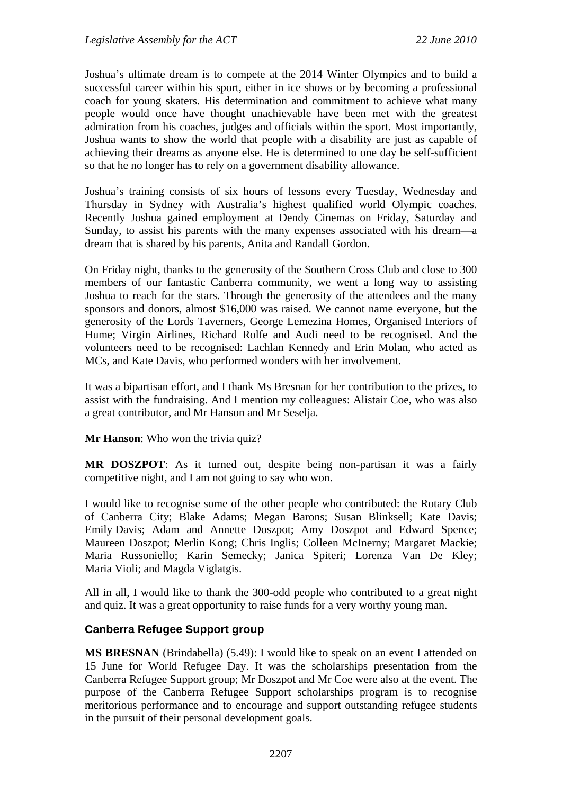Joshua's ultimate dream is to compete at the 2014 Winter Olympics and to build a successful career within his sport, either in ice shows or by becoming a professional coach for young skaters. His determination and commitment to achieve what many people would once have thought unachievable have been met with the greatest admiration from his coaches, judges and officials within the sport. Most importantly, Joshua wants to show the world that people with a disability are just as capable of achieving their dreams as anyone else. He is determined to one day be self-sufficient so that he no longer has to rely on a government disability allowance.

Joshua's training consists of six hours of lessons every Tuesday, Wednesday and Thursday in Sydney with Australia's highest qualified world Olympic coaches. Recently Joshua gained employment at Dendy Cinemas on Friday, Saturday and Sunday, to assist his parents with the many expenses associated with his dream—a dream that is shared by his parents, Anita and Randall Gordon.

On Friday night, thanks to the generosity of the Southern Cross Club and close to 300 members of our fantastic Canberra community, we went a long way to assisting Joshua to reach for the stars. Through the generosity of the attendees and the many sponsors and donors, almost \$16,000 was raised. We cannot name everyone, but the generosity of the Lords Taverners, George Lemezina Homes, Organised Interiors of Hume; Virgin Airlines, Richard Rolfe and Audi need to be recognised. And the volunteers need to be recognised: Lachlan Kennedy and Erin Molan, who acted as MCs, and Kate Davis, who performed wonders with her involvement.

It was a bipartisan effort, and I thank Ms Bresnan for her contribution to the prizes, to assist with the fundraising. And I mention my colleagues: Alistair Coe, who was also a great contributor, and Mr Hanson and Mr Seselja.

**Mr Hanson**: Who won the trivia quiz?

**MR DOSZPOT**: As it turned out, despite being non-partisan it was a fairly competitive night, and I am not going to say who won.

I would like to recognise some of the other people who contributed: the Rotary Club of Canberra City; Blake Adams; Megan Barons; Susan Blinksell; Kate Davis; Emily Davis; Adam and Annette Doszpot; Amy Doszpot and Edward Spence; Maureen Doszpot; Merlin Kong; Chris Inglis; Colleen McInerny; Margaret Mackie; Maria Russoniello; Karin Semecky; Janica Spiteri; Lorenza Van De Kley; Maria Violi; and Magda Viglatgis.

All in all, I would like to thank the 300-odd people who contributed to a great night and quiz. It was a great opportunity to raise funds for a very worthy young man.

### **Canberra Refugee Support group**

**MS BRESNAN** (Brindabella) (5.49): I would like to speak on an event I attended on 15 June for World Refugee Day. It was the scholarships presentation from the Canberra Refugee Support group; Mr Doszpot and Mr Coe were also at the event. The purpose of the Canberra Refugee Support scholarships program is to recognise meritorious performance and to encourage and support outstanding refugee students in the pursuit of their personal development goals.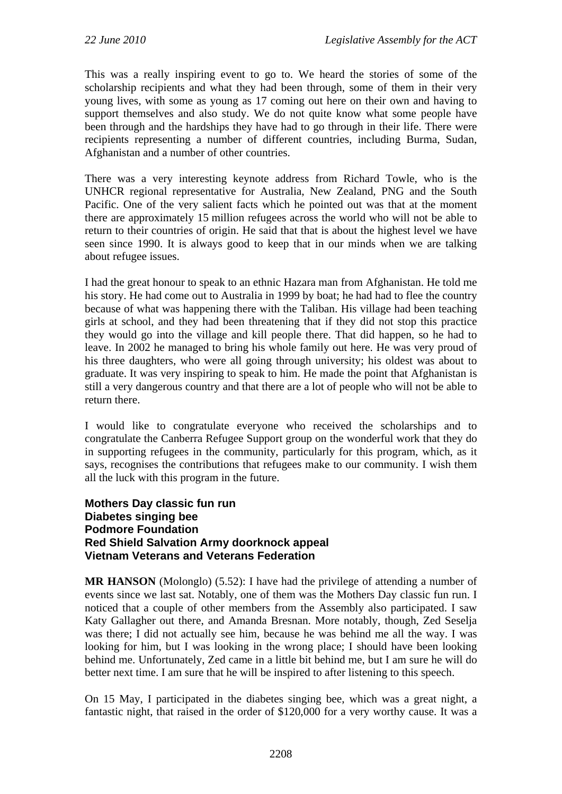This was a really inspiring event to go to. We heard the stories of some of the scholarship recipients and what they had been through, some of them in their very young lives, with some as young as 17 coming out here on their own and having to support themselves and also study. We do not quite know what some people have been through and the hardships they have had to go through in their life. There were recipients representing a number of different countries, including Burma, Sudan, Afghanistan and a number of other countries.

There was a very interesting keynote address from Richard Towle, who is the UNHCR regional representative for Australia, New Zealand, PNG and the South Pacific. One of the very salient facts which he pointed out was that at the moment there are approximately 15 million refugees across the world who will not be able to return to their countries of origin. He said that that is about the highest level we have seen since 1990. It is always good to keep that in our minds when we are talking about refugee issues.

I had the great honour to speak to an ethnic Hazara man from Afghanistan. He told me his story. He had come out to Australia in 1999 by boat; he had had to flee the country because of what was happening there with the Taliban. His village had been teaching girls at school, and they had been threatening that if they did not stop this practice they would go into the village and kill people there. That did happen, so he had to leave. In 2002 he managed to bring his whole family out here. He was very proud of his three daughters, who were all going through university; his oldest was about to graduate. It was very inspiring to speak to him. He made the point that Afghanistan is still a very dangerous country and that there are a lot of people who will not be able to return there.

I would like to congratulate everyone who received the scholarships and to congratulate the Canberra Refugee Support group on the wonderful work that they do in supporting refugees in the community, particularly for this program, which, as it says, recognises the contributions that refugees make to our community. I wish them all the luck with this program in the future.

#### **Mothers Day classic fun run Diabetes singing bee Podmore Foundation Red Shield Salvation Army doorknock appeal Vietnam Veterans and Veterans Federation**

**MR HANSON** (Molonglo) (5.52): I have had the privilege of attending a number of events since we last sat. Notably, one of them was the Mothers Day classic fun run. I noticed that a couple of other members from the Assembly also participated. I saw Katy Gallagher out there, and Amanda Bresnan. More notably, though, Zed Seselja was there; I did not actually see him, because he was behind me all the way. I was looking for him, but I was looking in the wrong place; I should have been looking behind me. Unfortunately, Zed came in a little bit behind me, but I am sure he will do better next time. I am sure that he will be inspired to after listening to this speech.

On 15 May, I participated in the diabetes singing bee, which was a great night, a fantastic night, that raised in the order of \$120,000 for a very worthy cause. It was a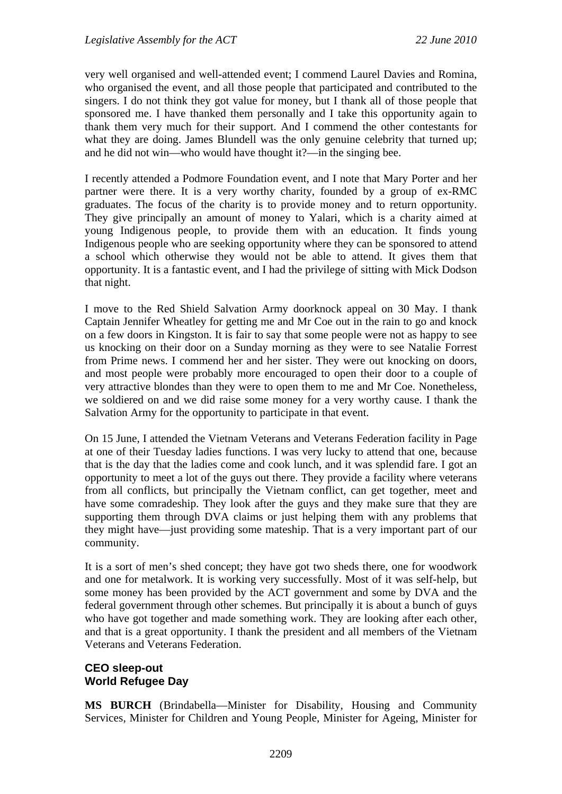very well organised and well-attended event; I commend Laurel Davies and Romina, who organised the event, and all those people that participated and contributed to the singers. I do not think they got value for money, but I thank all of those people that sponsored me. I have thanked them personally and I take this opportunity again to thank them very much for their support. And I commend the other contestants for what they are doing. James Blundell was the only genuine celebrity that turned up; and he did not win—who would have thought it?—in the singing bee.

I recently attended a Podmore Foundation event, and I note that Mary Porter and her partner were there. It is a very worthy charity, founded by a group of ex-RMC graduates. The focus of the charity is to provide money and to return opportunity. They give principally an amount of money to Yalari, which is a charity aimed at young Indigenous people, to provide them with an education. It finds young Indigenous people who are seeking opportunity where they can be sponsored to attend a school which otherwise they would not be able to attend. It gives them that opportunity. It is a fantastic event, and I had the privilege of sitting with Mick Dodson that night.

I move to the Red Shield Salvation Army doorknock appeal on 30 May. I thank Captain Jennifer Wheatley for getting me and Mr Coe out in the rain to go and knock on a few doors in Kingston. It is fair to say that some people were not as happy to see us knocking on their door on a Sunday morning as they were to see Natalie Forrest from Prime news. I commend her and her sister. They were out knocking on doors, and most people were probably more encouraged to open their door to a couple of very attractive blondes than they were to open them to me and Mr Coe. Nonetheless, we soldiered on and we did raise some money for a very worthy cause. I thank the Salvation Army for the opportunity to participate in that event.

On 15 June, I attended the Vietnam Veterans and Veterans Federation facility in Page at one of their Tuesday ladies functions. I was very lucky to attend that one, because that is the day that the ladies come and cook lunch, and it was splendid fare. I got an opportunity to meet a lot of the guys out there. They provide a facility where veterans from all conflicts, but principally the Vietnam conflict, can get together, meet and have some comradeship. They look after the guys and they make sure that they are supporting them through DVA claims or just helping them with any problems that they might have—just providing some mateship. That is a very important part of our community.

It is a sort of men's shed concept; they have got two sheds there, one for woodwork and one for metalwork. It is working very successfully. Most of it was self-help, but some money has been provided by the ACT government and some by DVA and the federal government through other schemes. But principally it is about a bunch of guys who have got together and made something work. They are looking after each other, and that is a great opportunity. I thank the president and all members of the Vietnam Veterans and Veterans Federation.

## **CEO sleep-out World Refugee Day**

**MS BURCH** (Brindabella—Minister for Disability, Housing and Community Services, Minister for Children and Young People, Minister for Ageing, Minister for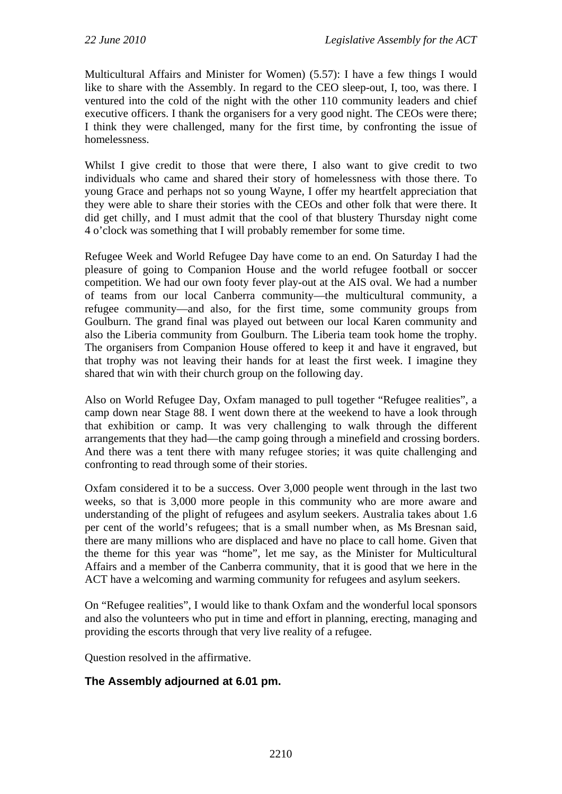Multicultural Affairs and Minister for Women) (5.57): I have a few things I would like to share with the Assembly. In regard to the CEO sleep-out, I, too, was there. I ventured into the cold of the night with the other 110 community leaders and chief executive officers. I thank the organisers for a very good night. The CEOs were there; I think they were challenged, many for the first time, by confronting the issue of homelessness.

Whilst I give credit to those that were there, I also want to give credit to two individuals who came and shared their story of homelessness with those there. To young Grace and perhaps not so young Wayne, I offer my heartfelt appreciation that they were able to share their stories with the CEOs and other folk that were there. It did get chilly, and I must admit that the cool of that blustery Thursday night come 4 o'clock was something that I will probably remember for some time.

Refugee Week and World Refugee Day have come to an end. On Saturday I had the pleasure of going to Companion House and the world refugee football or soccer competition. We had our own footy fever play-out at the AIS oval. We had a number of teams from our local Canberra community—the multicultural community, a refugee community—and also, for the first time, some community groups from Goulburn. The grand final was played out between our local Karen community and also the Liberia community from Goulburn. The Liberia team took home the trophy. The organisers from Companion House offered to keep it and have it engraved, but that trophy was not leaving their hands for at least the first week. I imagine they shared that win with their church group on the following day.

Also on World Refugee Day, Oxfam managed to pull together "Refugee realities", a camp down near Stage 88. I went down there at the weekend to have a look through that exhibition or camp. It was very challenging to walk through the different arrangements that they had—the camp going through a minefield and crossing borders. And there was a tent there with many refugee stories; it was quite challenging and confronting to read through some of their stories.

Oxfam considered it to be a success. Over 3,000 people went through in the last two weeks, so that is 3,000 more people in this community who are more aware and understanding of the plight of refugees and asylum seekers. Australia takes about 1.6 per cent of the world's refugees; that is a small number when, as Ms Bresnan said, there are many millions who are displaced and have no place to call home. Given that the theme for this year was "home", let me say, as the Minister for Multicultural Affairs and a member of the Canberra community, that it is good that we here in the ACT have a welcoming and warming community for refugees and asylum seekers.

On "Refugee realities", I would like to thank Oxfam and the wonderful local sponsors and also the volunteers who put in time and effort in planning, erecting, managing and providing the escorts through that very live reality of a refugee.

Question resolved in the affirmative.

# **The Assembly adjourned at 6.01 pm.**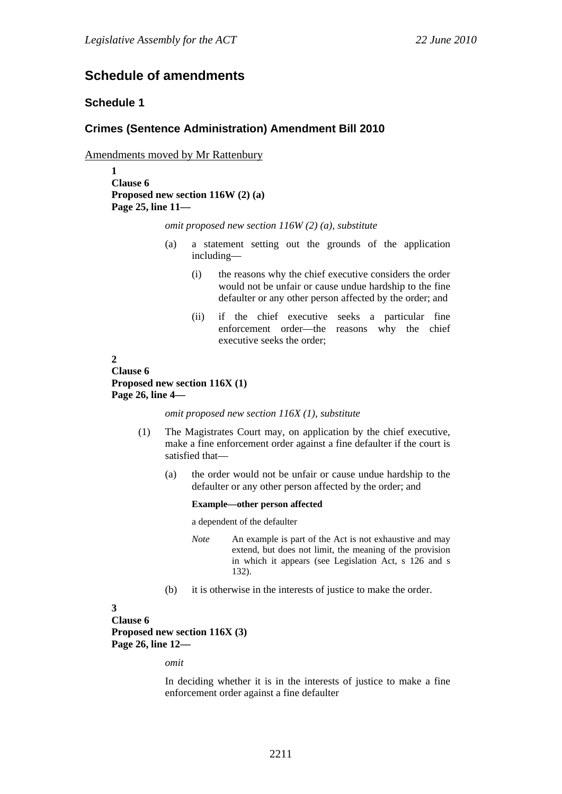# **Schedule of amendments**

#### **Schedule 1**

#### **Crimes (Sentence Administration) Amendment Bill 2010**

Amendments moved by Mr Rattenbury

**1 Clause 6 Proposed new section 116W (2) (a) Page 25, line 11—** 

*omit proposed new section 116W (2) (a), substitute* 

- (a) a statement setting out the grounds of the application including—
	- (i) the reasons why the chief executive considers the order would not be unfair or cause undue hardship to the fine defaulter or any other person affected by the order; and
	- (ii) if the chief executive seeks a particular fine enforcement order—the reasons why the chief executive seeks the order;

#### **2 Clause 6 Proposed new section 116X (1) Page 26, line 4—**

*omit proposed new section 116X (1), substitute* 

- (1) The Magistrates Court may, on application by the chief executive, make a fine enforcement order against a fine defaulter if the court is satisfied that—
	- (a) the order would not be unfair or cause undue hardship to the defaulter or any other person affected by the order; and

#### **Example—other person affected**

a dependent of the defaulter

- *Note* An example is part of the Act is not exhaustive and may extend, but does not limit, the meaning of the provision in which it appears (see Legislation Act, s 126 and s 132).
- (b) it is otherwise in the interests of justice to make the order.

#### **3**

**Clause 6 Proposed new section 116X (3) Page 26, line 12—** 

*omit* 

In deciding whether it is in the interests of justice to make a fine enforcement order against a fine defaulter